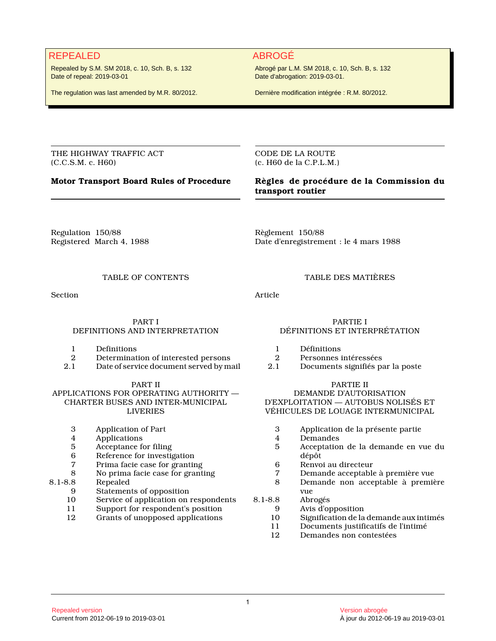# REPEALED ABROGÉ

Repealed by S.M. SM 2018, c. 10, Sch. B, s. 132 Date of repeal: 2019-03-01

The regulation was last amended by M.R. 80/2012.

Abrogé par L.M. SM 2018, c. 10, Sch. B, s. 132 Date d'abrogation: 2019-03-01.

Dernière modification intégrée : R.M. 80/2012.

THE HIGHWAY TRAFFIC ACT (C.C.S.M. c. H60)

CODE DE LA ROUTE (c. H60 de la C.P.L.M.)

# **Motor Transport Board Rules of Procedure Règles de procédure de la Commission du transport routier**

Regulation 150/88 Registered March 4, 1988 Règlement 150/88 Date d'enregistrement : le 4 mars 1988

# TABLE OF CONTENTS

Section

### PART I DEFINITIONS AND INTERPRETATION

- 1 Definitions<br>2 Determinat
- 2 Determination of interested persons<br>2.1 Date of service document served by ma
- Date of service document served by mail

#### PART II

### APPLICATIONS FOR OPERATING AUTHORITY — CHARTER BUSES AND INTER-MUNICIPAL LIVERIES

- 3 Application of Part
- 4 Applications<br>5 Acceptance fo
- Acceptance for filing
- 6 Reference for investigation<br>7 Prima facie case for granting
- 7 Prima facie case for granting<br>8 No prima facie case for granti
- 8 No prima facie case for granting<br>8.1-8.8 Repealed

#### Repealed

- 9 Statements of opposition<br>10 Service of application on
- 10 Service of application on respondents<br>11 Support for respondent's position
- 11 Support for respondent's position<br>12 Grants of unopposed applications
- Grants of unopposed applications

# TABLE DES MATIÈRES

Article

#### PARTIE I DÉFINITIONS ET INTERPRÉTATION

- 1 Définitions<br>2 Personnes i
- 
- 2 Personnes intéressées<br>2.1 Documents signifiés pa 2.1 Documents signifiés par la poste

### PARTIE II

#### DEMANDE D'AUTORISATION D'EXPLOITATION — AUTOBUS NOLISÉS ET VÉHICULES DE LOUAGE INTERMUNICIPAL

- 3 Application de la présente partie
	-
- 4 Demandes<br>5 Acceptation 5 Acceptation de la demande en vue du dépôt
- 6 Renvoi au directeur
- 7 Demande acceptable à première vue
- Demande non acceptable à première vue

# 8.1-8.8 Abrogés

- 9 Avis d'opposition<br>10 Signification de la
- 10 Signification de la demande aux intimés<br>11 Documents iustificatifs de l'intimé
- 11 Documents justificatifs de l'intimé<br>12 Demandes non contestées
- Demandes non contestées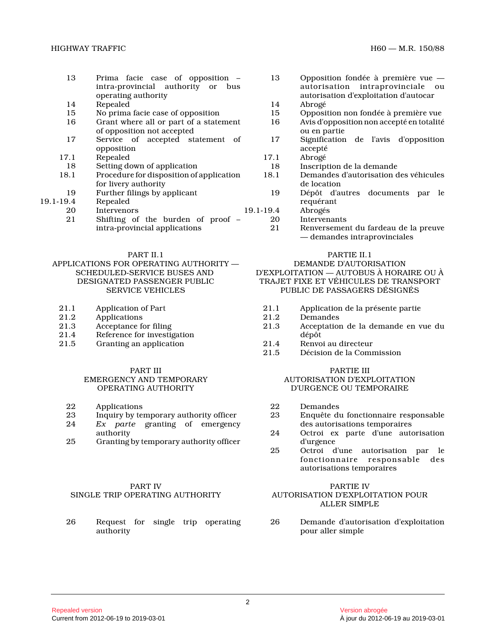| 13        | Prima facie case of opposition –<br>intra-provincial authority or bus<br>operating authority |  |  |  |  |
|-----------|----------------------------------------------------------------------------------------------|--|--|--|--|
| 14        | Repealed                                                                                     |  |  |  |  |
| 15        | No prima facie case of opposition                                                            |  |  |  |  |
| 16        | Grant where all or part of a statement                                                       |  |  |  |  |
|           | of opposition not accepted                                                                   |  |  |  |  |
| 17        | Service of accepted statement<br>of<br>opposition                                            |  |  |  |  |
| 17.1      | Repealed                                                                                     |  |  |  |  |
|           |                                                                                              |  |  |  |  |
| 18        | Setting down of application                                                                  |  |  |  |  |
| 18.1      | Procedure for disposition of application                                                     |  |  |  |  |
|           | for livery authority                                                                         |  |  |  |  |
| 19        | Further filings by applicant                                                                 |  |  |  |  |
| 19.1-19.4 | Repealed                                                                                     |  |  |  |  |
| 20        | 19.<br><b>Intervenors</b>                                                                    |  |  |  |  |
| 21        | Shifting of the burden of proof -                                                            |  |  |  |  |
|           | intra-provincial applications                                                                |  |  |  |  |

# PART II.1

# APPLICATIONS FOR OPERATING AUTHORITY — SCHEDULED-SERVICE BUSES AND DESIGNATED PASSENGER PUBLIC SERVICE VEHICLES

- 21.1 Application of Part<br>21.2 Applications
- 21.2 Applications<br>21.3 Acceptance fo
- 21.3 Acceptance for filing<br>21.4 Reference for investig
- Reference for investigation
- 21.5 Granting an application

#### PART III

# EMERGENCY AND TEMPORARY OPERATING AUTHORITY

- 22 Applications<br>23 Inquiry by term
- 23 Inquiry by temporary authority officer<br>24 Ex parte granting of emergency
- Ex parte granting of emergency authority
- 25 Granting by temporary authority officer

#### PART IV SINGLE TRIP OPERATING AUTHORITY

26 Request for single trip operating authority

- 13 Opposition fondée à première vue autorisation intraprovinciale ou autorisation d'exploitation d'autocar 14 Abrogé
- 
- 15 Opposition non fondée à première vue
- 16 Avis d'opposition non accepté en totalité ou en partie
- 17 Signification de l'avis d'opposition accepté
- 17.1 Abrogé
- 18 Inscription de la demande<br>18.1 Demandes d'autorisation d
	- Demandes d'autorisation des véhicules de location
	- 19 Dépôt d'autres documents par le requérant
- 1-19.4 Abrogés<br>20 Interven
	- 20 Intervenants<br>21 Renversemer
		- Renversement du fardeau de la preuve — demandes intraprovinciales

# PARTIE II.1

## DEMANDE D'AUTORISATION

D'EXPLOITATION — AUTOBUS À HORAIRE OU À TRAJET FIXE ET VÉHICULES DE TRANSPORT PUBLIC DE PASSAGERS DÉSIGNÉS

- 21.1 Application de la présente partie<br>21.2 Demandes
- 21.2 Demandes<br>21.3 Acceptation
- Acceptation de la demande en vue du dépôt
- 21.4 Renvoi au directeur
- 21.5 Décision de la Commission

# PARTIE III

## AUTORISATION D'EXPLOITATION D'URGENCE OU TEMPORAIRE

- 22 Demandes<br>23 Enquête di
- 23 Enquête du fonctionnaire responsable des autorisations temporaires
- 24 Octroi ex parte d'une autorisation d'urgence
- 25 Octroi d'une autorisation par le fonctionnaire responsable des autorisations temporaires

### PARTIE IV

# AUTORISATION D'EXPLOITATION POUR ALLER SIMPLE

26 Demande d'autorisation d'exploitation pour aller simple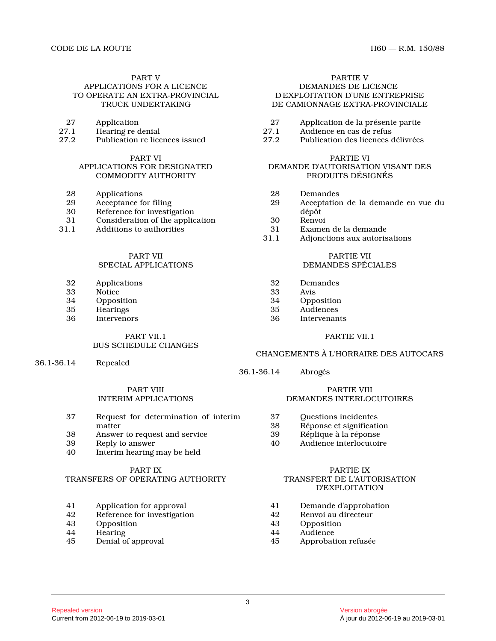#### PART V APPLICATIONS FOR A LICENCE TO OPERATE AN EXTRA-PROVINCIAL TRUCK UNDERTAKING

| 27 | Application |
|----|-------------|
|----|-------------|

- 27.1 Hearing re denial<br>27.2 Publication re lice
- Publication re licences issued

#### PART VI APPLICATIONS FOR DESIGNATED COMMODITY AUTHORITY

- 28 Applications<br>29 Acceptance fo
- Acceptance for filing
- 30 Reference for investigation<br>31 Consideration of the annlic
- 31 Consideration of the application<br>31.1 Additions to authorities
- Additions to authorities

#### PART VII SPECIAL APPLICATIONS

- 32 Applications
- Notice
- 34 Opposition
- 35 Hearings
- 36 Intervenors

#### PART VII.1 BUS SCHEDULE CHANGES

36.1-36.14 Repealed

#### PART VIII INTERIM APPLICATIONS

- 37 Request for determination of interim matter
- 38 Answer to request and service<br>39 Reply to answer
- 39 Reply to answer<br>40 Interim hearing
- Interim hearing may be held

#### PART IX TRANSFERS OF OPERATING AUTHORITY

- 41 Application for approval<br>42 Reference for investigation
- Reference for investigation
- 43 Opposition<br>44 Hearing
- Hearing
- 45 Denial of approval

#### PARTIE V DEMANDES DE LICENCE D'EXPLOITATION D'UNE ENTREPRISE DE CAMIONNAGE EXTRA-PROVINCIALE

- 27 Application de la présente partie<br>27.1 Audience en cas de refus
- 27.1 Audience en cas de refus<br>27.2 Publication des licences o
- 27.2 Publication des licences délivrées

#### PARTIE VI DEMANDE D'AUTORISATION VISANT DES

# PRODUITS DÉSIGNÉS

- 28 Demandes<br>29 Acceptation
- Acceptation de la demande en vue du dépôt
- 30 Renvoi
- 31 Examen de la demande<br>31.1 Adionctions aux autoris
	- Adjonctions aux autorisations

# PARTIE VII DEMANDES SPÉCIALES

- 32 Demandes
- 33 Avis<br>34 Oppe
- **Opposition**
- 35 Audiences
- 36 Intervenants

#### PARTIE VII.1

### CHANGEMENTS À L'HORRAIRE DES AUTOCARS

36.1-36.14 Abrogés

#### PARTIE VIII DEMANDES INTERLOCUTOIRES

- 37 Questions incidentes<br>38 Réponse et significati
- 38 Réponse et signification<br>39 Réplique à la réponse
- 39 Réplique à la réponse
- 40 Audience interlocutoire

#### PARTIE IX TRANSFERT DE L'AUTORISATION D'EXPLOITATION

- 41 Demande d'approbation<br>42 Renvoi au directeur
- Renvoi au directeur
- 43 Opposition<br>44 Audience
- **Audience**
- 45 Approbation refusée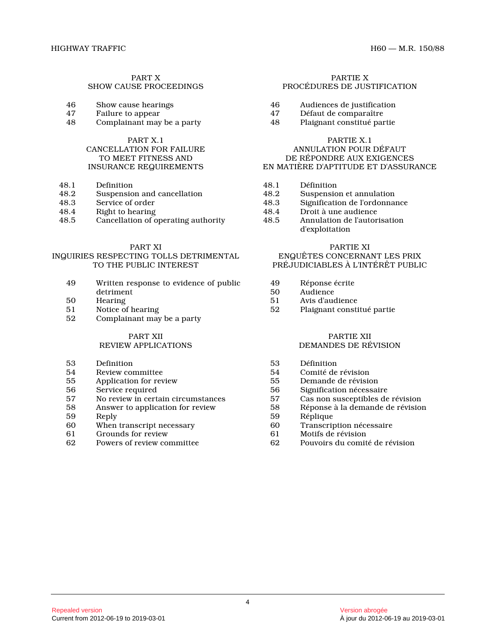# PART X

# SHOW CAUSE PROCEEDINGS

- 46 Show cause hearings<br>47 Failure to appear
- 47 Failure to appear<br>48 Complainant may
- Complainant may be a party

#### PART X.1 CANCELLATION FOR FAILURE TO MEET FITNESS AND INSURANCE REQUIREMENTS

- 48.1 Definition<br>48.2 Suspensio
- 48.2 Suspension and cancellation<br>48.3 Service of order
- Service of order
- 48.4 Right to hearing<br>48.5 Cancellation of o
- Cancellation of operating authority

#### PART XI

# INQUIRIES RESPECTING TOLLS DETRIMENTAL TO THE PUBLIC INTEREST

- 49 Written response to evidence of public detriment 50 Hearing
- 51 Notice of hearing
- 
- 52 Complainant may be a party

#### PART XII REVIEW APPLICATIONS

- 53 Definition
- 54 Review committee<br>55 Application for rev
- 55 Application for review<br>56 Service required
- Service required
- 57 No review in certain circumstances
- 58 Answer to application for review
- 59 Reply
- 60 When transcript necessary<br>61 Grounds for review
- 61 Grounds for review<br>62 Powers of review co
- Powers of review committee

#### PARTIE X PROCÉDURES DE JUSTIFICATION

- 46 Audiences de justification<br>47 Défaut de comparaître
- 47 Défaut de comparaître<br>48 Plaignant constitué par
- 48 Plaignant constitué partie

### PARTIE X.1

# ANNULATION POUR DÉFAUT

# DE RÉPONDRE AUX EXIGENCES

# EN MATIÈRE D'APTITUDE ET D'ASSURANCE

- 48.1 Définition
- Suspension et annulation
- 48.3 Signification de l'ordonnance
- 48.4 Droit à une audience<br>48.5 Annulation de l'autor
- 48.5 Annulation de l'autorisation d'exploitation

#### PARTIE XI

#### ENQUÊTES CONCERNANT LES PRIX PRÉJUDICIABLES À L'INTÉRÊT PUBLIC

- 49 Réponse écrite<br>50 Audience
- 50 Audience
- Avis d'audience
- 52 Plaignant constitué partie

#### PARTIE XII DEMANDES DE RÉVISION

- 53 Définition
- 54 Comité de révision<br>55 Demande de révision
- 55 Demande de révision
- 56 Signification nécessaire<br>57 Cas non susceptibles de
- 57 Cas non susceptibles de révision<br>58 Réponse à la demande de révision
- 58 Réponse à la demande de révision
- Réplique
- 60 Transcription nécessaire<br>61 Motifs de révision
- 61 Motifs de révision<br>62 Pouvoirs du comit
- 62 Pouvoirs du comité de révision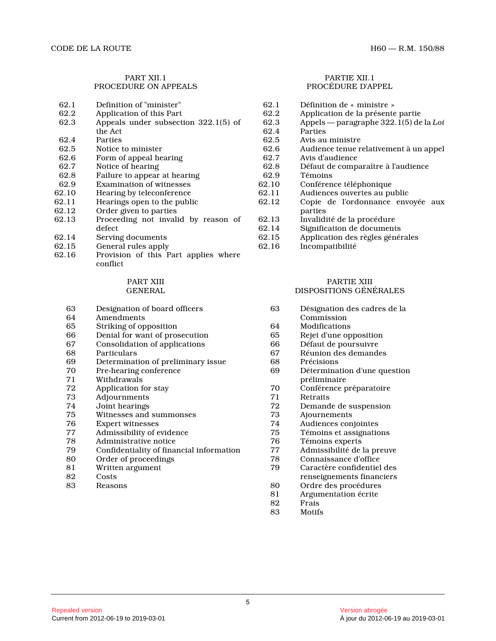#### PART XII.1 PROCEDURE ON APPEALS

| 62.1  | Definition of "minister"             |  |  |  |  |
|-------|--------------------------------------|--|--|--|--|
| 62.2  | Application of this Part             |  |  |  |  |
| 62.3  | Appeals under subsection 322.1(5) of |  |  |  |  |
|       | the Act                              |  |  |  |  |
| 62.4  | Parties                              |  |  |  |  |
| 62.5  | Notice to minister                   |  |  |  |  |
| 62.6  | Form of appeal hearing               |  |  |  |  |
| 62.7  | Notice of hearing                    |  |  |  |  |
| 62.8  | Failure to appear at hearing         |  |  |  |  |
| 62.9  | Examination of witnesses             |  |  |  |  |
| 62.10 | Hearing by teleconference            |  |  |  |  |
| 62.11 | Hearings open to the public          |  |  |  |  |
| 62.12 | Order given to parties               |  |  |  |  |
| 62.13 | Proceeding not invalid by reason of  |  |  |  |  |
|       | defect                               |  |  |  |  |
| 62.14 | Serving documents                    |  |  |  |  |

- 
- 62.15 General rules apply<br>62.16 Provision of this P Provision of this Part applies where conflict

#### PART XIII GENERAL

- 63 Designation of board officers
- 64 Amendments
- 65 Striking of opposition
- 66 Denial for want of prosecution
- 67 Consolidation of applications
- 68 Particulars
- 69 Determination of preliminary issue<br>70 Pre-hearing conference
- 70 Pre-hearing conference<br>71 Withdrawals
- 71 Withdrawals<br>72 Application for
- 72 Application for stay
- 73 Adjournments<br>74 Joint hearings
- 74 Joint hearings
- 75 Witnesses and summonses
- 76 Expert witnesses<br>77 Admissibility of e
- 77 Admissibility of evidence<br>78 Administrative notice
- 78 Administrative notice<br>79 Confidentiality of final
- 79 Confidentiality of financial information
- Order of proceedings
- 81 Written argument<br>82 Costs
- 82 Costs<br>83 Reaso
- **Reasons**

#### PARTIE XII.1 PROCÉDURE D'APPEL

- 62.1 Définition de « ministre » 62.2 Application de la présente partie 62.3 Appels — paragraphe 322.1(5) de la *Loi* 62.4 Parties<br>62.5 Avis au 62.5 Avis au ministre 62.6 Audience tenue relativement à un appel 62.7 Avis d'audience Défaut de comparaître à l'audience 62.9 Témoins 62.10 Conférence téléphonique 62.11 Audiences ouvertes au public 62.12 Copie de l'ordonnance envoyée aux parties 62.13 Invalidité de la procédure 62.14 Signification de documents
- 62.15 Application des règles générales
- 62.16 Incompatibilité

#### PARTIE XIII DISPOSITIONS GÉNÉRALES

- 63 Désignation des cadres de la Commission
- 64 Modifications
- 65 Rejet d'une opposition
- 66 Défaut de poursuivre
- 67 Réunion des demandes<br>68 Précisions
- 68 Précisions
	- Détermination d'une question préliminaire
- 70 Conférence préparatoire<br>71 Retraits
- 71 Retraits
- 72 Demande de suspension
- 73 Ajournements
- 74 Audiences conjointes<br>75 Témoins et assignation
- 75 Témoins et assignations<br>76 Témoins experts
- 76 Témoins experts<br>77 Admissibilité de
- 77 Admissibilité de la preuve<br>78 Connaissance d'office
- 78 Connaissance d'office
- Caractère confidentiel des renseignements financiers
- 80 Ordre des procédures<br>81 Argumentation écrite
- 81 Argumentation écrite<br>82 Frais
- 82 Frais
- **Motifs**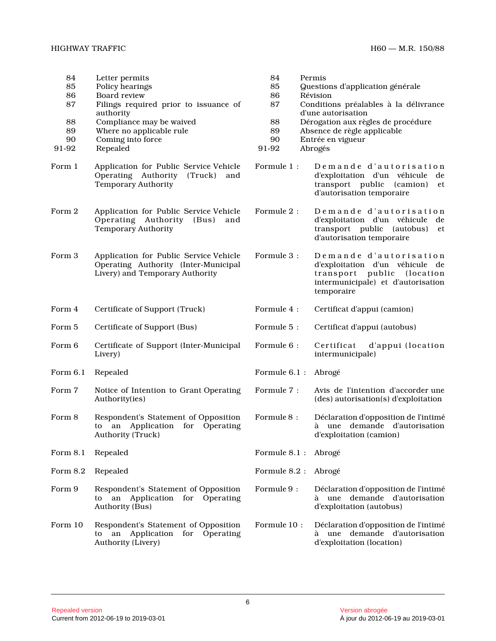| 84<br>85<br>86<br>87<br>88<br>89<br>90<br>91-92 | Letter permits<br>Policy hearings<br>Board review<br>Filings required prior to issuance of<br>authority<br>Compliance may be waived<br>Where no applicable rule<br>Coming into force<br>Repealed | 84<br>85<br>86<br>87<br>88<br>89<br>90<br>91-92 | Permis<br>Questions d'application générale<br>Révision<br>Conditions préalables à la délivrance<br>d'une autorisation<br>Dérogation aux règles de procédure<br>Absence de règle applicable<br>Entrée en vigueur<br>Abrogés |  |
|-------------------------------------------------|--------------------------------------------------------------------------------------------------------------------------------------------------------------------------------------------------|-------------------------------------------------|----------------------------------------------------------------------------------------------------------------------------------------------------------------------------------------------------------------------------|--|
| Form 1                                          | Application for Public Service Vehicle<br>Operating Authority<br>(Truck)<br>and<br><b>Temporary Authority</b>                                                                                    | Formule 1:                                      | Demande d'autorisation<br>d'exploitation d'un véhicule<br>de<br>transport public (camion)<br>et<br>d'autorisation temporaire                                                                                               |  |
| Form 2                                          | Application for Public Service Vehicle<br>Operating Authority<br>(Bus)<br>and<br><b>Temporary Authority</b>                                                                                      | Formule 2:                                      | Demande d'autorisation<br>d'exploitation d'un véhicule<br>de<br>transport public (autobus)<br>et<br>d'autorisation temporaire                                                                                              |  |
| Form 3                                          | Application for Public Service Vehicle<br>Operating Authority (Inter-Municipal<br>Livery) and Temporary Authority                                                                                | Formule 3:                                      | Demande d'autorisation<br>d'exploitation d'un véhicule de<br>transport public (location<br>intermunicipale) et d'autorisation<br>temporaire                                                                                |  |
| Form 4                                          | Certificate of Support (Truck)                                                                                                                                                                   | Formule 4:                                      | Certificat d'appui (camion)                                                                                                                                                                                                |  |
| Form 5                                          | Certificate of Support (Bus)                                                                                                                                                                     | Formule 5 :                                     | Certificat d'appui (autobus)                                                                                                                                                                                               |  |
| Form 6                                          | Certificate of Support (Inter-Municipal<br>Livery)                                                                                                                                               | Formule 6 :                                     | Certificat<br>d'appui (location<br>intermunicipale)                                                                                                                                                                        |  |
| Form 6.1                                        | Repealed                                                                                                                                                                                         | Formule 6.1 :                                   | Abrogé                                                                                                                                                                                                                     |  |
| Form 7                                          | Notice of Intention to Grant Operating<br>Authority(ies)                                                                                                                                         | Formule 7 :                                     | Avis de l'intention d'accorder une<br>(des) autorisation(s) d'exploitation                                                                                                                                                 |  |
| Form 8                                          | Respondent's Statement of Opposition<br>to an Application for Operating<br>Authority (Truck)                                                                                                     | Formule 8:                                      | Déclaration d'opposition de l'intimé<br>à une demande d'autorisation<br>d'exploitation (camion)                                                                                                                            |  |
| Form 8.1                                        | Repealed                                                                                                                                                                                         | Formule 8.1 :                                   | Abrogé                                                                                                                                                                                                                     |  |
| Form 8.2                                        | Repealed                                                                                                                                                                                         | Formule 8.2 :                                   | Abrogé                                                                                                                                                                                                                     |  |
| Form 9                                          | Respondent's Statement of Opposition<br>to an Application for Operating<br>Authority (Bus)                                                                                                       | Formule 9:                                      | Déclaration d'opposition de l'intimé<br>à une demande d'autorisation<br>d'exploitation (autobus)                                                                                                                           |  |
| Form 10                                         | Respondent's Statement of Opposition<br>Application<br>for Operating<br>an<br>to<br>Authority (Livery)                                                                                           | Formule 10 :                                    | Déclaration d'opposition de l'intimé<br>demande d'autorisation<br>à une<br>d'exploitation (location)                                                                                                                       |  |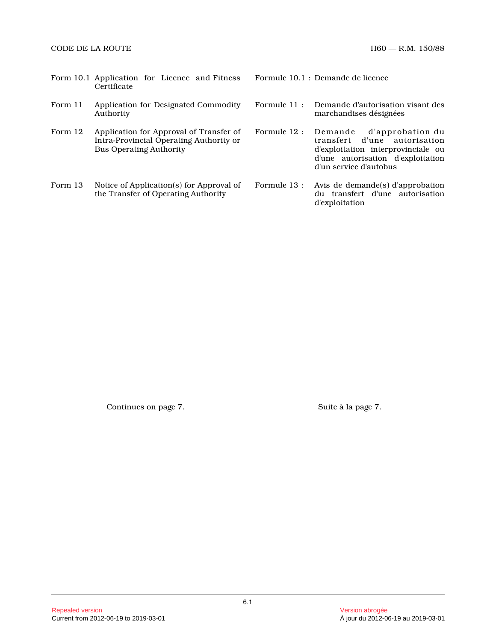Form 10.1 Application for Licence and Fitness Certificate Formule 10.1 : Demande de licence Form 11 Application for Designated Commodity Authority Formule 11 : Demande d'autorisation visant des marchandises désignées Form 12 Application for Approval of Transfer of Intra-Provincial Operating Authority or Bus Operating Authority Formule 12 : Demande d'approbation du transfert d'une autorisation d'exploitation interprovinciale ou d'une autorisation d'exploitation d'un service d'autobus Form 13 Notice of Application(s) for Approval of the Transfer of Operating Authority Formule 13 : Avis de demande(s) d'approbation du transfert d'une autorisation d'exploitation

Continues on page 7. Suite à la page 7.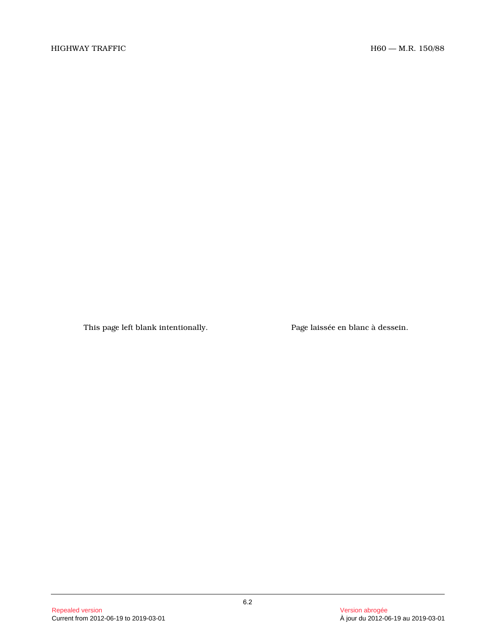This page left blank intentionally. Page laissée en blanc à dessein.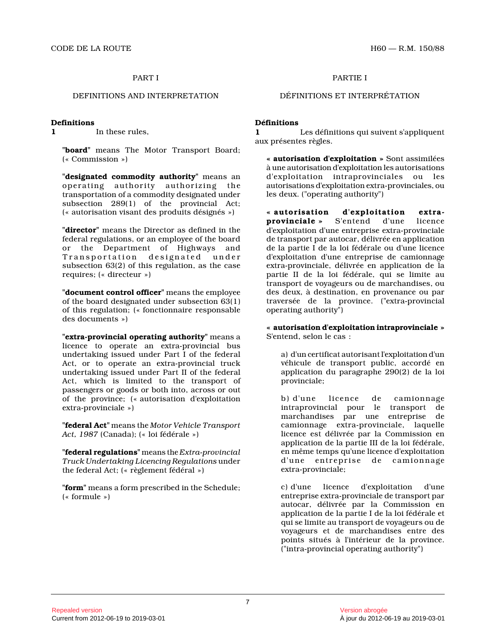#### **Definitions**

**1** In these rules.

**"board"** means The Motor Transport Board; (« Commission »)

**"designated commodity authority"** means an operating authority authorizing the transportation of a commodity designated under subsection 289(1) of the provincial Act; (« autorisation visant des produits désignés »)

**"director"** means the Director as defined in the federal regulations, or an employee of the board or the Department of Highways and Transportation designated under subsection 63(2) of this regulation, as the case requires; (« directeur »)

**"document control officer"** means the employee of the board designated under subsection 63(1) of this regulation; (« fonctionnaire responsable des documents »)

**"extra-provincial operating authority"** means a licence to operate an extra-provincial bus undertaking issued under Part I of the federal Act, or to operate an extra-provincial truck undertaking issued under Part II of the federal Act, which is limited to the transport of passengers or goods or both into, across or out of the province; (« autorisation d'exploitation extra-provinciale »)

**"federal Act"** means the *Motor Vehicle Transport Act, 1987* (Canada); (« loi fédérale »)

**"federal regulations"** means the *Extra-provincial Truck Undertaking Licencing Regulations* under the federal Act; (« règlement fédéral »)

**"form"** means a form prescribed in the Schedule; (« formule »)

PART I PARTIE I

# DEFINITIONS AND INTERPRETATION DÉFINITIONS ET INTERPRÉTATION

# **Définitions**

**1** Les définitions qui suivent s'appliquent aux présentes règles.

**« autorisation d'exploitation »** Sont assimilées à une autorisation d'exploitation les autorisations d'exploitation intraprovinciales ou les autorisations d'exploitation extra-provinciales, ou les deux. ("operating authority")

**« autorisation d'exploitation extraprovinciale »** S'entend d'une licence d'exploitation d'une entreprise extra-provinciale de transport par autocar, délivrée en application de la partie I de la loi fédérale ou d'une licence d'exploitation d'une entreprise de camionnage extra-provinciale, délivrée en application de la partie II de la loi fédérale, qui se limite au transport de voyageurs ou de marchandises, ou des deux, à destination, en provenance ou par traversée de la province. ("extra-provincial operating authority")

**« autorisation d'exploitation intraprovinciale »** S'entend, selon le cas :

a) d'un certificat autorisant l'exploitation d'un véhicule de transport public, accordé en application du paragraphe 290(2) de la loi provinciale;

b) d'une licence de camionnage intraprovincial pour le transport de marchandises par une entreprise de camionnage extra-provinciale, laquelle licence est délivrée par la Commission en application de la partie III de la loi fédérale, en même temps qu'une licence d'exploitation d'une entreprise de camionnage extra-provinciale;

c) d'une licence d'exploitation d'une entreprise extra-provinciale de transport par autocar, délivrée par la Commission en application de la partie I de la loi fédérale et qui se limite au transport de voyageurs ou de voyageurs et de marchandises entre des points situés à l'intérieur de la province. ("intra-provincial operating authority")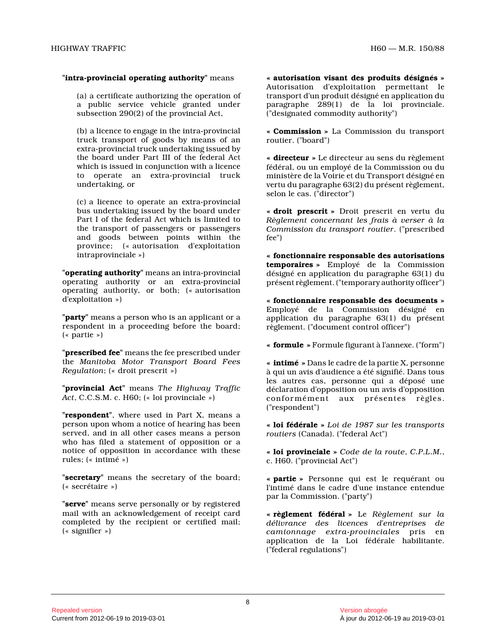#### **"intra-provincial operating authority"** means

(a) a certificate authorizing the operation of a public service vehicle granted under subsection 290(2) of the provincial Act,

(b) a licence to engage in the intra-provincial truck transport of goods by means of an extra-provincial truck undertaking issued by the board under Part III of the federal Act which is issued in conjunction with a licence to operate an extra-provincial truck undertaking, or

(c) a licence to operate an extra-provincial bus undertaking issued by the board under Part I of the federal Act which is limited to the transport of passengers or passengers and goods between points within the province; (« autorisation d'exploitation intraprovinciale »)

**"operating authority"** means an intra-provincial operating authority or an extra-provincial operating authority, or both; (« autorisation d'exploitation »)

**"party"** means a person who is an applicant or a respondent in a proceeding before the board; (« partie »)

**"prescribed fee"** means the fee prescribed under the *Manitoba Motor Transport Board Fees Regulation*; (« droit prescrit »)

**"provincial Act"** means *The Highway Traffic Act*, C.C.S.M. c. H60; (« loi provinciale »)

**"respondent"**, where used in Part X, means a person upon whom a notice of hearing has been served, and in all other cases means a person who has filed a statement of opposition or a notice of opposition in accordance with these rules; (« intimé »)

**"secretary"** means the secretary of the board; (« secrétaire »)

**"serve"** means serve personally or by registered mail with an acknowledgement of receipt card completed by the recipient or certified mail; (« signifier »)

**« autorisation visant des produits désignés »** Autorisation d'exploitation permettant le transport d'un produit désigné en application du paragraphe 289(1) de la loi provinciale. ("designated commodity authority")

**« Commission »** La Commission du transport routier. ("board")

**« directeur »** Le directeur au sens du règlement fédéral, ou un employé de la Commission ou du ministère de la Voirie et du Transport désigné en vertu du paragraphe 63(2) du présent règlement, selon le cas. ("director")

**« droit prescrit »** Droit prescrit en vertu du *Règlement concernant les frais à verser à la Commission du transport routier*. ("prescribed fee")

**« fonctionnaire responsable des autorisations temporaires »** Employé de la Commission désigné en application du paragraphe 63(1) du présent règlement. ("temporary authority officer")

**« fonctionnaire responsable des documents »** Employé de la Commission désigné en application du paragraphe 63(1) du présent règlement. ("document control officer")

**« formule »** Formule figurant à l'annexe. ("form")

**« intimé »** Dans le cadre de la partie X, personne à qui un avis d'audience a été signifié. Dans tous les autres cas, personne qui a déposé une déclaration d'opposition ou un avis d'opposition conformément aux présentes règles. ("respondent")

**« loi fédérale »** *Loi de 1987 sur les transports routiers* (Canada). ("federal Act")

**« loi provinciale »** *Code de la route*, *C.P.L.M.* , c. H60. ("provincial Act")

**« partie »** Personne qui est le requérant ou l'intimé dans le cadre d'une instance entendue par la Commission. ("party")

**« règlement fédéral »** Le *Règlement sur la délivrance des licences d'entreprises de camionnage extra-provinciales* pris en application de la Loi fédérale habilitante. ("federal regulations")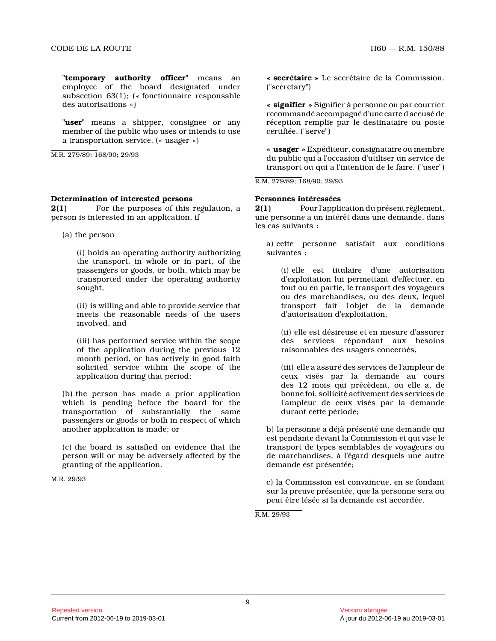**"temporary authority officer"** means an employee of the board designated under subsection 63(1); (« fonctionnaire responsable des autorisations »)

**"user"** means a shipper, consignee or any member of the public who uses or intends to use a transportation service. (« usager »)

M.R. 279/89; 168/90; 29/93

#### **Determination of interested persons**

**2(1)** For the purposes of this regulation, a person is interested in an application, if

(a) the person

(i) holds an operating authority authorizing the transport, in whole or in part, of the passengers or goods, or both, which may be transported under the operating authority sought,

(ii) is willing and able to provide service that meets the reasonable needs of the users involved, and

(iii) has performed service within the scope of the application during the previous 12 month period, or has actively in good faith solicited service within the scope of the application during that period;

(b) the person has made a prior application which is pending before the board for the transportation of substantially the same passengers or goods or both in respect of which another application is made; or

(c) the board is satisfied on evidence that the person will or may be adversely affected by the granting of the application.

M.R. 29/93

**« secrétaire »** Le secrétaire de la Commission. ("secretary")

**« signifier »** Signifier à personne ou par courrier recommandé accompagné d'une carte d'accusé de réception remplie par le destinataire ou poste certifiée. ("serve")

**« usager »** Expéditeur, consignataire ou membre du public qui a l'occasion d'utiliser un service de transport ou qui a l'intention de le faire. ("user" )

R.M. 279/89; 168/90; 29/93

#### **Personnes intéressées**

**2(1)** Pour l'application du présent règlement, une personne a un intérêt dans une demande, dans les cas suivants :

a) cette personne satisfait aux conditions suivantes :

(i) elle est titulaire d'une autorisation d'exploitation lui permettant d'effectuer, en tout ou en partie, le transport des voyageurs ou des marchandises, ou des deux, lequel transport fait l'objet de la demande d'autorisation d'exploitation,

(ii) elle est désireuse et en mesure d'assurer des services répondant aux besoins raisonnables des usagers concernés,

(iii) elle a assuré des services de l'ampleur de ceux visés par la demande au cours des 12 mois qui précèdent, ou elle a, de bonne foi, sollicité activement des services de l'ampleur de ceux visés par la demande durant cette période;

b) la personne a déjà présenté une demande qui est pendante devant la Commission et qui vise le transport de types semblables de voyageurs ou de marchandises, à l'égard desquels une autre demande est présentée;

c) la Commission est convaincue, en se fondant sur la preuve présentée, que la personne sera ou peut être lésée si la demande est accordée.

R.M. 29/93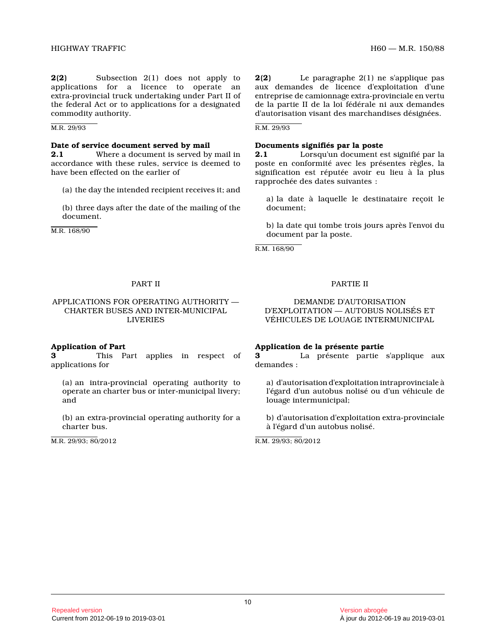**2(2)** Subsection 2(1) does not apply to applications for a licence to operate an extra-provincial truck undertaking under Part II of the federal Act or to applications for a designated commodity authority.

M.R. 29/93

#### **Date of service document served by mail**

**2.1** Where a document is served by mail in accordance with these rules, service is deemed to have been effected on the earlier of

(a) the day the intended recipient receives it; and

(b) three days after the date of the mailing of the document.

M.R. 168/90

**2(2)** Le paragraphe 2(1) ne s'applique pas aux demandes de licence d'exploitation d'une entreprise de camionnage extra-provinciale en vertu de la partie II de la loi fédérale ni aux demandes d'autorisation visant des marchandises désignées.

R.M. 29/93

#### **Documents signifiés par la poste**

**2.1** Lorsqu'un document est signifié par la poste en conformité avec les présentes règles, la signification est réputée avoir eu lieu à la plus rapprochée des dates suivantes :

a) la date à laquelle le destinataire reçoit le document;

b) la date qui tombe trois jours après l'envoi du document par la poste.

R.M. 168/90

#### APPLICATIONS FOR OPERATING AUTHORITY — CHARTER BUSES AND INTER-MUNICIPAL LIVERIES

# **Application of Part**<br>**3** This P

**3** This Part applies in respect of applications for

(a) an intra-provincial operating authority to operate an charter bus or inter-municipal livery; and

(b) an extra-provincial operating authority for a charter bus.

M.R. 29/93; 80/2012

#### PART II PARTIE II

#### DEMANDE D'AUTORISATION D'EXPLOITATION — AUTOBUS NOLISÉS ET VÉHICULES DE LOUAGE INTERMUNICIPAL

# **Application de la présente partie**

**3** La présente partie s'applique aux demandes :

a) d'autorisation d'exploitation intraprovinciale à l'égard d'un autobus nolisé ou d'un véhicule de louage intermunicipal;

b) d'autorisation d'exploitation extra-provinciale à l'égard d'un autobus nolisé.

R.M. 29/93; 80/2012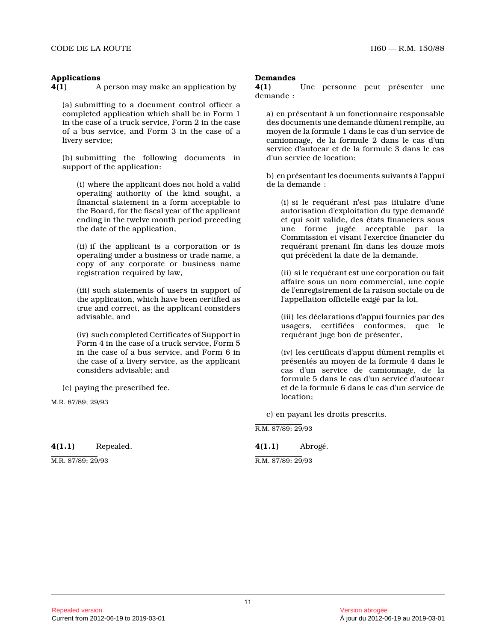# **Applications**

**4(1)** A person may make an application by

(a) submitting to a document control officer a completed application which shall be in Form 1 in the case of a truck service, Form 2 in the case of a bus service, and Form 3 in the case of a livery service;

(b) submitting the following documents in support of the application:

(i) where the applicant does not hold a valid operating authority of the kind sought, a financial statement in a form acceptable to the Board, for the fiscal year of the applicant ending in the twelve month period preceding the date of the application,

(ii) if the applicant is a corporation or is operating under a business or trade name, a copy of any corporate or business name registration required by law,

(iii) such statements of users in support of the application, which have been certified as true and correct, as the applicant considers advisable, and

(iv) such completed Certificates of Support in Form 4 in the case of a truck service, Form 5 in the case of a bus service, and Form 6 in the case of a livery service, as the applicant considers advisable; and

(c) paying the prescribed fee.

M.R. 87/89; 29/93

# **4(1.1)** Repealed.

M.R. 87/89; 29/93

#### **Demandes**

**4(1)** Une personne peut présenter une demande :

a) en présentant à un fonctionnaire responsable des documents une demande dûment remplie, au moyen de la formule 1 dans le cas d'un service de camionnage, de la formule 2 dans le cas d'un service d'autocar et de la formule 3 dans le cas d'un service de location;

b) en présentant les documents suivants à l'appui de la demande :

(i) si le requérant n'est pas titulaire d'une autorisation d'exploitation du type demandé et qui soit valide, des états financiers sous une forme jugée acceptable par la Commission et visant l'exercice financier du requérant prenant fin dans les douze mois qui précèdent la date de la demande,

(ii) si le requérant est une corporation ou fait affaire sous un nom commercial, une copie de l'enregistrement de la raison sociale ou de l'appellation officielle exigé par la loi,

(iii) les déclarations d'appui fournies par des usagers, certifiées conformes, que le requérant juge bon de présenter,

(iv) les certificats d'appui dûment remplis et présentés au moyen de la formule 4 dans le cas d'un service de camionnage, de la formule 5 dans le cas d'un service d'autocar et de la formule 6 dans le cas d'un service de location;

c) en payant les droits prescrits.

R.M. 87/89; 29/93

# **4(1.1)** Abrogé.

R.M. 87/89; 29/93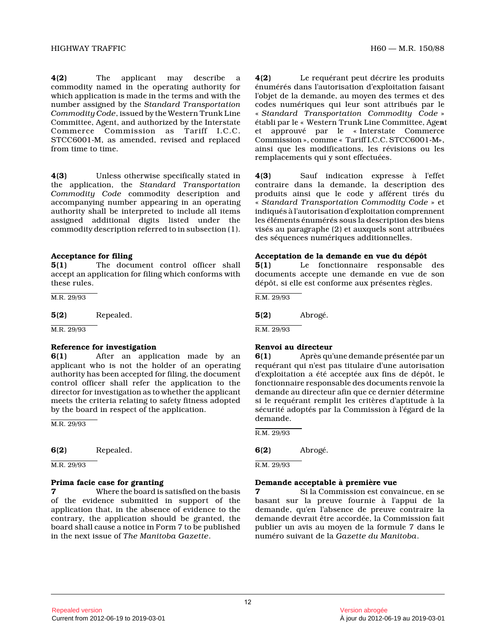**4(2)** The applicant may describe a commodity named in the operating authority for which application is made in the terms and with the number assigned by the *Standard Transportation Commodity Code*, issued by the Western Trunk Line Committee, Agent, and authorized by the Interstate Commerce Commission as Tariff I.C.C. STCC6001-M, as amended, revised and replaced from time to time.

**4(3)** Unless otherwise specifically stated in the application, the *Standard Transportation Commodity Code* commodity description and accompanying number appearing in an operating authority shall be interpreted to include all items assigned additional digits listed under the commodity description referred to in subsection (1) .

### **Acceptance for filing**

**5(1)** The document control officer shall accept an application for filing which conforms wit h these rules.

M.R. 29/93

**5(2)** Repealed.

M.R. 29/93

#### **Reference for investigation**

**6(1)** After an application made by an applicant who is not the holder of an operating authority has been accepted for filing, the documen t control officer shall refer the application to the director for investigation as to whether the applicant meets the criteria relating to safety fitness adopted by the board in respect of the application.

M.R. 29/93

**6(2)** Repealed.

M.R. 29/93

# **Prima facie case for granting**

**7** Where the board is satisfied on the basis of the evidence submitted in support of the application that, in the absence of evidence to the contrary, the application should be granted, the board shall cause a notice in Form 7 to be publishe d in the next issue of *The Manitoba Gazette* .

**4(2)** Le requérant peut décrire les produits énumérés dans l'autorisation d'exploitation faisant l'objet de la demande, au moyen des termes et des codes numériques qui leur sont attribués par le « *Standard Transportation Commodity Code* » établi par le « Western Trunk Line Committee, Agent» et approuvé par le « Interstate Commerce Commission », comme « Tariff I.C.C. STCC6001-M», ainsi que les modifications, les révisions ou les remplacements qui y sont effectuées.

**4(3)** Sauf indication expresse à l'effet contraire dans la demande, la description des produits ainsi que le code y afférent tirés du « *Standard Transportation Commodity Code* » et indiqués à l'autorisation d'exploitation comprennen t les éléments énumérés sous la description des biens visés au paragraphe (2) et auxquels sont attribuées des séquences numériques additionnelles.

# **Acceptation de la demande en vue du dépôt**

**5(1)** Le fonctionnaire responsable des documents accepte une demande en vue de son dépôt, si elle est conforme aux présentes règles.

R.M. 29/93

**5(2)** Abrogé.

R.M. 29/93

# **Renvoi au directeur**

**6(1)** Après qu'une demande présentée par un requérant qui n'est pas titulaire d'une autorisatio n d'exploitation a été acceptée aux fins de dépôt, le fonctionnaire responsable des documents renvoie la demande au directeur afin que ce dernier détermine si le requérant remplit les critères d'aptitude à l a sécurité adoptés par la Commission à l'égard de la demande.

R.M. 29/93

**6(2)** Abrogé.

R.M. 29/93

# **Demande acceptable à première vue**

**7** Si la Commission est convaincue, en se basant sur la preuve fournie à l'appui de la demande, qu'en l'absence de preuve contraire la demande devrait être accordée, la Commission fait publier un avis au moyen de la formule 7 dans le numéro suivant de la *Gazette du Manitoba* .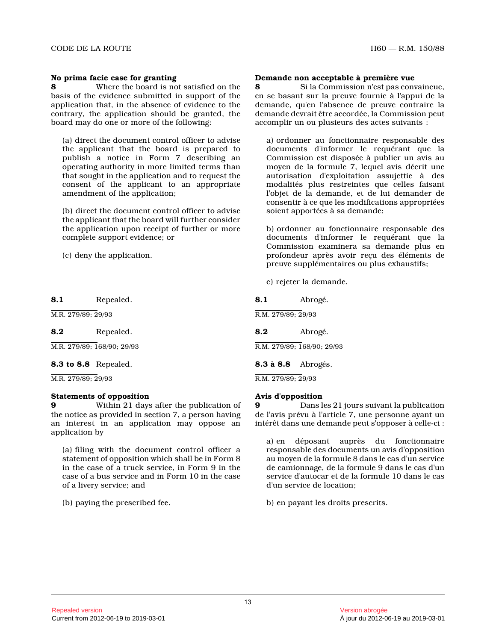### **No prima facie case for granting**

**8** Where the board is not satisfied on the basis of the evidence submitted in support of the application that, in the absence of evidence to the contrary, the application should be granted, the board may do one or more of the following:

(a) direct the document control officer to advise the applicant that the board is prepared to publish a notice in Form 7 describing an operating authority in more limited terms than that sought in the application and to request the consent of the applicant to an appropriate amendment of the application;

(b) direct the document control officer to advise the applicant that the board will further consider the application upon receipt of further or more complete support evidence; or

(c) deny the application.

#### **8.1** Repealed.

M.R. 279/89; 29/93

**8.2** Repealed.

M.R. 279/89; 168/90; 29/93

#### **8.3 to 8.8** Repealed.

M.R. 279/89; 29/93

#### **Statements of opposition**

**9** Within 21 days after the publication of the notice as provided in section 7, a person havin g an interest in an application may oppose an application by

(a) filing with the document control officer a statement of opposition which shall be in Form 8 in the case of a truck service, in Form 9 in the case of a bus service and in Form 10 in the case of a livery service; and

(b) paying the prescribed fee.

#### **Demande non acceptable à première vue**

**8** Si la Commission n'est pas convaincue, en se basant sur la preuve fournie à l'appui de la demande, qu'en l'absence de preuve contraire la demande devrait être accordée, la Commission peut accomplir un ou plusieurs des actes suivants :

a) ordonner au fonctionnaire responsable des documents d'informer le requérant que la Commission est disposée à publier un avis au moyen de la formule 7, lequel avis décrit une autorisation d'exploitation assujettie à des modalités plus restreintes que celles faisant l'objet de la demande, et de lui demander de consentir à ce que les modifications appropriées soient apportées à sa demande;

b) ordonner au fonctionnaire responsable des documents d'informer le requérant que la Commission examinera sa demande plus en profondeur après avoir reçu des éléments de preuve supplémentaires ou plus exhaustifs;

c) rejeter la demande.

**8.1** Abrogé. R.M. 279/89; 29/93 **8.2** Abrogé. R.M. 279/89; 168/90; 29/93 **8.3 à 8.8** Abrogés.

R.M. 279/89; 29/93

#### **Avis d'opposition**

**9** Dans les 21 jours suivant la publication de l'avis prévu à l'article 7, une personne ayant u n intérêt dans une demande peut s'opposer à celle-ci :

a) en déposant auprès du fonctionnaire responsable des documents un avis d'opposition au moyen de la formule 8 dans le cas d'un service de camionnage, de la formule 9 dans le cas d'un service d'autocar et de la formule 10 dans le cas d'un service de location;

b) en payant les droits prescrits.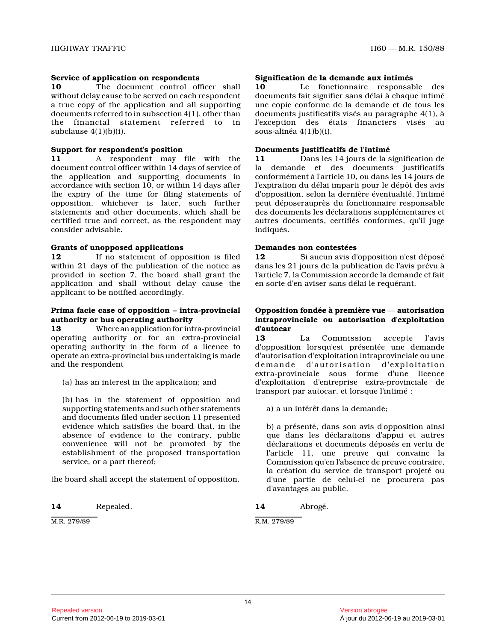**10** The document control officer shall without delay cause to be served on each respondent a true copy of the application and all supporting documents referred to in subsection 4(1), other tha n the financial statement referred to in subclause  $4(1)(b)(i)$ .

### **Support for respondent's position**

**11** A respondent may file with the document control officer within 14 days of service of the application and supporting documents in accordance with section 10, or within 14 days after the expiry of the time for filing statements of opposition, whichever is later, such further statements and other documents, which shall be certified true and correct, as the respondent may consider advisable.

# **Grants of unopposed applications**

**12** If no statement of opposition is filed within 21 days of the publication of the notice as provided in section 7, the board shall grant the application and shall without delay cause the applicant to be notified accordingly.

#### **Prima facie case of opposition – intra-provincial authority or bus operating authority**

**13** Where an application for intra-provincial operating authority or for an extra-provincial operating authority in the form of a licence to operate an extra-provincial bus undertaking is made and the respondent

(a) has an interest in the application; and

(b) has in the statement of opposition and supporting statements and such other statements and documents filed under section 11 presented evidence which satisfies the board that, in the absence of evidence to the contrary, public convenience will not be promoted by the establishment of the proposed transportation service, or a part thereof;

the board shall accept the statement of opposition.

# **14** Repealed.

M.R. 279/89

### **Signification de la demande aux intimés**

**10** Le fonctionnaire responsable des documents fait signifier sans délai à chaque intimé une copie conforme de la demande et de tous les documents justificatifs visés au paragraphe 4(1), à l'exception des états financiers visés au sous-alinéa 4(1)b)(i).

# **Documents justificatifs de l'intimé**

**11** Dans les 14 jours de la signification de la demande et des documents justificatifs conformément à l'article 10, ou dans les 14 jours d e l'expiration du délai imparti pour le dépôt des avi s d'opposition, selon la dernière éventualité, l'intimé peut déposerauprès du fonctionnaire responsable des documents les déclarations supplémentaires et autres documents, certifiés conformes, qu'il juge indiqués.

# **Demandes non contestées**

**12** Si aucun avis d'opposition n'est déposé dans les 21 jours de la publication de l'avis prévu à l'article 7, la Commission accorde la demande et fait en sorte d'en aviser sans délai le requérant.

# **Opposition fondée à première vue** — **autorisation intraprovinciale ou autorisation d'exploitation d'autocar**

**13** La Commission accepte l'avis d'opposition lorsqu'est présentée une demande d'autorisation d'exploitation intraprovinciale ou une demande d'autorisation d'exploitation extra-provinciale sous forme d'une licence d'exploitation d'entreprise extra-provinciale de transport par autocar, et lorsque l'intimé :

a) a un intérêt dans la demande;

b) a présenté, dans son avis d'opposition ainsi que dans les déclarations d'appui et autres déclarations et documents déposés en vertu de l'article 11, une preuve qui convainc la Commission qu'en l'absence de preuve contraire, la création du service de transport projeté ou d'une partie de celui-ci ne procurera pas d'avantages au public.

# **14** Abrogé.

R.M. 279/89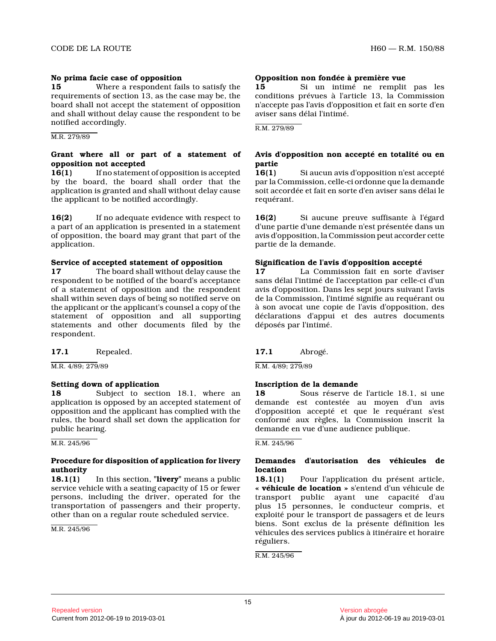## **No prima facie case of opposition**

**15** Where a respondent fails to satisfy the requirements of section 13, as the case may be, the board shall not accept the statement of opposition and shall without delay cause the respondent to be notified accordingly.

M.R. 279/89

### **Grant where all or part of a statement of opposition not accepted**

16(1) If no statement of opposition is accepted by the board, the board shall order that the application is granted and shall without delay caus e the applicant to be notified accordingly.

**16(2)** If no adequate evidence with respect to a part of an application is presented in a statemen t of opposition, the board may grant that part of the application.

#### **Service of accepted statement of opposition**

**17** The board shall without delay cause the respondent to be notified of the board's acceptance of a statement of opposition and the respondent shall within seven days of being so notified serve on the applicant or the applicant's counsel a copy of the statement of opposition and all supporting statements and other documents filed by the respondent.

**17.1** Repealed.

M.R. 4/89; 279/89

# **Setting down of application**

**18** Subject to section 18.1, where an application is opposed by an accepted statement of opposition and the applicant has complied with the rules, the board shall set down the application for public hearing.

M.R. 245/96

### **Procedure for disposition of application for livery authority**

**18.1(1)** In this section, **"livery"** means a public service vehicle with a seating capacity of 15 or fewer persons, including the driver, operated for the transportation of passengers and their property, other than on a regular route scheduled service.

M.R. 245/96

## **Opposition non fondée à première vue**

**15** Si un intimé ne remplit pas les conditions prévues à l'article 13, la Commission n'accepte pas l'avis d'opposition et fait en sorte d'en aviser sans délai l'intimé.

R.M. 279/89

# **Avis d'opposition non accepté en totalité ou en partie**

**16(1)** Si aucun avis d'opposition n'est accepté par la Commission, celle-ci ordonne que la demande soit accordée et fait en sorte d'en aviser sans délai le requérant.

**16(2)** Si aucune preuve suffisante à l'égard d'une partie d'une demande n'est présentée dans un avis d'opposition, la Commission peut accorder cett e partie de la demande.

# **Signification de l'avis d'opposition accepté**

**17** La Commission fait en sorte d'aviser sans délai l'intimé de l'acceptation par celle-ci d'un avis d'opposition. Dans les sept jours suivant l'avis de la Commission, l'intimé signifie au requérant ou à son avocat une copie de l'avis d'opposition, des déclarations d'appui et des autres documents déposés par l'intimé.

#### **17.1** Abrogé.

R.M. 4/89; 279/89

#### **Inscription de la demande**

**18** Sous réserve de l'article 18.1, si une demande est contestée au moyen d'un avis d'opposition accepté et que le requérant s'est conformé aux règles, la Commission inscrit la demande en vue d'une audience publique.

#### R.M. 245/96

# **Demandes d'autorisation des véhicules de location**

**18.1(1)** Pour l'application du présent article, **« véhicule de location »** s'entend d'un véhicule de transport public ayant une capacité d'au plus 15 personnes, le conducteur compris, et exploité pour le transport de passagers et de leurs biens. Sont exclus de la présente définition les véhicules des services publics à itinéraire et horaire réguliers.

R.M. 245/96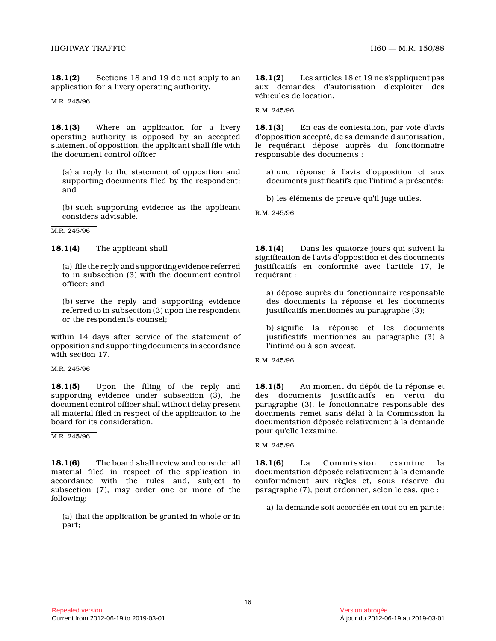**18.1(2)** Sections 18 and 19 do not apply to an application for a livery operating authority.

#### M.R. 245/96

**18.1(3)** Where an application for a livery operating authority is opposed by an accepted statement of opposition, the applicant shall file with the document control officer

(a) a reply to the statement of opposition and supporting documents filed by the respondent; and

(b) such supporting evidence as the applicant considers advisable.

#### M.R. 245/96

**18.1(4)** The applicant shall

(a) file the reply and supporting evidence referred to in subsection (3) with the document control officer; and

(b) serve the reply and supporting evidence referred to in subsection (3) upon the respondent or the respondent's counsel;

within 14 days after service of the statement of opposition and supporting documents in accordance with section 17.

#### M.R. 245/96

**18.1(5)** Upon the filing of the reply and supporting evidence under subsection (3), the document control officer shall without delay presen t all material filed in respect of the application to the board for its consideration.

#### M.R. 245/96

**18.1(6)** The board shall review and consider all material filed in respect of the application in accordance with the rules and, subject to subsection (7), may order one or more of the following:

(a) that the application be granted in whole or in part;

**18.1(2)** Les articles 18 et 19 ne s'appliquent pas aux demandes d'autorisation d'exploiter des véhicules de location.

R.M. 245/96

**18.1(3)** En cas de contestation, par voie d'avis d'opposition accepté, de sa demande d'autorisation, le requérant dépose auprès du fonctionnaire responsable des documents :

a) une réponse à l'avis d'opposition et aux documents justificatifs que l'intimé a présentés;

b) les éléments de preuve qu'il juge utiles.

R.M. 245/96

**18.1(4)** Dans les quatorze jours qui suivent la signification de l'avis d'opposition et des documents justificatifs en conformité avec l'article 17, le requérant :

a) dépose auprès du fonctionnaire responsable des documents la réponse et les documents justificatifs mentionnés au paragraphe (3);

b) signifie la réponse et les documents justificatifs mentionnés au paragraphe (3) à l'intimé ou à son avocat.

R.M. 245/96

**18.1(5)** Au moment du dépôt de la réponse et des documents justificatifs en vertu du paragraphe (3), le fonctionnaire responsable des documents remet sans délai à la Commission la documentation déposée relativement à la demande pour qu'elle l'examine.

#### R.M. 245/96

**18.1(6)** La Commission examine la documentation déposée relativement à la demande conformément aux règles et, sous réserve du paragraphe (7), peut ordonner, selon le cas, que :

a) la demande soit accordée en tout ou en partie;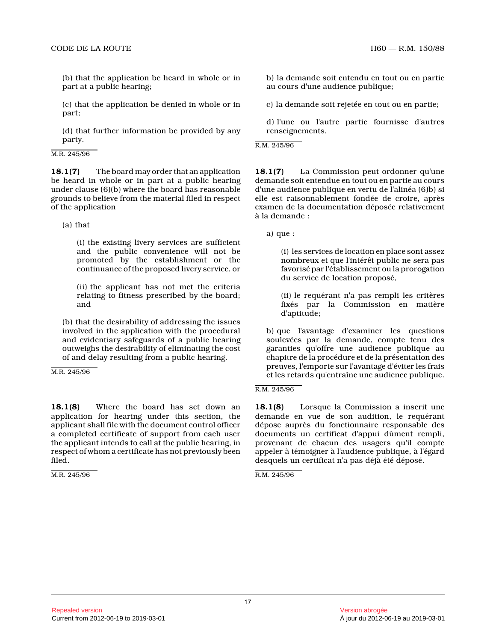(b) that the application be heard in whole or in part at a public hearing;

(c) that the application be denied in whole or in part;

(d) that further information be provided by any party.

#### M.R. 245/96

**18.1(7)** The board may order that an application be heard in whole or in part at a public hearing under clause (6)(b) where the board has reasonable grounds to believe from the material filed in respect of the application

(a) that

(i) the existing livery services are sufficient and the public convenience will not be promoted by the establishment or the continuance of the proposed livery service, or

(ii) the applicant has not met the criteria relating to fitness prescribed by the board; and

(b) that the desirability of addressing the issues involved in the application with the procedural and evidentiary safeguards of a public hearing outweighs the desirability of eliminating the cost of and delay resulting from a public hearing.

M.R. 245/96

**18.1(8)** Where the board has set down an application for hearing under this section, the applicant shall file with the document control officer a completed certificate of support from each user the applicant intends to call at the public hearing, in respect of whom a certificate has not previously been filed.

M.R. 245/96

b) la demande soit entendu en tout ou en partie au cours d'une audience publique;

c) la demande soit rejetée en tout ou en partie;

d) l'une ou l'autre partie fournisse d'autres renseignements.

R.M. 245/96

**18.1(7)** La Commission peut ordonner qu'une demande soit entendue en tout ou en partie au cours d'une audience publique en vertu de l'alinéa (6)b) si elle est raisonnablement fondée de croire, après examen de la documentation déposée relativement à la demande :

a) que :

(i) les services de location en place sont assez nombreux et que l'intérêt public ne sera pas favorisé par l'établissement ou la prorogation du service de location proposé,

(ii) le requérant n'a pas rempli les critères fixés par la Commission en matière d'aptitude;

b) que l'avantage d'examiner les questions soulevées par la demande, compte tenu des garanties qu'offre une audience publique au chapitre de la procédure et de la présentation des preuves, l'emporte sur l'avantage d'éviter les frai s et les retards qu'entraîne une audience publique.

#### R.M. 245/96

**18.1(8)** Lorsque la Commission a inscrit une demande en vue de son audition, le requérant dépose auprès du fonctionnaire responsable des documents un certificat d'appui dûment rempli, provenant de chacun des usagers qu'il compte appeler à témoigner à l'audience publique, à l'égar d desquels un certificat n'a pas déjà été déposé.

R.M. 245/96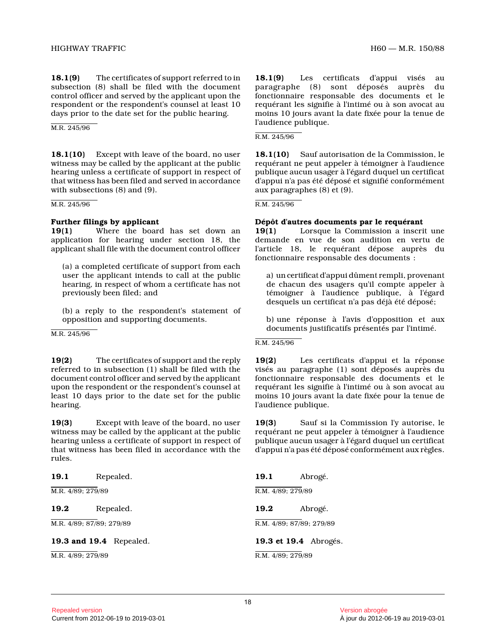**18.1(9)** The certificates of support referred to in subsection (8) shall be filed with the document control officer and served by the applicant upon th e respondent or the respondent's counsel at least 10 days prior to the date set for the public hearing.

#### M.R. 245/96

**18.1(10)** Except with leave of the board, no user witness may be called by the applicant at the publi c hearing unless a certificate of support in respect of that witness has been filed and served in accordanc e with subsections (8) and (9).

#### M.R. 245/96

#### **Further filings by applicant**

**19(1)** Where the board has set down an application for hearing under section 18, the applicant shall file with the document control officer

(a) a completed certificate of support from each user the applicant intends to call at the public hearing, in respect of whom a certificate has not previously been filed; and

(b) a reply to the respondent's statement of opposition and supporting documents.

M.R. 245/96

**19(2)** The certificates of support and the reply referred to in subsection (1) shall be filed with the document control officer and served by the applican t upon the respondent or the respondent's counsel at least 10 days prior to the date set for the public hearing.

**19(3)** Except with leave of the board, no user witness may be called by the applicant at the publi c hearing unless a certificate of support in respect of that witness has been filed in accordance with the rules.

| 19.1                           | Repealed. | 19.1                         | Abrogé.                  |  |
|--------------------------------|-----------|------------------------------|--------------------------|--|
| M.R. 4/89; 279/89              |           |                              | R.M. 4/89: 279/89        |  |
| 19.2                           | Repealed. | 19.2                         | Abrogé.                  |  |
| M.R. 4/89; 87/89; 279/89       |           |                              | R.M. 4/89: 87/89: 279/89 |  |
| <b>19.3 and 19.4</b> Repealed. |           | <b>19.3 et 19.4</b> Abrogés. |                          |  |
| M.R. 4/89; 279/89              |           |                              | R.M. 4/89; 279/89        |  |

**18.1(9)** Les certificats d'appui visés au paragraphe (8) sont déposés auprès du fonctionnaire responsable des documents et le requérant les signifie à l'intimé ou à son avocat a u moins 10 jours avant la date fixée pour la tenue de l'audience publique.

#### R.M. 245/96

**18.1(10)** Sauf autorisation de la Commission, le requérant ne peut appeler à témoigner à l'audience publique aucun usager à l'égard duquel un certifica t d'appui n'a pas été déposé et signifié conformément aux paragraphes (8) et (9).

R.M. 245/96

#### **Dépôt d'autres documents par le requérant**

**19(1)** Lorsque la Commission a inscrit une demande en vue de son audition en vertu de l'article 18, le requérant dépose auprès du fonctionnaire responsable des documents :

a) un certificat d'appui dûment rempli, provenant de chacun des usagers qu'il compte appeler à témoigner à l'audience publique, à l'égard desquels un certificat n'a pas déjà été déposé;

b) une réponse à l'avis d'opposition et aux documents justificatifs présentés par l'intimé.

R.M. 245/96

**19(2)** Les certificats d'appui et la réponse visés au paragraphe (1) sont déposés auprès du fonctionnaire responsable des documents et le requérant les signifie à l'intimé ou à son avocat a u moins 10 jours avant la date fixée pour la tenue de l'audience publique.

**19(3)** Sauf si la Commission l'y autorise, le requérant ne peut appeler à témoigner à l'audience publique aucun usager à l'égard duquel un certifica t d'appui n'a pas été déposé conformément aux règles.

Repealed version Version abrogée Current from 2012-06-19 to 2019-03-01 À jour du 2012-06-19 au 2019-03-01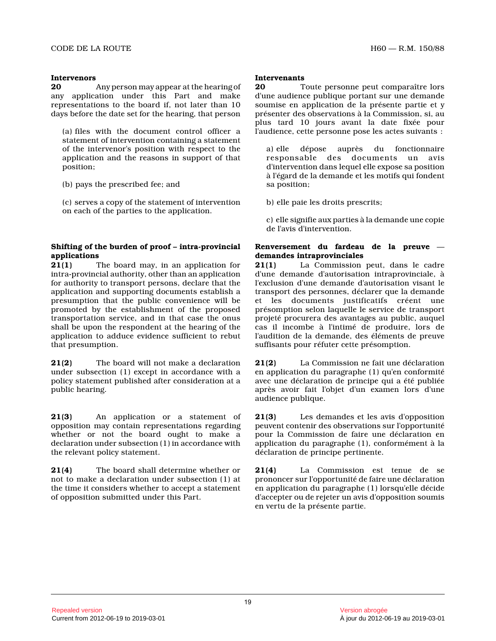### **Intervenors**

**20** Any person may appear at the hearing of any application under this Part and make representations to the board if, not later than 10 days before the date set for the hearing, that person

(a) files with the document control officer a statement of intervention containing a statement of the intervenor's position with respect to the application and the reasons in support of that position;

(b) pays the prescribed fee; and

(c) serves a copy of the statement of intervention on each of the parties to the application.

# **Shifting of the burden of proof – intra-provincial applications**

**21(1)** The board may, in an application for intra-provincial authority, other than an application for authority to transport persons, declare that th e application and supporting documents establish a presumption that the public convenience will be promoted by the establishment of the proposed transportation service, and in that case the onus shall be upon the respondent at the hearing of the application to adduce evidence sufficient to rebut that presumption.

**21(2)** The board will not make a declaration under subsection (1) except in accordance with a policy statement published after consideration at a public hearing.

**21(3)** An application or a statement of opposition may contain representations regarding whether or not the board ought to make a declaration under subsection (1) in accordance with the relevant policy statement.

**21(4)** The board shall determine whether or not to make a declaration under subsection (1) at the time it considers whether to accept a statement of opposition submitted under this Part.

#### **Intervenants**

**20** Toute personne peut comparaître lors d'une audience publique portant sur une demande soumise en application de la présente partie et y présenter des observations à la Commission, si, au plus tard 10 jours avant la date fixée pour l'audience, cette personne pose les actes suivants :

a) elle dépose auprès du fonctionnaire responsable des documents un avis d'intervention dans lequel elle expose sa position à l'égard de la demande et les motifs qui fondent sa position;

b) elle paie les droits prescrits;

c) elle signifie aux parties à la demande une copie de l'avis d'intervention.

### **Renversement du fardeau de la preuve demandes intraprovinciales**

**21(1)** La Commission peut, dans le cadre d'une demande d'autorisation intraprovinciale, à l'exclusion d'une demande d'autorisation visant le transport des personnes, déclarer que la demande et les documents justificatifs créent une présomption selon laquelle le service de transport projeté procurera des avantages au public, auquel cas il incombe à l'intimé de produire, lors de l'audition de la demande, des éléments de preuve suffisants pour réfuter cette présomption.

**21(2)** La Commission ne fait une déclaration en application du paragraphe (1) qu'en conformité avec une déclaration de principe qui a été publiée après avoir fait l'objet d'un examen lors d'une audience publique.

**21(3)** Les demandes et les avis d'opposition peuvent contenir des observations sur l'opportunité pour la Commission de faire une déclaration en application du paragraphe (1), conformément à la déclaration de principe pertinente.

**21(4)** La Commission est tenue de se prononcer sur l'opportunité de faire une déclaratio n en application du paragraphe (1) lorsqu'elle décide d'accepter ou de rejeter un avis d'opposition soumi s en vertu de la présente partie.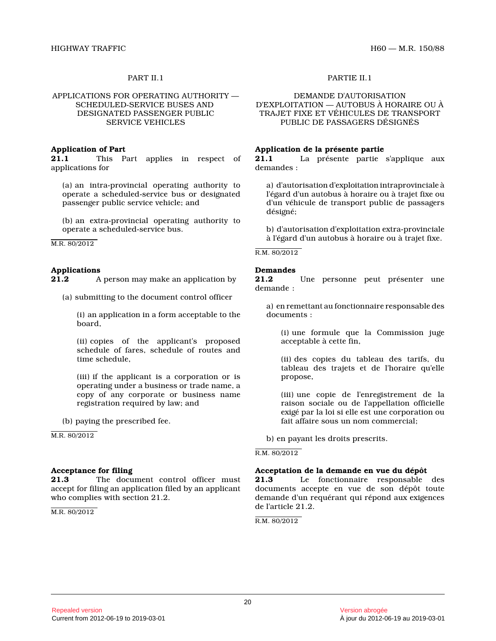#### APPLICATIONS FOR OPERATING AUTHORITY — SCHEDULED-SERVICE BUSES AND DESIGNATED PASSENGER PUBLIC SERVICE VEHICLES

#### **Application of Part**

21.1 This Part applies in respect of applications for

(a) an intra-provincial operating authority to operate a scheduled-service bus or designated passenger public service vehicle; and

(b) an extra-provincial operating authority to operate a scheduled-service bus.

M.R. 80/2012

#### **Applications**

**21.2** A person may make an application by

(a) submitting to the document control officer

(i) an application in a form acceptable to the board,

(ii) copies of the applicant's proposed schedule of fares, schedule of routes and time schedule,

(iii) if the applicant is a corporation or is operating under a business or trade name, a copy of any corporate or business name registration required by law; and

(b) paying the prescribed fee.

M.R. 80/2012

#### **Acceptance for filing**

**21.3** The document control officer must accept for filing an application filed by an applicant who complies with section 21.2.

M.R. 80/2012

#### PART II.1 PARTIE II.1

DEMANDE D'AUTORISATION D'EXPLOITATION — AUTOBUS À HORAIRE OU À TRAJET FIXE ET VÉHICULES DE TRANSPORT PUBLIC DE PASSAGERS DÉSIGNÉS

#### **Application de la présente partie**

**21.1** La présente partie s'applique aux demandes :

a) d'autorisation d'exploitation intraprovinciale à l'égard d'un autobus à horaire ou à trajet fixe ou d'un véhicule de transport public de passagers désigné;

b) d'autorisation d'exploitation extra-provinciale à l'égard d'un autobus à horaire ou à trajet fixe.

#### R.M. 80/2012

# **Demandes**

**21.2** Une personne peut présenter une demande :

a) en remettant au fonctionnaire responsable des documents :

(i) une formule que la Commission juge acceptable à cette fin,

(ii) des copies du tableau des tarifs, du tableau des trajets et de l'horaire qu'elle propose,

(iii) une copie de l'enregistrement de la raison sociale ou de l'appellation officielle exigé par la loi si elle est une corporation ou fait affaire sous un nom commercial;

b) en payant les droits prescrits.

R.M. 80/2012

#### **Acceptation de la demande en vue du dépôt**

**21.3** Le fonctionnaire responsable des documents accepte en vue de son dépôt toute demande d'un requérant qui répond aux exigences de l'article 21.2.

R.M. 80/2012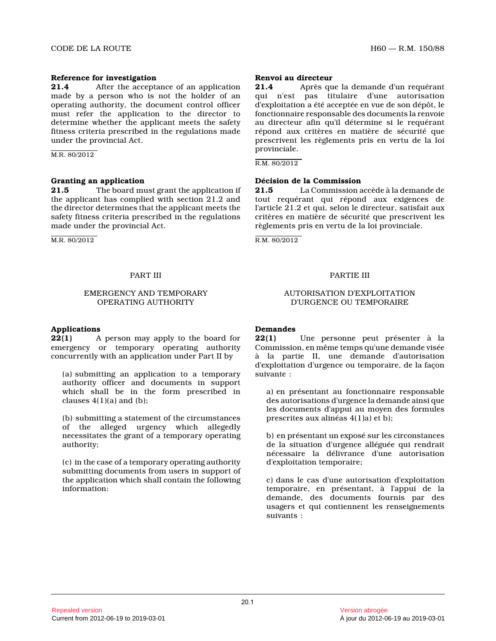#### **Reference for investigation**

**21.4** After the acceptance of an application made by a person who is not the holder of an operating authority, the document control officer must refer the application to the director to determine whether the applicant meets the safety fitness criteria prescribed in the regulations made under the provincial Act.

M.R. 80/2012

#### **Granting an application**

**21.5** The board must grant the application if the applicant has complied with section 21.2 and the director determines that the applicant meets th e safety fitness criteria prescribed in the regulations made under the provincial Act.

M.R. 80/2012

#### EMERGENCY AND TEMPORARY OPERATING AUTHORITY

#### **Applications**

**22(1)** A person may apply to the board for emergency or temporary operating authority concurrently with an application under Part II by

(a) submitting an application to a temporary authority officer and documents in support which shall be in the form prescribed in clauses  $4(1)(a)$  and  $(b)$ ;

(b) submitting a statement of the circumstances of the alleged urgency which allegedly necessitates the grant of a temporary operating authority;

(c) in the case of a temporary operating authority submitting documents from users in support of the application which shall contain the following information:

#### **Renvoi au directeur**

**21.4** Après que la demande d'un requérant qui n'est pas titulaire d'une autorisation d'exploitation a été acceptée en vue de son dépôt, le fonctionnaire responsable des documents la renvoie au directeur afin qu'il détermine si le requérant répond aux critères en matière de sécurité que prescrivent les règlements pris en vertu de la loi provinciale.

R.M. 80/2012

#### **Décision de la Commission**

**21.5** La Commission accède à la demande de tout requérant qui répond aux exigences de l'article 21.2 et qui, selon le directeur, satisfait aux critères en matière de sécurité que prescrivent les règlements pris en vertu de la loi provinciale.

R.M. 80/2012

#### PART III PARTIE III

#### AUTORISATION D'EXPLOITATION D'URGENCE OU TEMPORAIRE

#### **Demandes**

**22(1)** Une personne peut présenter à la Commission, en même temps qu'une demande visée à la partie II, une demande d'autorisation d'exploitation d'urgence ou temporaire, de la façon suivante :

a) en présentant au fonctionnaire responsable des autorisations d'urgence la demande ainsi que les documents d'appui au moyen des formules prescrites aux alinéas 4(1)a) et b);

b) en présentant un exposé sur les circonstances de la situation d'urgence alléguée qui rendrait nécessaire la délivrance d'une autorisation d'exploitation temporaire;

c) dans le cas d'une autorisation d'exploitation temporaire, en présentant, à l'appui de la demande, des documents fournis par des usagers et qui contiennent les renseignements suivants :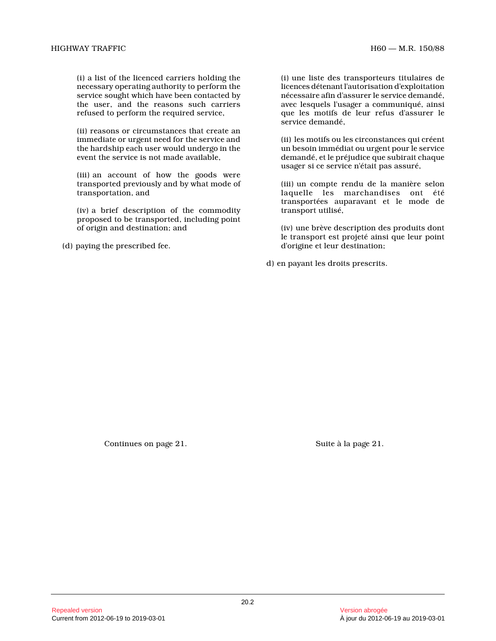(i) a list of the licenced carriers holding the necessary operating authority to perform the service sought which have been contacted by the user, and the reasons such carriers refused to perform the required service,

(ii) reasons or circumstances that create an immediate or urgent need for the service and the hardship each user would undergo in the event the service is not made available,

(iii) an account of how the goods were transported previously and by what mode of transportation, and

(iv) a brief description of the commodity proposed to be transported, including point of origin and destination; and

(d) paying the prescribed fee.

(i) une liste des transporteurs titulaires de licences détenant l'autorisation d'exploitation nécessaire afin d'assurer le service demandé, avec lesquels l'usager a communiqué, ainsi que les motifs de leur refus d'assurer le service demandé,

(ii) les motifs ou les circonstances qui créent un besoin immédiat ou urgent pour le service demandé, et le préjudice que subirait chaque usager si ce service n'était pas assuré,

(iii) un compte rendu de la manière selon laquelle les marchandises ont été transportées auparavant et le mode de transport utilisé,

(iv) une brève description des produits dont le transport est projeté ainsi que leur point d'origine et leur destination;

d) en payant les droits prescrits.

Continues on page 21. Suite à la page 21.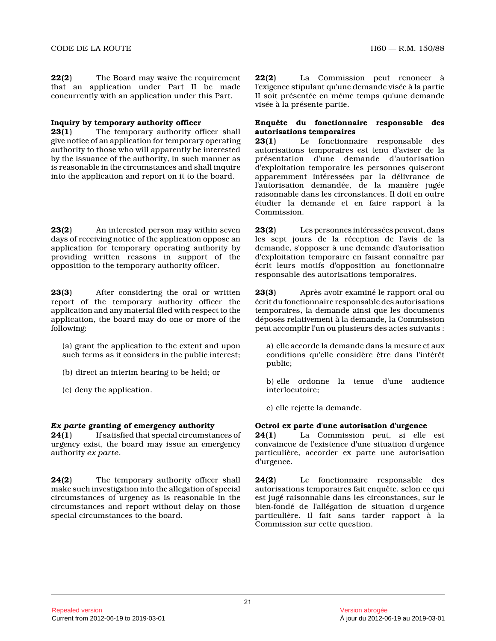**22(2)** The Board may waive the requirement that an application under Part II be made concurrently with an application under this Part.

## **Inquiry by temporary authority officer**

**23(1)** The temporary authority officer shall give notice of an application for temporary operating authority to those who will apparently be intereste d by the issuance of the authority, in such manner as is reasonable in the circumstances and shall inquir e into the application and report on it to the board.

**23(2)** An interested person may within seven days of receiving notice of the application oppose an application for temporary operating authority by providing written reasons in support of the opposition to the temporary authority officer.

**23(3)** After considering the oral or written report of the temporary authority officer the application and any material filed with respect to the application, the board may do one or more of the following:

(a) grant the application to the extent and upon such terms as it considers in the public interest;

- (b) direct an interim hearing to be held; or
- (c) deny the application.

#### *Ex parte* **granting of emergency authority**

**24(1)** If satisfied that special circumstances of urgency exist, the board may issue an emergency authority *ex parte* .

**24(2)** The temporary authority officer shall make such investigation into the allegation of special circumstances of urgency as is reasonable in the circumstances and report without delay on those special circumstances to the board.

**22(2)** La Commission peut renoncer à l'exigence stipulant qu'une demande visée à la partie II soit présentée en même temps qu'une demande visée à la présente partie.

## **Enquête du fonctionnaire responsable des autorisations temporaires**

**23(1)** Le fonctionnaire responsable des autorisations temporaires est tenu d'aviser de la présentation d'une demande d'autorisation d'exploitation temporaire les personnes quiseront apparemment intéressées par la délivrance de l'autorisation demandée, de la manière jugée raisonnable dans les circonstances. Il doit en outr e étudier la demande et en faire rapport à la Commission.

**23(2)** Les personnes intéressées peuvent, dans les sept jours de la réception de l'avis de la demande, s'opposer à une demande d'autorisation d'exploitation temporaire en faisant connaître par écrit leurs motifs d'opposition au fonctionnaire responsable des autorisations temporaires.

**23(3)** Après avoir examiné le rapport oral ou écrit du fonctionnaire responsable des autorisation s temporaires, la demande ainsi que les documents déposés relativement à la demande, la Commission peut accomplir l'un ou plusieurs des actes suivants :

a) elle accorde la demande dans la mesure et aux conditions qu'elle considère être dans l'intérêt public;

b) elle ordonne la tenue d'une audience interlocutoire;

c) elle rejette la demande.

## **Octroi ex parte d'une autorisation d'urgence**

**24(1)** La Commission peut, si elle est convaincue de l'existence d'une situation d'urgence particulière, accorder ex parte une autorisation d'urgence.

**24(2)** Le fonctionnaire responsable des autorisations temporaires fait enquête, selon ce qu i est jugé raisonnable dans les circonstances, sur le bien-fondé de l'allégation de situation d'urgence particulière. Il fait sans tarder rapport à la Commission sur cette question.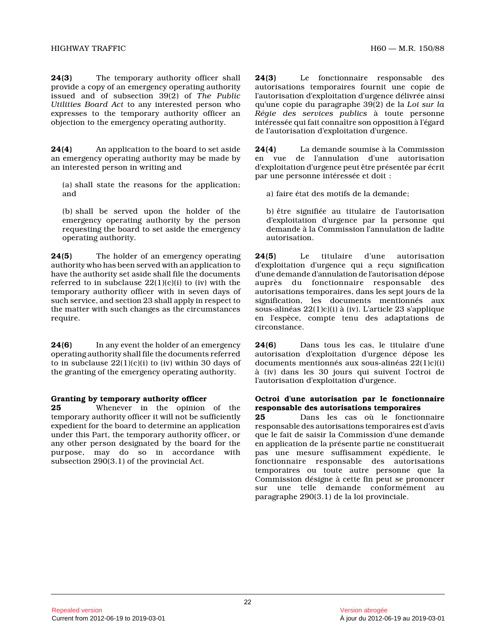**24(3)** The temporary authority officer shall provide a copy of an emergency operating authority issued and of subsection 39(2) of *The Public Utilities Board Act* to any interested person who expresses to the temporary authority officer an objection to the emergency operating authority.

**24(4)** An application to the board to set aside an emergency operating authority may be made by an interested person in writing and

(a) shall state the reasons for the application; and

(b) shall be served upon the holder of the emergency operating authority by the person requesting the board to set aside the emergency operating authority.

**24(5)** The holder of an emergency operating authority who has been served with an application t o have the authority set aside shall file the documents referred to in subclause  $22(1)(c)(i)$  to (iv) with the temporary authority officer with in seven days of such service, and section 23 shall apply in respect to the matter with such changes as the circumstances require.

**24(6)** In any event the holder of an emergency operating authority shall file the documents referred to in subclause  $22(1)(c)(i)$  to (iv) within 30 days of the granting of the emergency operating authority.

#### **Granting by temporary authority officer**

**25** Whenever in the opinion of the temporary authority officer it will not be sufficiently expedient for the board to determine an application under this Part, the temporary authority officer, o r any other person designated by the board for the purpose, may do so in accordance with subsection 290(3.1) of the provincial Act.

**24(3)** Le fonctionnaire responsable des autorisations temporaires fournit une copie de l'autorisation d'exploitation d'urgence délivrée ainsi qu'une copie du paragraphe 39(2) de la *Loi sur la Régie des services publics* à toute personne intéressée qui fait connaître son opposition à l'égard de l'autorisation d'exploitation d'urgence.

**24(4)** La demande soumise à la Commission en vue de l'annulation d'une autorisation d'exploitation d'urgence peut être présentée par écrit par une personne intéressée et doit :

a) faire état des motifs de la demande;

b) être signifiée au titulaire de l'autorisation d'exploitation d'urgence par la personne qui demande à la Commission l'annulation de ladite autorisation.

**24(5)** Le titulaire d'une autorisation d'exploitation d'urgence qui a reçu signification d'une demande d'annulation de l'autorisation dépose auprès du fonctionnaire responsable des autorisations temporaires, dans les sept jours de l a signification, les documents mentionnés aux sous-alinéas 22(1)c)(i) à (iv). L'article 23 s'applique en l'espèce, compte tenu des adaptations de circonstance.

**24(6)** Dans tous les cas, le titulaire d'une autorisation d'exploitation d'urgence dépose les documents mentionnés aux sous-alinéas 22(1)c)(i) à (iv) dans les 30 jours qui suivent l'octroi de l'autorisation d'exploitation d'urgence.

#### **Octroi d'une autorisation par le fonctionnaire responsable des autorisations temporaires**

**25** Dans les cas où le fonctionnaire responsable des autorisations temporaires est d'avi s que le fait de saisir la Commission d'une demande en application de la présente partie ne constituerait pas une mesure suffisamment expédiente, le fonctionnaire responsable des autorisations temporaires ou toute autre personne que la Commission désigne à cette fin peut se prononcer sur une telle demande conformément au paragraphe 290(3.1) de la loi provinciale.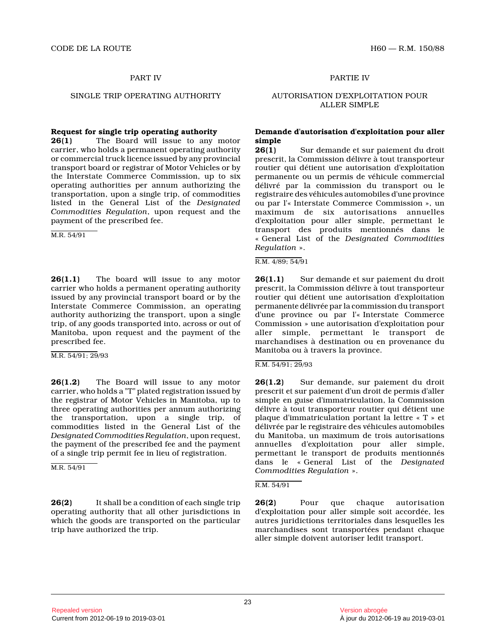#### **Request for single trip operating authority**

**26(1)** The Board will issue to any motor carrier, who holds a permanent operating authority or commercial truck licence issued by any provincia l transport board or registrar of Motor Vehicles or b y the Interstate Commerce Commission, up to six operating authorities per annum authorizing the transportation, upon a single trip, of commodities listed in the General List of the *Designated Commodities Regulation*, upon request and the payment of the prescribed fee.

M.R. 54/91

**26(1.1)** The board will issue to any motor carrier who holds a permanent operating authority issued by any provincial transport board or by the Interstate Commerce Commission, an operating authority authorizing the transport, upon a single trip, of any goods transported into, across or out of Manitoba, upon request and the payment of the prescribed fee.

M.R. 54/91; 29/93

**26(1.2)** The Board will issue to any motor carrier, who holds a "T" plated registration issued by the registrar of Motor Vehicles in Manitoba, up to three operating authorities per annum authorizing the transportation, upon a single trip, of commodities listed in the General List of the *Designated Commodities Regulation*, upon request, the payment of the prescribed fee and the payment of a single trip permit fee in lieu of registration .

M.R. 54/91

**26(2)** It shall be a condition of each single trip operating authority that all other jurisdictions in which the goods are transported on the particular trip have authorized the trip.

PART IV PARTIE IV

### SINGLE TRIP OPERATING AUTHORITY AUTORISATION D'EXPLOITATION POUR ALLER SIMPLE

### **Demande d'autorisation d'exploitation pour aller simple**

**26(1)** Sur demande et sur paiement du droit prescrit, la Commission délivre à tout transporteur routier qui détient une autorisation d'exploitation permanente ou un permis de véhicule commercial délivré par la commission du transport ou le registraire des véhicules automobiles d'une provinc e ou par l'« Interstate Commerce Commission », un maximum de six autorisations annuelles d'exploitation pour aller simple, permettant le transport des produits mentionnés dans le « General List of the *Designated Commodities Regulation* ».

R.M. 4/89; 54/91

**26(1.1)** Sur demande et sur paiement du droit prescrit, la Commission délivre à tout transporteur routier qui détient une autorisation d'exploitation permanente délivrée par la commission du transport d'une province ou par l'« Interstate Commerce Commission » une autorisation d'exploitation pour aller simple, permettant le transport de marchandises à destination ou en provenance du Manitoba ou à travers la province.

R.M. 54/91; 29/93

**26(1.2)** Sur demande, sur paiement du droit prescrit et sur paiement d'un droit de permis d'aller simple en guise d'immatriculation, la Commission délivre à tout transporteur routier qui détient une plaque d'immatriculation portant la lettre « T » et délivrée par le registraire des véhicules automobiles du Manitoba, un maximum de trois autorisations annuelles d'exploitation pour aller simple, permettant le transport de produits mentionnés dans le « General List of the *Designated Commodities Regulation* ».

R.M. 54/91

**26(2)** Pour que chaque autorisation d'exploitation pour aller simple soit accordée, les autres juridictions territoriales dans lesquelles les marchandises sont transportées pendant chaque aller simple doivent autoriser ledit transport.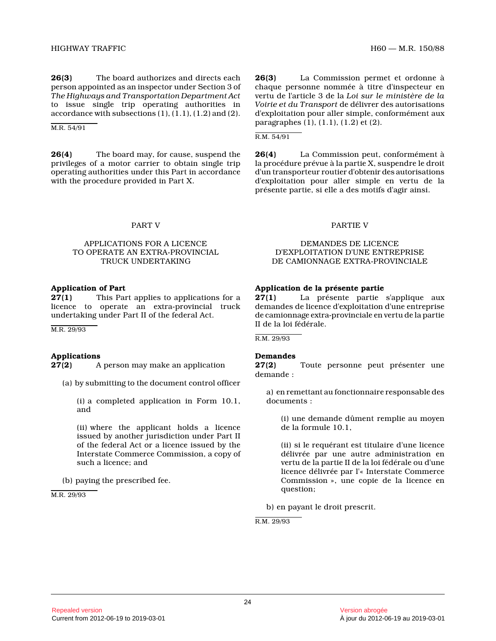**26(3)** The board authorizes and directs each person appointed as an inspector under Section 3 of *The Highways and Transportation Department Act* to issue single trip operating authorities in accordance with subsections  $(1)$ ,  $(1.1)$ ,  $(1.2)$  and  $(2)$ .

### M.R. 54/91

**26(4)** The board may, for cause, suspend the privileges of a motor carrier to obtain single trip operating authorities under this Part in accordance with the procedure provided in Part X.

**26(3)** La Commission permet et ordonne à chaque personne nommée à titre d'inspecteur en vertu de l'article 3 de la *Loi sur le ministère de la Voirie et du Transport* de délivrer des autorisations d'exploitation pour aller simple, conformément aux paragraphes (1), (1.1), (1.2) et (2).

#### R.M. 54/91

**26(4)** La Commission peut, conformément à la procédure prévue à la partie X, suspendre le droit d'un transporteur routier d'obtenir des autorisations d'exploitation pour aller simple en vertu de la présente partie, si elle a des motifs d'agir ainsi.

#### APPLICATIONS FOR A LICENCE TO OPERATE AN EXTRA-PROVINCIAL TRUCK UNDERTAKING

### **Application of Part**

27(1) This Part applies to applications for a licence to operate an extra-provincial truck undertaking under Part II of the federal Act.

M.R. 29/93

# **Applications**

**27(2)** A person may make an application

(a) by submitting to the document control officer

(i) a completed application in Form 10.1, and

(ii) where the applicant holds a licence issued by another jurisdiction under Part II of the federal Act or a licence issued by the Interstate Commerce Commission, a copy of such a licence; and

(b) paying the prescribed fee.

M.R. 29/93

# PART V PARTIE V

#### DEMANDES DE LICENCE D'EXPLOITATION D'UNE ENTREPRISE DE CAMIONNAGE EXTRA-PROVINCIALE

### **Application de la présente partie**

**27(1)** La présente partie s'applique aux demandes de licence d'exploitation d'une entreprise de camionnage extra-provinciale en vertu de la parti e II de la loi fédérale.

R.M. 29/93

#### **Demandes**

**27(2)** Toute personne peut présenter une demande :

a) en remettant au fonctionnaire responsable des documents :

(i) une demande dûment remplie au moyen de la formule 10.1,

(ii) si le requérant est titulaire d'une licence délivrée par une autre administration en vertu de la partie II de la loi fédérale ou d'une licence délivrée par l'« Interstate Commerce Commission », une copie de la licence en question;

b) en payant le droit prescrit.

R.M. 29/93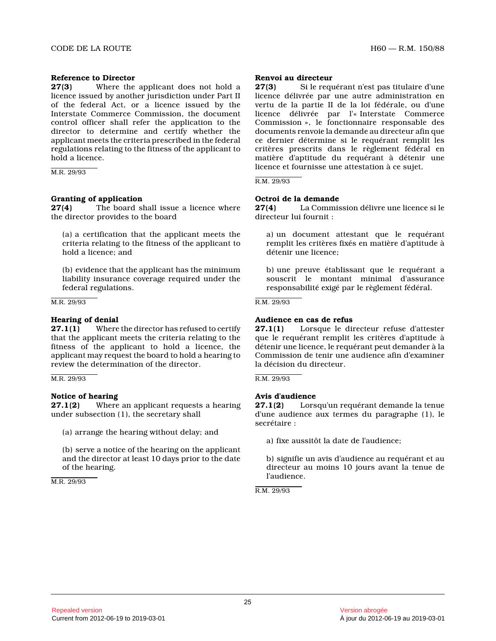# **Reference to Director**

**27(3)** Where the applicant does not hold a licence issued by another jurisdiction under Part I I of the federal Act, or a licence issued by the Interstate Commerce Commission, the document control officer shall refer the application to the director to determine and certify whether the applicant meets the criteria prescribed in the federal regulations relating to the fitness of the applicant to hold a licence.

M.R. 29/93

### **Granting of application**

**27(4)** The board shall issue a licence where the director provides to the board

(a) a certification that the applicant meets the criteria relating to the fitness of the applicant t o hold a licence; and

(b) evidence that the applicant has the minimum liability insurance coverage required under the federal regulations.

#### M.R. 29/93

#### **Hearing of denial**

**27.1(1)** Where the director has refused to certify that the applicant meets the criteria relating to the fitness of the applicant to hold a licence, the applicant may request the board to hold a hearing t o review the determination of the director.

M.R. 29/93

# **Notice of hearing**

**27.1(2)** Where an applicant requests a hearing under subsection (1), the secretary shall

(a) arrange the hearing without delay; and

(b) serve a notice of the hearing on the applicant and the director at least 10 days prior to the date of the hearing.

M.R. 29/93

#### **Renvoi au directeur**

**27(3)** Si le requérant n'est pas titulaire d'une licence délivrée par une autre administration en vertu de la partie II de la loi fédérale, ou d'une licence délivrée par l'« Interstate Commerce Commission », le fonctionnaire responsable des documents renvoie la demande au directeur afin que ce dernier détermine si le requérant remplit les critères prescrits dans le règlement fédéral en matière d'aptitude du requérant à détenir une licence et fournisse une attestation à ce sujet.

R.M. 29/93

### **Octroi de la demande**

**27(4)** La Commission délivre une licence si le directeur lui fournit :

a) un document attestant que le requérant remplit les critères fixés en matière d'aptitude à détenir une licence;

b) une preuve établissant que le requérant a souscrit le montant minimal d'assurance responsabilité exigé par le règlement fédéral.

R.M. 29/93

# **Audience en cas de refus**

**27.1(1)** Lorsque le directeur refuse d'attester que le requérant remplit les critères d'aptitude à détenir une licence, le requérant peut demander à l a Commission de tenir une audience afin d'examiner la décision du directeur.

R.M. 29/93

# **Avis d'audience**

**27.1(2)** Lorsqu'un requérant demande la tenue d'une audience aux termes du paragraphe (1), le secrétaire :

a) fixe aussitôt la date de l'audience;

b) signifie un avis d'audience au requérant et au directeur au moins 10 jours avant la tenue de l'audience.

R.M. 29/93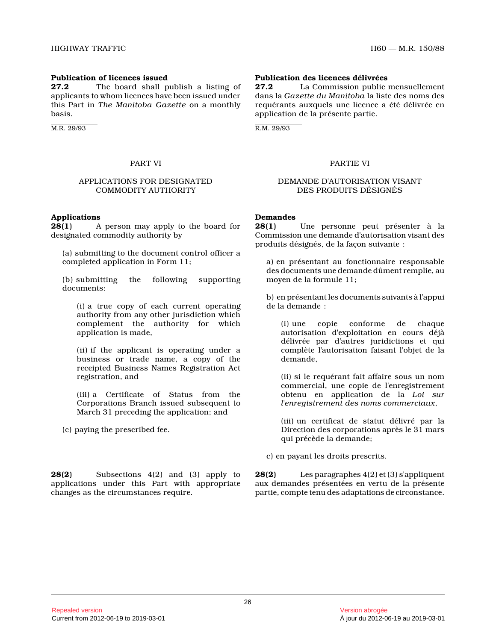### **Publication of licences issued**

**27.2** The board shall publish a listing of applicants to whom licences have been issued under this Part in *The Manitoba Gazette* on a monthly basis.

M.R. 29/93

#### APPLICATIONS FOR DESIGNATED COMMODITY AUTHORITY

#### **Applications**

**28(1)** A person may apply to the board for designated commodity authority by

(a) submitting to the document control officer a completed application in Form 11;

(b) submitting the following supporting documents:

(i) a true copy of each current operating authority from any other jurisdiction which complement the authority for which application is made,

(ii) if the applicant is operating under a business or trade name, a copy of the receipted Business Names Registration Act registration, and

(iii) a Certificate of Status from the Corporations Branch issued subsequent to March 31 preceding the application; and

(c) paying the prescribed fee.

**28(2)** Subsections 4(2) and (3) apply to applications under this Part with appropriate changes as the circumstances require.

#### **Publication des licences délivrées**

**27.2** La Commission publie mensuellement dans la *Gazette du Manitoba* la liste des noms des requérants auxquels une licence a été délivrée en application de la présente partie.

R.M. 29/93

### PART VI PART VI

#### DEMANDE D'AUTORISATION VISANT DES PRODUITS DÉSIGNÉS

### **Demandes**

**28(1)** Une personne peut présenter à la Commission une demande d'autorisation visant des produits désignés, de la façon suivante :

a) en présentant au fonctionnaire responsable des documents une demande dûment remplie, au moyen de la formule 11;

b) en présentant les documents suivants à l'appui de la demande :

(i) une copie conforme de chaque autorisation d'exploitation en cours déjà délivrée par d'autres juridictions et qui complète l'autorisation faisant l'objet de la demande,

(ii) si le requérant fait affaire sous un nom commercial, une copie de l'enregistrement obtenu en application de la *Loi sur l'enregistrement des noms commerciaux* ,

(iii) un certificat de statut délivré par la Direction des corporations après le 31 mars qui précède la demande;

c) en payant les droits prescrits.

**28(2)** Les paragraphes 4(2) et (3) s'appliquent aux demandes présentées en vertu de la présente partie, compte tenu des adaptations de circonstance .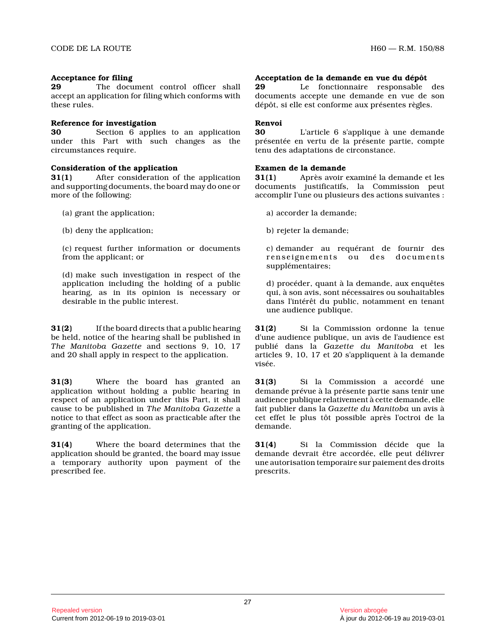#### **Acceptance for filing**

**29** The document control officer shall accept an application for filing which conforms wit h these rules.

#### **Reference for investigation**

**30** Section 6 applies to an application under this Part with such changes as the circumstances require.

### **Consideration of the application**

**31(1)** After consideration of the application and supporting documents, the board may do one or more of the following:

- (a) grant the application;
- (b) deny the application;

(c) request further information or documents from the applicant; or

(d) make such investigation in respect of the application including the holding of a public hearing, as in its opinion is necessary or desirable in the public interest.

**31(2)** If the board directs that a public hearing be held, notice of the hearing shall be published i n *The Manitoba Gazette* and sections 9, 10, 17 and 20 shall apply in respect to the application.

**31(3)** Where the board has granted an application without holding a public hearing in respect of an application under this Part, it shall cause to be published in *The Manitoba Gazette* a notice to that effect as soon as practicable after the granting of the application.

**31(4)** Where the board determines that the application should be granted, the board may issue a temporary authority upon payment of the prescribed fee.

### **Acceptation de la demande en vue du dépôt**

**29** Le fonctionnaire responsable des documents accepte une demande en vue de son dépôt, si elle est conforme aux présentes règles.

# **Renvoi**

**30** L'article 6 s'applique à une demande présentée en vertu de la présente partie, compte tenu des adaptations de circonstance.

#### **Examen de la demande**

**31(1)** Après avoir examiné la demande et les documents justificatifs, la Commission peut accomplir l'une ou plusieurs des actions suivantes :

a) accorder la demande;

b) rejeter la demande;

c) demander au requérant de fournir des renseignements ou des documents supplémentaires;

d) procéder, quant à la demande, aux enquêtes qui, à son avis, sont nécessaires ou souhaitables dans l'intérêt du public, notamment en tenant une audience publique.

**31(2)** Si la Commission ordonne la tenue d'une audience publique, un avis de l'audience est publié dans la *Gazette du Manitoba* et les articles 9, 10, 17 et 20 s'appliquent à la demande visée.

**31(3)** Si la Commission a accordé une demande prévue à la présente partie sans tenir une audience publique relativement à cette demande, ell e fait publier dans la *Gazette du Manitoba* un avis à cet effet le plus tôt possible après l'octroi de la demande.

**31(4)** Si la Commission décide que la demande devrait être accordée, elle peut délivrer une autorisation temporaire sur paiement des droits prescrits.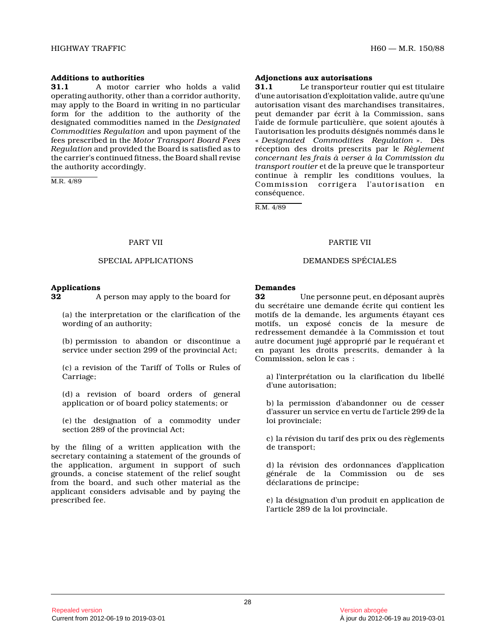### **Additions to authorities**

**31.1** A motor carrier who holds a valid operating authority, other than a corridor authority, may apply to the Board in writing in no particular form for the addition to the authority of the designated commodities named in the *Designated Commodities Regulation* and upon payment of the fees prescribed in the *Motor Transport Board Fees Regulation* and provided the Board is satisfied as to the carrier's continued fitness, the Board shall revise the authority accordingly.

M.R. 4/89

#### **Adjonctions aux autorisations**

**31.1** Le transporteur routier qui est titulaire d'une autorisation d'exploitation valide, autre qu'une autorisation visant des marchandises transitaires, peut demander par écrit à la Commission, sans l'aide de formule particulière, que soient ajoutés à l'autorisation les produits désignés nommés dans le « *Designated Commodities Regulation* ». Dès réception des droits prescrits par le *Règlement concernant les frais à verser à la Commission du transport routier* et de la preuve que le transporteur continue à remplir les conditions voulues, la Commission corrigera l'autorisation en conséquence.

R.M. 4/89

# SPECIAL APPLICATIONS DEMANDES SPÉCIALES

# **Applications**

**32** A person may apply to the board for

(a) the interpretation or the clarification of the wording of an authority;

(b) permission to abandon or discontinue a service under section 299 of the provincial Act;

(c) a revision of the Tariff of Tolls or Rules of Carriage;

(d) a revision of board orders of general application or of board policy statements; or

(e) the designation of a commodity under section 289 of the provincial Act;

by the filing of a written application with the secretary containing a statement of the grounds of the application, argument in support of such grounds, a concise statement of the relief sought from the board, and such other material as the applicant considers advisable and by paying the prescribed fee.

### PART VII PARTIE VII

#### **Demandes**

**32** Une personne peut, en déposant auprès du secrétaire une demande écrite qui contient les motifs de la demande, les arguments étayant ces motifs, un exposé concis de la mesure de redressement demandée à la Commission et tout autre document jugé approprié par le requérant et en payant les droits prescrits, demander à la Commission, selon le cas :

a) l'interprétation ou la clarification du libellé d'une autorisation;

b) la permission d'abandonner ou de cesser d'assurer un service en vertu de l'article 299 de l a loi provinciale;

c) la révision du tarif des prix ou des règlements de transport;

d) la révision des ordonnances d'application générale de la Commission ou de ses déclarations de principe;

e) la désignation d'un produit en application de l'article 289 de la loi provinciale.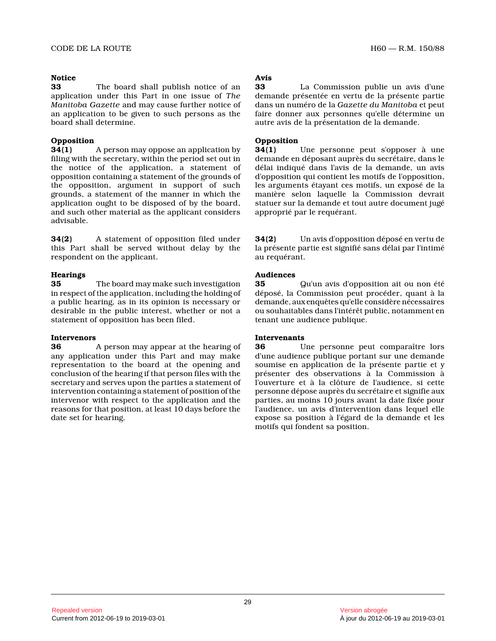board shall determine.

# **Notice**

**33** The board shall publish notice of an application under this Part in one issue of *The Manitoba Gazette* and may cause further notice of an application to be given to such persons as the

# **Opposition**

**34(1)** A person may oppose an application by filing with the secretary, within the period set out in the notice of the application, a statement of opposition containing a statement of the grounds of the opposition, argument in support of such grounds, a statement of the manner in which the application ought to be disposed of by the board, and such other material as the applicant considers advisable.

**34(2)** A statement of opposition filed under this Part shall be served without delay by the respondent on the applicant.

#### **Hearings**

**35** The board may make such investigation in respect of the application, including the holding of a public hearing, as in its opinion is necessary or desirable in the public interest, whether or not a statement of opposition has been filed.

#### **Intervenors**

**36** A person may appear at the hearing of any application under this Part and may make representation to the board at the opening and conclusion of the hearing if that person files with the secretary and serves upon the parties a statement o f intervention containing a statement of position of the intervenor with respect to the application and the reasons for that position, at least 10 days before the date set for hearing.

# **Avis**

**33** La Commission publie un avis d'une demande présentée en vertu de la présente partie dans un numéro de la *Gazette du Manitoba* et peut faire donner aux personnes qu'elle détermine un autre avis de la présentation de la demande.

#### **Opposition**

**34(1)** Une personne peut s'opposer à une demande en déposant auprès du secrétaire, dans le délai indiqué dans l'avis de la demande, un avis d'opposition qui contient les motifs de l'opposition, les arguments étayant ces motifs, un exposé de la manière selon laquelle la Commission devrait statuer sur la demande et tout autre document jugé approprié par le requérant.

**34(2)** Un avis d'opposition déposé en vertu de la présente partie est signifié sans délai par l'intimé au requérant.

#### **Audiences**

**35** Qu'un avis d'opposition ait ou non été déposé, la Commission peut procéder, quant à la demande, aux enquêtes qu'elle considère nécessaires ou souhaitables dans l'intérêt public, notamment en tenant une audience publique.

#### **Intervenants**

**36** Une personne peut comparaître lors d'une audience publique portant sur une demande soumise en application de la présente partie et y présenter des observations à la Commission à l'ouverture et à la clôture de l'audience, si cette personne dépose auprès du secrétaire et signifie au x parties, au moins 10 jours avant la date fixée pour l'audience, un avis d'intervention dans lequel elle expose sa position à l'égard de la demande et les motifs qui fondent sa position.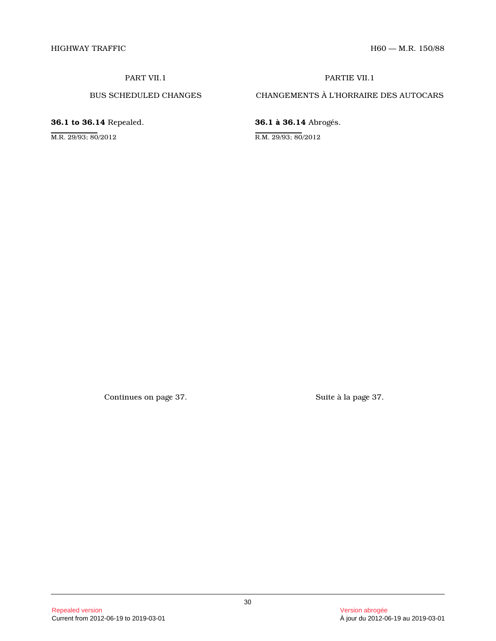PART VII.1

BUS SCHEDULED CHANGES

**36.1 to 36.14** Repealed.

M.R. 29/93; 80/2012

PARTIE VII.1

CHANGEMENTS À L'HORRAIRE DES AUTOCARS

**36.1 à 36.14** Abrogés.

R.M. 29/93; 80/2012

Continues on page 37. Suite à la page 37.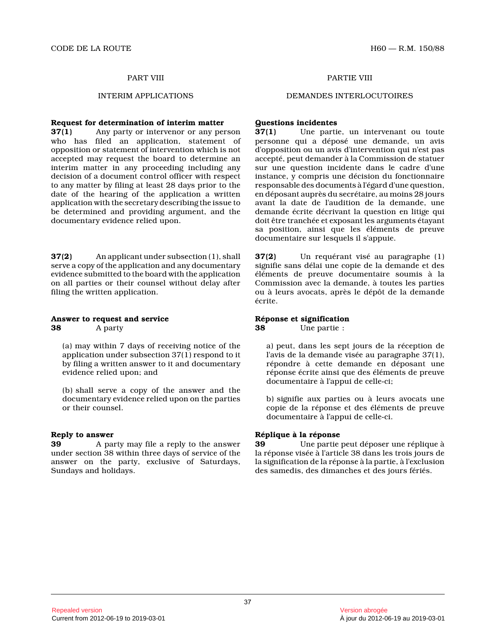#### **Request for determination of interim matter**

**37(1)** Any party or intervenor or any person who has filed an application, statement of opposition or statement of intervention which is no t accepted may request the board to determine an interim matter in any proceeding including any decision of a document control officer with respect to any matter by filing at least 28 days prior to the date of the hearing of the application a written application with the secretary describing the issue to be determined and providing argument, and the documentary evidence relied upon.

**37(2)** An applicant under subsection (1), shall serve a copy of the application and any documentary evidence submitted to the board with the applicatio n on all parties or their counsel without delay after filing the written application.

# **Answer to request and service 38** A party

(a) may within 7 days of receiving notice of the application under subsection 37(1) respond to it by filing a written answer to it and documentary evidence relied upon; and

(b) shall serve a copy of the answer and the documentary evidence relied upon on the parties or their counsel.

#### **Reply to answer**

**39** A party may file a reply to the answer under section 38 within three days of service of th e answer on the party, exclusive of Saturdays, Sundays and holidays.

### PART VIII PARTIE VIII

### INTERIM APPLICATIONS DEMANDES INTERLOCUTOIRES

#### **Questions incidentes**

**37(1)** Une partie, un intervenant ou toute personne qui a déposé une demande, un avis d'opposition ou un avis d'intervention qui n'est pa s accepté, peut demander à la Commission de statuer sur une question incidente dans le cadre d'une instance, y compris une décision du fonctionnaire responsable des documents à l'égard d'une question, en déposant auprès du secrétaire, au moins 28 jours avant la date de l'audition de la demande, une demande écrite décrivant la question en litige qui doit être tranchée et exposant les arguments étayan t sa position, ainsi que les éléments de preuve documentaire sur lesquels il s'appuie.

**37(2)** Un requérant visé au paragraphe (1) signifie sans délai une copie de la demande et des éléments de preuve documentaire soumis à la Commission avec la demande, à toutes les parties ou à leurs avocats, après le dépôt de la demande écrite.

# **Réponse et signification**

**38** Une partie :

a) peut, dans les sept jours de la réception de l'avis de la demande visée au paragraphe 37(1), répondre à cette demande en déposant une réponse écrite ainsi que des éléments de preuve documentaire à l'appui de celle-ci;

b) signifie aux parties ou à leurs avocats une copie de la réponse et des éléments de preuve documentaire à l'appui de celle-ci.

#### **Réplique à la réponse**

**39** Une partie peut déposer une réplique à la réponse visée à l'article 38 dans les trois jours de la signification de la réponse à la partie, à l'exclusion des samedis, des dimanches et des jours fériés.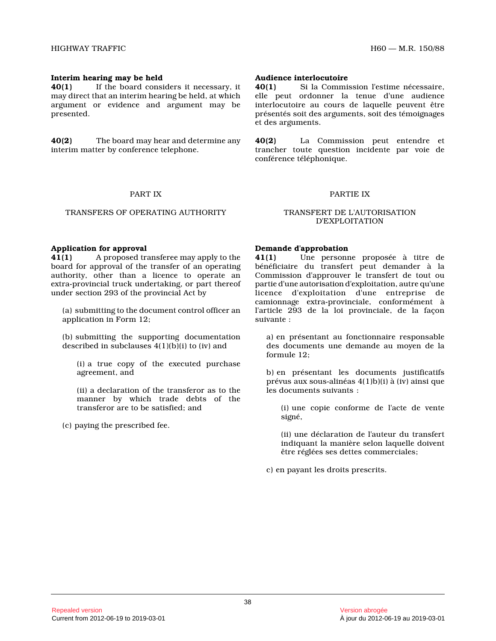#### **Interim hearing may be held**

**40(1)** If the board considers it necessary, it may direct that an interim hearing be held, at whic h argument or evidence and argument may be presented.

**40(2)** The board may hear and determine any interim matter by conference telephone.

#### **Audience interlocutoire**

**40(1)** Si la Commission l'estime nécessaire, elle peut ordonner la tenue d'une audience interlocutoire au cours de laquelle peuvent être présentés soit des arguments, soit des témoignages et des arguments.

**40(2)** La Commission peut entendre et trancher toute question incidente par voie de conférence téléphonique.

## TRANSFERS OF OPERATING AUTHORITY TRANSFERT DE L'AUTORISATION

# PART IX PARTIE IX

# D'EXPLOITATION

# **Application for approval**

**41(1)** A proposed transferee may apply to the board for approval of the transfer of an operating authority, other than a licence to operate an extra-provincial truck undertaking, or part thereof under section 293 of the provincial Act by

(a) submitting to the document control officer an application in Form 12;

(b) submitting the supporting documentation described in subclauses 4(1)(b)(i) to (iv) and

(i) a true copy of the executed purchase agreement, and

(ii) a declaration of the transferor as to the manner by which trade debts of the transferor are to be satisfied; and

(c) paying the prescribed fee.

### **Demande d'approbation**

**41(1)** Une personne proposée à titre de bénéficiaire du transfert peut demander à la Commission d'approuver le transfert de tout ou partie d'une autorisation d'exploitation, autre qu'une licence d'exploitation d'une entreprise de camionnage extra-provinciale, conformément à l'article 293 de la loi provinciale, de la façon suivante :

a) en présentant au fonctionnaire responsable des documents une demande au moyen de la formule 12;

b) en présentant les documents justificatifs prévus aux sous-alinéas 4(1)b)(i) à (iv) ainsi que les documents suivants :

(i) une copie conforme de l'acte de vente signé,

(ii) une déclaration de l'auteur du transfert indiquant la manière selon laquelle doivent être réglées ses dettes commerciales;

c) en payant les droits prescrits.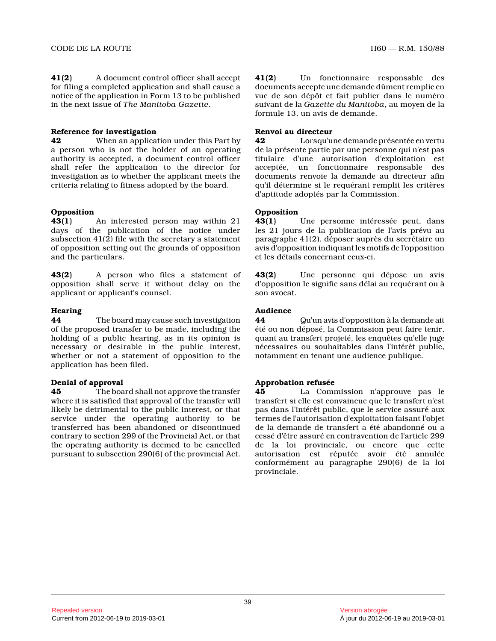**41(2)** A document control officer shall accept for filing a completed application and shall cause a notice of the application in Form 13 to be publishe d in the next issue of *The Manitoba Gazette* .

## **Reference for investigation**

**42** When an application under this Part by a person who is not the holder of an operating authority is accepted, a document control officer shall refer the application to the director for investigation as to whether the applicant meets the criteria relating to fitness adopted by the board.

### **Opposition**

**43(1)** An interested person may within 21 days of the publication of the notice under subsection 41(2) file with the secretary a statemen t of opposition setting out the grounds of opposition and the particulars.

**43(2)** A person who files a statement of opposition shall serve it without delay on the applicant or applicant's counsel.

### **Hearing**

**44** The board may cause such investigation of the proposed transfer to be made, including the holding of a public hearing, as in its opinion is necessary or desirable in the public interest, whether or not a statement of opposition to the application has been filed.

#### **Denial of approval**

**45** The board shall not approve the transfer where it is satisfied that approval of the transfer will likely be detrimental to the public interest, or that service under the operating authority to be transferred has been abandoned or discontinued contrary to section 299 of the Provincial Act, or that the operating authority is deemed to be cancelled pursuant to subsection 290(6) of the provincial Act .

**41(2)** Un fonctionnaire responsable des documents accepte une demande dûment remplie en vue de son dépôt et fait publier dans le numéro suivant de la *Gazette du Manitoba*, au moyen de la formule 13, un avis de demande.

### **Renvoi au directeur**

**42** Lorsqu'une demande présentée en vertu de la présente partie par une personne qui n'est pa s titulaire d'une autorisation d'exploitation est acceptée, un fonctionnaire responsable des documents renvoie la demande au directeur afin qu'il détermine si le requérant remplit les critère s d'aptitude adoptés par la Commission.

### **Opposition**

**43(1)** Une personne intéressée peut, dans les 21 jours de la publication de l'avis prévu au paragraphe 41(2), déposer auprès du secrétaire un avis d'opposition indiquant les motifs de l'opposition et les détails concernant ceux-ci.

**43(2)** Une personne qui dépose un avis d'opposition le signifie sans délai au requérant ou à son avocat.

### **Audience**

**44** Qu'un avis d'opposition à la demande ait été ou non déposé, la Commission peut faire tenir, quant au transfert projeté, les enquêtes qu'elle juge nécessaires ou souhaitables dans l'intérêt public, notamment en tenant une audience publique.

# **Approbation refusée**

**45** La Commission n'approuve pas le transfert si elle est convaincue que le transfert n'est pas dans l'intérêt public, que le service assuré au x termes de l'autorisation d'exploitation faisant l'objet de la demande de transfert a été abandonné ou a cessé d'être assuré en contravention de l'article 299 de la loi provinciale, ou encore que cette autorisation est réputée avoir été annulée conformément au paragraphe 290(6) de la loi provinciale.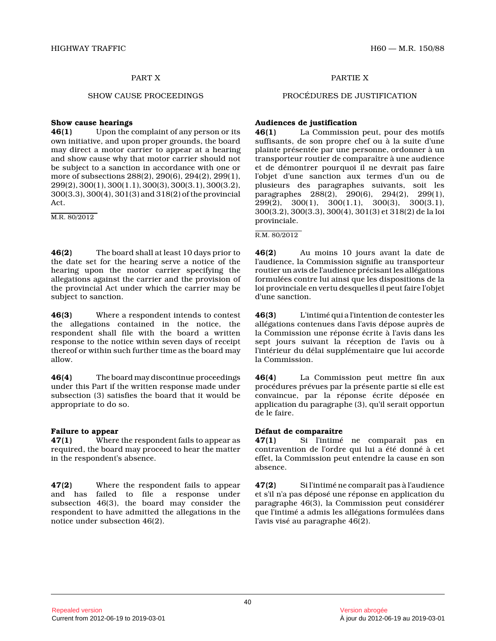#### **Show cause hearings**

**46(1)** Upon the complaint of any person or its own initiative, and upon proper grounds, the board may direct a motor carrier to appear at a hearing and show cause why that motor carrier should not be subject to a sanction in accordance with one or more of subsections 288(2), 290(6), 294(2), 299(1), 299(2), 300(1), 300(1.1), 300(3), 300(3.1), 300(3.2), 300(3.3), 300(4), 301(3) and 318(2) of the provincial Act.

M.R. 80/2012

**46(2)** The board shall at least 10 days prior to the date set for the hearing serve a notice of the hearing upon the motor carrier specifying the allegations against the carrier and the provision o f the provincial Act under which the carrier may be subject to sanction.

**46(3)** Where a respondent intends to contest the allegations contained in the notice, the respondent shall file with the board a written response to the notice within seven days of receipt thereof or within such further time as the board may allow.

**46(4)** The board may discontinue proceedings under this Part if the written response made under subsection (3) satisfies the board that it would be appropriate to do so.

#### **Failure to appear**

**47(1)** Where the respondent fails to appear as required, the board may proceed to hear the matter in the respondent's absence.

**47(2)** Where the respondent fails to appear and has failed to file a response under subsection 46(3), the board may consider the respondent to have admitted the allegations in the notice under subsection 46(2).

## PART X PARTIE X

# SHOW CAUSE PROCEEDINGS PROCÉDURES DE JUSTIFICATION

### **Audiences de justification**

**46(1)** La Commission peut, pour des motifs suffisants, de son propre chef ou à la suite d'une plainte présentée par une personne, ordonner à un transporteur routier de comparaître à une audience et de démontrer pourquoi il ne devrait pas faire l'objet d'une sanction aux termes d'un ou de plusieurs des paragraphes suivants, soit les paragraphes 288(2), 290(6), 294(2), 299(1),  $299(2)$ ,  $300(1)$ ,  $300(1.1)$ ,  $300(3)$ ,  $300(3.1)$ , 300(3.2), 300(3.3), 300(4), 301(3) et 318(2) de la loi provinciale.

#### R.M. 80/2012

**46(2)** Au moins 10 jours avant la date de l'audience, la Commission signifie au transporteur routier un avis de l'audience précisant les allégations formulées contre lui ainsi que les dispositions de la loi provinciale en vertu desquelles il peut faire l'objet d'une sanction.

**46(3)** L'intimé qui a l'intention de contester les allégations contenues dans l'avis dépose auprès de la Commission une réponse écrite à l'avis dans les sept jours suivant la réception de l'avis ou à l'intérieur du délai supplémentaire que lui accorde la Commission.

**46(4)** La Commission peut mettre fin aux procédures prévues par la présente partie si elle est convaincue, par la réponse écrite déposée en application du paragraphe (3), qu'il serait opportu n de le faire.

#### **Défaut de comparaître**

**47(1)** Si l'intimé ne comparaît pas en contravention de l'ordre qui lui a été donné à cet effet, la Commission peut entendre la cause en son absence.

**47(2)** Si l'intimé ne comparaît pas à l'audience et s'il n'a pas déposé une réponse en application d u paragraphe 46(3), la Commission peut considérer que l'intimé a admis les allégations formulées dans l'avis visé au paragraphe 46(2).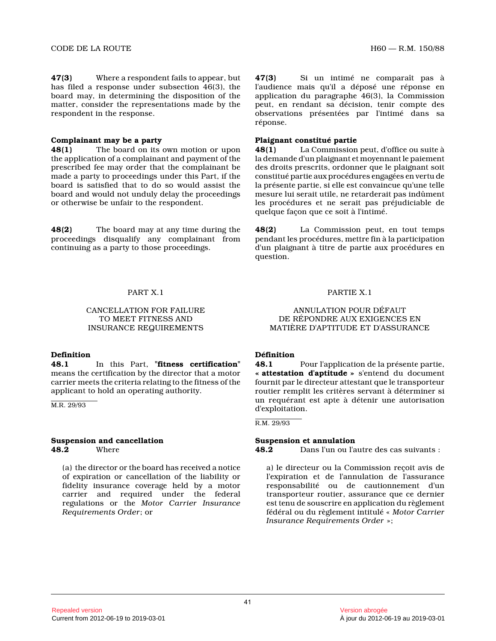**47(3)** Where a respondent fails to appear, but has filed a response under subsection 46(3), the board may, in determining the disposition of the matter, consider the representations made by the respondent in the response.

#### **Complainant may be a party**

**48(1)** The board on its own motion or upon the application of a complainant and payment of the prescribed fee may order that the complainant be made a party to proceedings under this Part, if the board is satisfied that to do so would assist the board and would not unduly delay the proceedings or otherwise be unfair to the respondent.

**48(2)** The board may at any time during the proceedings disqualify any complainant from continuing as a party to those proceedings.

### CANCELLATION FOR FAILURE TO MEET FITNESS AND INSURANCE REQUIREMENTS

#### **Definition**

**48.1** In this Part, **"fitness certification"** means the certification by the director that a moto r carrier meets the criteria relating to the fitness of the applicant to hold an operating authority.

M.R. 29/93

# **Suspension and cancellation**<br>48.2 Where

**48.2** Where

(a) the director or the board has received a notice of expiration or cancellation of the liability or fidelity insurance coverage held by a motor carrier and required under the federal regulations or the *Motor Carrier Insurance Requirements Order*; or

**47(3)** Si un intimé ne comparaît pas à l'audience mais qu'il a déposé une réponse en application du paragraphe 46(3), la Commission peut, en rendant sa décision, tenir compte des observations présentées par l'intimé dans sa réponse.

#### **Plaignant constitué partie**

**48(1)** La Commission peut, d'office ou suite à la demande d'un plaignant et moyennant le paiement des droits prescrits, ordonner que le plaignant soi t constitué partie aux procédures engagées en vertu d e la présente partie, si elle est convaincue qu'une telle mesure lui serait utile, ne retarderait pas indûmen t les procédures et ne serait pas préjudiciable de quelque façon que ce soit à l'intimé.

**48(2)** La Commission peut, en tout temps pendant les procédures, mettre fin à la participation d'un plaignant à titre de partie aux procédures en question.

# PART X.1 PARTIE X.1

#### ANNULATION POUR DÉFAUT DE RÉPONDRE AUX EXIGENCES EN MATIÈRE D'APTITUDE ET D'ASSURANCE

#### **Définition**

**48.1** Pour l'application de la présente partie, **« attestation d'aptitude »** s'entend du document fournit par le directeur attestant que le transporteur routier remplit les critères servant à déterminer s i un requérant est apte à détenir une autorisation d'exploitation.

R.M. 29/93

# **Suspension et annulation**<br>**48.2** Dans l'un ou l'a

**48.2** Dans l'un ou l'autre des cas suivants :

a) le directeur ou la Commission reçoit avis de l'expiration et de l'annulation de l'assurance responsabilité ou de cautionnement d'un transporteur routier, assurance que ce dernier est tenu de souscrire en application du règlement fédéral ou du règlement intitulé « *Motor Carrier Insurance Requirements Order* »;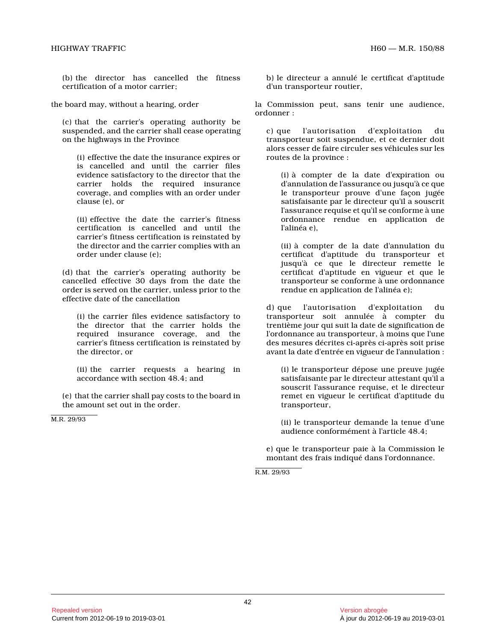(b) the director has cancelled the fitness certification of a motor carrier;

the board may, without a hearing, order

(c) that the carrier's operating authority be suspended, and the carrier shall cease operating on the highways in the Province

(i) effective the date the insurance expires or is cancelled and until the carrier files evidence satisfactory to the director that the carrier holds the required insurance coverage, and complies with an order under clause (e), or

(ii) effective the date the carrier's fitness certification is cancelled and until the carrier's fitness certification is reinstated by the director and the carrier complies with an order under clause (e);

(d) that the carrier's operating authority be cancelled effective 30 days from the date the order is served on the carrier, unless prior to the effective date of the cancellation

(i) the carrier files evidence satisfactory to the director that the carrier holds the required insurance coverage, and the carrier's fitness certification is reinstated by the director, or

(ii) the carrier requests a hearing in accordance with section 48.4; and

(e) that the carrier shall pay costs to the board in the amount set out in the order.

M.R. 29/93

b) le directeur a annulé le certificat d'aptitude d'un transporteur routier,

la Commission peut, sans tenir une audience, ordonner :

c) que l'autorisation d'exploitation du transporteur soit suspendue, et ce dernier doit alors cesser de faire circuler ses véhicules sur le s routes de la province :

(i) à compter de la date d'expiration ou d'annulation de l'assurance ou jusqu'à ce que le transporteur prouve d'une façon jugée satisfaisante par le directeur qu'il a souscrit l'assurance requise et qu'il se conforme à une ordonnance rendue en application de l'alinéa e),

(ii) à compter de la date d'annulation du certificat d'aptitude du transporteur et jusqu'à ce que le directeur remette le certificat d'aptitude en vigueur et que le transporteur se conforme à une ordonnance rendue en application de l'alinéa e);

d) que l'autorisation d'exploitation du transporteur soit annulée à compter du trentième jour qui suit la date de signification de l'ordonnance au transporteur, à moins que l'une des mesures décrites ci-après ci-après soit prise avant la date d'entrée en vigueur de l'annulation :

(i) le transporteur dépose une preuve jugée satisfaisante par le directeur attestant qu'il a souscrit l'assurance requise, et le directeur remet en vigueur le certificat d'aptitude du transporteur,

(ii) le transporteur demande la tenue d'une audience conformément à l'article 48.4;

e) que le transporteur paie à la Commission le montant des frais indiqué dans l'ordonnance.

R.M. 29/93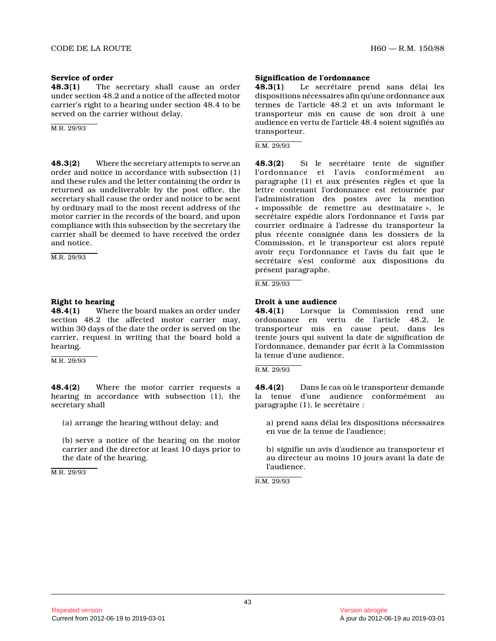# **Service of order**

**48.3(1)** The secretary shall cause an order under section 48.2 and a notice of the affected motor carrier's right to a hearing under section 48.4 to be served on the carrier without delay.

M.R. 29/93

**48.3(2)** Where the secretary attempts to serve an order and notice in accordance with subsection (1) and these rules and the letter containing the order is returned as undeliverable by the post office, the secretary shall cause the order and notice to be sent by ordinary mail to the most recent address of the motor carrier in the records of the board, and upon compliance with this subsection by the secretary th e carrier shall be deemed to have received the order and notice.

M.R. 29/93

### **Right to hearing**

**48.4(1)** Where the board makes an order under section 48.2 the affected motor carrier may, within 30 days of the date the order is served on the carrier, request in writing that the board hold a hearing.

M.R. 29/93

**48.4(2)** Where the motor carrier requests a hearing in accordance with subsection (1), the secretary shall

(a) arrange the hearing without delay; and

(b) serve a notice of the hearing on the motor carrier and the director at least  $10$  days prior to the date of the hearing.

M.R. 29/93

## **Signification de l'ordonnance**

**48.3(1)** Le secrétaire prend sans délai les dispositions nécessaires afin qu'une ordonnance aux termes de l'article 48.2 et un avis informant le transporteur mis en cause de son droit à une audience en vertu de l'article 48.4 soient signifiés au transporteur.

#### R.M. 29/93

**48.3(2)** Si le secrétaire tente de signifier l'ordonnance et l'avis conformément au paragraphe (1) et aux présentes règles et que la lettre contenant l'ordonnance est retournée par l'administration des postes avec la mention « impossible de remettre au destinataire », le secrétaire expédie alors l'ordonnance et l'avis par courrier ordinaire à l'adresse du transporteur la plus récente consignée dans les dossiers de la Commission, et le transporteur est alors reputé avoir reçu l'ordonnance et l'avis du fait que le secrétaire s'est conformé aux dispositions du présent paragraphe.

R.M. 29/93

#### **Droit à une audience**

**48.4(1)** Lorsque la Commission rend une ordonnance en vertu de l'article 48.2, le transporteur mis en cause peut, dans les trente jours qui suivent la date de signification d e l'ordonnance, demander par écrit à la Commission la tenue d'une audience.

#### R.M. 29/93

**48.4(2)** Dans le cas où le transporteur demande la tenue d'une audience conformément au paragraphe (1), le secrétaire :

a) prend sans délai les dispositions nécessaires en vue de la tenue de l'audience;

b) signifie un avis d'audience au transporteur et au directeur au moins 10 jours avant la date de l'audience.

R.M. 29/93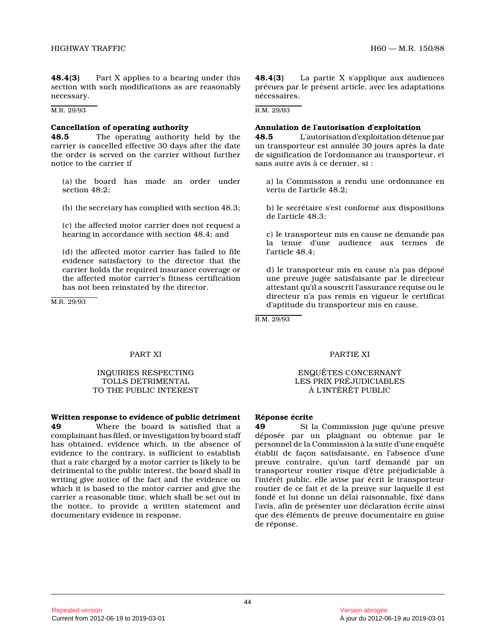**48.4(3)** Part X applies to a hearing under this section with such modifications as are reasonably necessary.

M.R. 29/93

#### **Cancellation of operating authority**

**48.5** The operating authority held by the carrier is cancelled effective 30 days after the date the order is served on the carrier without further notice to the carrier if

(a) the board has made an order under section 48.2;

(b) the secretary has complied with section 48.3;

(c) the affected motor carrier does not request a hearing in accordance with section 48.4; and

(d) the affected motor carrier has failed to file evidence satisfactory to the director that the carrier holds the required insurance coverage or the affected motor carrier's fitness certification has not been reinstated by the director.

M.R. 29/93

**48.4(3)** La partie X s'applique aux audiences prévues par le présent article, avec les adaptation s nécessaires.

R.M. 29/93

#### **Annulation de l'autorisation d'exploitation**

**48.5** L'autorisation d'exploitation détenue par un transporteur est annulée 30 jours après la date de signification de l'ordonnance au transporteur, e t sans autre avis à ce dernier, si :

a) la Commission a rendu une ordonnance en vertu de l'article 48.2;

b) le secrétaire s'est conformé aux dispositions de l'article 48.3;

c) le transporteur mis en cause ne demande pas la tenue d'une audience aux termes de l'article 48.4;

d) le transporteur mis en cause n'a pas déposé une preuve jugée satisfaisante par le directeur attestant qu'il a souscrit l'assurance requise ou l e directeur n'a pas remis en vigueur le certificat d'aptitude du transporteur mis en cause.

R.M. 29/93

#### INQUIRIES RESPECTING TOLLS DETRIMENTAL TO THE PUBLIC INTEREST

**Written response to evidence of public detriment**

**49** Where the board is satisfied that a complainant has filed, or investigation by board staff has obtained, evidence which, in the absence of evidence to the contrary, is sufficient to establis h that a rate charged by a motor carrier is likely to be detrimental to the public interest, the board shall in writing give notice of the fact and the evidence on which it is based to the motor carrier and give the carrier a reasonable time, which shall be set out i n the notice, to provide a written statement and documentary evidence in response.

PART XI PARTIE XI

#### ENQUÊTES CONCERNANT LES PRIX PRÉJUDICIABLES À L'INTÉRÊT PUBLIC

#### **Réponse écrite**

**49** Si la Commission juge qu'une preuve déposée par un plaignant ou obtenue par le personnel de la Commission à la suite d'une enquête établit de façon satisfaisante, en l'absence d'une preuve contraire, qu'un tarif demandé par un transporteur routier risque d'être préjudiciable à l'intérêt public, elle avise par écrit le transporteur routier de ce fait et de la preuve sur laquelle il est fondé et lui donne un délai raisonnable, fixé dans l'avis, afin de présenter une déclaration écrite ainsi que des éléments de preuve documentaire en guise de réponse.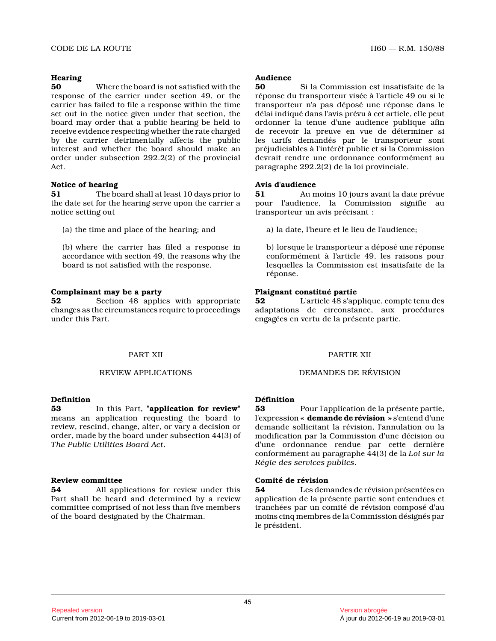## **Hearing**

**50** Where the board is not satisfied with the response of the carrier under section 49, or the carrier has failed to file a response within the time set out in the notice given under that section, the board may order that a public hearing be held to receive evidence respecting whether the rate charge d by the carrier detrimentally affects the public interest and whether the board should make an order under subsection 292.2(2) of the provincial Act.

### **Notice of hearing**

**51** The board shall at least 10 days prior to the date set for the hearing serve upon the carrier a notice setting out

(a) the time and place of the hearing; and

(b) where the carrier has filed a response in accordance with section 49, the reasons why the board is not satisfied with the response.

### **Complainant may be a party**

**52** Section 48 applies with appropriate changes as the circumstances require to proceedings under this Part.

# **Definition**

**53** In this Part, **"application for review"** means an application requesting the board to review, rescind, change, alter, or vary a decision or order, made by the board under subsection 44(3) of *The Public Utilities Board Act* .

#### **Review committee**

**54** All applications for review under this Part shall be heard and determined by a review committee comprised of not less than five members of the board designated by the Chairman.

# **Audience**

**50** Si la Commission est insatisfaite de la réponse du transporteur visée à l'article 49 ou si le transporteur n'a pas déposé une réponse dans le délai indiqué dans l'avis prévu à cet article, elle peut ordonner la tenue d'une audience publique afin de recevoir la preuve en vue de déterminer si les tarifs demandés par le transporteur sont préjudiciables à l'intérêt public et si la Commission devrait rendre une ordonnance conformément au paragraphe 292.2(2) de la loi provinciale.

### **Avis d'audience**

**51** Au moins 10 jours avant la date prévue pour l'audience, la Commission signifie au transporteur un avis précisant :

a) la date, l'heure et le lieu de l'audience;

b) lorsque le transporteur a déposé une réponse conformément à l'article 49, les raisons pour lesquelles la Commission est insatisfaite de la réponse.

### **Plaignant constitué partie**

**52** L'article 48 s'applique, compte tenu des adaptations de circonstance, aux procédures engagées en vertu de la présente partie.

#### PART XII PARTIE XII

#### REVIEW APPLICATIONS DE RÉVISION

# **Définition**

**53** Pour l'application de la présente partie, l'expression **« demande de révision »** s'entend d'une demande sollicitant la révision, l'annulation ou la modification par la Commission d'une décision ou d'une ordonnance rendue par cette dernière conformément au paragraphe 44(3) de la *Loi sur la Régie des services publics* .

#### **Comité de révision**

**54** Les demandes de révision présentées en application de la présente partie sont entendues et tranchées par un comité de révision composé d'au moins cinq membres de la Commission désignés par le président.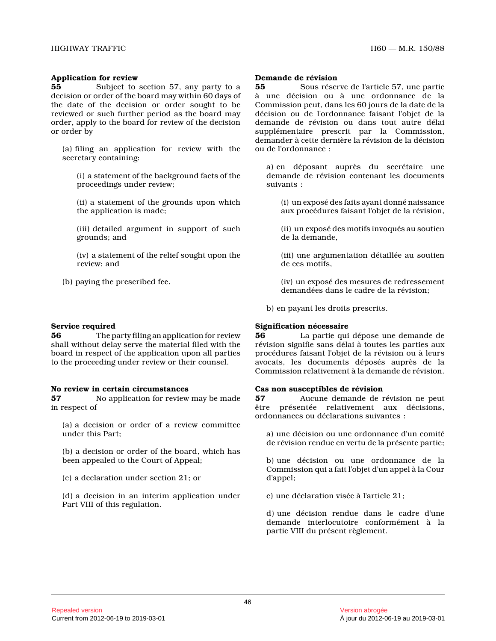#### **Application for review**

**55** Subject to section 57, any party to a decision or order of the board may within 60 days o f the date of the decision or order sought to be reviewed or such further period as the board may order, apply to the board for review of the decisio n or order by

(a) filing an application for review with the secretary containing:

(i) a statement of the background facts of the proceedings under review;

(ii) a statement of the grounds upon which the application is made;

(iii) detailed argument in support of such grounds; and

(iv) a statement of the relief sought upon the review; and

(b) paying the prescribed fee.

#### **Service required**

**56** The party filing an application for review shall without delay serve the material filed with the board in respect of the application upon all partie s to the proceeding under review or their counsel.

#### **No review in certain circumstances**

**57** No application for review may be made in respect of

(a) a decision or order of a review committee under this Part;

(b) a decision or order of the board, which has been appealed to the Court of Appeal;

(c) a declaration under section 21; or

(d) a decision in an interim application under Part VIII of this regulation.

#### **Demande de révision**

**55** Sous réserve de l'article 57, une partie à une décision ou à une ordonnance de la Commission peut, dans les 60 jours de la date de la décision ou de l'ordonnance faisant l'objet de la demande de révision ou dans tout autre délai supplémentaire prescrit par la Commission, demander à cette dernière la révision de la décisio n ou de l'ordonnance :

a) en déposant auprès du secrétaire une demande de révision contenant les documents suivants :

- (i) un exposé des faits ayant donné naissance aux procédures faisant l'objet de la révision,
- (ii) un exposé des motifs invoqués au soutien de la demande,
- (iii) une argumentation détaillée au soutien de ces motifs,
- (iv) un exposé des mesures de redressement demandées dans le cadre de la révision;

b) en payant les droits prescrits.

#### **Signification nécessaire**

**56** La partie qui dépose une demande de révision signifie sans délai à toutes les parties aux procédures faisant l'objet de la révision ou à leur s avocats, les documents déposés auprès de la Commission relativement à la demande de révision.

#### **Cas non susceptibles de révision**

**57** Aucune demande de révision ne peut être présentée relativement aux décisions, ordonnances ou déclarations suivantes :

a) une décision ou une ordonnance d'un comité de révision rendue en vertu de la présente partie;

b) une décision ou une ordonnance de la Commission qui a fait l'objet d'un appel à la Cour d'appel;

c) une déclaration visée à l'article 21;

d) une décision rendue dans le cadre d'une demande interlocutoire conformément à la partie VIII du présent règlement.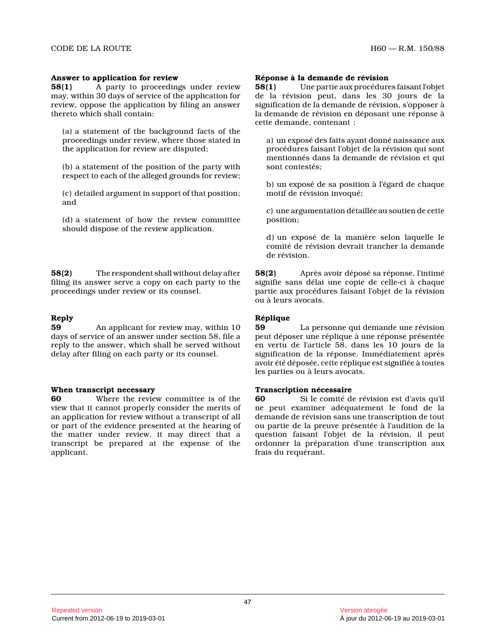### **Answer to application for review**

**58(1)** A party to proceedings under review may, within 30 days of service of the application for review, oppose the application by filing an answer thereto which shall contain:

(a) a statement of the background facts of the proceedings under review, where those stated in the application for review are disputed;

(b) a statement of the position of the party with respect to each of the alleged grounds for review;

(c) detailed argument in support of that position; and

(d) a statement of how the review committee should dispose of the review application.

**58(2)** The respondent shall without delay after filing its answer serve a copy on each party to the proceedings under review or its counsel.

## **Reply**

**59** An applicant for review may, within 10 days of service of an answer under section 58, file a reply to the answer, which shall be served without delay after filing on each party or its counsel.

#### **When transcript necessary**

**60** Where the review committee is of the view that it cannot properly consider the merits of an application for review without a transcript of all or part of the evidence presented at the hearing of the matter under review, it may direct that a transcript be prepared at the expense of the applicant.

#### **Réponse à la demande de révision**

**58(1)** Une partie aux procédures faisant l'objet de la révision peut, dans les 30 jours de la signification de la demande de révision, s'opposer à la demande de révision en déposant une réponse à cette demande, contenant :

a) un exposé des faits ayant donné naissance aux procédures faisant l'objet de la révision qui sont mentionnés dans la demande de révision et qui sont contestés;

b) un exposé de sa position à l'égard de chaque motif de révision invoqué;

c) une argumentation détaillée au soutien de cette position;

d) un exposé de la manière selon laquelle le comité de révision devrait trancher la demande de révision.

**58(2)** Après avoir déposé sa réponse, l'intimé signifie sans délai une copie de celle-ci à chaque partie aux procédures faisant l'objet de la révisio n ou à leurs avocats.

### **Réplique**

**59** La personne qui demande une révision peut déposer une réplique à une réponse présentée en vertu de l'article 58, dans les 10 jours de la signification de la réponse. Immédiatement après avoir été déposée, cette réplique est signifiée à toutes les parties ou à leurs avocats.

#### **Transcription nécessaire**

**60** Si le comité de révision est d'avis qu'il ne peut examiner adéquatement le fond de la demande de révision sans une transcription de tout ou partie de la preuve présentée à l'audition de la question faisant l'objet de la révision, il peut ordonner la préparation d'une transcription aux frais du requérant.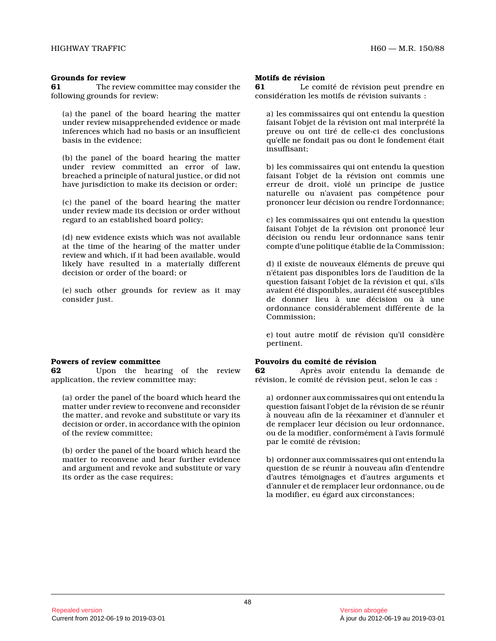#### **Grounds for review**

**61** The review committee may consider the following grounds for review:

(a) the panel of the board hearing the matter under review misapprehended evidence or made inferences which had no basis or an insufficient basis in the evidence;

(b) the panel of the board hearing the matter under review committed an error of law, breached a principle of natural justice, or did not have jurisdiction to make its decision or order;

(c) the panel of the board hearing the matter under review made its decision or order without regard to an established board policy;

(d) new evidence exists which was not available at the time of the hearing of the matter under review and which, if it had been available, would likely have resulted in a materially different decision or order of the board; or

(e) such other grounds for review as it may consider just.

# **Powers of review committee**<br>62 **Upon** the heart

**62** Upon the hearing of the review application, the review committee may:

(a) order the panel of the board which heard the matter under review to reconvene and reconsider the matter, and revoke and substitute or vary its decision or order, in accordance with the opinion of the review committee;

(b) order the panel of the board which heard the matter to reconvene and hear further evidence and argument and revoke and substitute or vary its order as the case requires;

#### **Motifs de révision**

**61** Le comité de révision peut prendre en considération les motifs de révision suivants :

a) les commissaires qui ont entendu la question faisant l'objet de la révision ont mal interprété l a preuve ou ont tiré de celle-ci des conclusions qu'elle ne fondait pas ou dont le fondement était insuffisant;

b) les commissaires qui ont entendu la question faisant l'objet de la révision ont commis une erreur de droit, violé un principe de justice naturelle ou n'avaient pas compétence pour prononcer leur décision ou rendre l'ordonnance;

c) les commissaires qui ont entendu la question faisant l'objet de la révision ont prononcé leur décision ou rendu leur ordonnance sans tenir compte d'une politique établie de la Commission;

d) il existe de nouveaux éléments de preuve qui n'étaient pas disponibles lors de l'audition de la question faisant l'objet de la révision et qui, s'ils avaient été disponibles, auraient été susceptibles de donner lieu à une décision ou à une ordonnance considérablement différente de la Commission;

e) tout autre motif de révision qu'il considère pertinent.

#### **Pouvoirs du comité de révision**

**62** Après avoir entendu la demande de révision, le comité de révision peut, selon le cas :

a) ordonner aux commissaires qui ont entendu la question faisant l'objet de la révision de se réuni r à nouveau afin de la réexaminer et d'annuler et de remplacer leur décision ou leur ordonnance, ou de la modifier, conformément à l'avis formulé par le comité de révision;

b) ordonner aux commissaires qui ont entendu la question de se réunir à nouveau afin d'entendre d'autres témoignages et d'autres arguments et d'annuler et de remplacer leur ordonnance, ou de la modifier, eu égard aux circonstances;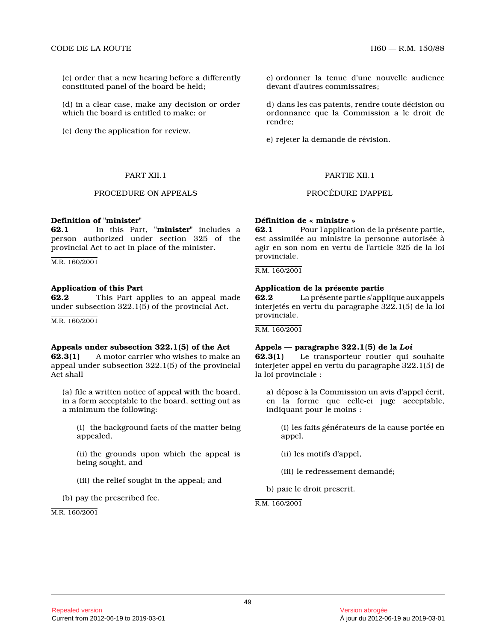(c) order that a new hearing before a differently constituted panel of the board be held;

(d) in a clear case, make any decision or order which the board is entitled to make; or

(e) deny the application for review.

# PROCEDURE ON APPEALS PROCÉDURE D'APPEL

### **Definition of "minister"**

**62.1** In this Part, **"minister"** includes a person authorized under section 325 of the provincial Act to act in place of the minister.

M.R. 160/2001

# **Application of this Part**

**62.2** This Part applies to an appeal made under subsection 322.1(5) of the provincial Act.

M.R. 160/2001

### **Appeals under subsection 322.1(5) of the Act**

**62.3(1)** A motor carrier who wishes to make an appeal under subsection 322.1(5) of the provincial Act shall

(a) file a written notice of appeal with the board, in a form acceptable to the board, setting out as a minimum the following:

(i) the background facts of the matter being appealed,

(ii) the grounds upon which the appeal is being sought, and

(iii) the relief sought in the appeal; and

(b) pay the prescribed fee.

# M.R. 160/2001

c) ordonner la tenue d'une nouvelle audience devant d'autres commissaires;

d) dans les cas patents, rendre toute décision ou ordonnance que la Commission a le droit de rendre;

e) rejeter la demande de révision.

# PART XII.1 PARTIE XII.1

### **Définition de « ministre »**

**62.1** Pour l'application de la présente partie, est assimilée au ministre la personne autorisée à agir en son nom en vertu de l'article 325 de la loi provinciale.

R.M. 160/2001

### **Application de la présente partie**

**62.2** La présente partie s'applique aux appels interjetés en vertu du paragraphe 322.1(5) de la lo i provinciale.

R.M. 160/2001

# **Appels — paragraphe 322.1(5) de la** *Loi*

**62.3(1)** Le transporteur routier qui souhaite interjeter appel en vertu du paragraphe 322.1(5) de la loi provinciale :

a) dépose à la Commission un avis d'appel écrit, en la forme que celle-ci juge acceptable, indiquant pour le moins :

(i) les faits générateurs de la cause portée en appel,

(ii) les motifs d'appel,

(iii) le redressement demandé;

b) paie le droit prescrit.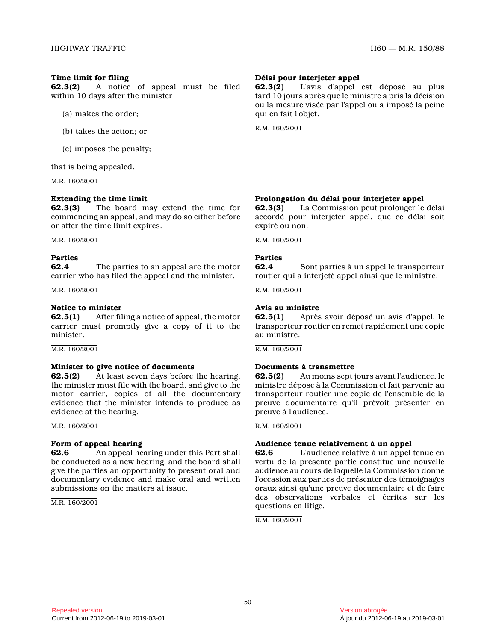#### **Time limit for filing**

**62.3(2)** A notice of appeal must be filed within 10 days after the minister

(a) makes the order;

(b) takes the action; or

(c) imposes the penalty;

that is being appealed.

M.R. 160/2001

#### **Extending the time limit**

**62.3(3)** The board may extend the time for commencing an appeal, and may do so either before or after the time limit expires.

M.R. 160/2001

#### **Parties**

**62.4** The parties to an appeal are the motor carrier who has filed the appeal and the minister.

M.R. 160/2001

#### **Notice to minister**

**62.5(1)** After filing a notice of appeal, the motor carrier must promptly give a copy of it to the minister.

M.R. 160/2001

#### **Minister to give notice of documents**

**62.5(2)** At least seven days before the hearing, the minister must file with the board, and give to the motor carrier, copies of all the documentary evidence that the minister intends to produce as evidence at the hearing.

M.R. 160/2001

#### **Form of appeal hearing**

**62.6** An appeal hearing under this Part shall be conducted as a new hearing, and the board shall give the parties an opportunity to present oral and documentary evidence and make oral and written submissions on the matters at issue.

M.R. 160/2001

#### **Délai pour interjeter appel**

**62.3(2)** L'avis d'appel est déposé au plus tard 10 jours après que le ministre a pris la décision ou la mesure visée par l'appel ou a imposé la peine qui en fait l'objet.

R.M. 160/2001

### **Prolongation du délai pour interjeter appel**

**62.3(3)** La Commission peut prolonger le délai accordé pour interjeter appel, que ce délai soit expiré ou non.

R.M. 160/2001

# **Parties**

**62.4** Sont parties à un appel le transporteur routier qui a interjeté appel ainsi que le ministre .

R.M. 160/2001

# **Avis au ministre**

**62.5(1)** Après avoir déposé un avis d'appel, le transporteur routier en remet rapidement une copie au ministre.

R.M. 160/2001

#### **Documents à transmettre**

**62.5(2)** Au moins sept jours avant l'audience, le ministre dépose à la Commission et fait parvenir au transporteur routier une copie de l'ensemble de la preuve documentaire qu'il prévoit présenter en preuve à l'audience.

R.M. 160/2001

#### **Audience tenue relativement à un appel**

**62.6** L'audience relative à un appel tenue en vertu de la présente partie constitue une nouvelle audience au cours de laquelle la Commission donne l'occasion aux parties de présenter des témoignages oraux ainsi qu'une preuve documentaire et de faire des observations verbales et écrites sur les questions en litige.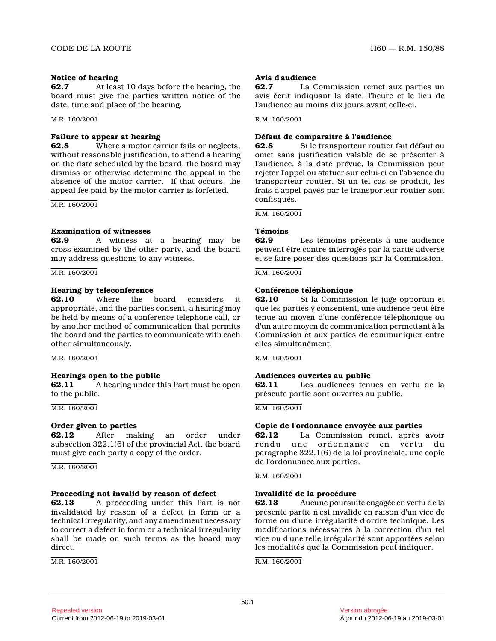#### **Notice of hearing**

**62.7** At least 10 days before the hearing, the board must give the parties written notice of the date, time and place of the hearing.

M.R. 160/2001

#### **Failure to appear at hearing**

**62.8** Where a motor carrier fails or neglects, without reasonable justification, to attend a hearing on the date scheduled by the board, the board may dismiss or otherwise determine the appeal in the absence of the motor carrier. If that occurs, the appeal fee paid by the motor carrier is forfeited.

M.R. 160/2001

# **Examination of witnesses**<br>62.9 A witness at

**62.9** A witness at a hearing may be cross-examined by the other party, and the board may address questions to any witness.

M.R. 160/2001

# **Hearing by teleconference**

**62.10** Where the board considers it appropriate, and the parties consent, a hearing may be held by means of a conference telephone call, or by another method of communication that permits the board and the parties to communicate with each other simultaneously.

M.R. 160/2001

# **Hearings open to the public**

**62.11** A hearing under this Part must be open to the public.

M.R. 160/2001

# **Order given to parties**

**62.12** After making an order under subsection 322.1(6) of the provincial Act, the boar d must give each party a copy of the order.

M.R. 160/2001

#### **Proceeding not invalid by reason of defect**

**62.13** A proceeding under this Part is not invalidated by reason of a defect in form or a technical irregularity, and any amendment necessary to correct a defect in form or a technical irregularity shall be made on such terms as the board may direct.

M.R. 160/2001

#### **Avis d'audience**

**62.7** La Commission remet aux parties un avis écrit indiquant la date, l'heure et le lieu de l'audience au moins dix jours avant celle-ci.

R.M. 160/2001

#### **Défaut de comparaître à l'audience**

**62.8** Si le transporteur routier fait défaut ou omet sans justification valable de se présenter à l'audience, à la date prévue, la Commission peut rejeter l'appel ou statuer sur celui-ci en l'absence du transporteur routier. Si un tel cas se produit, les frais d'appel payés par le transporteur routier son t confisqués.

R.M. 160/2001

# **Témoins**

Les témoins présents à une audience peuvent être contre-interrogés par la partie advers e et se faire poser des questions par la Commission.

R.M. 160/2001

# **Conférence téléphonique**

**62.10** Si la Commission le juge opportun et que les parties y consentent, une audience peut êtr e tenue au moyen d'une conférence téléphonique ou d'un autre moyen de communication permettant à la Commission et aux parties de communiquer entre elles simultanément.

R.M. 160/2001

# **Audiences ouvertes au public**

**62.11** Les audiences tenues en vertu de la présente partie sont ouvertes au public.

R.M. 160/2001

# **Copie de l'ordonnance envoyée aux parties**

**62.12** La Commission remet, après avoir rendu une ordonnance en vertu du paragraphe 322.1(6) de la loi provinciale, une copi e de l'ordonnance aux parties.

R.M. 160/2001

# **Invalidité de la procédure**

**62.13** Aucune poursuite engagée en vertu de la présente partie n'est invalide en raison d'un vice de forme ou d'une irrégularité d'ordre technique. Les modifications nécessaires à la correction d'un tel vice ou d'une telle irrégularité sont apportées selon les modalités que la Commission peut indiquer.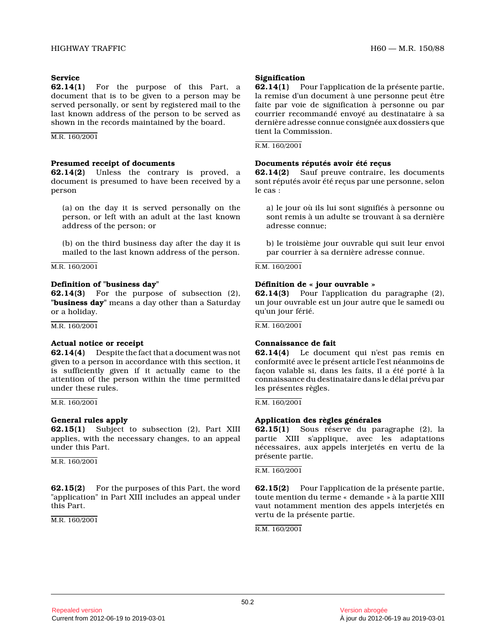# **Service**

**62.14(1)** For the purpose of this Part, a document that is to be given to a person may be served personally, or sent by registered mail to th e last known address of the person to be served as shown in the records maintained by the board.

M.R. 160/2001

#### **Presumed receipt of documents**

**62.14(2)** Unless the contrary is proved, a document is presumed to have been received by a person

(a) on the day it is served personally on the person, or left with an adult at the last known address of the person; or

(b) on the third business day after the day it is mailed to the last known address of the person.

M.R. 160/2001

# **Definition of "business day"**

**62.14(3)** For the purpose of subsection (2), **"business day"** means a day other than a Saturday or a holiday.

M.R. 160/2001

#### **Actual notice or receipt**

**62.14(4)** Despite the fact that a document was not given to a person in accordance with this section, it is sufficiently given if it actually came to the attention of the person within the time permitted under these rules.

M.R. 160/2001

# **General rules apply**

**62.15(1)** Subject to subsection (2), Part XIII applies, with the necessary changes, to an appeal under this Part.

M.R. 160/2001

**62.15(2)** For the purposes of this Part, the word "application" in Part XIII includes an appeal under this Part.

M.R. 160/2001

## **Signification**

**62.14(1)** Pour l'application de la présente partie, la remise d'un document à une personne peut être faite par voie de signification à personne ou par courrier recommandé envoyé au destinataire à sa dernière adresse connue consignée aux dossiers que tient la Commission.

R.M. 160/2001

#### **Documents réputés avoir été reçus**

**62.14(2)** Sauf preuve contraire, les documents sont réputés avoir été reçus par une personne, selo n le cas :

a) le jour où ils lui sont signifiés à personne ou sont remis à un adulte se trouvant à sa dernière adresse connue;

b) le troisième jour ouvrable qui suit leur envoi par courrier à sa dernière adresse connue.

R.M. 160/2001

### **Définition de « jour ouvrable »**

**62.14(3)** Pour l'application du paragraphe (2), un jour ouvrable est un jour autre que le samedi ou qu'un jour férié.

R.M. 160/2001

#### **Connaissance de fait**

**62.14(4)** Le document qui n'est pas remis en conformité avec le présent article l'est néanmoins de façon valable si, dans les faits, il a été porté à la connaissance du destinataire dans le délai prévu pa r les présentes règles.

R.M. 160/2001

# **Application des règles générales**

**62.15(1)** Sous réserve du paragraphe (2), la partie XIII s'applique, avec les adaptations nécessaires, aux appels interjetés en vertu de la présente partie.

R.M. 160/2001

**62.15(2)** Pour l'application de la présente partie, toute mention du terme « demande » à la partie XIII vaut notamment mention des appels interjetés en vertu de la présente partie.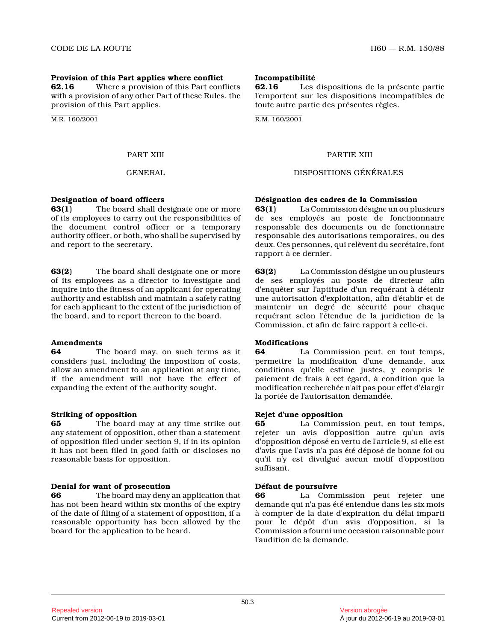#### **Provision of this Part applies where conflict**

**62.16** Where a provision of this Part conflicts with a provision of any other Part of these Rules, the provision of this Part applies.

M.R. 160/2001

### **Designation of board officers**

**63(1)** The board shall designate one or more of its employees to carry out the responsibilities of the document control officer or a temporary authority officer, or both, who shall be supervised by and report to the secretary.

**63(2)** The board shall designate one or more of its employees as a director to investigate and inquire into the fitness of an applicant for operating authority and establish and maintain a safety ratin g for each applicant to the extent of the jurisdiction of the board, and to report thereon to the board.

#### **Amendments**

**64** The board may, on such terms as it considers just, including the imposition of costs, allow an amendment to an application at any time, if the amendment will not have the effect of expanding the extent of the authority sought.

# **Striking of opposition**

**65** The board may at any time strike out any statement of opposition, other than a statement of opposition filed under section 9, if in its opinion it has not been filed in good faith or discloses no reasonable basis for opposition.

# **Denial for want of prosecution**

**66** The board may deny an application that has not been heard within six months of the expiry of the date of filing of a statement of opposition, if a reasonable opportunity has been allowed by the board for the application to be heard.

#### **Incompatibilité**

**62.16** Les dispositions de la présente partie l'emportent sur les dispositions incompatibles de toute autre partie des présentes règles.

R.M. 160/2001

### PART XIII PARTIE XIII

## GENERAL DISPOSITIONS GÉNÉRALES

### **Désignation des cadres de la Commission**

**63(1)** La Commission désigne un ou plusieurs de ses employés au poste de fonctionnnaire responsable des documents ou de fonctionnaire responsable des autorisations temporaires, ou des deux. Ces personnes, qui relèvent du secrétaire, font rapport à ce dernier.

**63(2)** La Commission désigne un ou plusieurs de ses employés au poste de directeur afin d'enquêter sur l'aptitude d'un requérant à détenir une autorisation d'exploitation, afin d'établir et de maintenir un degré de sécurité pour chaque requérant selon l'étendue de la juridiction de la Commission, et afin de faire rapport à celle-ci.

# **Modifications**

**64** La Commission peut, en tout temps, permettre la modification d'une demande, aux conditions qu'elle estime justes, y compris le paiement de frais à cet égard, à condition que la modification recherchée n'ait pas pour effet d'élargir la portée de l'autorisation demandée.

# **Rejet d'une opposition**

**65** La Commission peut, en tout temps, rejeter un avis d'opposition autre qu'un avis d'opposition déposé en vertu de l'article 9, si elle est d'avis que l'avis n'a pas été déposé de bonne foi o u qu'il n'y est divulgué aucun motif d'opposition suffisant.

#### **Défaut de poursuivre**

**66** La Commission peut rejeter une demande qui n'a pas été entendue dans les six mois à compter de la date d'expiration du délai imparti pour le dépôt d'un avis d'opposition, si la Commission a fourni une occasion raisonnable pour l'audition de la demande.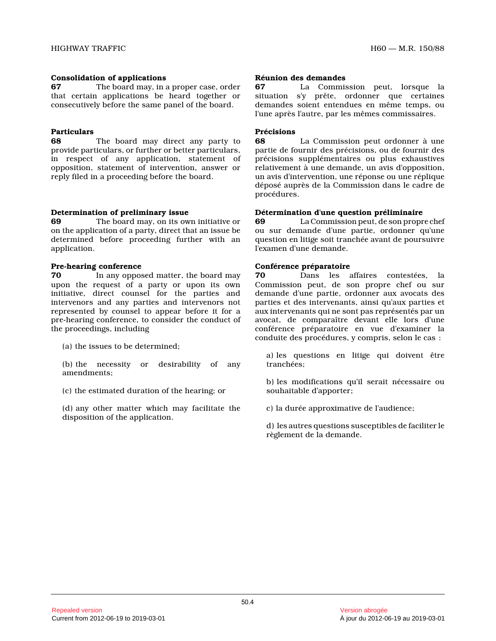#### **Consolidation of applications**

**67** The board may, in a proper case, order that certain applications be heard together or consecutively before the same panel of the board.

### **Particulars**

**68** The board may direct any party to provide particulars, or further or better particulars, in respect of any application, statement of opposition, statement of intervention, answer or reply filed in a proceeding before the board.

#### **Determination of preliminary issue**

**69** The board may, on its own initiative or on the application of a party, direct that an issue be determined before proceeding further with an application.

### **Pre-hearing conference**

**70** In any opposed matter, the board may upon the request of a party or upon its own initiative, direct counsel for the parties and intervenors and any parties and intervenors not represented by counsel to appear before it for a pre-hearing conference, to consider the conduct of the proceedings, including

(a) the issues to be determined;

(b) the necessity or desirability of any amendments;

(c) the estimated duration of the hearing; or

(d) any other matter which may facilitate the disposition of the application.

#### **Réunion des demandes**

**67** La Commission peut, lorsque la situation s'y prête, ordonner que certaines demandes soient entendues en même temps, ou l'une après l'autre, par les mêmes commissaires.

### **Précisions**

**68** La Commission peut ordonner à une partie de fournir des précisions, ou de fournir des précisions supplémentaires ou plus exhaustives relativement à une demande, un avis d'opposition, un avis d'intervention, une réponse ou une réplique déposé auprès de la Commission dans le cadre de procédures.

### **Détermination d'une question préliminaire**

**69** La Commission peut, de son propre chef ou sur demande d'une partie, ordonner qu'une question en litige soit tranchée avant de poursuivr e l'examen d'une demande.

### **Conférence préparatoire**

**70** Dans les affaires contestées, la Commission peut, de son propre chef ou sur demande d'une partie, ordonner aux avocats des parties et des intervenants, ainsi qu'aux parties e t aux intervenants qui ne sont pas représentés par un avocat, de comparaître devant elle lors d'une conférence préparatoire en vue d'examiner la conduite des procédures, y compris, selon le cas :

a) les questions en litige qui doivent être tranchées;

b) les modifications qu'il serait nécessaire ou souhaitable d'apporter;

c) la durée approximative de l'audience;

d) les autres questions susceptibles de faciliter le règlement de la demande.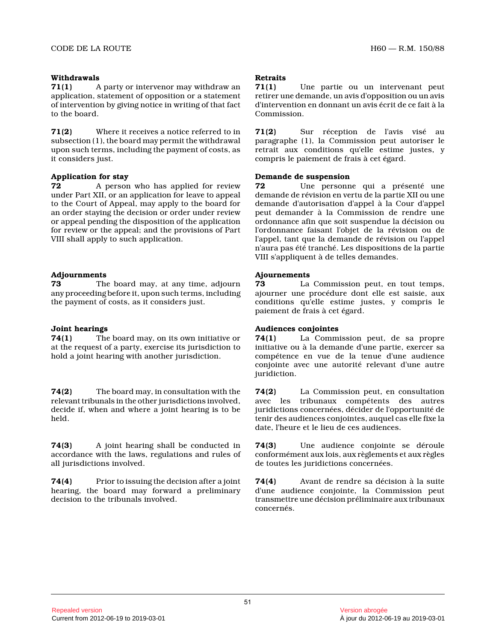### **Withdrawals**

**71(1)** A party or intervenor may withdraw an application, statement of opposition or a statement of intervention by giving notice in writing of that fact to the board.

**71(2)** Where it receives a notice referred to in subsection (1), the board may permit the withdrawal upon such terms, including the payment of costs, as it considers just.

### **Application for stay**

**72** A person who has applied for review under Part XII, or an application for leave to appeal to the Court of Appeal, may apply to the board for an order staying the decision or order under review or appeal pending the disposition of the applicatio n for review or the appeal; and the provisions of Par t VIII shall apply to such application.

### **Adjournments**

**73** The board may, at any time, adjourn any proceeding before it, upon such terms, includin g the payment of costs, as it considers just.

# **Joint hearings**

**74(1)** The board may, on its own initiative or at the request of a party, exercise its jurisdiction to hold a joint hearing with another jurisdiction.

**74(2)** The board may, in consultation with the relevant tribunals in the other jurisdictions involved, decide if, when and where a joint hearing is to be held.

**74(3)** A joint hearing shall be conducted in accordance with the laws, regulations and rules of all jurisdictions involved.

**74(4)** Prior to issuing the decision after a joint hearing, the board may forward a preliminary decision to the tribunals involved.

# **Retraits**

**71(1)** Une partie ou un intervenant peut retirer une demande, un avis d'opposition ou un avi s d'intervention en donnant un avis écrit de ce fait à la Commission.

**71(2)** Sur réception de l'avis visé au paragraphe (1), la Commission peut autoriser le retrait aux conditions qu'elle estime justes, y compris le paiement de frais à cet égard.

### **Demande de suspension**

**72** Une personne qui a présenté une demande de révision en vertu de la partie XII ou un e demande d'autorisation d'appel à la Cour d'appel peut demander à la Commission de rendre une ordonnance afin que soit suspendue la décision ou l'ordonnance faisant l'objet de la révision ou de l'appel, tant que la demande de révision ou l'appel n'aura pas été tranché. Les dispositions de la partie VIII s'appliquent à de telles demandes.

### **Ajournements**

**73** La Commission peut, en tout temps, ajourner une procédure dont elle est saisie, aux conditions qu'elle estime justes, y compris le paiement de frais à cet égard.

#### **Audiences conjointes**

**74(1)** La Commission peut, de sa propre initiative ou à la demande d'une partie, exercer sa compétence en vue de la tenue d'une audience conjointe avec une autorité relevant d'une autre juridiction.

**74(2)** La Commission peut, en consultation avec les tribunaux compétents des autres juridictions concernées, décider de l'opportunité d e tenir des audiences conjointes, auquel cas elle fixe la date, l'heure et le lieu de ces audiences.

**74(3)** Une audience conjointe se déroule conformément aux lois, aux règlements et aux règles de toutes les juridictions concernées.

**74(4)** Avant de rendre sa décision à la suite d'une audience conjointe, la Commission peut transmettre une décision préliminaire aux tribunaux concernés.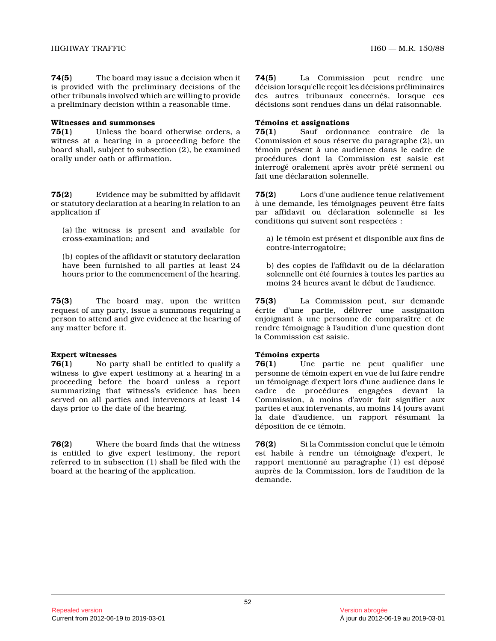**74(5)** The board may issue a decision when it is provided with the preliminary decisions of the other tribunals involved which are willing to provide a preliminary decision within a reasonable time.

#### **Witnesses and summonses**

**75(1)** Unless the board otherwise orders, a witness at a hearing in a proceeding before the board shall, subject to subsection (2), be examined orally under oath or affirmation.

**75(2)** Evidence may be submitted by affidavit or statutory declaration at a hearing in relation to an application if

(a) the witness is present and available for cross-examination; and

(b) copies of the affidavit or statutory declaration have been furnished to all parties at least 24 hours prior to the commencement of the hearing.

**75(3)** The board may, upon the written request of any party, issue a summons requiring a person to attend and give evidence at the hearing o f any matter before it.

#### **Expert witnesses**

**76(1)** No party shall be entitled to qualify a witness to give expert testimony at a hearing in a proceeding before the board unless a report summarizing that witness's evidence has been served on all parties and intervenors at least 14 days prior to the date of the hearing.

**76(2)** Where the board finds that the witness is entitled to give expert testimony, the report referred to in subsection (1) shall be filed with the board at the hearing of the application.

**74(5)** La Commission peut rendre une décision lorsqu'elle reçoit les décisions préliminaires des autres tribunaux concernés, lorsque ces décisions sont rendues dans un délai raisonnable.

### **Témoins et assignations**

**75(1)** Sauf ordonnance contraire de la Commission et sous réserve du paragraphe (2), un témoin présent à une audience dans le cadre de procédures dont la Commission est saisie est interrogé oralement après avoir prêté serment ou fait une déclaration solennelle.

**75(2)** Lors d'une audience tenue relativement à une demande, les témoignages peuvent être faits par affidavit ou déclaration solennelle si les conditions qui suivent sont respectées :

a) le témoin est présent et disponible aux fins de contre-interrogatoire;

b) des copies de l'affidavit ou de la déclaration solennelle ont été fournies à toutes les parties au moins 24 heures avant le début de l'audience.

**75(3)** La Commission peut, sur demande écrite d'une partie, délivrer une assignation enjoignant à une personne de comparaître et de rendre témoignage à l'audition d'une question dont la Commission est saisie.

#### **Témoins experts**

**76(1)** Une partie ne peut qualifier une personne de témoin expert en vue de lui faire rendr e un témoignage d'expert lors d'une audience dans le cadre de procédures engagées devant la Commission, à moins d'avoir fait signifier aux parties et aux intervenants, au moins 14 jours avan t la date d'audience, un rapport résumant la déposition de ce témoin.

**76(2)** Si la Commission conclut que le témoin est habile à rendre un témoignage d'expert, le rapport mentionné au paragraphe (1) est déposé auprès de la Commission, lors de l'audition de la demande.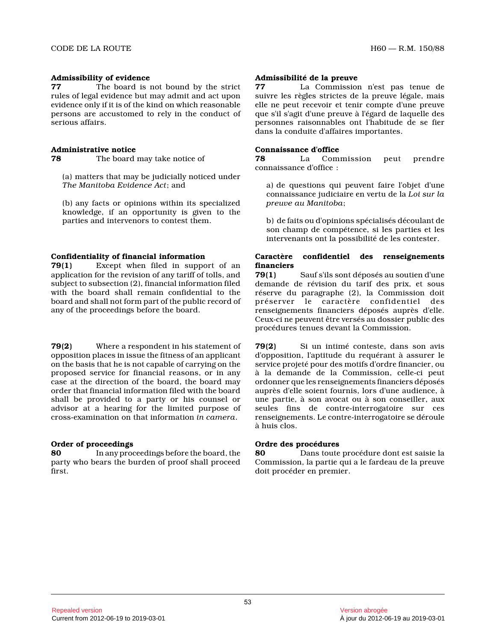#### **Admissibility of evidence**

**77** The board is not bound by the strict rules of legal evidence but may admit and act upon evidence only if it is of the kind on which reasonable persons are accustomed to rely in the conduct of serious affairs.

#### **Administrative notice**

**78** The board may take notice of

(a) matters that may be judicially noticed under *The Manitoba Evidence Act*; and

(b) any facts or opinions within its specialized knowledge, if an opportunity is given to the parties and intervenors to contest them.

#### **Confidentiality of financial information**

**79(1)** Except when filed in support of an application for the revision of any tariff of tolls, and subject to subsection (2), financial information filed with the board shall remain confidential to the board and shall not form part of the public record of any of the proceedings before the board.

**79(2)** Where a respondent in his statement of opposition places in issue the fitness of an applicant on the basis that he is not capable of carrying on the proposed service for financial reasons, or in any case at the direction of the board, the board may order that financial information filed with the board shall be provided to a party or his counsel or advisor at a hearing for the limited purpose of cross-examination on that information *in camera* .

#### **Order of proceedings**

**80** In any proceedings before the board, the party who bears the burden of proof shall proceed first.

#### **Admissibilité de la preuve**

**77** La Commission n'est pas tenue de suivre les règles strictes de la preuve légale, mai s elle ne peut recevoir et tenir compte d'une preuve que s'il s'agit d'une preuve à l'égard de laquelle des personnes raisonnables ont l'habitude de se fier dans la conduite d'affaires importantes.

### **Connaissance d'office**

**78** La Commission peut prendre connaissance d'office :

a) de questions qui peuvent faire l'objet d'une connaissance judiciaire en vertu de la *Loi sur la preuve au Manitoba* ;

b) de faits ou d'opinions spécialisés découlant de son champ de compétence, si les parties et les intervenants ont la possibilité de les contester.

#### **Caractère confidentiel des renseignements financiers**

**79(1)** Sauf s'ils sont déposés au soutien d'une demande de révision du tarif des prix, et sous réserve du paragraphe (2), la Commission doit préserver le caractère confidentiel des renseignements financiers déposés auprès d'elle. Ceux-ci ne peuvent être versés au dossier public de s procédures tenues devant la Commission.

**79(2)** Si un intimé conteste, dans son avis d'opposition, l'aptitude du requérant à assurer le service projeté pour des motifs d'ordre financier, ou à la demande de la Commission, celle-ci peut ordonner que les renseignements financiers déposés auprès d'elle soient fournis, lors d'une audience, à une partie, à son avocat ou à son conseiller, aux seules fins de contre-interrogatoire sur ces renseignements. Le contre-interrogatoire se déroule à huis clos.

#### **Ordre des procédures**

**80** Dans toute procédure dont est saisie la Commission, la partie qui a le fardeau de la preuve doit procéder en premier.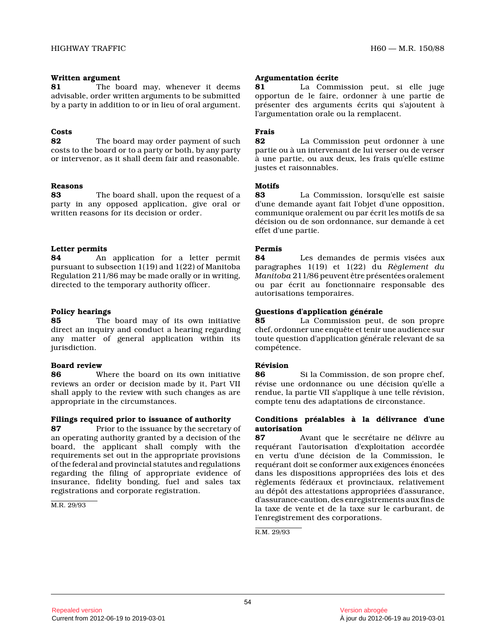**81** The board may, whenever it deems advisable, order written arguments to be submitted by a party in addition to or in lieu of oral argument.

# **Costs**

**82** The board may order payment of such costs to the board or to a party or both, by any party or intervenor, as it shall deem fair and reasonable .

# **Reasons**

**83** The board shall, upon the request of a party in any opposed application, give oral or written reasons for its decision or order.

# **Letter permits**

**84** An application for a letter permit pursuant to subsection 1(19) and 1(22) of Manitoba Regulation 211/86 may be made orally or in writing, directed to the temporary authority officer.

# **Policy hearings**

**85** The board may of its own initiative direct an inquiry and conduct a hearing regarding any matter of general application within its jurisdiction.

# **Board review**

**86** Where the board on its own initiative reviews an order or decision made by it, Part VII shall apply to the review with such changes as are appropriate in the circumstances.

# **Filings required prior to issuance of authority**

**87** Prior to the issuance by the secretary of an operating authority granted by a decision of the board, the applicant shall comply with the requirements set out in the appropriate provisions of the federal and provincial statutes and regulations regarding the filing of appropriate evidence of insurance, fidelity bonding, fuel and sales tax registrations and corporate registration.

M.R. 29/93

# **Argumentation écrite**

**81** La Commission peut, si elle juge opportun de le faire, ordonner à une partie de présenter des arguments écrits qui s'ajoutent à l'argumentation orale ou la remplacent.

# **Frais**

**82** La Commission peut ordonner à une partie ou à un intervenant de lui verser ou de verser à une partie, ou aux deux, les frais qu'elle estime justes et raisonnables.

# **Motifs**

**83** La Commission, lorsqu'elle est saisie d'une demande ayant fait l'objet d'une opposition, communique oralement ou par écrit les motifs de sa décision ou de son ordonnance, sur demande à cet effet d'une partie.

# **Permis**

**84** Les demandes de permis visées aux paragraphes 1(19) et 1(22) du *Règlement du Manitoba* 211/86 peuvent être présentées oralement ou par écrit au fonctionnaire responsable des autorisations temporaires.

# **Questions d'application générale**

**85** La Commission peut, de son propre chef, ordonner une enquête et tenir une audience su r toute question d'application générale relevant de s a compétence.

# **Révision**

**86** Si la Commission, de son propre chef, révise une ordonnance ou une décision qu'elle a rendue, la partie VII s'applique à une telle révision, compte tenu des adaptations de circonstance.

### **Conditions préalables à la délivrance d'une autorisation**

**87** Avant que le secrétaire ne délivre au requérant l'autorisation d'exploitation accordée en vertu d'une décision de la Commission, le requérant doit se conformer aux exigences énoncées dans les dispositions appropriées des lois et des règlements fédéraux et provinciaux, relativement au dépôt des attestations appropriées d'assurance, d'assurance-caution, des enregistrements aux fins de la taxe de vente et de la taxe sur le carburant, de l'enregistrement des corporations.

R.M. 29/93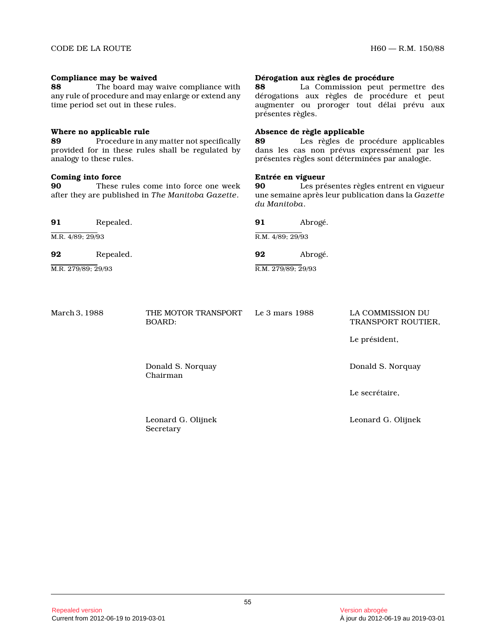## **Compliance may be waived**

**88** The board may waive compliance with any rule of procedure and may enlarge or extend any time period set out in these rules.

#### **Where no applicable rule**

**89** Procedure in any matter not specifically provided for in these rules shall be regulated by analogy to these rules.

# **Coming into force**<br>90 These

**90** These rules come into force one week after they are published in *The Manitoba Gazette* .

#### **Dérogation aux règles de procédure**

**88** La Commission peut permettre des dérogations aux règles de procédure et peut augmenter ou proroger tout délai prévu aux présentes règles.

#### **Absence de règle applicable**

**89** Les règles de procédure applicables dans les cas non prévus expressément par les présentes règles sont déterminées par analogie.

# **Entrée en vigueur**

**90** Les présentes règles entrent en vigueur une semaine après leur publication dans la *Gazette du Manitoba* .

| 91                 | Repealed. | 91                 | Abrogé. |
|--------------------|-----------|--------------------|---------|
| M.R. 4/89; 29/93   |           | R.M. 4/89; 29/93   |         |
| 92                 | Repealed. | 92                 | Abrogé. |
| M.R. 279/89; 29/93 |           | R.M. 279/89; 29/93 |         |

| March 3, 1988 | THE MOTOR TRANSPORT<br>BOARD:   | Le 3 mars 1988 | LA COMMISSION DU<br>TRANSPORT ROUTIER. |
|---------------|---------------------------------|----------------|----------------------------------------|
|               |                                 |                | Le président,                          |
|               | Donald S. Norquay<br>Chairman   |                | Donald S. Norquay                      |
|               |                                 |                | Le secrétaire.                         |
|               | Leonard G. Olijnek<br>Secretary |                | Leonard G. Olijnek                     |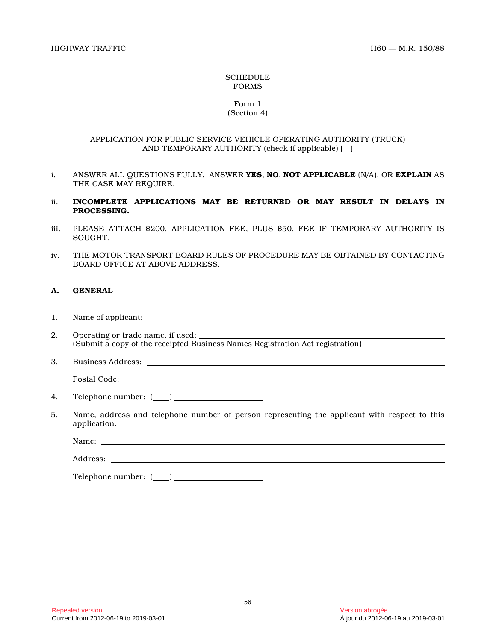### **SCHEDULE** FORMS

#### Form 1 (Section 4)

#### APPLICATION FOR PUBLIC SERVICE VEHICLE OPERATING AUTHORITY (TRUCK) AND TEMPORARY AUTHORITY (check if applicable) [ ]

- i. ANSWER ALL QUESTIONS FULLY. ANSWER **YES**, **NO**, **NOT APPLICABLE** (N/A), OR **EXPLAIN** AS THE CASE MAY REQUIRE.
- ii. **INCOMPLETE APPLICATIONS MAY BE RETURNED OR MAY RESULT IN DELAYS IN PROCESSING.**
- iii. PLEASE ATTACH \$200. APPLICATION FEE, PLUS \$50. FEE IF TEMPORARY AUTHORITY IS SOUGHT.
- iv. THE MOTOR TRANSPORT BOARD RULES OF PROCEDURE MAY BE OBTAINED BY CONTACTING BOARD OFFICE AT ABOVE ADDRESS.

# **A. GENERAL**

- 1. Name of applicant:
- 2. Operating or trade name, if used: (Submit a copy of the receipted Business Names Registration Act registration)
- 3. Business Address:

Postal Code:

- 4. Telephone number: (1)
- 5. Name, address and telephone number of person representing the applicant with respect to this application.

Name:

Address:

Telephone number: ( )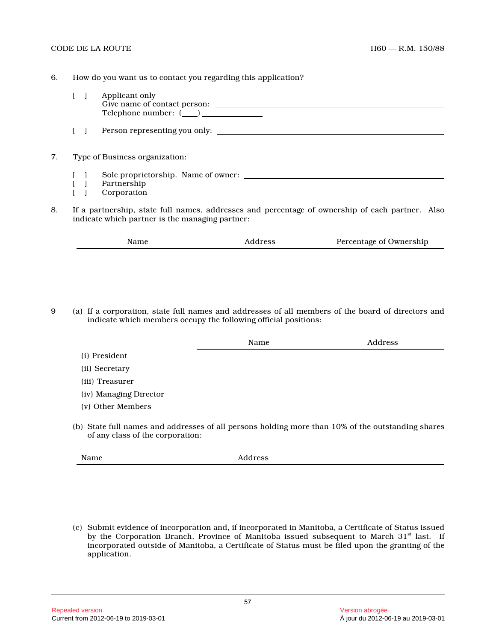# CODE DE LA ROUTE H60 — R.M. 150/88

6. How do you want us to contact you regarding this application?

|    |  | Applicant only                                                                                                                                     |
|----|--|----------------------------------------------------------------------------------------------------------------------------------------------------|
|    |  | Telephone number: ()                                                                                                                               |
|    |  | Person representing you only:                                                                                                                      |
| 7. |  | Type of Business organization:                                                                                                                     |
|    |  | Sole proprietorship. Name of owner:                                                                                                                |
|    |  | Partnership                                                                                                                                        |
|    |  | Corporation                                                                                                                                        |
| 8. |  | If a partnership, state full names, addresses and percentage of ownership of each partner. Also<br>indicate which partner is the managing partner. |

| ame | Address | Percentage of Ownership |
|-----|---------|-------------------------|
|     |         |                         |

9 (a) If a corporation, state full names and addresses of all members of the board of directors and indicate which members occupy the following official positions:

|                        | Name                                                                                                 | Address |
|------------------------|------------------------------------------------------------------------------------------------------|---------|
| (i) President          |                                                                                                      |         |
| (ii) Secretary         |                                                                                                      |         |
| (iii) Treasurer        |                                                                                                      |         |
| (iv) Managing Director |                                                                                                      |         |
| (v) Other Members      |                                                                                                      |         |
|                        | a). Chaha full mamaa amal addunaana af all mamaana balding mama than 100/ af tha autotanading abanaa |         |

(b) State full names and addresses of all persons holding more than 10% of the outstanding shares of any class of the corporation:

| ----<br>wame | しつに |
|--------------|-----|
|              |     |

(c) Submit evidence of incorporation and, if incorporated in Manitoba, a Certificate of Status issued by the Corporation Branch, Province of Manitoba issued subsequent to March  $31<sup>st</sup>$  last. If incorporated outside of Manitoba, a Certificate of Status must be filed upon the granting of the application.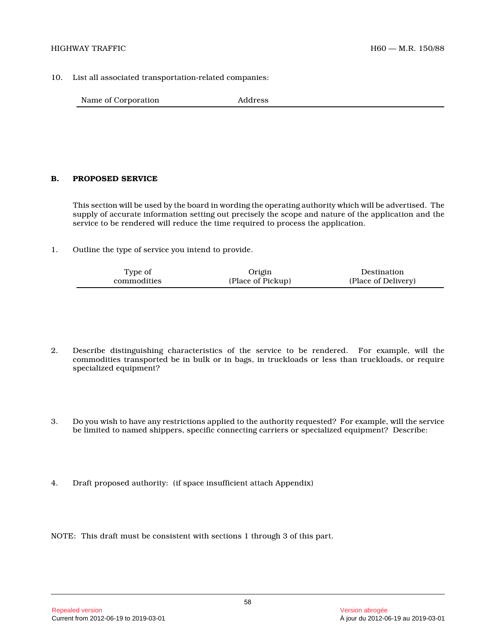#### HIGHWAY TRAFFIC **H60** — M.R. 150/88

10. List all associated transportation-related companies:

Name of Corporation **Address** 

# **B. PROPOSED SERVICE**

This section will be used by the board in wording the operating authority which will be advertised. The supply of accurate information setting out precisely the scope and nature of the application and the service to be rendered will reduce the time required to process the application.

1. Outline the type of service you intend to provide .

| Type of     | Origin            | Destination         |
|-------------|-------------------|---------------------|
| commodities | (Place of Pickup) | (Place of Delivery) |

- 2. Describe distinguishing characteristics of the service to be rendered. For example, will the commodities transported be in bulk or in bags, in truckloads or less than truckloads, or require specialized equipment?
- 3. Do you wish to have any restrictions applied to the authority requested? For example, will the service be limited to named shippers, specific connecting carriers or specialized equipment? Describe:
- 4. Draft proposed authority: (if space insufficient attach Appendix)

NOTE: This draft must be consistent with sections 1 through 3 of this part.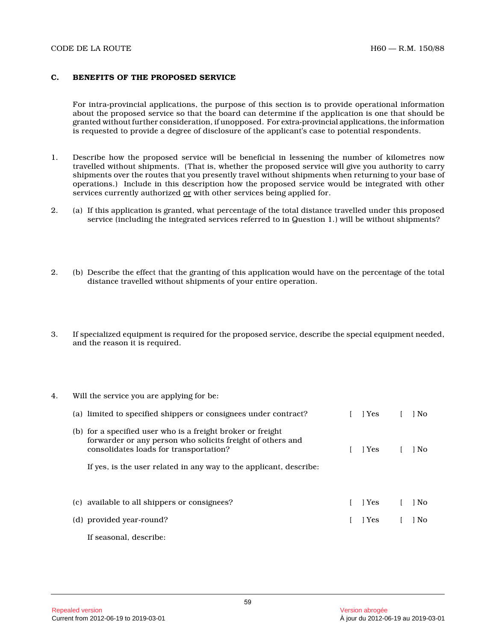### $\text{CODE DE LA ROUTE}$   $\text{H60} - \text{R.M. } 150/88$

#### **C. BENEFITS OF THE PROPOSED SERVICE**

For intra-provincial applications, the purpose of this section is to provide operational information about the proposed service so that the board can determine if the application is one that should be granted without further consideration, if unopposed. For extra-provincial applications, the information is requested to provide a degree of disclosure of the applicant's case to potential respondents.

- 1. Describe how the proposed service will be beneficial in lessening the number of kilometres now travelled without shipments. (That is, whether the proposed service will give you authority to carry shipments over the routes that you presently travel without shipments when returning to your base of operations.) Include in this description how the proposed service would be integrated with other services currently authorized or with other services being applied for.
- 2. (a) If this application is granted, what percentage of the total distance travelled under this proposed service (including the integrated services referred to in Question 1.) will be without shipments?
- 2. (b) Describe the effect that the granting of this application would have on the percentage of the total distance travelled without shipments of your entire operation.
- 3. If specialized equipment is required for the proposed service, describe the special equipment needed , and the reason it is required.
- 4. Will the service you are applying for be:

| (a) limited to specified shippers or consignees under contract?                                                                                                                                                                           | l Yes | 1 No |
|-------------------------------------------------------------------------------------------------------------------------------------------------------------------------------------------------------------------------------------------|-------|------|
| (b) for a specified user who is a freight broker or freight<br>forwarder or any person who solicits freight of others and<br>consolidates loads for transportation?<br>If yes, is the user related in any way to the applicant, describe: | l Yes | 1 No |
| (c) available to all shippers or consignees?                                                                                                                                                                                              | l Yes | 1 No |
| (d) provided year-round?                                                                                                                                                                                                                  | l Yes | 1 No |
| If seasonal, describe:                                                                                                                                                                                                                    |       |      |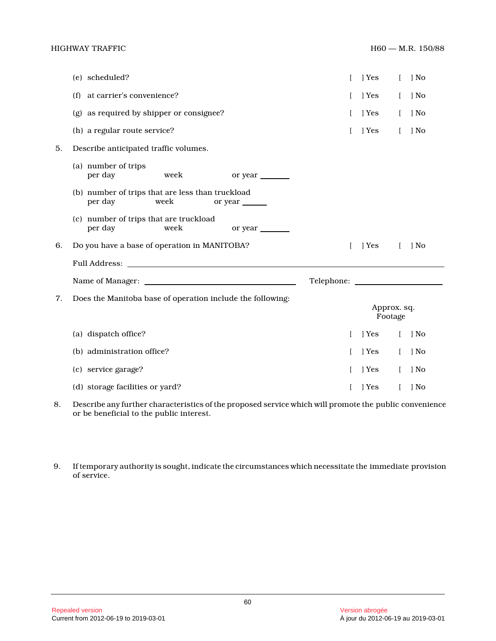|    | (e) scheduled?                                                                        |              | ] Yes       | $\overline{\phantom{a}}$ No                 |  |
|----|---------------------------------------------------------------------------------------|--------------|-------------|---------------------------------------------|--|
|    | at carrier's convenience?<br>(f)                                                      |              | $\vert$ Yes | $\overline{\phantom{a}}$ No                 |  |
|    | (g) as required by shipper or consignee?                                              |              | ] Yes       | $ $ No                                      |  |
|    | (h) a regular route service?                                                          |              | ] Yes       | $ $ No                                      |  |
| 5. | Describe anticipated traffic volumes.                                                 |              |             |                                             |  |
|    | (a) number of trips<br>per day<br>week<br>or year $\_\_\_\_\_\_\_\_\_\_\_$            |              |             |                                             |  |
|    | (b) number of trips that are less than truckload<br>per day<br>week<br>or year $\_\_$ |              |             |                                             |  |
|    | (c) number of trips that are truckload<br>week<br>per day                             |              |             |                                             |  |
| 6. | Do you have a base of operation in MANITOBA?                                          | $\mathbf{r}$ | l Yes       | $\overline{\phantom{a}}$ No<br>$\mathbf{r}$ |  |
|    |                                                                                       |              |             |                                             |  |
|    |                                                                                       |              |             |                                             |  |
| 7. | Does the Manitoba base of operation include the following:                            |              |             | Approx. sq.                                 |  |
|    |                                                                                       |              |             | Footage                                     |  |
|    | (a) dispatch office?                                                                  |              | $\vert$ Yes | $ $ No                                      |  |
|    | (b) administration office?                                                            |              | ] Yes       | $ $ No                                      |  |
|    | (c) service garage?                                                                   |              | 1 Yes       | $ $ No                                      |  |
|    |                                                                                       |              |             |                                             |  |

- 8. Describe any further characteristics of the proposed service which will promote the public convenience or be beneficial to the public interest.
- 9. If temporary authority is sought, indicate the circumstances which necessitate the immediate provision of service.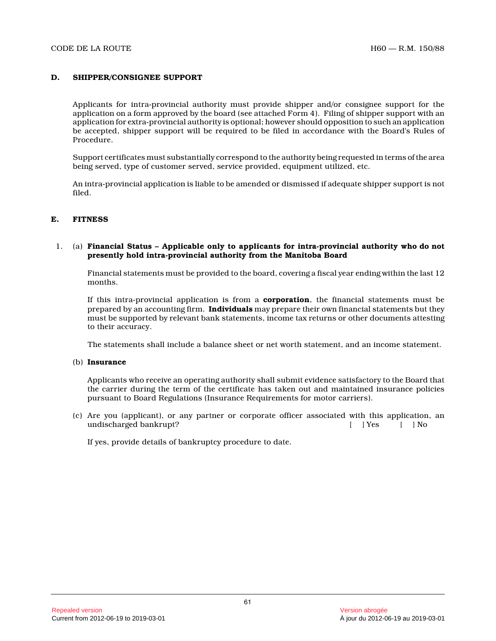## **D. SHIPPER/CONSIGNEE SUPPORT**

Applicants for intra-provincial authority must provide shipper and/or consignee support for the application on a form approved by the board (see attached Form 4). Filing of shipper support with an application for extra-provincial authority is optional; however should opposition to such an application be accepted, shipper support will be required to be filed in accordance with the Board's Rules of Procedure.

Support certificates must substantially correspond to the authority being requested in terms of the area being served, type of customer served, service provided, equipment utilized, etc.

An intra-provincial application is liable to be amended or dismissed if adequate shipper support is no t filed.

## **E. FITNESS**

#### 1. (a) **Financial Status – Applicable only to applicants for intra-provincial authority who do not presently hold intra-provincial authority from the Manitoba Board**

Financial statements must be provided to the board, covering a fiscal year ending within the last 12 months.

If this intra-provincial application is from a **corporation**, the financial statements must be prepared by an accounting firm. **Individuals** may prepare their own financial statements but the y must be supported by relevant bank statements, income tax returns or other documents attesting to their accuracy.

The statements shall include a balance sheet or net worth statement, and an income statement.

# (b) **Insurance**

Applicants who receive an operating authority shall submit evidence satisfactory to the Board that the carrier during the term of the certificate has taken out and maintained insurance policies pursuant to Board Regulations (Insurance Requirements for motor carriers).

(c) Are you (applicant), or any partner or corporate officer associated with this application, an undischarged bankrupt?

If yes, provide details of bankruptcy procedure to date.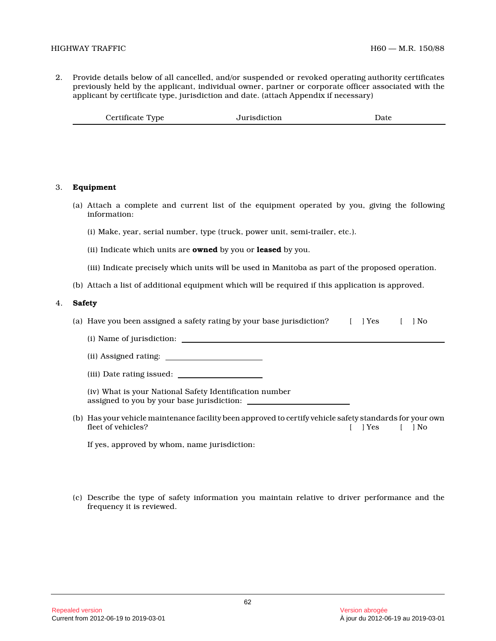2. Provide details below of all cancelled, and/or suspended or revoked operating authority certificates previously held by the applicant, individual owner, partner or corporate officer associated with the applicant by certificate type, jurisdiction and date. (attach Appendix if necessary)

| Certificate Type | Jurisdiction | Date |
|------------------|--------------|------|
|                  |              |      |

# 3. **Equipment**

- (a) Attach a complete and current list of the equipment operated by you, giving the following information:
	- (i) Make, year, serial number, type (truck, power unit, semi-trailer, etc.).
	- (ii) Indicate which units are **owned** by you or **leased** by you.
	- (iii) Indicate precisely which units will be used in Manitoba as part of the proposed operation.
- (b) Attach a list of additional equipment which will be required if this application is approved.

### 4. **Safety**

- (a) Have you been assigned a safety rating by your base jurisdiction? [ ] Yes [ ] No
	- (i) Name of jurisdiction:
	- (ii) Assigned rating:
	- (iii) Date rating issued:

(iv) What is your National Safety Identification number assigned to you by your base jurisdiction:

(b) Has your vehicle maintenance facility been approved to certify vehicle safety standards for your ow n fleet of vehicles? [ ] Yes [ ] No

If yes, approved by whom, name jurisdiction:

(c) Describe the type of safety information you maintain relative to driver performance and the frequency it is reviewed.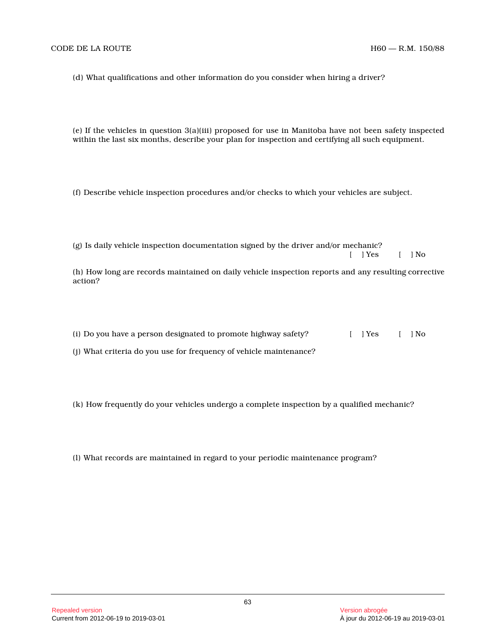(d) What qualifications and other information do you consider when hiring a driver?

(e) If the vehicles in question 3(a)(iii) proposed for use in Manitoba have not been safety inspected within the last six months, describe your plan for inspection and certifying all such equipment.

(f) Describe vehicle inspection procedures and/or checks to which your vehicles are subject.

| (g) Is daily vehicle inspection documentation signed by the driver and/or mechanic? |                |  |
|-------------------------------------------------------------------------------------|----------------|--|
|                                                                                     | I l Yes I l No |  |

(h) How long are records maintained on daily vehicle inspection reports and any resulting corrective action?

(i) Do you have a person designated to promote highway safety? [ ] Yes [ ] No

(j) What criteria do you use for frequency of vehicle maintenance?

- (k) How frequently do your vehicles undergo a complete inspection by a qualified mechanic?
- (l) What records are maintained in regard to your periodic maintenance program?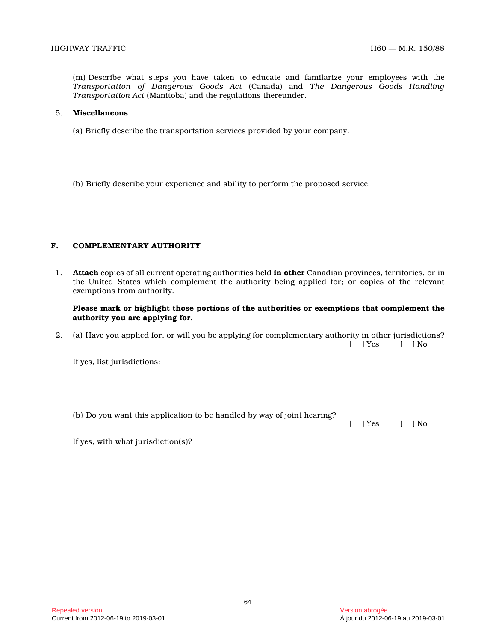(m) Describe what steps you have taken to educate and familarize your employees with the *Transportation of Dangerous Goods Act* (Canada) and *The Dangerous Goods Handling Transportation Act* (Manitoba) and the regulations thereunder.

#### 5. **Miscellaneous**

(a) Briefly describe the transportation services provided by your company.

(b) Briefly describe your experience and ability to perform the proposed service.

## **F. COMPLEMENTARY AUTHORITY**

 1. **Attach** copies of all current operating authorities held **in other** Canadian provinces, territories, or in the United States which complement the authority being applied for; or copies of the relevant exemptions from authority.

**Please mark or highlight those portions of the authorities or exemptions that complement the authority you are applying for.**

2. (a) Have you applied for, or will you be applying for complementary authority in other jurisdictions?<br>
<sup>1</sup> Yes <sup>1</sup> No  $[$   $]$  Yes

If yes, list jurisdictions:

(b) Do you want this application to be handled by way of joint hearing?

 $[ ]$   $]$   $Yes$   $[ ]$   $]$   $No$ 

If yes, with what jurisdiction(s)?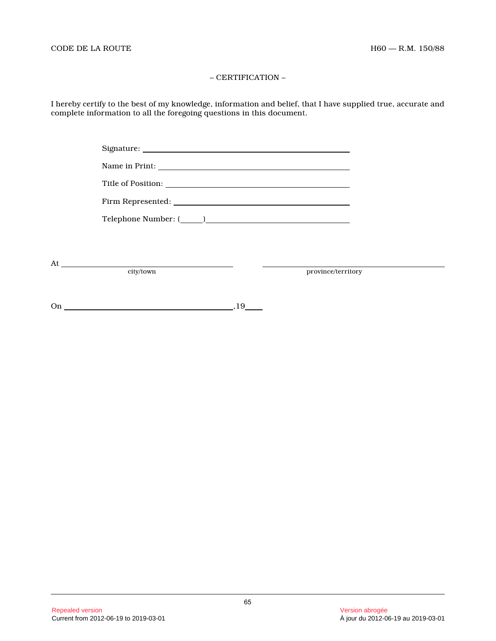# – CERTIFICATION –

I hereby certify to the best of my knowledge, information and belief, that I have supplied true, accurate and complete information to all the foregoing questions in this document.

|           | Title of Position: |     |                    |  |
|-----------|--------------------|-----|--------------------|--|
|           |                    |     |                    |  |
|           |                    |     |                    |  |
|           |                    |     |                    |  |
| At        |                    |     |                    |  |
|           | city/town          |     | province/territory |  |
|           |                    |     |                    |  |
| <b>On</b> |                    | .19 |                    |  |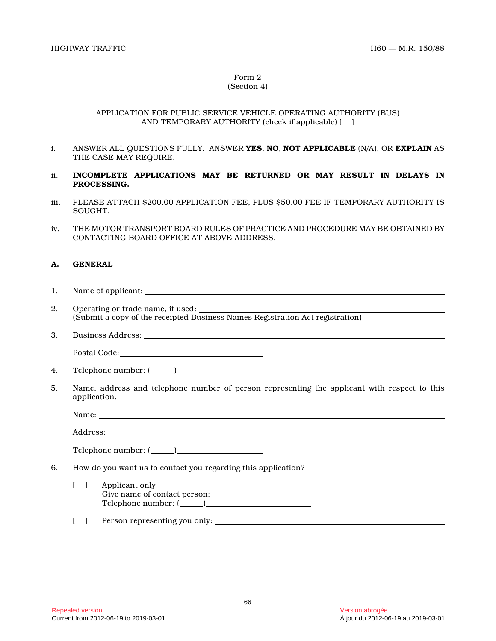# Form 2

# (Section 4)

# APPLICATION FOR PUBLIC SERVICE VEHICLE OPERATING AUTHORITY (BUS) AND TEMPORARY AUTHORITY (check if applicable) [ ]

- i. ANSWER ALL QUESTIONS FULLY. ANSWER **YES**, **NO**, **NOT APPLICABLE** (N/A), OR **EXPLAIN** AS THE CASE MAY REQUIRE.
- ii. **INCOMPLETE APPLICATIONS MAY BE RETURNED OR MAY RESULT IN DELAYS IN PROCESSING.**
- iii. PLEASE ATTACH \$200.00 APPLICATION FEE, PLUS \$50.00 FEE IF TEMPORARY AUTHORITY IS SOUGHT.
- iv. THE MOTOR TRANSPORT BOARD RULES OF PRACTICE AND PROCEDURE MAY BE OBTAINED BY CONTACTING BOARD OFFICE AT ABOVE ADDRESS.

# **A. GENERAL**

- 1. Name of applicant:
- 2. Operating or trade name, if used: (Submit a copy of the receipted Business Names Registration Act registration)
- 3. Business Address:

Postal Code:

4. Telephone number: ( )

5. Name, address and telephone number of person representing the applicant with respect to this application.

Name:

Address: which is a set of the set of the set of the set of the set of the set of the set of the set of the set of the set of the set of the set of the set of the set of the set of the set of the set of the set of the set

Telephone number: ( )

- 6. How do you want us to contact you regarding this application?
	- [ ] Applicant only Give name of contact person: Telephone number:  $(\_ \)$
	- [ ] Person representing you only: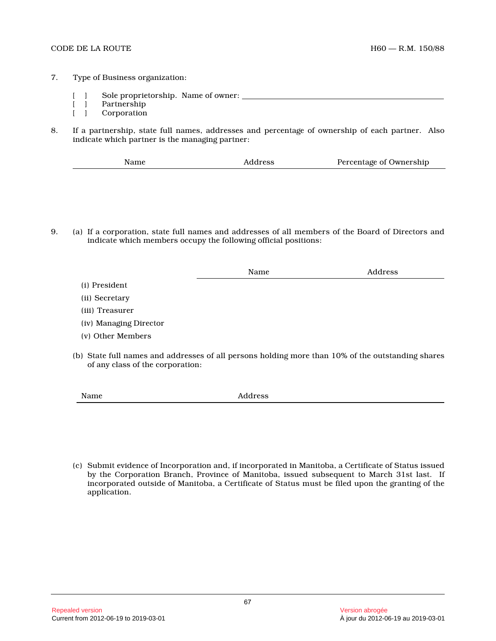#### $\text{CODE DE LA ROUTE}$   $\text{H60} - \text{R.M. } 150/88$

- 7. Type of Business organization:
	- [ ] Sole proprietorship. Name of owner:
	- [ ] Partnership
	- Corporation
- 8. If a partnership, state full names, addresses and percentage of ownership of each partner. Also indicate which partner is the managing partner:

|--|

9. (a) If a corporation, state full names and addresses of all members of the Board of Directors and indicate which members occupy the following official positions:

|                        | Name | Address |
|------------------------|------|---------|
| (i) President          |      |         |
| (ii) Secretary         |      |         |
| (iii) Treasurer        |      |         |
| (iv) Managing Director |      |         |

(v) Other Members

(b) State full names and addresses of all persons holding more than 10% of the outstanding shares of any class of the corporation:

Name Address

(c) Submit evidence of Incorporation and, if incorporated in Manitoba, a Certificate of Status issued by the Corporation Branch, Province of Manitoba, issued subsequent to March 31st last. If incorporated outside of Manitoba, a Certificate of Status must be filed upon the granting of the application.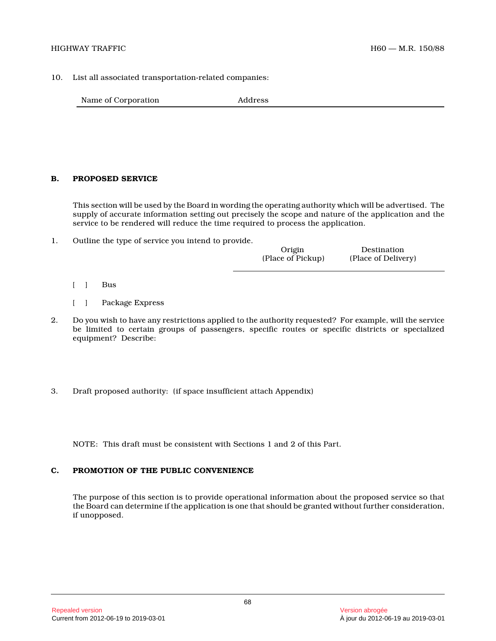#### HIGHWAY TRAFFIC **H60** — M.R. 150/88

10. List all associated transportation-related companies:

Name of Corporation **Address** 

# **B. PROPOSED SERVICE**

This section will be used by the Board in wording the operating authority which will be advertised. The supply of accurate information setting out precisely the scope and nature of the application and the service to be rendered will reduce the time required to process the application.

1. Outline the type of service you intend to provide .

Origin Destination<br>(Place of Pickup) (Place of Delive (Place of Delivery)

- [ ] Bus
- [ ] Package Express
- 2. Do you wish to have any restrictions applied to the authority requested? For example, will the service be limited to certain groups of passengers, specific routes or specific districts or specialized equipment? Describe:
- 3. Draft proposed authority: (if space insufficient attach Appendix)

NOTE: This draft must be consistent with Sections 1 and 2 of this Part.

# **C. PROMOTION OF THE PUBLIC CONVENIENCE**

The purpose of this section is to provide operational information about the proposed service so that the Board can determine if the application is one that should be granted without further consideration , if unopposed.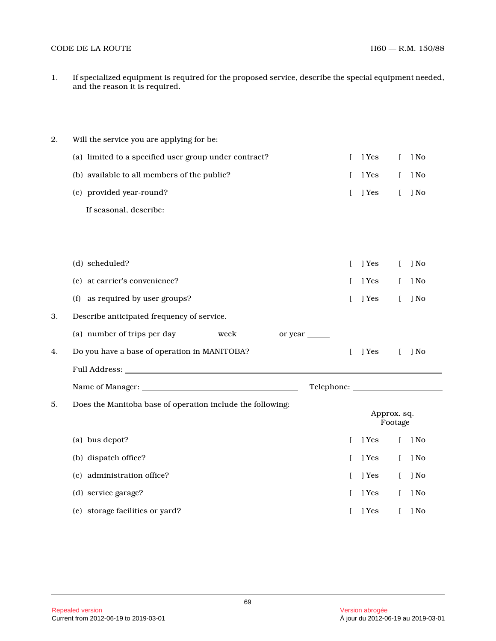### CODE DE LA ROUTE  $H60 - R.M. 150/88$

1. If specialized equipment is required for the proposed service, describe the special equipment needed , and the reason it is required.

| 2. | Will the service you are applying for be:                  |              |       |                            |  |
|----|------------------------------------------------------------|--------------|-------|----------------------------|--|
|    | (a) limited to a specified user group under contract?      | ſ            | Yes   | 1 No<br>$\mathbf{r}$       |  |
|    | (b) available to all members of the public?                |              | ] Yes | $\vert$ No<br>$\mathbf{r}$ |  |
|    | (c) provided year-round?                                   | ſ            | ] Yes | ] No<br>L                  |  |
|    | If seasonal, describe:                                     |              |       |                            |  |
|    |                                                            |              |       |                            |  |
|    |                                                            |              |       |                            |  |
|    | (d) scheduled?                                             |              | ] Yes | ] No<br>$\mathbf{L}$       |  |
|    | (e) at carrier's convenience?                              | ſ            | ] Yes | ] No<br>$\mathbf{L}$       |  |
|    | (f) as required by user groups?                            | ſ            | ] Yes | ] No                       |  |
| 3. | Describe anticipated frequency of service.                 |              |       |                            |  |
|    | (a) number of trips per day<br>week<br>or year             |              |       |                            |  |
| 4. | Do you have a base of operation in MANITOBA?               | $\mathbf{r}$ | ] Yes | ] No<br>$\mathbb{I}$       |  |
|    |                                                            |              |       |                            |  |
|    |                                                            |              |       |                            |  |
| 5. | Does the Manitoba base of operation include the following: |              |       |                            |  |
|    |                                                            |              |       | Approx. sq.<br>Footage     |  |
|    | (a) bus depot?                                             | I            | ] Yes | ] No<br>$\mathbf{r}$       |  |
|    | (b) dispatch office?                                       | L            | ] Yes | ] No<br>$\mathbf{r}$       |  |
|    | (c) administration office?                                 | L            | ] Yes | ] No<br>$\mathbf{r}$       |  |
|    |                                                            |              |       |                            |  |
|    | (d) service garage?                                        |              | ] Yes | ] No<br>$\mathbf{I}$       |  |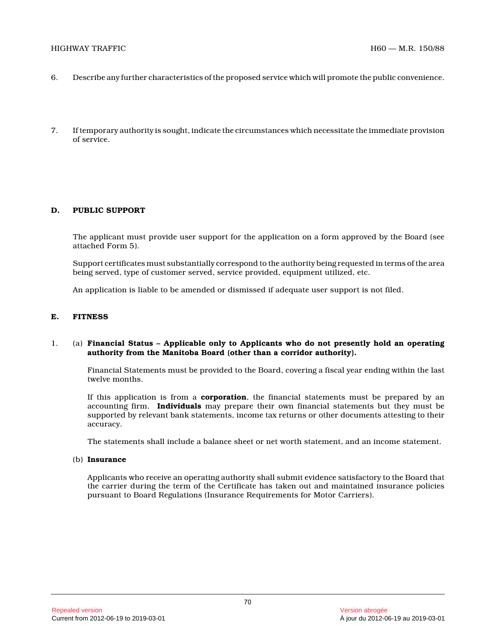#### HIGHWAY TRAFFIC H60 — M.R. 150/88

- 6. Describe any further characteristics of the proposed service which will promote the public convenience.
- 7. If temporary authority is sought, indicate the circumstances which necessitate the immediate provision of service.

## **D. PUBLIC SUPPORT**

The applicant must provide user support for the application on a form approved by the Board (see attached Form 5).

Support certificates must substantially correspond to the authority being requested in terms of the area being served, type of customer served, service provided, equipment utilized, etc.

An application is liable to be amended or dismissed if adequate user support is not filed.

## **E. FITNESS**

### 1. (a) **Financial Status – Applicable only to Applicants who do not presently hold an operating authority from the Manitoba Board (other than a corridor authority).**

Financial Statements must be provided to the Board, covering a fiscal year ending within the last twelve months.

If this application is from a **corporation**, the financial statements must be prepared by an accounting firm. **Individuals** may prepare their own financial statements but they must be supported by relevant bank statements, income tax returns or other documents attesting to their accuracy.

The statements shall include a balance sheet or net worth statement, and an income statement.

#### (b) **Insurance**

Applicants who receive an operating authority shall submit evidence satisfactory to the Board that the carrier during the term of the Certificate has taken out and maintained insurance policies pursuant to Board Regulations (Insurance Requirements for Motor Carriers).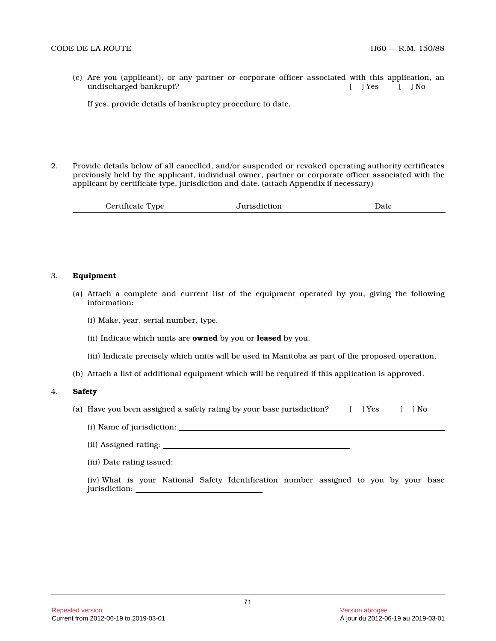(c) Are you (applicant), or any partner or corporate officer associated with this application, an undischarged bankrupt? [ ] Yes [ ] No

If yes, provide details of bankruptcy procedure to date.

2. Provide details below of all cancelled, and/or suspended or revoked operating authority certificates previously held by the applicant, individual owner, partner or corporate officer associated with the applicant by certificate type, jurisdiction and date. (attach Appendix if necessary)

| Certificate Type | Jurisdiction | Jate |
|------------------|--------------|------|
|------------------|--------------|------|

#### 3. **Equipment**

- (a) Attach a complete and current list of the equipment operated by you, giving the following information:
	- (i) Make, year, serial number, type.
	- (ii) Indicate which units are **owned** by you or **leased** by you.
	- (iii) Indicate precisely which units will be used in Manitoba as part of the proposed operation.
- (b) Attach a list of additional equipment which will be required if this application is approved.

### 4. **Safety**

- (a) Have you been assigned a safety rating by your base jurisdiction? [ ] Yes [ ] No
	- (i) Name of jurisdiction:
	- (ii) Assigned rating:
	- (iii) Date rating issued:

(iv) What is your National Safety Identification number assigned to you by your base jurisdiction: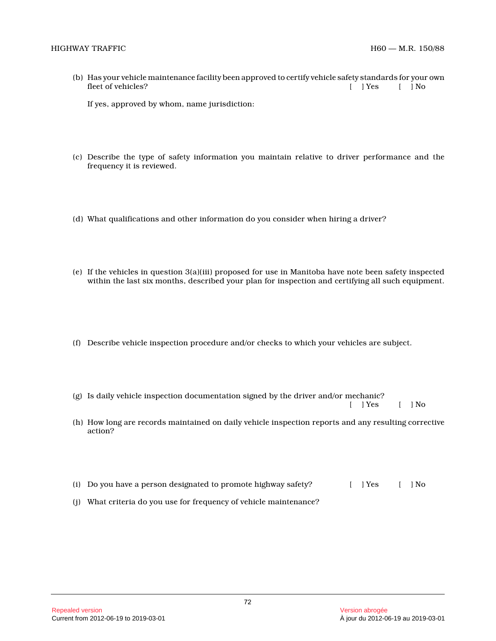(b) Has your vehicle maintenance facility been approved to certify vehicle safety standards for your ow n fleet of vehicles? [ ] Yes [ ] No

If yes, approved by whom, name jurisdiction:

- (c) Describe the type of safety information you maintain relative to driver performance and the frequency it is reviewed.
- (d) What qualifications and other information do you consider when hiring a driver?
- (e) If the vehicles in question 3(a)(iii) proposed for use in Manitoba have note been safety inspected within the last six months, described your plan for inspection and certifying all such equipment.
- (f) Describe vehicle inspection procedure and/or checks to which your vehicles are subject.
- (g) Is daily vehicle inspection documentation signed by the driver and/or mechanic?

[ ] Yes [ ] No

- (h) How long are records maintained on daily vehicle inspection reports and any resulting corrective action?
- (i) Do you have a person designated to promote highway safety? [ ] Yes [ ] No
- (j) What criteria do you use for frequency of vehicle maintenance?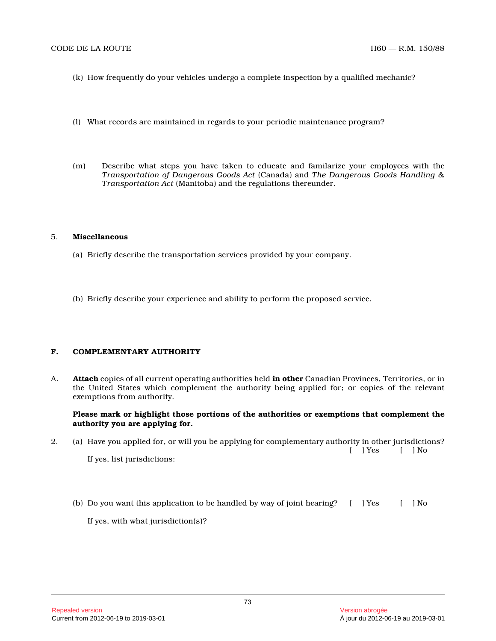- (k) How frequently do your vehicles undergo a complete inspection by a qualified mechanic?
- (l) What records are maintained in regards to your periodic maintenance program?
- (m) Describe what steps you have taken to educate and familarize your employees with the *Transportation of Dangerous Goods Act* (Canada) and *The Dangerous Goods Handling & Transportation Act* (Manitoba) and the regulations thereunder.

### 5. **Miscellaneous**

- (a) Briefly describe the transportation services provided by your company.
- (b) Briefly describe your experience and ability to perform the proposed service.

## **F. COMPLEMENTARY AUTHORITY**

A. **Attach** copies of all current operating authorities held **in other** Canadian Provinces, Territories, or in the United States which complement the authority being applied for; or copies of the relevant exemptions from authority.

**Please mark or highlight those portions of the authorities or exemptions that complement the authority you are applying for.**

- 2. (a) Have you applied for, or will you be applying for complementary authority in other jurisdictions? [ ] Yes [ ] No If yes, list jurisdictions:
	- (b) Do you want this application to be handled by way of joint hearing? [ ] Yes [ ] No

If yes, with what jurisdiction(s)?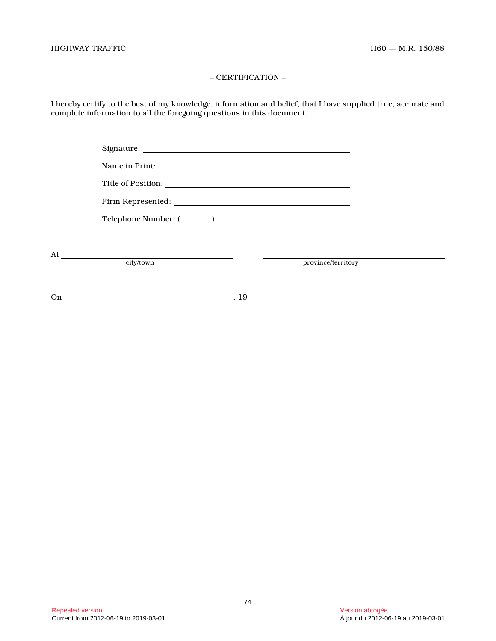## – CERTIFICATION –

I hereby certify to the best of my knowledge, information and belief, that I have supplied true, accurate and complete information to all the foregoing questions in this document.

| At  |           |                    |
|-----|-----------|--------------------|
|     | city/town | province/territory |
|     |           |                    |
| On. | , 19      |                    |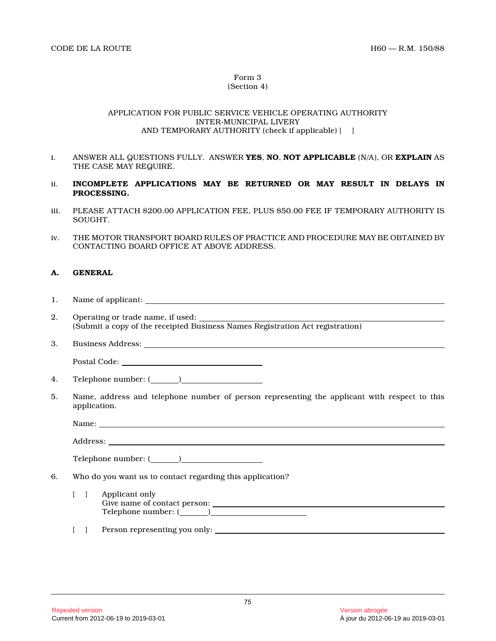## (Section 4)

### APPLICATION FOR PUBLIC SERVICE VEHICLE OPERATING AUTHORITY INTER-MUNICIPAL LIVERY AND TEMPORARY AUTHORITY (check if applicable) [ ]

- i. ANSWER ALL QUESTIONS FULLY. ANSWER **YES**, **NO**, **NOT APPLICABLE** (N/A), OR **EXPLAIN** AS THE CASE MAY REQUIRE.
- ii. **INCOMPLETE APPLICATIONS MAY BE RETURNED OR MAY RESULT IN DELAYS IN PROCESSING.**
- iii. PLEASE ATTACH \$200.00 APPLICATION FEE, PLUS \$50.00 FEE IF TEMPORARY AUTHORITY IS SOUGHT.
- iv. THE MOTOR TRANSPORT BOARD RULES OF PRACTICE AND PROCEDURE MAY BE OBTAINED BY CONTACTING BOARD OFFICE AT ABOVE ADDRESS.

## **A. GENERAL**

- 1. Name of applicant:
- 2. Operating or trade name, if used: (Submit a copy of the receipted Business Names Registration Act registration)
- 3. Business Address:

Postal Code:

4. Telephone number: (\_\_\_\_\_\_\_)

5. Name, address and telephone number of person representing the applicant with respect to this application.

Name:

Address:

Telephone number: ( )

- 6. Who do you want us to contact regarding this application?
	- [ ] Applicant only Give name of contact person: Telephone number: ( )
	- [ ] Person representing you only: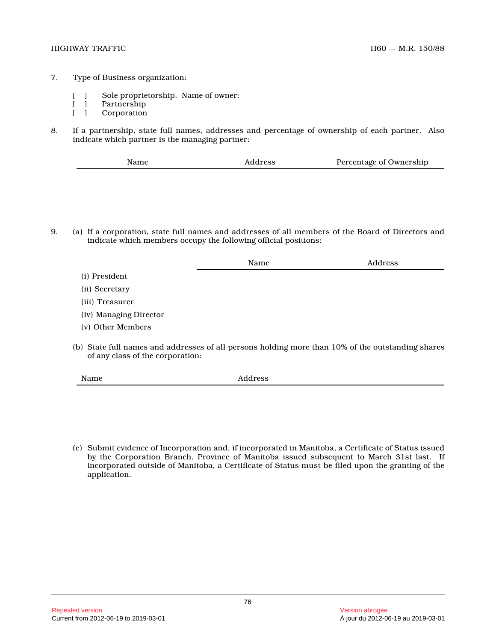#### HIGHWAY TRAFFIC **H60** — M.R. 150/88

- 7. Type of Business organization:
	- [ ] Sole proprietorship. Name of owner:
	- [ ] Partnership
	- Corporation
- 8. If a partnership, state full names, addresses and percentage of ownership of each partner. Also indicate which partner is the managing partner:

| Name | Address | Percentage of Ownership |
|------|---------|-------------------------|
|      |         |                         |

9. (a) If a corporation, state full names and addresses of all members of the Board of Directors and indicate which members occupy the following official positions:

|                        | Name | Address |
|------------------------|------|---------|
| (i) President          |      |         |
| (ii) Secretary         |      |         |
| (iii) Treasurer        |      |         |
| (iv) Managing Director |      |         |
| (v) Other Members      |      |         |
|                        |      |         |

(b) State full names and addresses of all persons holding more than 10% of the outstanding shares of any class of the corporation:

Address

(c) Submit evidence of Incorporation and, if incorporated in Manitoba, a Certificate of Status issued by the Corporation Branch, Province of Manitoba issued subsequent to March 31st last. If incorporated outside of Manitoba, a Certificate of Status must be filed upon the granting of the application.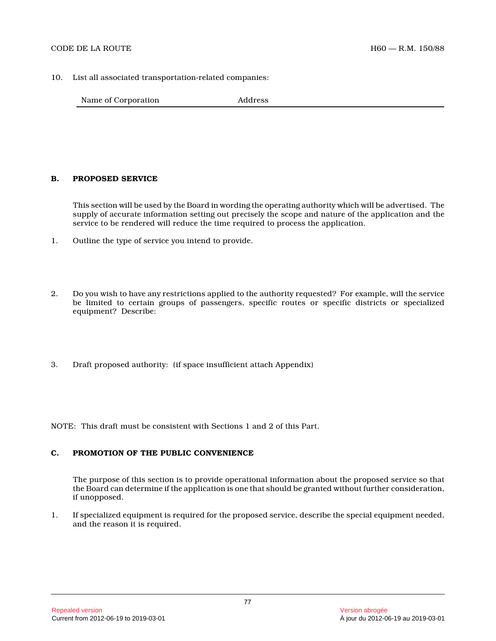#### $\text{CODE DE LA ROUTE}$   $\text{H60} - \text{R.M. } 150/88$

10. List all associated transportation-related companies:

Name of Corporation **Address** 

## **B. PROPOSED SERVICE**

This section will be used by the Board in wording the operating authority which will be advertised. The supply of accurate information setting out precisely the scope and nature of the application and the service to be rendered will reduce the time required to process the application.

- 1. Outline the type of service you intend to provide .
- 2. Do you wish to have any restrictions applied to the authority requested? For example, will the service be limited to certain groups of passengers, specific routes or specific districts or specialized equipment? Describe:
- 3. Draft proposed authority: (if space insufficient attach Appendix)

NOTE: This draft must be consistent with Sections 1 and 2 of this Part.

## **C. PROMOTION OF THE PUBLIC CONVENIENCE**

The purpose of this section is to provide operational information about the proposed service so that the Board can determine if the application is one that should be granted without further consideration , if unopposed.

1. If specialized equipment is required for the proposed service, describe the special equipment needed , and the reason it is required.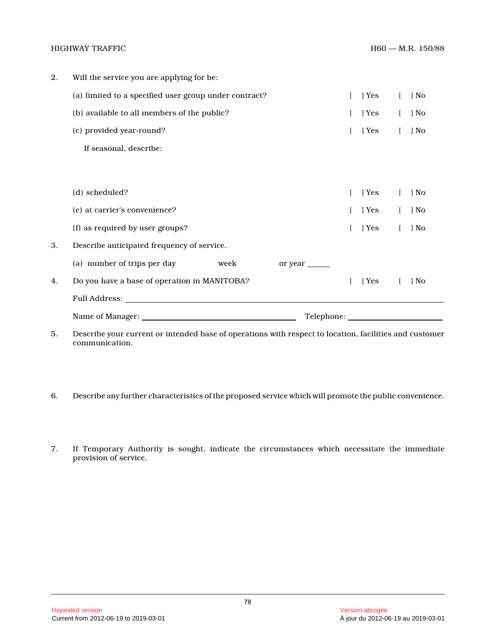| 2. | Will the service you are applying for be:             |  |       |                             |
|----|-------------------------------------------------------|--|-------|-----------------------------|
|    | (a) limited to a specified user group under contract? |  | ] Yes | ] No                        |
|    | (b) available to all members of the public?           |  | ] Yes | ] No                        |
|    | (c) provided year-round?                              |  | ] Yes | $\overline{\phantom{a}}$ No |
|    | If seasonal, describe:                                |  |       |                             |
|    |                                                       |  |       |                             |
|    |                                                       |  |       |                             |
|    | (d) scheduled?                                        |  | ] Yes | No                          |
|    | (e) at carrier's convenience?                         |  | ] Yes | ] No                        |
|    | (f) as required by user groups?                       |  | ] Yes | ] No                        |
| 3. | Describe anticipated frequency of service.            |  |       |                             |
|    | (a) number of trips per day<br>week<br>or year        |  |       |                             |
| 4. | Do you have a base of operation in MANITOBA?          |  | ] Yes | ] No                        |
|    |                                                       |  |       |                             |
|    |                                                       |  |       |                             |

- 5. Describe your current or intended base of operations with respect to location, facilities and customer communication.
- 6. Describe any further characteristics of the proposed service which will promote the public convenience.
- 7. If Temporary Authority is sought, indicate the circumstances which necessitate the immediate provision of service.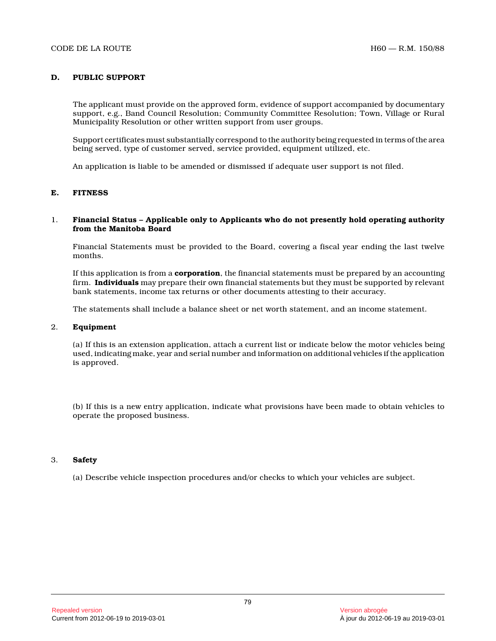#### **D. PUBLIC SUPPORT**

The applicant must provide on the approved form, evidence of support accompanied by documentary support, e.g., Band Council Resolution; Community Committee Resolution; Town, Village or Rural Municipality Resolution or other written support from user groups.

Support certificates must substantially correspond to the authority being requested in terms of the area being served, type of customer served, service provided, equipment utilized, etc.

An application is liable to be amended or dismissed if adequate user support is not filed.

#### **E. FITNESS**

#### 1. **Financial Status – Applicable only to Applicants who do not presently hold operating authority from the Manitoba Board**

Financial Statements must be provided to the Board, covering a fiscal year ending the last twelve months.

If this application is from a **corporation**, the financial statements must be prepared by an accounting firm. **Individuals** may prepare their own financial statements but they must be supported by relevant bank statements, income tax returns or other documents attesting to their accuracy.

The statements shall include a balance sheet or net worth statement, and an income statement.

#### 2. **Equipment**

(a) If this is an extension application, attach a current list or indicate below the motor vehicles being used, indicating make, year and serial number and information on additional vehicles if the applicatio n is approved.

(b) If this is a new entry application, indicate what provisions have been made to obtain vehicles to operate the proposed business.

#### 3. **Safety**

(a) Describe vehicle inspection procedures and/or checks to which your vehicles are subject.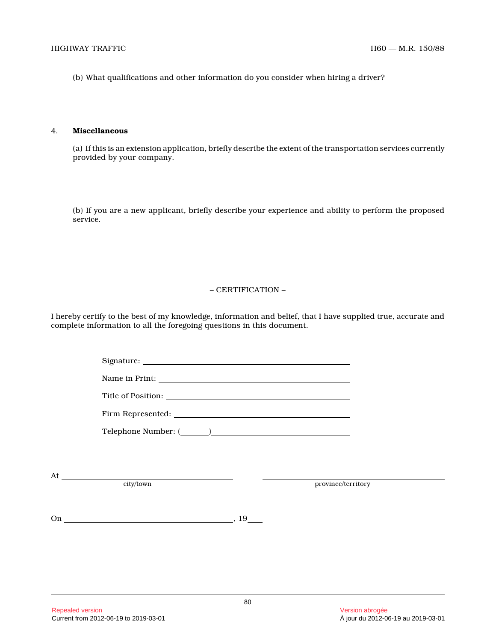(b) What qualifications and other information do you consider when hiring a driver?

#### 4. **Miscellaneous**

(a) If this is an extension application, briefly describe the extent of the transportation services currently provided by your company.

(b) If you are a new applicant, briefly describe your experience and ability to perform the proposed service.

## – CERTIFICATION –

I hereby certify to the best of my knowledge, information and belief, that I have supplied true, accurate and complete information to all the foregoing questions in this document.

| Name in Print: |                    |
|----------------|--------------------|
|                |                    |
|                |                    |
|                |                    |
|                |                    |
|                |                    |
|                | province/territory |
|                |                    |
|                |                    |
|                |                    |
|                |                    |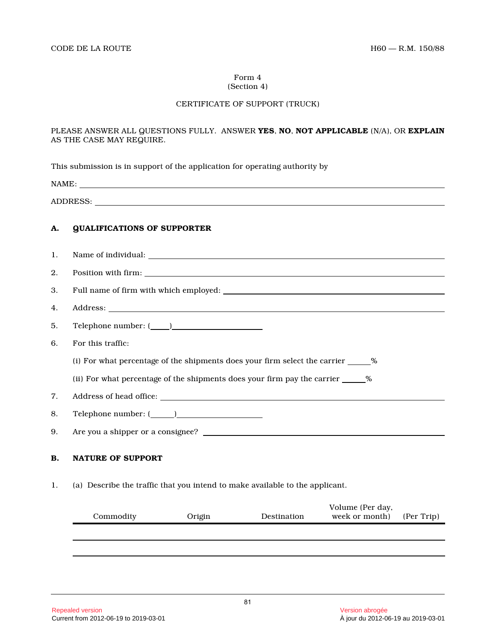## (Section 4)

## CERTIFICATE OF SUPPORT (TRUCK)

## PLEASE ANSWER ALL QUESTIONS FULLY. ANSWER **YES**, **NO**, **NOT APPLICABLE** (N/A), OR **EXPLAIN** AS THE CASE MAY REQUIRE.

This submission is in support of the application for operating authority by

| NAME:           |  |  |  |
|-----------------|--|--|--|
| <b>ADDRESS:</b> |  |  |  |
|                 |  |  |  |

## **A. QUALIFICATIONS OF SUPPORTER**

| For this traffic: |        |                          |                                            |                                                                                                                                                                                                                                                  |
|-------------------|--------|--------------------------|--------------------------------------------|--------------------------------------------------------------------------------------------------------------------------------------------------------------------------------------------------------------------------------------------------|
|                   |        |                          |                                            |                                                                                                                                                                                                                                                  |
|                   |        |                          |                                            |                                                                                                                                                                                                                                                  |
|                   |        |                          |                                            |                                                                                                                                                                                                                                                  |
|                   |        |                          |                                            |                                                                                                                                                                                                                                                  |
|                   |        |                          |                                            |                                                                                                                                                                                                                                                  |
|                   |        |                          |                                            |                                                                                                                                                                                                                                                  |
|                   |        |                          |                                            |                                                                                                                                                                                                                                                  |
| Commodity         | Origin | Destination              | Volume (Per day,<br>week or month)         | (Per Trip)                                                                                                                                                                                                                                       |
|                   |        |                          |                                            |                                                                                                                                                                                                                                                  |
|                   |        | <b>NATURE OF SUPPORT</b> | $\text{Telephone number: } (\_\_\_\_\_\_\$ | (i) For what percentage of the shipments does your firm select the carrier ______%<br>(ii) For what percentage of the shipments does your firm pay the carrier %<br>(a) Describe the traffic that you intend to make available to the applicant. |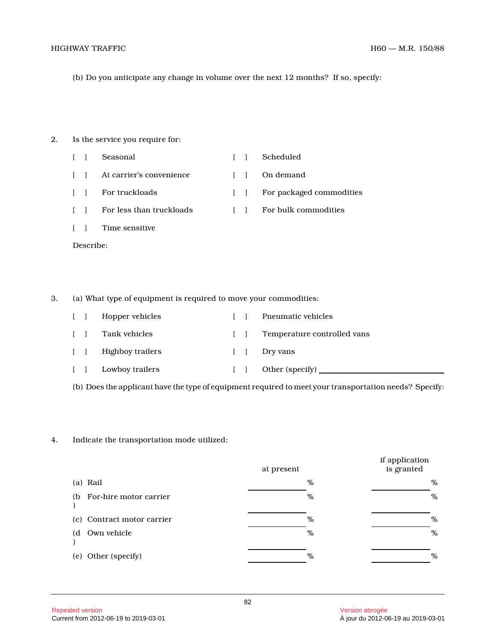(b) Do you anticipate any change in volume over the next 12 months? If so, specify:

## 2. Is the service you require for:

| $\begin{array}{ccc} \end{array}$ | Seasonal                 |                                  | [ ] Scheduled            |
|----------------------------------|--------------------------|----------------------------------|--------------------------|
| $\begin{array}{ccc} \end{array}$ | At carrier's convenience | $\begin{array}{ccc} \end{array}$ | On demand                |
| $\begin{array}{ccc} \end{array}$ | For truckloads           | $\Box$                           | For packaged commodities |
| $\begin{array}{ccc} \end{array}$ | For less than truckloads |                                  | [ ] For bulk commodities |
| $\Box$                           | Time sensitive           |                                  |                          |
|                                  |                          |                                  |                          |

Describe:

3. (a) What type of equipment is required to move your commodities:

| $\begin{bmatrix} 1 \end{bmatrix}$     | Hopper vehicles  |              | Pneumatic vehicles          |
|---------------------------------------|------------------|--------------|-----------------------------|
| $\begin{array}{ccc} \end{array}$      | Tank vehicles    | $\mathbf{1}$ | Temperature controlled vans |
| $\begin{bmatrix} 1 & 1 \end{bmatrix}$ | Highboy trailers |              | Dry vans                    |
| $\begin{bmatrix} 1 & 1 \end{bmatrix}$ | Lowboy trailers  |              | Other (specify)             |

(b) Does the applicant have the type of equipment required to meet your transportation needs? Specify:

#### 4. Indicate the transportation mode utilized:

|                              | at present | if application<br>is granted |
|------------------------------|------------|------------------------------|
| (a) Rail                     | %          | %                            |
| For-hire motor carrier<br>(b | %          | %                            |
| (c) Contract motor carrier   | %          | %                            |
| (d) Own vehicle              | %          | %                            |
| (e) Other (specify)          | %          | %                            |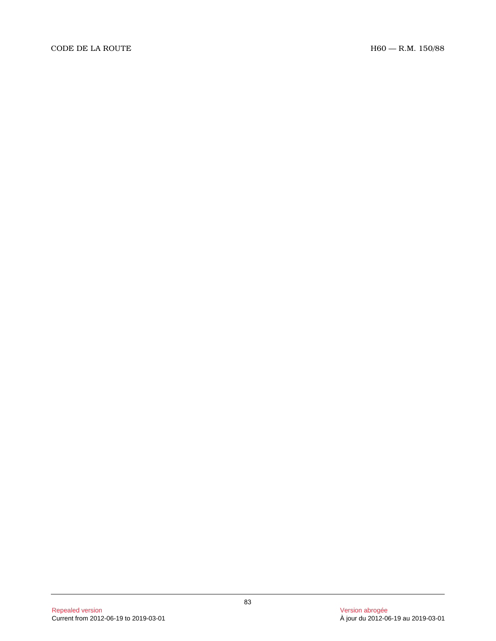CODE DE LA ROUTE  $H60 - R.M. 150/88$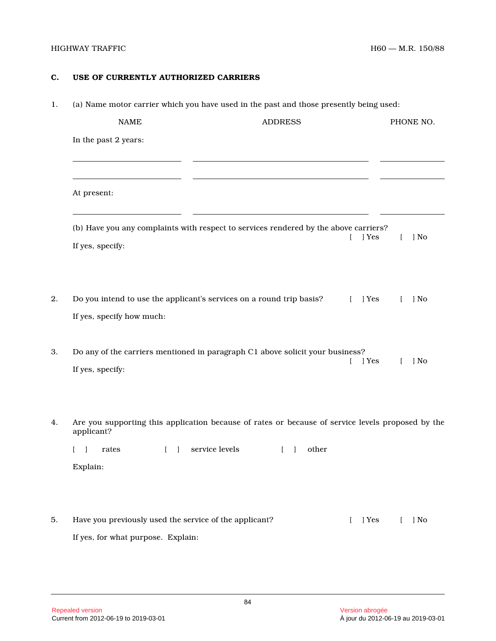#### HIGHWAY TRAFFIC H60 — M.R. 150/88

## **C. USE OF CURRENTLY AUTHORIZED CARRIERS**

1. (a) Name motor carrier which you have used in the past and those presently being used:

|    | <b>NAME</b>                                                                                                                                                                             |                | <b>ADDRESS</b>                             |                       |              | PHONE NO.        |
|----|-----------------------------------------------------------------------------------------------------------------------------------------------------------------------------------------|----------------|--------------------------------------------|-----------------------|--------------|------------------|
|    | In the past 2 years:                                                                                                                                                                    |                |                                            |                       |              |                  |
|    | At present:                                                                                                                                                                             |                |                                            |                       |              |                  |
|    | (b) Have you any complaints with respect to services rendered by the above carriers?<br>If yes, specify:                                                                                |                |                                            | J Yes<br>$\mathsf{L}$ | $\mathbf{I}$ | ] No             |
| 2. | Do you intend to use the applicant's services on a round trip basis?<br>If yes, specify how much:                                                                                       |                |                                            | ] Yes                 | $\mathbf{r}$ | ] No             |
| 3. | Do any of the carriers mentioned in paragraph C1 above solicit your business?<br>If yes, specify:                                                                                       |                |                                            | ] Yes                 |              | ] No<br>$\Gamma$ |
| 4. | Are you supporting this application because of rates or because of service levels proposed by the<br>applicant?<br>$\Box$<br>rates<br>$\begin{bmatrix} 1 \end{bmatrix}$<br>$\mathbb{L}$ | service levels | other<br>$\begin{bmatrix} 1 \end{bmatrix}$ |                       |              |                  |
|    | Explain:                                                                                                                                                                                |                |                                            |                       |              |                  |
| 5. | Have you previously used the service of the applicant?<br>If yes, for what purpose. Explain:                                                                                            |                |                                            | ] Yes<br>L            | $\mathbf{r}$ | ] No             |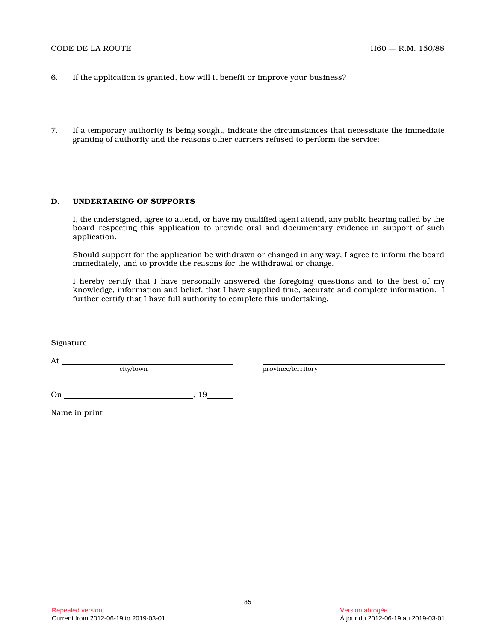#### $\text{CODE DE LA ROUTE}$   $\text{H60} - \text{R.M. } 150/88$

- 6. If the application is granted, how will it benefit or improve your business?
- 7. If a temporary authority is being sought, indicate the circumstances that necessitate the immediate granting of authority and the reasons other carriers refused to perform the service:

#### **D. UNDERTAKING OF SUPPORTS**

I, the undersigned, agree to attend, or have my qualified agent attend, any public hearing called by the board respecting this application to provide oral and documentary evidence in support of such application.

Should support for the application be withdrawn or changed in any way, I agree to inform the board immediately, and to provide the reasons for the withdrawal or change.

I hereby certify that I have personally answered the foregoing questions and to the best of my knowledge, information and belief, that I have supplied true, accurate and complete information. I further certify that I have full authority to complete this undertaking.

Signature

At city/town

province/territory

On , 19

Name in print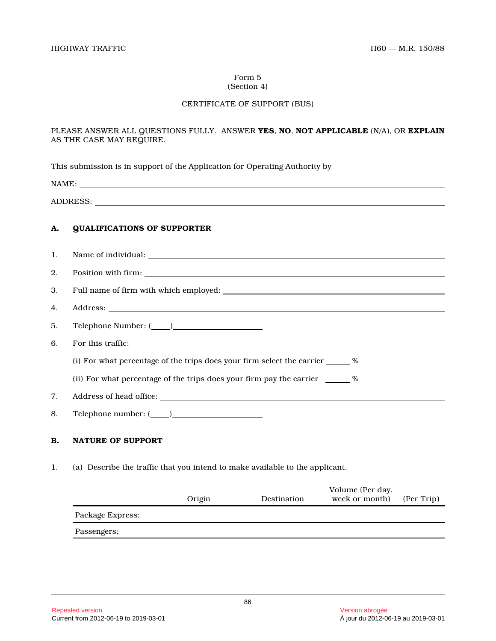## (Section 4)

## CERTIFICATE OF SUPPORT (BUS)

## PLEASE ANSWER ALL QUESTIONS FULLY. ANSWER **YES**, **NO**, **NOT APPLICABLE** (N/A), OR **EXPLAIN** AS THE CASE MAY REQUIRE.

This submission is in support of the Application for Operating Authority by

| NAME: |                                    |
|-------|------------------------------------|
|       | ADDRESS:                           |
|       |                                    |
| А.    | <b>QUALIFICATIONS OF SUPPORTER</b> |
|       | Name of individual:                |

| 2. | Position with firm: |  |
|----|---------------------|--|
|    |                     |  |

3. Full name of firm with which employed:

- 4. Address:
- 5. Telephone Number: (\_\_\_\_)
- 6. For this traffic:

(i) For what percentage of the trips does your firm select the carrier  $\_\_\_\_\\%$ 

(ii) For what percentage of the trips does your firm pay the carrier  $\_\_\_\_\_\$ 

- 7. Address of head office:
- 8. Telephone number: (\_\_\_\_)

## **B. NATURE OF SUPPORT**

1. (a) Describe the traffic that you intend to make available to the applicant.

|                  | Origin | Destination | Volume (Per day,<br>week or month) | (Per Trip) |
|------------------|--------|-------------|------------------------------------|------------|
| Package Express; |        |             |                                    |            |
| Passengers;      |        |             |                                    |            |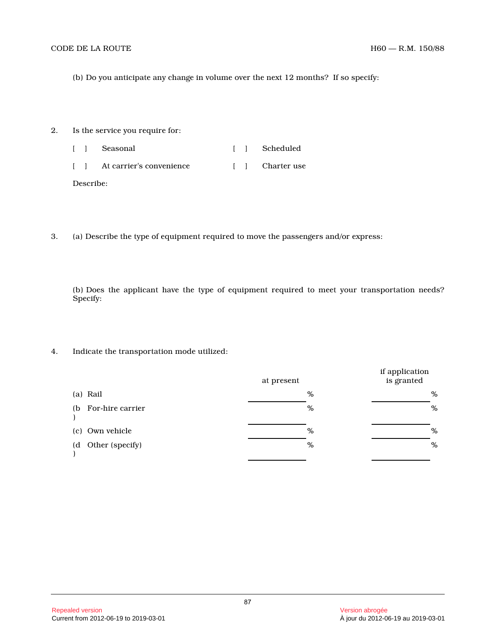- (b) Do you anticipate any change in volume over the next 12 months? If so specify:
- 2. Is the service you require for: [ ] Seasonal [ ] Scheduled [ ] At carrier's convenience [ ] Charter use Describe:
- 3. (a) Describe the type of equipment required to move the passengers and/or express:

(b) Does the applicant have the type of equipment required to meet your transportation needs? Specify:

4. Indicate the transportation mode utilized:

|                      | at present | if application<br>is granted |
|----------------------|------------|------------------------------|
| (a) Rail             | %          | %                            |
| (b) For-hire carrier | %          | %                            |
| (c) Own vehicle      | %          | %                            |
| (d Other (specify)   | %          | %                            |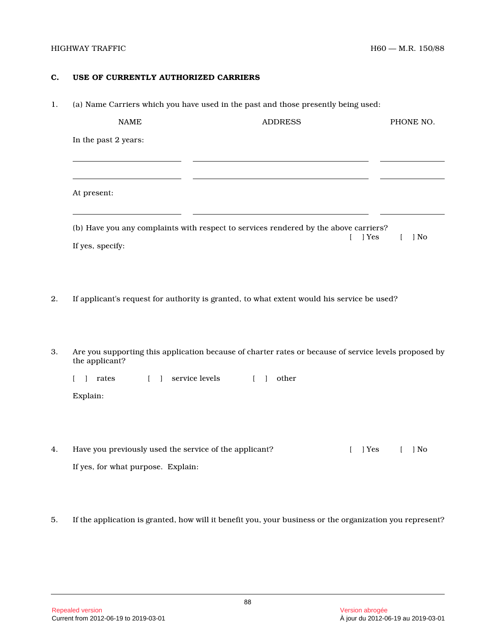#### HIGHWAY TRAFFIC H60 — M.R. 150/88

## **C. USE OF CURRENTLY AUTHORIZED CARRIERS**

1. (a) Name Carriers which you have used in the past and those presently being used:

|    | <b>NAME</b>                                            | <b>ADDRESS</b>                                                                                        | PHONE NO.                     |
|----|--------------------------------------------------------|-------------------------------------------------------------------------------------------------------|-------------------------------|
|    | In the past 2 years:                                   |                                                                                                       |                               |
|    |                                                        |                                                                                                       |                               |
|    | At present:                                            |                                                                                                       |                               |
|    |                                                        | (b) Have you any complaints with respect to services rendered by the above carriers?                  | ] Yes<br>] No<br>L            |
|    | If yes, specify:                                       |                                                                                                       |                               |
| 2. |                                                        | If applicant's request for authority is granted, to what extent would his service be used?            |                               |
| 3. | the applicant?                                         | Are you supporting this application because of charter rates or because of service levels proposed by |                               |
|    | ] rates<br>$\begin{bmatrix} 1 & 1 \end{bmatrix}$<br>L  | service levels<br>other<br>$\begin{bmatrix} 1 & 1 \end{bmatrix}$                                      |                               |
|    | Explain:                                               |                                                                                                       |                               |
|    |                                                        |                                                                                                       |                               |
| 4. | Have you previously used the service of the applicant? | $\mathbf{I}$                                                                                          | ] Yes<br>] No<br>$\mathbf{I}$ |
|    | If yes, for what purpose. Explain:                     |                                                                                                       |                               |

5. If the application is granted, how will it benefit you, your business or the organization you represent?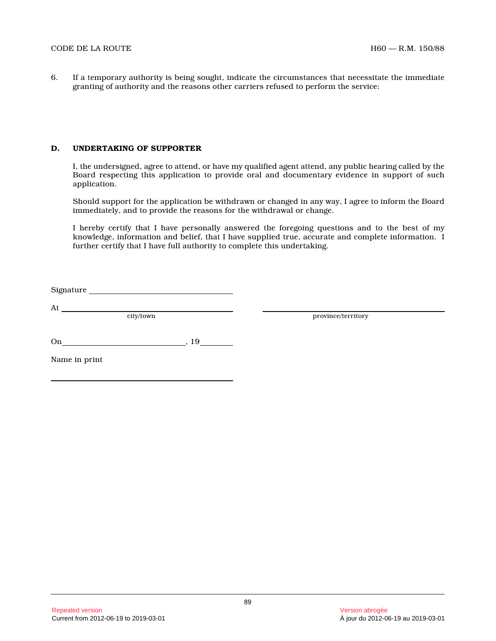6. If a temporary authority is being sought, indicate the circumstances that necessitate the immediate granting of authority and the reasons other carriers refused to perform the service:

## **D. UNDERTAKING OF SUPPORTER**

I, the undersigned, agree to attend, or have my qualified agent attend, any public hearing called by the Board respecting this application to provide oral and documentary evidence in support of such application.

Should support for the application be withdrawn or changed in any way, I agree to inform the Board immediately, and to provide the reasons for the withdrawal or change.

I hereby certify that I have personally answered the foregoing questions and to the best of my knowledge, information and belief, that I have supplied true, accurate and complete information. I further certify that I have full authority to complete this undertaking.

Signature expansion of the state of the state of the state of the state of the state of the state of the state of the state of the state of the state of the state of the state of the state of the state of the state of the

At

city/town province/territory

On , 19

Name in print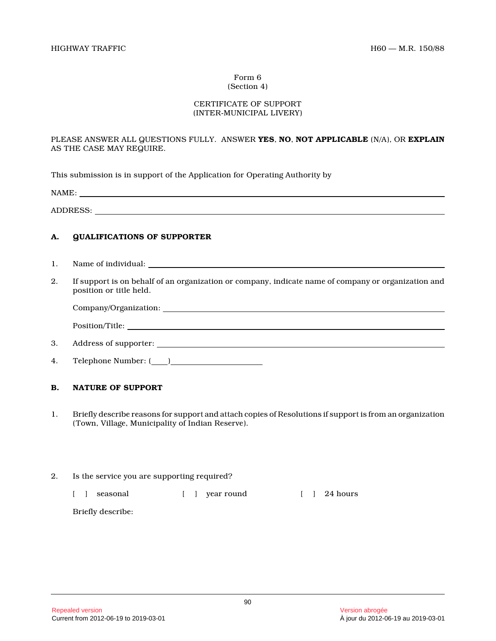## (Section 4)

#### CERTIFICATE OF SUPPORT (INTER-MUNICIPAL LIVERY)

## PLEASE ANSWER ALL QUESTIONS FULLY. ANSWER **YES**, **NO**, **NOT APPLICABLE** (N/A), OR **EXPLAIN** AS THE CASE MAY REQUIRE.

This submission is in support of the Application for Operating Authority by

NAME:

ADDRESS:

## **A. QUALIFICATIONS OF SUPPORTER**

- 1. Name of individual:
- 2. If support is on behalf of an organization or company, indicate name of company or organization and position or title held.

|    | Company/Organization: |  |
|----|-----------------------|--|
|    | Position/Title:       |  |
| 3. | Address of supporter: |  |

4. Telephone Number: (\_\_\_)

## **B. NATURE OF SUPPORT**

- 1. Briefly describe reasons for support and attach copies of Resolutions if support is from an organization (Town, Village, Municipality of Indian Reserve).
- 2. Is the service you are supporting required?

[ ] seasonal [ ] year round [ ] 24 hours

Briefly describe: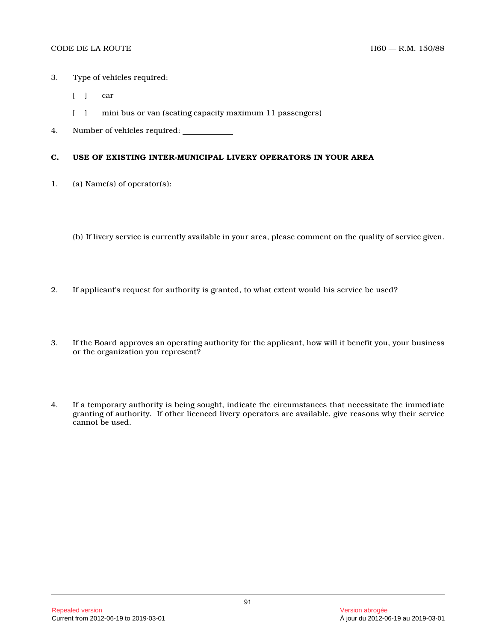- 3. Type of vehicles required:
	- [ ] car
	- [ ] mini bus or van (seating capacity maximum 11 passengers)
- 4. Number of vehicles required:

## **C. USE OF EXISTING INTER-MUNICIPAL LIVERY OPERATORS IN YOUR AREA**

- 1. (a) Name(s) of operator(s):
	- (b) If livery service is currently available in your area, please comment on the quality of service given.
- 2. If applicant's request for authority is granted, to what extent would his service be used?
- 3. If the Board approves an operating authority for the applicant, how will it benefit you, your business or the organization you represent?
- 4. If a temporary authority is being sought, indicate the circumstances that necessitate the immediate granting of authority. If other licenced livery operators are available, give reasons why their service cannot be used.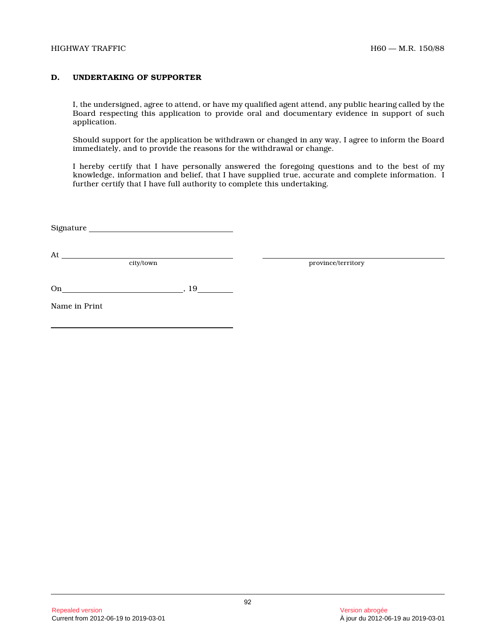#### **D. UNDERTAKING OF SUPPORTER**

I, the undersigned, agree to attend, or have my qualified agent attend, any public hearing called by the Board respecting this application to provide oral and documentary evidence in support of such application.

Should support for the application be withdrawn or changed in any way, I agree to inform the Board immediately, and to provide the reasons for the withdrawal or change.

I hereby certify that I have personally answered the foregoing questions and to the best of my knowledge, information and belief, that I have supplied true, accurate and complete information. I further certify that I have full authority to complete this undertaking.

Signature

At

city/town province/territory

On , 19

Name in Print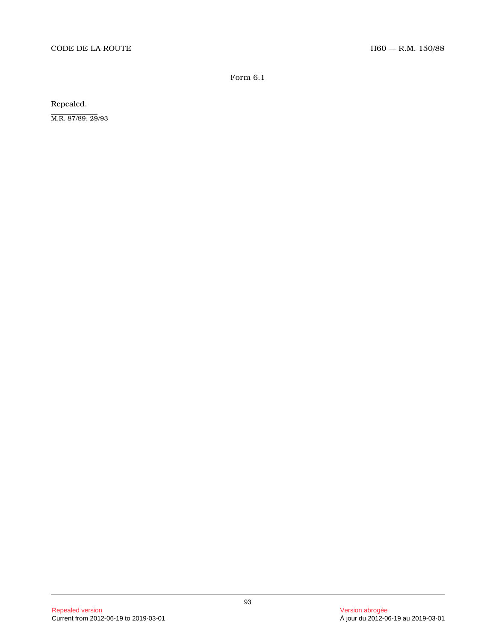Form 6.1

Repealed.

M.R. 87/89; 29/93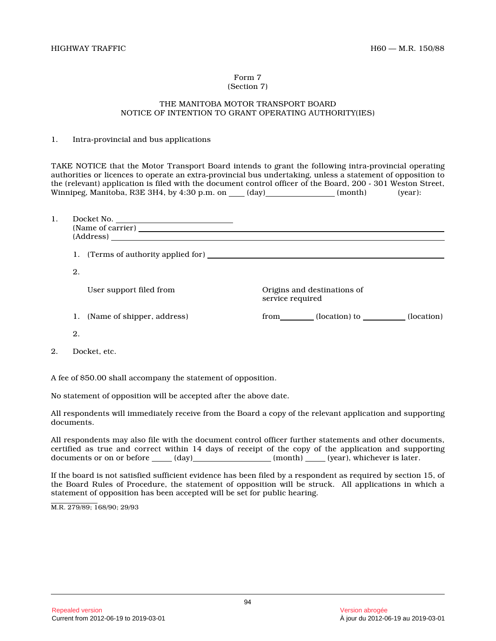## (Section 7)

#### THE MANITOBA MOTOR TRANSPORT BOARD NOTICE OF INTENTION TO GRANT OPERATING AUTHORITY(IES)

### 1. Intra-provincial and bus applications

TAKE NOTICE that the Motor Transport Board intends to grant the following intra-provincial operating authorities or licences to operate an extra-provincial bus undertaking, unless a statement of opposition to the (relevant) application is filed with the document control officer of the Board, 200 - 301 Weston Street,<br>Winnipeg, Manitoba, R3E 3H4, by 4:30 p.m. on (day) (month) (year): Winnipeg, Manitoba, R3E 3H4, by 4:30 p.m. on  $\qquad \qquad$  (day) (month)

| 1. | Docket No.<br>(Name of carrier) Name of carrier and the set of carrier and the set of carrier and the set of carrier and the set of $\sim$<br>(Address) |                                                 |  |
|----|---------------------------------------------------------------------------------------------------------------------------------------------------------|-------------------------------------------------|--|
|    | 1. (Terms of authority applied for)                                                                                                                     |                                                 |  |
|    | 2.                                                                                                                                                      |                                                 |  |
|    | User support filed from                                                                                                                                 | Origins and destinations of<br>service required |  |
|    | (Name of shipper, address)<br>1.                                                                                                                        | from (location) to (location)                   |  |
|    | 2.                                                                                                                                                      |                                                 |  |
| 2. | Docket. etc.                                                                                                                                            |                                                 |  |

A fee of \$50.00 shall accompany the statement of opposition.

No statement of opposition will be accepted after the above date.

All respondents will immediately receive from the Board a copy of the relevant application and supporting documents.

All respondents may also file with the document control officer further statements and other documents , certified as true and correct within 14 days of receipt of the copy of the application and supporting documents or on or before (day) (month) (year), whichever is later.

If the board is not satisfied sufficient evidence has been filed by a respondent as required by section 15, of the Board Rules of Procedure, the statement of opposition will be struck. All applications in which a statement of opposition has been accepted will be set for public hearing.

M.R. 279/89; 168/90; 29/93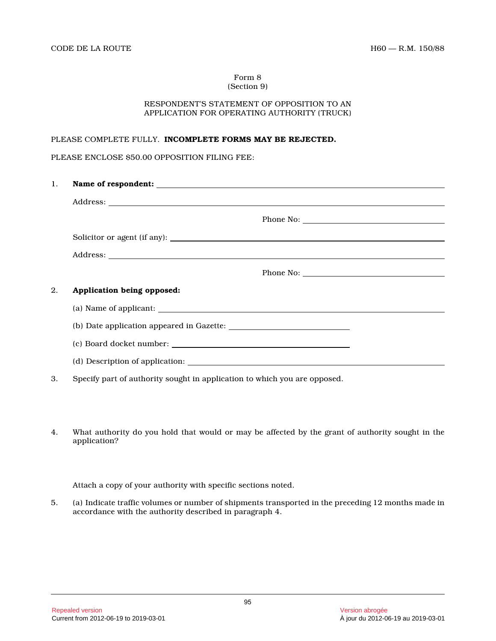## (Section 9)

#### RESPONDENT'S STATEMENT OF OPPOSITION TO AN APPLICATION FOR OPERATING AUTHORITY (TRUCK)

## PLEASE COMPLETE FULLY. **INCOMPLETE FORMS MAY BE REJECTED.**

PLEASE ENCLOSE \$50.00 OPPOSITION FILING FEE:

| 1. |                            |  |
|----|----------------------------|--|
|    |                            |  |
|    |                            |  |
|    |                            |  |
|    |                            |  |
|    |                            |  |
| 2. | Application being opposed: |  |
|    |                            |  |
|    |                            |  |
|    |                            |  |
|    |                            |  |
|    |                            |  |

3. Specify part of authority sought in application to which you are opposed.

4. What authority do you hold that would or may be affected by the grant of authority sought in the application?

Attach a copy of your authority with specific sections noted.

5. (a) Indicate traffic volumes or number of shipments transported in the preceding 12 months made in accordance with the authority described in paragraph 4.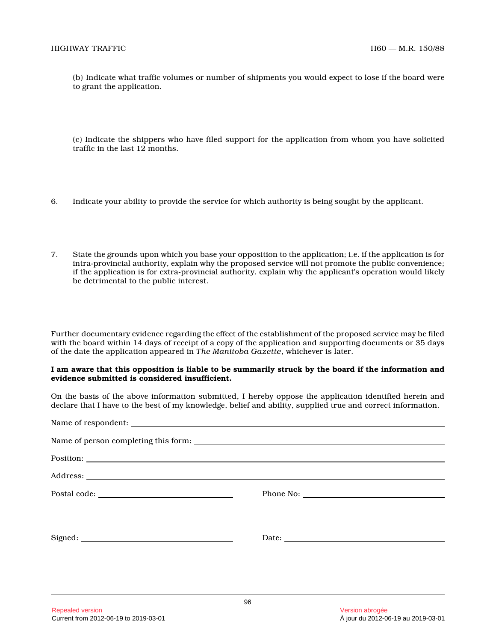(b) Indicate what traffic volumes or number of shipments you would expect to lose if the board were to grant the application.

(c) Indicate the shippers who have filed support for the application from whom you have solicited traffic in the last 12 months.

- 6. Indicate your ability to provide the service for which authority is being sought by the applicant.
- 7. State the grounds upon which you base your opposition to the application; i.e. if the application is for intra-provincial authority, explain why the proposed service will not promote the public convenience; if the application is for extra-provincial authority, explain why the applicant's operation would likely be detrimental to the public interest.

Further documentary evidence regarding the effect of the establishment of the proposed service may be filed with the board within 14 days of receipt of a copy of the application and supporting documents or 35 days of the date the application appeared in *The Manitoba Gazette*, whichever is later.

#### **I am aware that this opposition is liable to be summarily struck by the board if the information and evidence submitted is considered insufficient.**

On the basis of the above information submitted, I hereby oppose the application identified herein and declare that I have to the best of my knowledge, belief and ability, supplied true and correct information.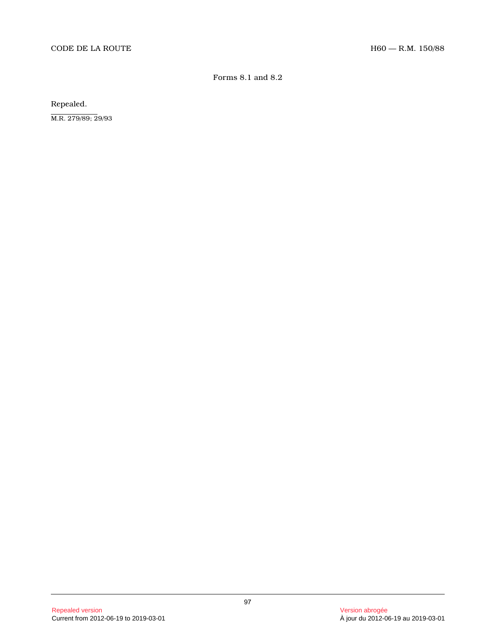## Forms 8.1 and 8.2

Repealed.

M.R. 279/89; 29/93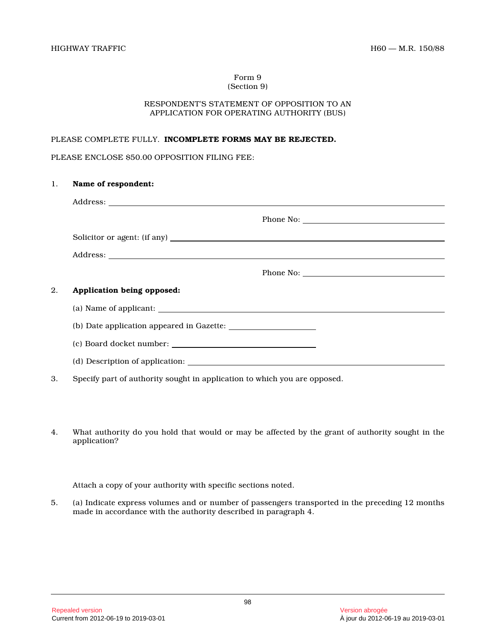## (Section 9)

### RESPONDENT'S STATEMENT OF OPPOSITION TO AN APPLICATION FOR OPERATING AUTHORITY (BUS)

## PLEASE COMPLETE FULLY. **INCOMPLETE FORMS MAY BE REJECTED.**

PLEASE ENCLOSE \$50.00 OPPOSITION FILING FEE:

| 1. | Name of respondent:        |  |
|----|----------------------------|--|
|    |                            |  |
|    |                            |  |
|    |                            |  |
|    |                            |  |
|    |                            |  |
| 2. | Application being opposed: |  |
|    |                            |  |
|    |                            |  |
|    |                            |  |
|    |                            |  |
|    |                            |  |

3. Specify part of authority sought in application to which you are opposed.

4. What authority do you hold that would or may be affected by the grant of authority sought in the application?

Attach a copy of your authority with specific sections noted.

5. (a) Indicate express volumes and or number of passengers transported in the preceding 12 months made in accordance with the authority described in paragraph 4.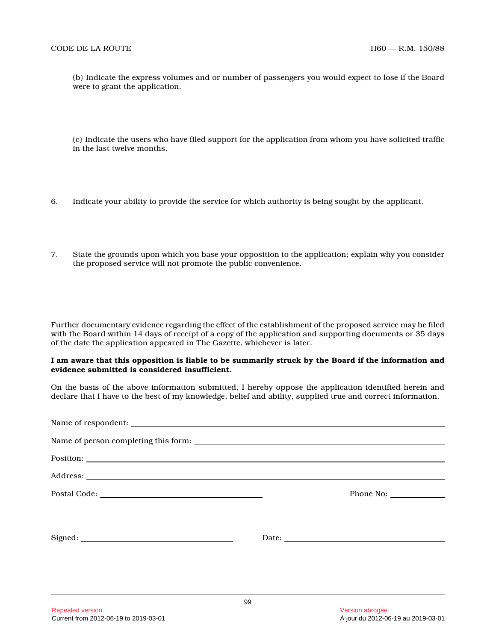(b) Indicate the express volumes and or number of passengers you would expect to lose if the Board were to grant the application.

(c) Indicate the users who have filed support for the application from whom you have solicited traffic in the last twelve months.

- 6. Indicate your ability to provide the service for which authority is being sought by the applicant.
- 7. State the grounds upon which you base your opposition to the application; explain why you consider the proposed service will not promote the public convenience.

Further documentary evidence regarding the effect of the establishment of the proposed service may be filed with the Board within 14 days of receipt of a copy of the application and supporting documents or 35 days of the date the application appeared in The Gazette, whichever is later.

#### **I am aware that this opposition is liable to be summarily struck by the Board if the information and evidence submitted is considered insufficient.**

On the basis of the above information submitted, I hereby oppose the application identified herein and declare that I have to the best of my knowledge, belief and ability, supplied true and correct information.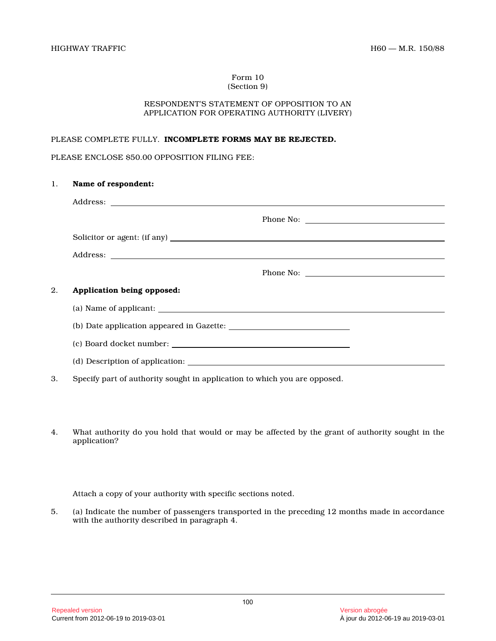# (Section 9)

#### RESPONDENT'S STATEMENT OF OPPOSITION TO AN APPLICATION FOR OPERATING AUTHORITY (LIVERY)

## PLEASE COMPLETE FULLY. **INCOMPLETE FORMS MAY BE REJECTED.**

PLEASE ENCLOSE \$50.00 OPPOSITION FILING FEE:

| 1.               | Name of respondent:        |  |
|------------------|----------------------------|--|
|                  |                            |  |
|                  |                            |  |
|                  |                            |  |
|                  |                            |  |
|                  |                            |  |
| $\overline{2}$ . | Application being opposed: |  |
|                  |                            |  |
|                  |                            |  |
|                  |                            |  |
|                  |                            |  |
|                  |                            |  |

3. Specify part of authority sought in application to which you are opposed.

4. What authority do you hold that would or may be affected by the grant of authority sought in the application?

Attach a copy of your authority with specific sections noted.

5. (a) Indicate the number of passengers transported in the preceding 12 months made in accordance with the authority described in paragraph 4.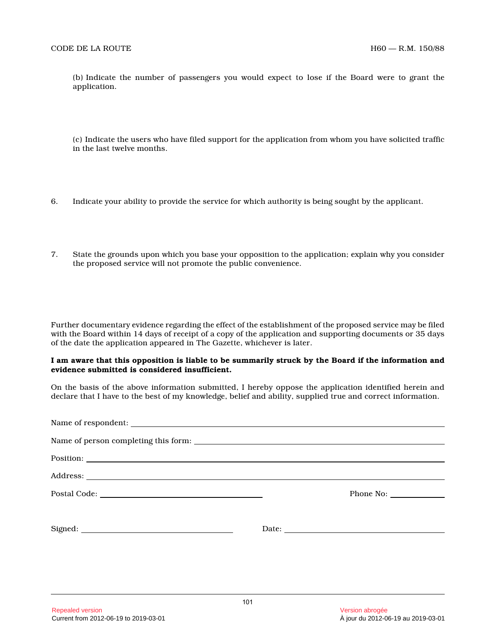(b) Indicate the number of passengers you would expect to lose if the Board were to grant the application.

(c) Indicate the users who have filed support for the application from whom you have solicited traffic in the last twelve months.

- 6. Indicate your ability to provide the service for which authority is being sought by the applicant.
- 7. State the grounds upon which you base your opposition to the application; explain why you consider the proposed service will not promote the public convenience.

Further documentary evidence regarding the effect of the establishment of the proposed service may be filed with the Board within 14 days of receipt of a copy of the application and supporting documents or 35 days of the date the application appeared in The Gazette, whichever is later.

#### **I am aware that this opposition is liable to be summarily struck by the Board if the information and evidence submitted is considered insufficient.**

On the basis of the above information submitted, I hereby oppose the application identified herein and declare that I have to the best of my knowledge, belief and ability, supplied true and correct information.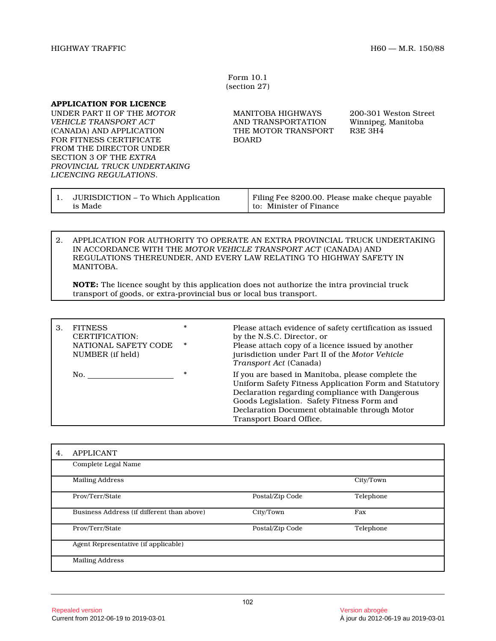Form 10.1 (section 27)

### **APPLICATION FOR LICENCE**

UNDER PART II OF THE *MOTOR* MANITOBA HIGHWAYS 200-301 Weston Street<br>
MAND TRANSPORTATION Winnipeg, Manitoba *VEHICLE TRANSPORT ACT* AND TRANSPORTATION Winnipeg (CANADA) AND APPLICATION THE MOTOR TRANSPORT R3E 3H4 (CANADA) AND APPLICATION THE MOTOR THE MOTOR TRANSPORTED THE MOTOR TRANSPORTED SO 3H4 4 AMP AND R3 EXAMPLE A SHAFE AND R3. EXAMPLE AND R3. EXAMPLE AND R3. EXAMPLE AND R3. EXAMPLE AND R3. EXAMPLE AND R3. EXAMPLE AND R3. EXA FOR FITNESS CERTIFICATE FROM THE DIRECTOR UNDER SECTION 3 OF THE *EXTRA PROVINCIAL TRUCK UNDERTAKING LICENCING REGULATIONS* .

| to: Minister of Finance<br>is Made |  | JURISDICTION - To Which Application | Filing Fee \$200.00. Please make cheque payable |
|------------------------------------|--|-------------------------------------|-------------------------------------------------|
|------------------------------------|--|-------------------------------------|-------------------------------------------------|

2. APPLICATION FOR AUTHORITY TO OPERATE AN EXTRA PROVINCIAL TRUCK UNDERTAKING IN ACCORDANCE WITH THE *MOTOR VEHICLE TRANSPORT ACT* (CANADA) AND REGULATIONS THEREUNDER, AND EVERY LAW RELATING TO HIGHWAY SAFETY IN MANITOBA.

**NOTE:** The licence sought by this application does not authorize the intra provincial truck transport of goods, or extra-provincial bus or local bus transport.

| 3. | <b>FITNESS</b><br>CERTIFICATION:<br>NATIONAL SAFETY CODE<br>NUMBER (if held) | $\ast$<br>$\ast$ | Please attach evidence of safety certification as issued<br>by the N.S.C. Director, or<br>Please attach copy of a licence issued by another<br>jurisdiction under Part II of the Motor Vehicle<br>Transport Act (Canada)                                                                |
|----|------------------------------------------------------------------------------|------------------|-----------------------------------------------------------------------------------------------------------------------------------------------------------------------------------------------------------------------------------------------------------------------------------------|
|    | No.                                                                          | *                | If you are based in Manitoba, please complete the<br>Uniform Safety Fitness Application Form and Statutory<br>Declaration regarding compliance with Dangerous<br>Goods Legislation. Safety Fitness Form and<br>Declaration Document obtainable through Motor<br>Transport Board Office. |

| 4. | <b>APPLICANT</b>                           |                 |           |  |
|----|--------------------------------------------|-----------------|-----------|--|
|    | Complete Legal Name                        |                 |           |  |
|    | <b>Mailing Address</b>                     |                 | City/Town |  |
|    | Prov/Terr/State                            | Postal/Zip Code | Telephone |  |
|    | Business Address (if different than above) | City/Town       | Fax       |  |
|    | Prov/Terr/State                            | Postal/Zip Code | Telephone |  |
|    | Agent Representative (if applicable)       |                 |           |  |
|    | <b>Mailing Address</b>                     |                 |           |  |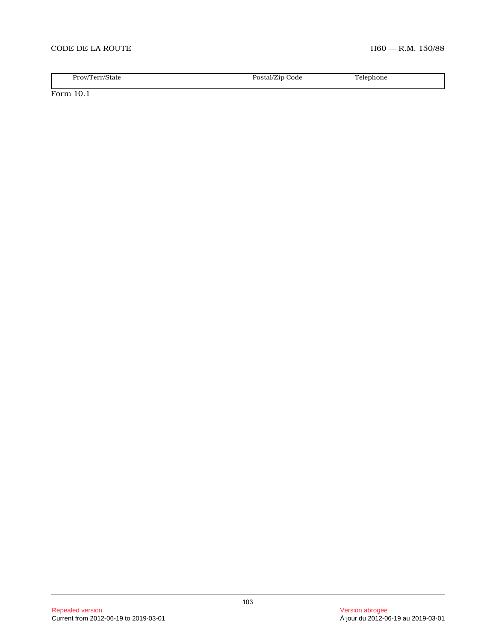## CODE DE LA ROUTE  $H60 - R.M. 150/88$

Prov/Terr/State Postal/Zip Code Telephone

Form 10.1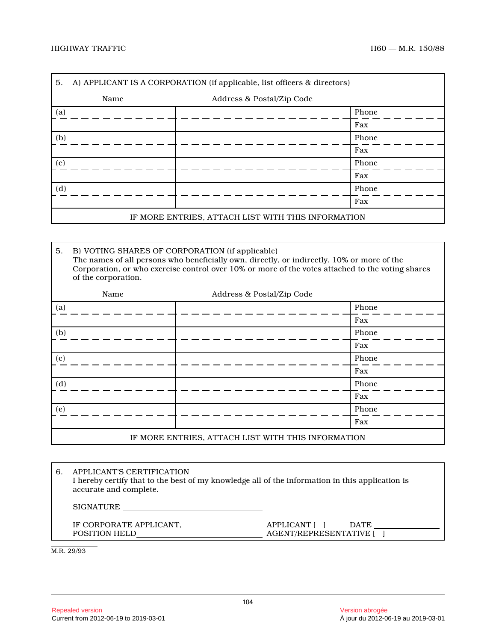| 5.<br>A) APPLICANT IS A CORPORATION (if applicable, list officers & directors) |                           |       |
|--------------------------------------------------------------------------------|---------------------------|-------|
| Name                                                                           | Address & Postal/Zip Code |       |
| (a)                                                                            |                           | Phone |
|                                                                                |                           | Fax   |
| (b)                                                                            |                           | Phone |
|                                                                                |                           | Fax   |
| (c)                                                                            |                           | Phone |
|                                                                                |                           | Fax   |
| (d)                                                                            |                           | Phone |
|                                                                                |                           | Fax   |
| IF MORE ENTRIES, ATTACH LIST WITH THIS INFORMATION                             |                           |       |

| 5.  | B) VOTING SHARES OF CORPORATION (if applicable)<br>The names of all persons who beneficially own, directly, or indirectly, 10% or more of the<br>Corporation, or who exercise control over 10% or more of the votes attached to the voting shares<br>of the corporation. |                           |       |
|-----|--------------------------------------------------------------------------------------------------------------------------------------------------------------------------------------------------------------------------------------------------------------------------|---------------------------|-------|
|     | Name                                                                                                                                                                                                                                                                     | Address & Postal/Zip Code |       |
| (a) |                                                                                                                                                                                                                                                                          |                           | Phone |
|     |                                                                                                                                                                                                                                                                          |                           | Fax   |
| (b) |                                                                                                                                                                                                                                                                          |                           | Phone |
|     |                                                                                                                                                                                                                                                                          |                           | Fax   |
| (c) |                                                                                                                                                                                                                                                                          |                           | Phone |
|     |                                                                                                                                                                                                                                                                          |                           | Fax   |
| (d) |                                                                                                                                                                                                                                                                          |                           | Phone |
|     |                                                                                                                                                                                                                                                                          |                           | Fax   |
| (e) |                                                                                                                                                                                                                                                                          |                           | Phone |
|     |                                                                                                                                                                                                                                                                          |                           | Fax   |
|     | IF MORE ENTRIES, ATTACH LIST WITH THIS INFORMATION                                                                                                                                                                                                                       |                           |       |

6. APPLICANT'S CERTIFICATION I hereby certify that to the best of my knowledge all of the information in this application is accurate and complete.

SIGNATURE

IF CORPORATE APPLICANT, APPLICANT [ ] DATE

AGENT/REPRESENTATIVE [ ]

M.R. 29/93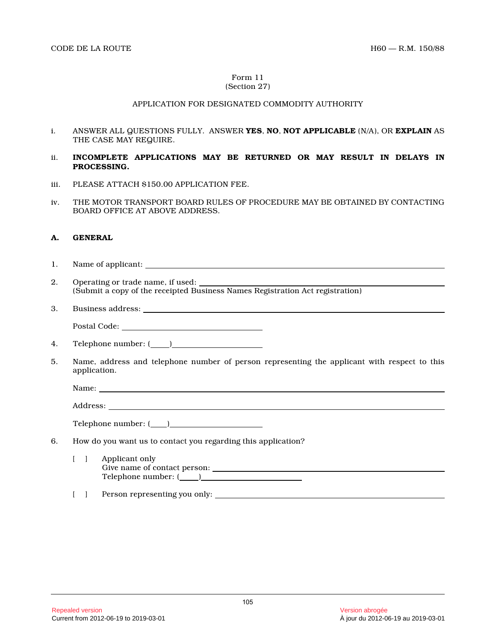## (Section 27)

## APPLICATION FOR DESIGNATED COMMODITY AUTHORITY

- i. ANSWER ALL QUESTIONS FULLY. ANSWER **YES**, **NO**, **NOT APPLICABLE** (N/A), OR **EXPLAIN** AS THE CASE MAY REQUIRE.
- ii. **INCOMPLETE APPLICATIONS MAY BE RETURNED OR MAY RESULT IN DELAYS IN PROCESSING.**
- iii. PLEASE ATTACH \$150.00 APPLICATION FEE.
- iv. THE MOTOR TRANSPORT BOARD RULES OF PROCEDURE MAY BE OBTAINED BY CONTACTING BOARD OFFICE AT ABOVE ADDRESS.

## **A. GENERAL**

- 1. Name of applicant:
- 2. Operating or trade name, if used: (Submit a copy of the receipted Business Names Registration Act registration)
- 3. Business address:

Postal Code:

4. Telephone number: (\_\_\_\_)

5. Name, address and telephone number of person representing the applicant with respect to this application.

Name: with a state of the state of the state of the state of the state of the state of the state of the state of the state of the state of the state of the state of the state of the state of the state of the state of the s

Address:

Telephone number: ( )

- 6. How do you want us to contact you regarding this application?
	- [ ] Applicant only Give name of contact person: Telephone number: (1)
	- [ ] Person representing you only: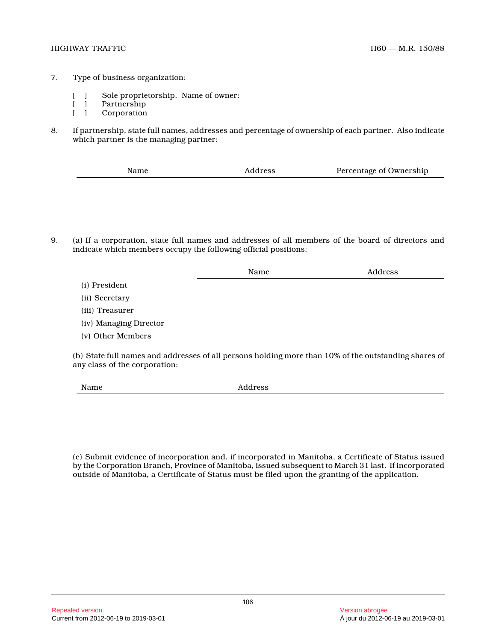#### HIGHWAY TRAFFIC **H60** — M.R. 150/88

- 7. Type of business organization:
	- [ ] Sole proprietorship. Name of owner:
	- [ ] Partnership
	- Corporation
- 8. If partnership, state full names, addresses and percentage of ownership of each partner. Also indicate which partner is the managing partner:

| NAMI | Address | Percentage of Ownership |
|------|---------|-------------------------|
|      |         |                         |

9. (a) If a corporation, state full names and addresses of all members of the board of directors and indicate which members occupy the following official positions:

|                        | Name | Address |
|------------------------|------|---------|
| (i) President          |      |         |
| (ii) Secretary         |      |         |
| (iii) Treasurer        |      |         |
| (iv) Managing Director |      |         |
| (v) Other Members      |      |         |
|                        |      |         |

(b) State full names and addresses of all persons holding more than 10% of the outstanding shares of any class of the corporation:

Name Address

(c) Submit evidence of incorporation and, if incorporated in Manitoba, a Certificate of Status issued by the Corporation Branch, Province of Manitoba, issued subsequent to March 31 last. If incorporated outside of Manitoba, a Certificate of Status must be filed upon the granting of the application.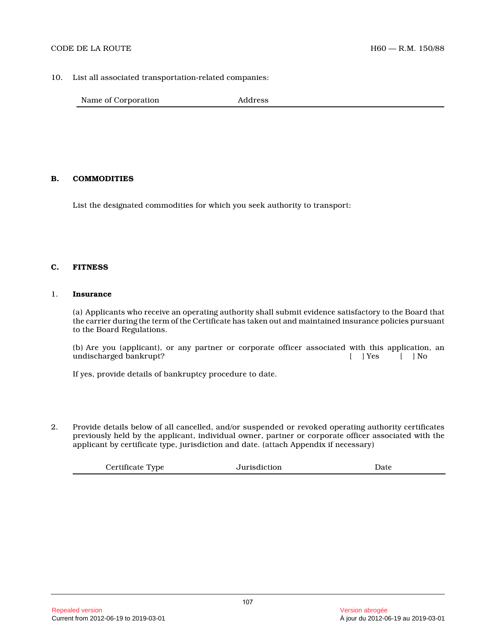#### $\text{CODE DE LA ROUTE}$   $\text{H60} - \text{R.M. } 150/88$

## 10. List all associated transportation-related companies:

Name of Corporation **Address** 

# **B. COMMODITIES**

List the designated commodities for which you seek authority to transport:

## **C. FITNESS**

## 1. **Insurance**

(a) Applicants who receive an operating authority shall submit evidence satisfactory to the Board that the carrier during the term of the Certificate has taken out and maintained insurance policies pursuan t to the Board Regulations.

(b) Are you (applicant), or any partner or corporate officer associated with this application, an undischarged bankrupt? [ ] No undischarged bankrupt? [ ] Yes [ ] No

If yes, provide details of bankruptcy procedure to date.

2. Provide details below of all cancelled, and/or suspended or revoked operating authority certificates previously held by the applicant, individual owner, partner or corporate officer associated with the applicant by certificate type, jurisdiction and date. (attach Appendix if necessary)

| Certificate <sup>'</sup><br>$T$ vpe<br>---------- | Jurisdiction | Jate |
|---------------------------------------------------|--------------|------|
|---------------------------------------------------|--------------|------|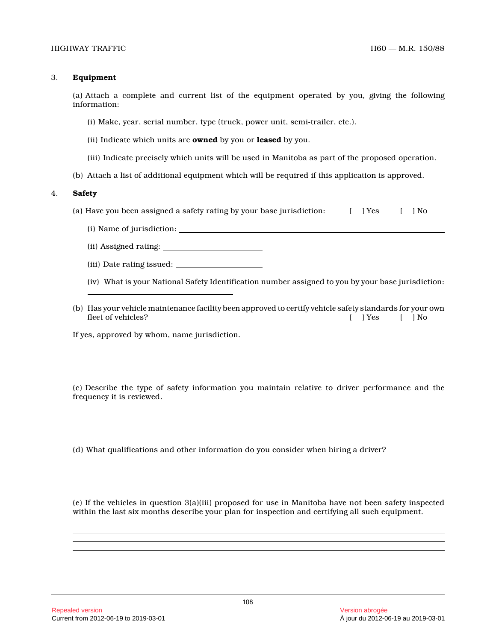## 3. **Equipment**

(a) Attach a complete and current list of the equipment operated by you, giving the following information:

- (i) Make, year, serial number, type (truck, power unit, semi-trailer, etc.).
- (ii) Indicate which units are **owned** by you or **leased** by you.
- (iii) Indicate precisely which units will be used in Manitoba as part of the proposed operation.
- (b) Attach a list of additional equipment which will be required if this application is approved.

#### 4. **Safety**

- (a) Have you been assigned a safety rating by your base jurisdiction: [ ] Yes [ ] No
	- (i) Name of jurisdiction:
	- (ii) Assigned rating:
	- (iii) Date rating issued:
	- (iv) What is your National Safety Identification number assigned to you by your base jurisdiction:
- (b) Has your vehicle maintenance facility been approved to certify vehicle safety standards for your ow n fleet of vehicles? [ ] Yes [ ] No
- If yes, approved by whom, name jurisdiction.

(c) Describe the type of safety information you maintain relative to driver performance and the frequency it is reviewed.

(d) What qualifications and other information do you consider when hiring a driver?

(e) If the vehicles in question 3(a)(iii) proposed for use in Manitoba have not been safety inspected within the last six months describe your plan for inspection and certifying all such equipment.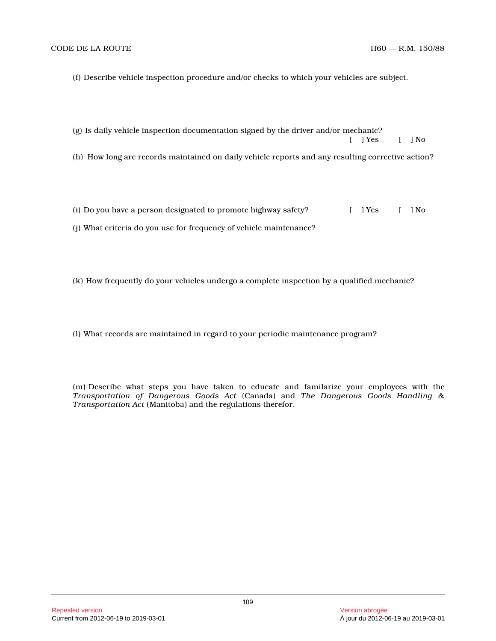(f) Describe vehicle inspection procedure and/or checks to which your vehicles are subject.

(g) Is daily vehicle inspection documentation signed by the driver and/or mechanic?  $[ ]$   $]$   $Yes$   $[ ]$   $]$   $No$ 

(h) How long are records maintained on daily vehicle reports and any resulting corrective action?

(i) Do you have a person designated to promote highway safety? [ ] Yes [ ] No

(j) What criteria do you use for frequency of vehicle maintenance?

(k) How frequently do your vehicles undergo a complete inspection by a qualified mechanic?

(l) What records are maintained in regard to your periodic maintenance program?

(m) Describe what steps you have taken to educate and familarize your employees with the *Transportation of Dangerous Goods Act* (Canada) and *The Dangerous Goods Handling & Transportation Act* (Manitoba) and the regulations therefor.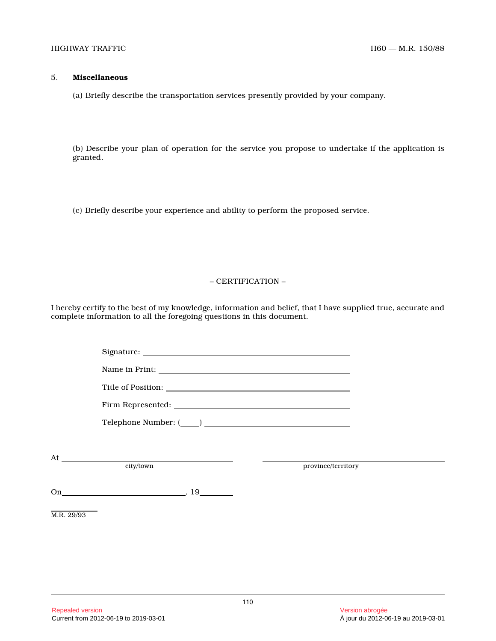#### 5. **Miscellaneous**

(a) Briefly describe the transportation services presently provided by your company.

(b) Describe your plan of operation for the service you propose to undertake if the application is granted.

(c) Briefly describe your experience and ability to perform the proposed service.

# – CERTIFICATION –

I hereby certify to the best of my knowledge, information and belief, that I have supplied true, accurate and complete information to all the foregoing questions in this document.

|            | city/town | province/territory |  |
|------------|-----------|--------------------|--|
|            |           |                    |  |
| M.R. 29/93 |           |                    |  |
|            |           |                    |  |
|            |           |                    |  |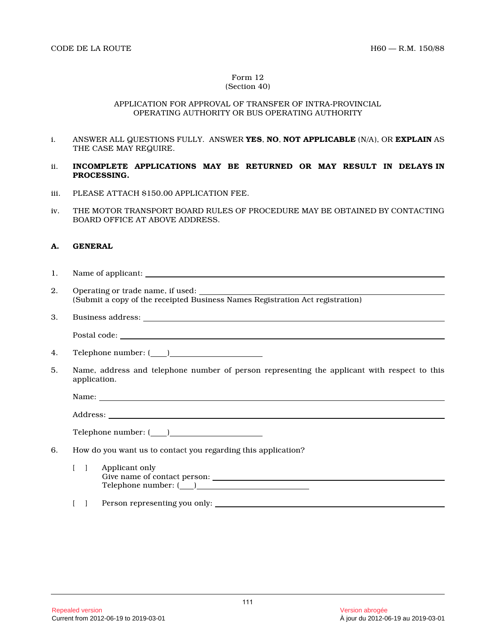# Form 12

# (Section 40)

#### APPLICATION FOR APPROVAL OF TRANSFER OF INTRA-PROVINCIAL OPERATING AUTHORITY OR BUS OPERATING AUTHORITY

- i. ANSWER ALL QUESTIONS FULLY. ANSWER **YES**, **NO**, **NOT APPLICABLE** (N/A), OR **EXPLAIN** AS THE CASE MAY REQUIRE.
- ii. **INCOMPLETE APPLICATIONS MAY BE RETURNED OR MAY RESULT IN DELAYS IN PROCESSING.**
- iii. PLEASE ATTACH \$150.00 APPLICATION FEE.
- iv. THE MOTOR TRANSPORT BOARD RULES OF PROCEDURE MAY BE OBTAINED BY CONTACTING BOARD OFFICE AT ABOVE ADDRESS.

## **A. GENERAL**

- 1. Name of applicant:
- 2. Operating or trade name, if used: (Submit a copy of the receipted Business Names Registration Act registration)
- 3. Business address:

Postal code:

- 4. Telephone number: (\_\_\_)
- 5. Name, address and telephone number of person representing the applicant with respect to this application.

Name:

| $\mathbf{A}$<br><u>ы</u> |  |  |  |
|--------------------------|--|--|--|
|                          |  |  |  |

Telephone number: ( )

- 6. How do you want us to contact you regarding this application?
	- [ ] Applicant only Give name of contact person: Telephone number:  $\begin{pmatrix} 0 & 1 \\ 0 & 1 \end{pmatrix}$
	- [ ] Person representing you only: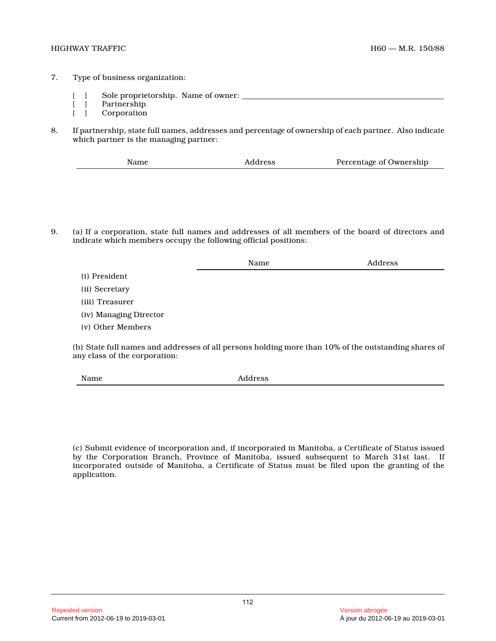#### HIGHWAY TRAFFIC **H60** — M.R. 150/88

- 7. Type of business organization:
	- [ ] Sole proprietorship. Name of owner:
	- [ ] Partnership
	- Corporation
- 8. If partnership, state full names, addresses and percentage of ownership of each partner. Also indicate which partner is the managing partner:

|  | Percentage of Ownership |
|--|-------------------------|
|  |                         |

9. (a) If a corporation, state full names and addresses of all members of the board of directors and indicate which members occupy the following official positions:

|                        | Name | Address |
|------------------------|------|---------|
| (i) President          |      |         |
| (ii) Secretary         |      |         |
| (iii) Treasurer        |      |         |
| (iv) Managing Director |      |         |
| (v) Other Members      |      |         |

(b) State full names and addresses of all persons holding more than 10% of the outstanding shares of any class of the corporation:

| $ -$<br>--- -<br>ivame | .<br>Auuros |
|------------------------|-------------|
|------------------------|-------------|

(c) Submit evidence of incorporation and, if incorporated in Manitoba, a Certificate of Status issued by the Corporation Branch, Province of Manitoba, issued subsequent to March 31st last. If incorporated outside of Manitoba, a Certificate of Status must be filed upon the granting of the application.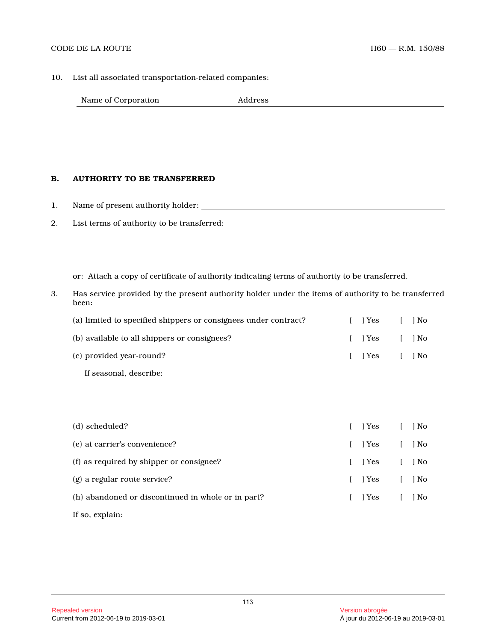## CODE DE LA ROUTE  $H60 - R.M. 150/88$

10. List all associated transportation-related companies:

|--|--|--|

# **B. AUTHORITY TO BE TRANSFERRED**

- 1. Name of present authority holder:
- 2. List terms of authority to be transferred:

or: Attach a copy of certificate of authority indicating terms of authority to be transferred.

3. Has service provided by the present authority holder under the items of authority to be transferred been:

| (a) limited to specified shippers or consignees under contract? | I l Yes I l No                                                                 |  |
|-----------------------------------------------------------------|--------------------------------------------------------------------------------|--|
| (b) available to all shippers or consignees?                    | $\lceil$   Yes $\lceil$   No                                                   |  |
| (c) provided year-round?                                        | $\begin{array}{c c}\n\end{array}$   Yes $\begin{array}{c c}\n\end{array}$   No |  |
| If seasonal, describe:                                          |                                                                                |  |

| (d) scheduled?                                     | $\lceil$   Yes $\lceil$   No |  |
|----------------------------------------------------|------------------------------|--|
| (e) at carrier's convenience?                      | $\lceil$   Yes $\lceil$   No |  |
| (f) as required by shipper or consignee?           | $[$   Yes $[$   No           |  |
| (g) a regular route service?                       | $\lceil$   Yes $\lceil$   No |  |
| (h) abandoned or discontinued in whole or in part? | $[$   Yes $[$   No           |  |
| If so, explain:                                    |                              |  |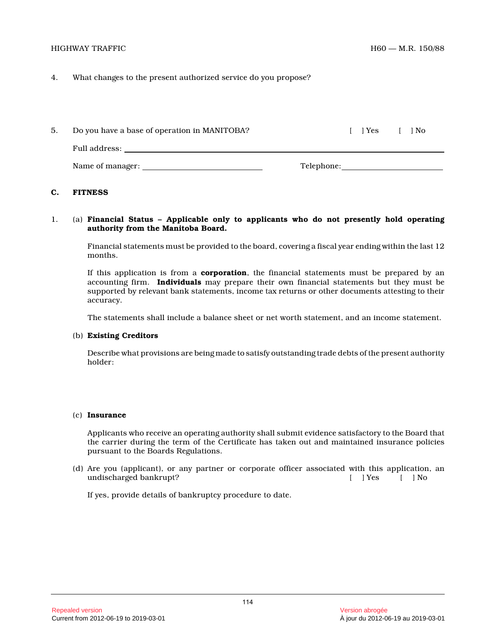#### HIGHWAY TRAFFIC **H60** — M.R. 150/88

4. What changes to the present authorized service do you propose?

| Do you have a base of operation in MANITOBA? |            | 1 Yes | l No |  |
|----------------------------------------------|------------|-------|------|--|
| Full address:                                |            |       |      |  |
| Name of manager:                             | Telephone: |       |      |  |

## **C. FITNESS**

#### 1. (a) **Financial Status – Applicable only to applicants who do not presently hold operating authority from the Manitoba Board.**

Financial statements must be provided to the board, covering a fiscal year ending within the last 12 months.

If this application is from a **corporation**, the financial statements must be prepared by an accounting firm. **Individuals** may prepare their own financial statements but they must be supported by relevant bank statements, income tax returns or other documents attesting to their accuracy.

The statements shall include a balance sheet or net worth statement, and an income statement.

#### (b) **Existing Creditors**

Describe what provisions are being made to satisfy outstanding trade debts of the present authority holder:

## (c) **Insurance**

Applicants who receive an operating authority shall submit evidence satisfactory to the Board that the carrier during the term of the Certificate has taken out and maintained insurance policies pursuant to the Boards Regulations.

(d) Are you (applicant), or any partner or corporate officer associated with this application, an undischarged bankrupt? [ ] No undischarged bankrupt?

If yes, provide details of bankruptcy procedure to date.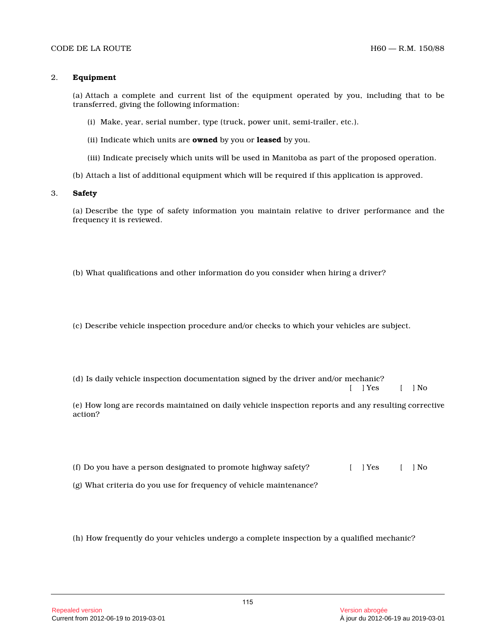#### 2. **Equipment**

(a) Attach a complete and current list of the equipment operated by you, including that to be transferred, giving the following information:

- (i) Make, year, serial number, type (truck, power unit, semi-trailer, etc.).
- (ii) Indicate which units are **owned** by you or **leased** by you.
- (iii) Indicate precisely which units will be used in Manitoba as part of the proposed operation.
- (b) Attach a list of additional equipment which will be required if this application is approved.

#### 3. **Safety**

(a) Describe the type of safety information you maintain relative to driver performance and the frequency it is reviewed.

(b) What qualifications and other information do you consider when hiring a driver?

(c) Describe vehicle inspection procedure and/or checks to which your vehicles are subject.

| (d) Is daily vehicle inspection documentation signed by the driver and/or mechanic? |  |
|-------------------------------------------------------------------------------------|--|
|-------------------------------------------------------------------------------------|--|

[ ] Yes [ ] No

(e) How long are records maintained on daily vehicle inspection reports and any resulting corrective action?

- (f) Do you have a person designated to promote highway safety? [ ] Yes [ ] No
- (g) What criteria do you use for frequency of vehicle maintenance?

(h) How frequently do your vehicles undergo a complete inspection by a qualified mechanic?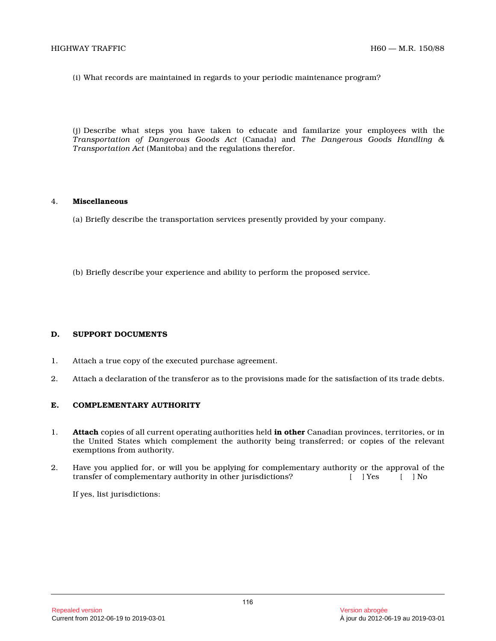(i) What records are maintained in regards to your periodic maintenance program?

(j) Describe what steps you have taken to educate and familarize your employees with the *Transportation of Dangerous Goods Act* (Canada) and *The Dangerous Goods Handling & Transportation Act* (Manitoba) and the regulations therefor.

#### 4. **Miscellaneous**

- (a) Briefly describe the transportation services presently provided by your company.
- (b) Briefly describe your experience and ability to perform the proposed service.

## **D. SUPPORT DOCUMENTS**

- 1. Attach a true copy of the executed purchase agreement.
- 2. Attach a declaration of the transferor as to the provisions made for the satisfaction of its trade debts.

# **E. COMPLEMENTARY AUTHORITY**

- 1. **Attach** copies of all current operating authorities held **in other** Canadian provinces, territories, or in the United States which complement the authority being transferred; or copies of the relevant exemptions from authority.
- 2. Have you applied for, or will you be applying for complementary authority or the approval of the transfer of complementary authority in other jurisdictions? [ ] Yes [ ] No

If yes, list jurisdictions: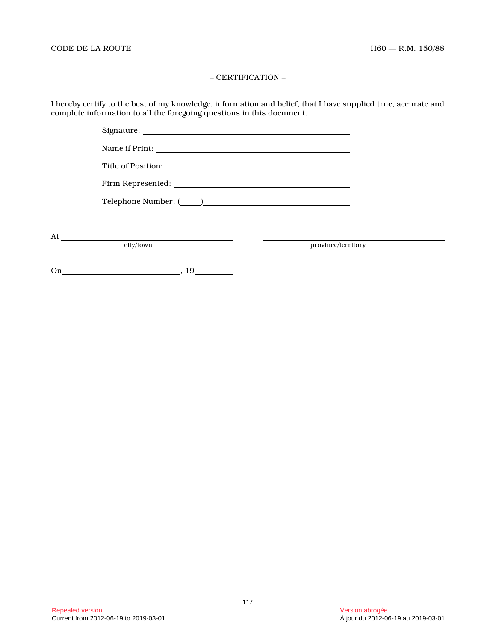# – CERTIFICATION –

I hereby certify to the best of my knowledge, information and belief, that I have supplied true, accurate and complete information to all the foregoing questions in this document.

| city/town | province/territory |
|-----------|--------------------|

At

On , 19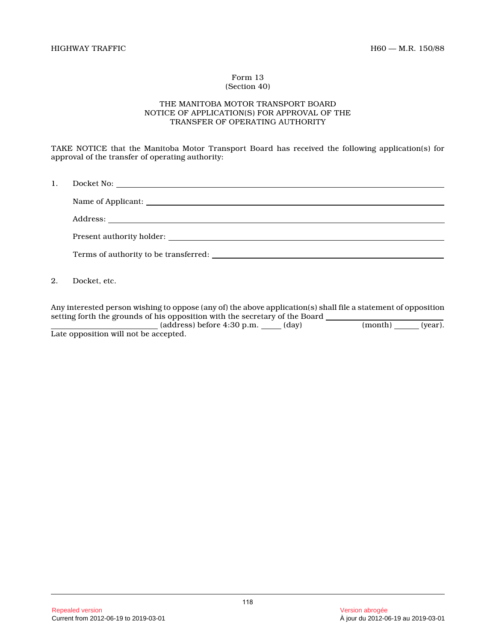#### Form 13 (Section 40)

## THE MANITOBA MOTOR TRANSPORT BOARD NOTICE OF APPLICATION(S) FOR APPROVAL OF THE TRANSFER OF OPERATING AUTHORITY

TAKE NOTICE that the Manitoba Motor Transport Board has received the following application(s) for approval of the transfer of operating authority:

|                  | Docket No:   |
|------------------|--------------|
|                  |              |
|                  |              |
|                  |              |
|                  |              |
|                  |              |
| $\overline{2}$ . | Docket, etc. |

Any interested person wishing to oppose (any of) the above application(s) shall file a statement of opposition setting forth the grounds of his opposition with the secretary of the Board  $(address)$  before 4:30 p.m. (day) (month) (year).

Late opposition will not be accepted.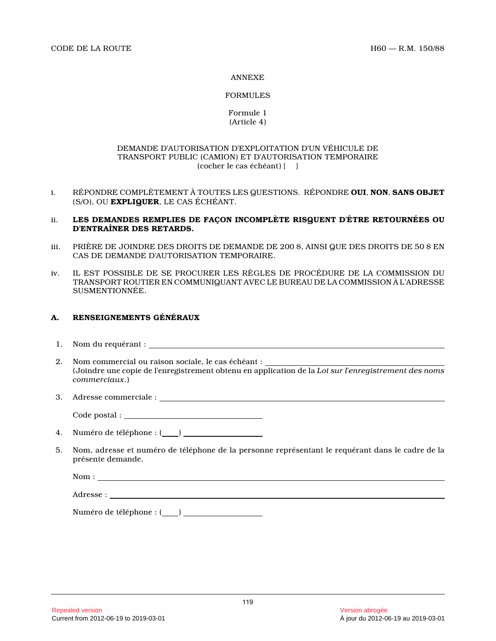#### ANNEXE

## **FORMULES**

## Formule 1 (Article 4)

#### DEMANDE D'AUTORISATION D'EXPLOITATION D'UN VÉHICULE DE TRANSPORT PUBLIC (CAMION) ET D'AUTORISATION TEMPORAIRE (cocher le cas échéant) [ ]

i. RÉPONDRE COMPLÈTEMENT À TOUTES LES QUESTIONS. RÉPONDRE **OUI**, **NON**, **SANS OBJET** (S/O), OU **EXPLIQUER**, LE CAS ÉCHÉANT.

## ii. **LES DEMANDES REMPLIES DE FAÇON INCOMPLÈTE RISQUENT D'ÊTRE RETOURNÉES OU D'ENTRAÎNER DES RETARDS.**

- iii. PRIÈRE DE JOINDRE DES DROITS DE DEMANDE DE 200 \$, AINSI QUE DES DROITS DE 50 \$ EN CAS DE DEMANDE D'AUTORISATION TEMPORAIRE.
- iv. IL EST POSSIBLE DE SE PROCURER LES RÈGLES DE PROCÉDURE DE LA COMMISSION DU TRANSPORT ROUTIER EN COMMUNIQUANT AVEC LE BUREAU DE LA COMMISSION À L'ADRESSE SUSMENTIONNÉE.

# **A. RENSEIGNEMENTS GÉNÉRAUX**

- 1. Nom du requérant :
- 2. Nom commercial ou raison sociale, le cas échéant : (Joindre une copie de l'enregistrement obtenu en application de la *Loi sur l'enregistrement des noms commerciaux*.)
- 3. Adresse commerciale :

Code postal :

- 4. Numéro de téléphone : (\_\_\_) \_\_\_
- 5. Nom, adresse et numéro de téléphone de la personne représentant le requérant dans le cadre de la présente demande.

Nom :

Adresse :

Numéro de téléphone : ( )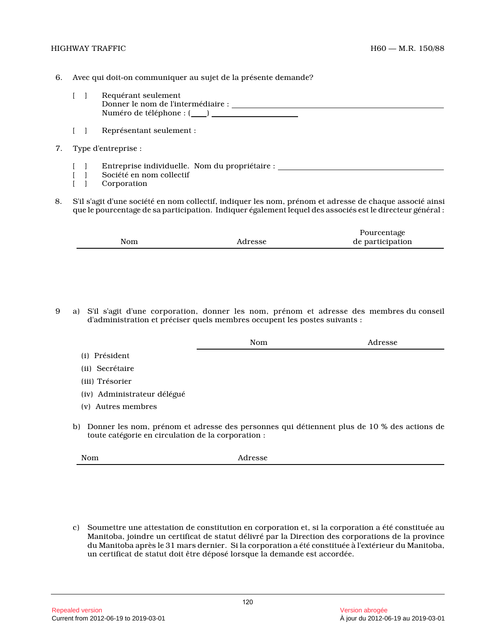#### HIGHWAY TRAFFIC **H60** — M.R. 150/88

- 6. Avec qui doit-on communiquer au sujet de la présente demande?
	- [ ] Requérant seulement Donner le nom de l'intermédiaire : Numéro de téléphone : ( )
	- [ ] Représentant seulement :
- 7. Type d'entreprise :
	- [ ] Entreprise individuelle. Nom du propriétaire :
	- Société en nom collectif
	- [ ] Corporation
- 8. S'il s'agit d'une société en nom collectif, indiquer les nom, prénom et adresse de chaque associé ainsi que le pourcentage de sa participation. Indiquer également lequel des associés est le directeur général :

|     |         | Pourcentage      |
|-----|---------|------------------|
| Nom | Adresse | de participation |

 9 a) S'il s'agit d'une corporation, donner les nom, prénom et adresse des membres du conseil d'administration et préciser quels membres occupent les postes suivants :

|                                                                                                                                                     | Nom | Adresse |
|-----------------------------------------------------------------------------------------------------------------------------------------------------|-----|---------|
| (i) Président                                                                                                                                       |     |         |
| (ii) Secrétaire                                                                                                                                     |     |         |
| (iii) Trésorier                                                                                                                                     |     |         |
| (iv) Administrateur délégué                                                                                                                         |     |         |
| (v) Autres membres                                                                                                                                  |     |         |
| b) Donner les nom, prénom et adresse des personnes qui détiennent plus de 10 % des actions de<br>toute catégorie en circulation de la corporation : |     |         |

| Nom | Adresse |
|-----|---------|
|     |         |

c) Soumettre une attestation de constitution en corporation et, si la corporation a été constituée au Manitoba, joindre un certificat de statut délivré par la Direction des corporations de la province du Manitoba après le 31 mars dernier. Si la corporation a été constituée à l'extérieur du Manitoba, un certificat de statut doit être déposé lorsque la demande est accordée.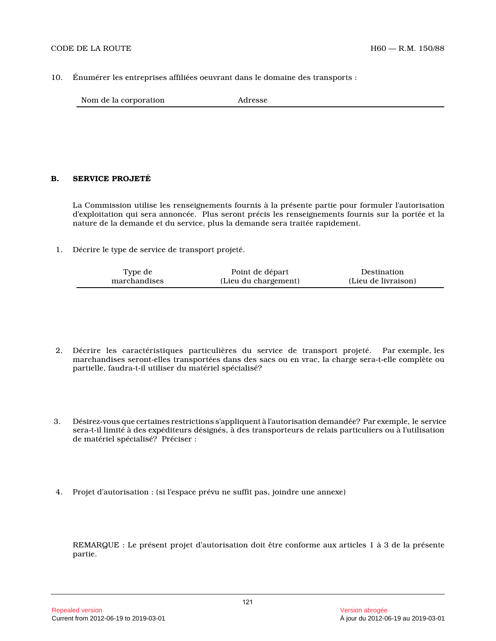10. Énumérer les entreprises affiliées oeuvrant dans le domaine des transports :

Nom de la corporation and adresse

# **B. SERVICE PROJETÉ**

La Commission utilise les renseignements fournis à la présente partie pour formuler l'autorisation d'exploitation qui sera annoncée. Plus seront précis les renseignements fournis sur la portée et la nature de la demande et du service, plus la demande sera traitée rapidement.

1. Décrire le type de service de transport projeté .

| Type de      | Point de départ      | Destination         |
|--------------|----------------------|---------------------|
| marchandises | (Lieu du chargement) | (Lieu de livraison) |

- 2. Décrire les caractéristiques particulières du service de transport projeté. Par exemple, les marchandises seront-elles transportées dans des sacs ou en vrac, la charge sera-t-elle complète ou partielle, faudra-t-il utiliser du matériel spécialisé?
- 3. Désirez-vous que certaines restrictions s'appliquent à l'autorisation demandée? Par exemple, le service sera-t-il limité à des expéditeurs désignés, à des transporteurs de relais particuliers ou à l'utilisation de matériel spécialisé? Préciser :
- 4. Projet d'autorisation : (si l'espace prévu ne suffit pas, joindre une annexe)

REMARQUE : Le présent projet d'autorisation doit être conforme aux articles 1 à 3 de la présente partie.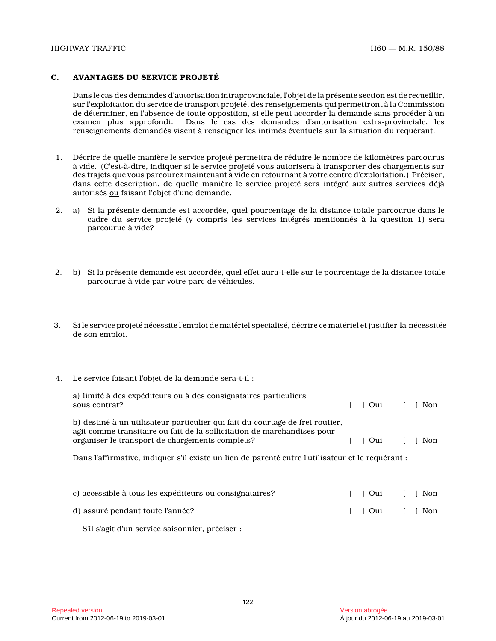#### HIGHWAY TRAFFIC **H60** — M.R. 150/88

## **C. AVANTAGES DU SERVICE PROJETÉ**

Dans le cas des demandes d'autorisation intraprovinciale, l'objet de la présente section est de recueillir, sur l'exploitation du service de transport projeté, des renseignements qui permettront à la Commission de déterminer, en l'absence de toute opposition, si elle peut accorder la demande sans procéder à un Dans le cas des demandes d'autorisation extra-provinciale, les renseignements demandés visent à renseigner les intimés éventuels sur la situation du requérant.

- 1. Décrire de quelle manière le service projeté permettra de réduire le nombre de kilomètres parcouru s à vide. (C'est-à-dire, indiquer si le service projeté vous autorisera à transporter des chargements sur des trajets que vous parcourez maintenant à vide en retournant à votre centre d'exploitation.) Préciser, dans cette description, de quelle manière le service projeté sera intégré aux autres services déjà autorisés ou faisant l'objet d'une demande.
- 2. a) Si la présente demande est accordée, quel pourcentage de la distance totale parcourue dans le cadre du service projeté (y compris les services intégrés mentionnés à la question 1) sera parcourue à vide?
- 2. b) Si la présente demande est accordée, quel effet aura-t-elle sur le pourcentage de la distance totale parcourue à vide par votre parc de véhicules.
- 3. Si le service projeté nécessite l'emploi de matériel spécialisé, décrire ce matériel et justifier la nécessitée de son emploi.
- 4. Le service faisant l'objet de la demande sera-t-il :

| a) limité à des expéditeurs ou à des consignataires particuliers<br>sous contrat?                                                                                                                           |  | Oui   |  | 1 Non |
|-------------------------------------------------------------------------------------------------------------------------------------------------------------------------------------------------------------|--|-------|--|-------|
| b) destiné à un utilisateur particulier qui fait du courtage de fret routier,<br>agit comme transitaire ou fait de la sollicitation de marchandises pour<br>organiser le transport de chargements complets? |  | ∣ Oui |  | 1 Non |
| Dans l'affirmative, indiquer s'il existe un lien de parenté entre l'utilisateur et le requérant :                                                                                                           |  |       |  |       |

| c) accessible à tous les expéditeurs ou consignataires? | [   Oui     Non |  |
|---------------------------------------------------------|-----------------|--|
| d) assuré pendant toute l'année?                        | I l Oui I l Non |  |
|                                                         |                 |  |

S'il s'agit d'un service saisonnier, préciser :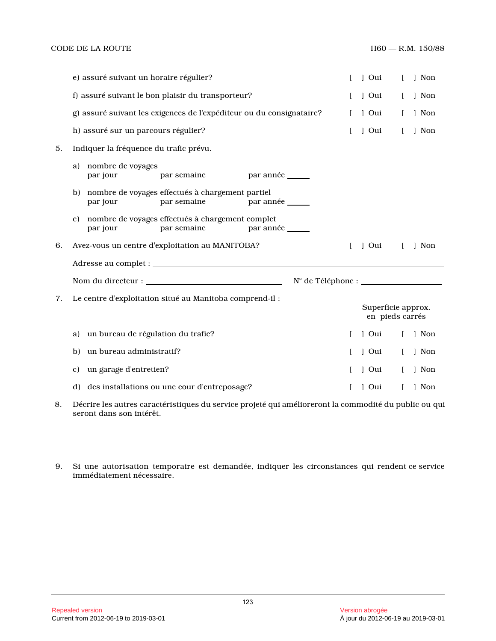|    | e) assuré suivant un horaire régulier?                                                                          | 1 Oui               | Non                                   |
|----|-----------------------------------------------------------------------------------------------------------------|---------------------|---------------------------------------|
|    | f) assuré suivant le bon plaisir du transporteur?                                                               | 1 Oui               | Non                                   |
|    | g) assuré suivant les exigences de l'expéditeur ou du consignataire?                                            | ] Oui               | J Non                                 |
|    | h) assuré sur un parcours régulier?                                                                             | $\mathbf{I}$<br>Oui | ] Non                                 |
| 5. | Indiquer la fréquence du trafic prévu.                                                                          |                     |                                       |
|    | nombre de voyages<br>a)<br>par jour<br>par semaine<br>par année                                                 |                     |                                       |
|    | nombre de voyages effectués à chargement partiel<br>b)<br>par semaine<br>par année ______<br>par jour           |                     |                                       |
|    | nombre de voyages effectués à chargement complet<br>$\mathbf{c}$<br>par jour<br>par semaine<br>par année ______ |                     |                                       |
| 6. | Avez-vous un centre d'exploitation au MANITOBA?                                                                 | $\mid$ Oui          | Non                                   |
|    |                                                                                                                 |                     |                                       |
|    |                                                                                                                 |                     |                                       |
| 7. | Le centre d'exploitation situé au Manitoba comprend-il :                                                        |                     |                                       |
|    |                                                                                                                 |                     | Superficie approx.<br>en pieds carrés |
|    | un bureau de régulation du trafic?<br>a)                                                                        | $\mid$ Oui          | J Non                                 |
|    | un bureau administratif?<br>b)                                                                                  | ] Oui               | J Non                                 |
|    | un garage d'entretien?<br>c)                                                                                    | ] Oui               | J Non                                 |
|    | d)<br>des installations ou une cour d'entreposage?                                                              | Oui                 | Non                                   |

- 8. Décrire les autres caractéristiques du service projeté qui amélioreront la commodité du public ou qui seront dans son intérêt.
- 9. Si une autorisation temporaire est demandée, indiquer les circonstances qui rendent ce service immédiatement nécessaire.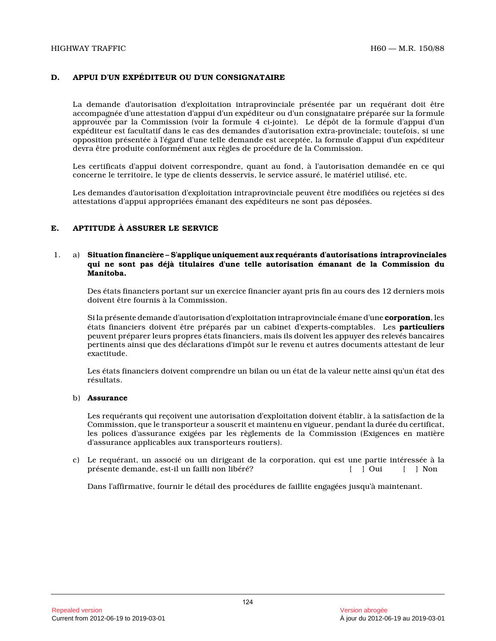# **D. APPUI D'UN EXPÉDITEUR OU D'UN CONSIGNATAIRE**

La demande d'autorisation d'exploitation intraprovinciale présentée par un requérant doit être accompagnée d'une attestation d'appui d'un expéditeur ou d'un consignataire préparée sur la formule approuvée par la Commission (voir la formule 4 ci-jointe). Le dépôt de la formule d'appui d'un expéditeur est facultatif dans le cas des demandes d'autorisation extra-provinciale; toutefois, si une opposition présentée à l'égard d'une telle demande est acceptée, la formule d'appui d'un expéditeur devra être produite conformément aux règles de procédure de la Commission.

Les certificats d'appui doivent correspondre, quant au fond, à l'autorisation demandée en ce qui concerne le territoire, le type de clients desservis, le service assuré, le matériel utilisé, etc.

Les demandes d'autorisation d'exploitation intraprovinciale peuvent être modifiées ou rejetées si des attestations d'appui appropriées émanant des expéditeurs ne sont pas déposées.

# **E. APTITUDE À ASSURER LE SERVICE**

## 1. a) **Situation financière – S'applique uniquement aux requérants d'autorisations intraprovinciales qui ne sont pas déjà titulaires d'une telle autorisation émanant de la Commission du Manitoba.**

Des états financiers portant sur un exercice financier ayant pris fin au cours des 12 derniers mois doivent être fournis à la Commission.

Si la présente demande d'autorisation d'exploitation intraprovinciale émane d'une **corporation**, les états financiers doivent être préparés par un cabinet d'experts-comptables. Les **particuliers** peuvent préparer leurs propres états financiers, mais ils doivent les appuyer des relevés bancaires pertinents ainsi que des déclarations d'impôt sur le revenu et autres documents attestant de leur exactitude.

Les états financiers doivent comprendre un bilan ou un état de la valeur nette ainsi qu'un état des résultats.

## b) **Assurance**

Les requérants qui reçoivent une autorisation d'exploitation doivent établir, à la satisfaction de la Commission, que le transporteur a souscrit et maintenu en vigueur, pendant la durée du certificat, les polices d'assurance exigées par les règlements de la Commission (Exigences en matière d'assurance applicables aux transporteurs routiers) .

c) Le requérant, un associé ou un dirigeant de la corporation, qui est une partie intéressée à la présente demande, est-il un failli non libéré? présente demande, est-il un failli non libéré? [ ] Oui [ ] Non

Dans l'affirmative, fournir le détail des procédures de faillite engagées jusqu'à maintenant.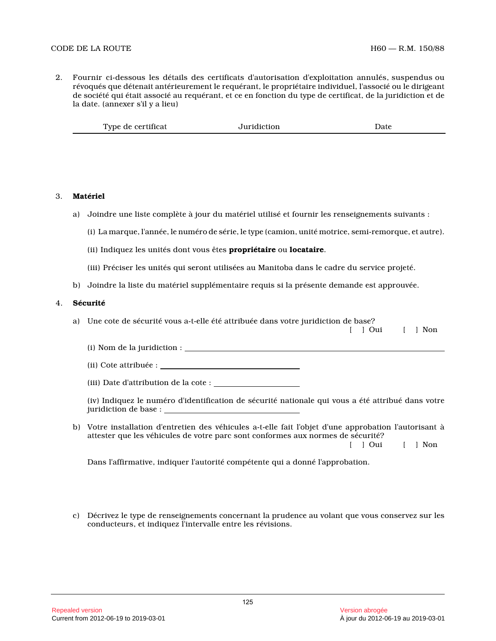#### $\text{CODE DE LA ROUTE}$   $\text{H60} - \text{R.M. } 150/88$

 2. Fournir ci-dessous les détails des certificats d'autorisation d'exploitation annulés, suspendus ou révoqués que détenait antérieurement le requérant, le propriétaire individuel, l'associé ou le dirigeant de société qui était associé au requérant, et ce en fonction du type de certificat, de la juridiction et de la date. (annexer s'il y a lieu)

| Type de certificat | Juridiction | Jate |
|--------------------|-------------|------|
|                    |             |      |

## 3. **Matériel**

- a) Joindre une liste complète à jour du matériel utilisé et fournir les renseignements suivants :
	- (i) La marque, l'année, le numéro de série, le type (camion, unité motrice, semi-remorque, et autre).
	- (ii) Indiquez les unités dont vous êtes **propriétaire** ou **locataire** .
	- (iii) Préciser les unités qui seront utilisées au Manitoba dans le cadre du service projeté.
- b) Joindre la liste du matériel supplémentaire requis si la présente demande est approuvée.

#### 4. **Sécurité**

a) Une cote de sécurité vous a-t-elle été attribuée dans votre juridiction de base?

 $[$   $]$  Non (i) Nom de la juridiction : (ii) Cote attribuée : (iii) Date d'attribution de la cote : (iv) Indiquez le numéro d'identification de sécurité nationale qui vous a été attribué dans votre juridiction de base : b) Votre installation d'entretien des véhicules a-t-elle fait l'objet d'une approbation l'autorisant à attester que les véhicules de votre parc sont conformes aux normes de sécurité?  $[$   $]$  Non

Dans l'affirmative, indiquer l'autorité compétente qui a donné l'approbation.

c) Décrivez le type de renseignements concernant la prudence au volant que vous conservez sur les conducteurs, et indiquez l'intervalle entre les révisions.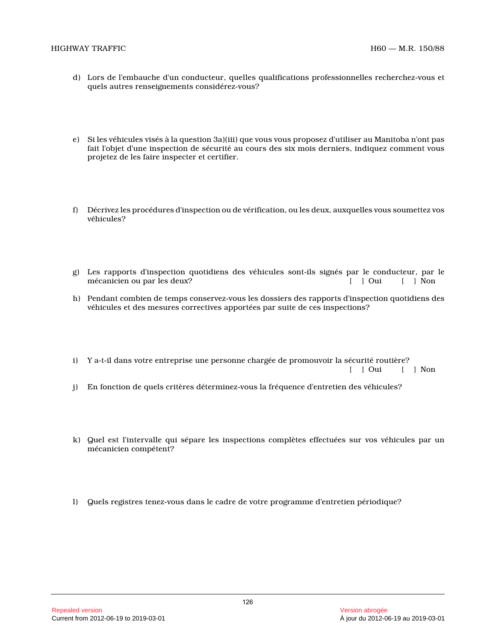- d) Lors de l'embauche d'un conducteur, quelles qualifications professionnelles recherchez-vous et quels autres renseignements considérez-vous?
- e) Si les véhicules visés à la question 3a)(iii) que vous vous proposez d'utiliser au Manitoba n'ont pa s fait l'objet d'une inspection de sécurité au cours des six mois derniers, indiquez comment vous projetez de les faire inspecter et certifier.
- f) Décrivez les procédures d'inspection ou de vérification, ou les deux, auxquelles vous soumettez vos véhicules?
- g) Les rapports d'inspection quotidiens des véhicules sont-ils signés par le conducteur, par le mécanicien ou par les deux? [ ] Oui [ ] Non
- h) Pendant combien de temps conservez-vous les dossiers des rapports d'inspection quotidiens des véhicules et des mesures correctives apportées par suite de ces inspections?
- i) Y a-t-il dans votre entreprise une personne chargée de promouvoir la sécurité routière? [ ] Oui [ ] Non
- j) En fonction de quels critères déterminez-vous la fréquence d'entretien des véhicules?
- k) Quel est l'intervalle qui sépare les inspections complètes effectuées sur vos véhicules par un mécanicien compétent?
- l) Quels registres tenez-vous dans le cadre de votre programme d'entretien périodique?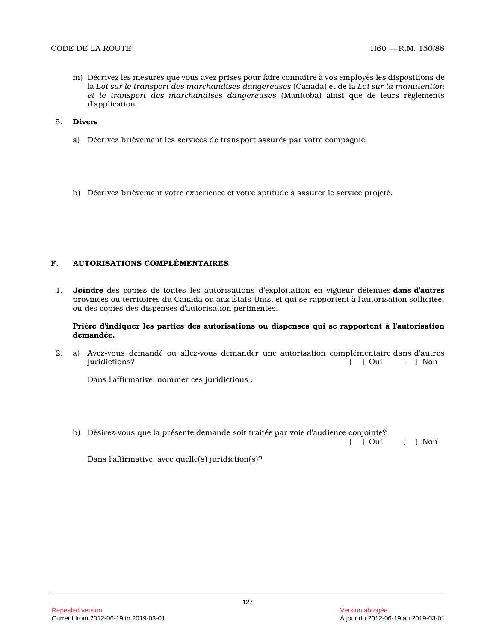m) Décrivez les mesures que vous avez prises pour faire connaître à vos employés les dispositions de la *Loi sur le transport des marchandises dangereuses* (Canada) et de la *Loi sur la manutention et le transport des marchandises dangereuses* (Manitoba) ainsi que de leurs règlements d'application.

#### 5. **Divers**

- a) Décrivez brièvement les services de transport assurés par votre compagnie.
- b) Décrivez brièvement votre expérience et votre aptitude à assurer le service projeté.

## **F. AUTORISATIONS COMPLÉMENTAIRES**

 1. **Joindre** des copies de toutes les autorisations d'exploitation en vigueur détenues **dans d'autres** provinces ou territoires du Canada ou aux États-Unis, et qui se rapportent à l'autorisation sollicitée ; ou des copies des dispenses d'autorisation pertinentes.

#### **Prière d'indiquer les parties des autorisations ou dispenses qui se rapportent à l'autorisation demandée.**

2. a) Avez-vous demandé ou allez-vous demander une autorisation complémentaire dans d'autres juridictions? juridictions?

Dans l'affirmative, nommer ces juridictions :

b) Désirez-vous que la présente demande soit traitée par voie d'audience conjointe?

 $[$  ] Non

Dans l'affirmative, avec quelle(s) juridiction(s)?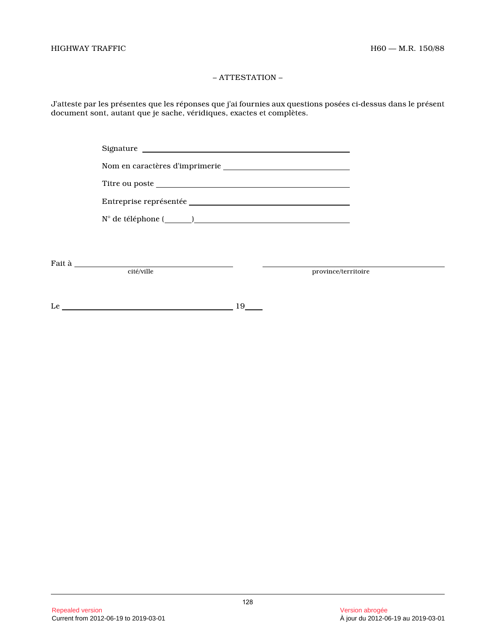Fait

# – ATTESTATION –

J'atteste par les présentes que les réponses que j'ai fournies aux questions posées ci-dessus dans le présent document sont, autant que je sache, véridiques, exactes et complètes.

|    | Entreprise représentée |    |                     |
|----|------------------------|----|---------------------|
|    |                        |    |                     |
|    |                        |    |                     |
|    |                        |    |                     |
|    |                        |    | province/territoire |
|    |                        |    |                     |
| Le |                        | 19 |                     |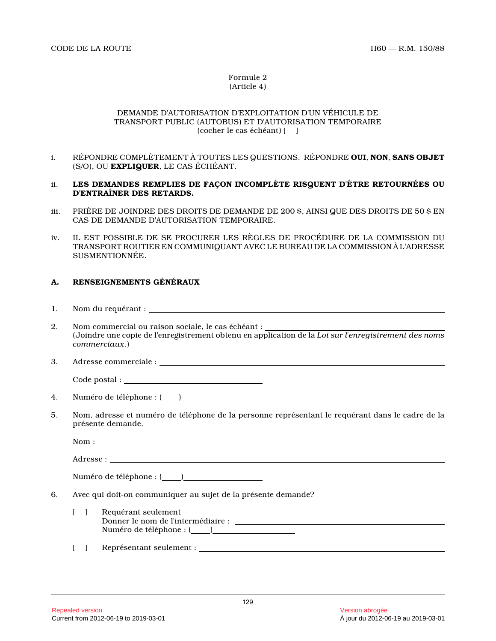# Formule 2

# (Article 4)

## DEMANDE D'AUTORISATION D'EXPLOITATION D'UN VÉHICULE DE TRANSPORT PUBLIC (AUTOBUS) ET D'AUTORISATION TEMPORAIRE (cocher le cas échéant) [ ]

i. RÉPONDRE COMPLÈTEMENT À TOUTES LES QUESTIONS. RÉPONDRE **OUI**, **NON**, **SANS OBJET** (S/O), OU **EXPLIQUER**, LE CAS ÉCHÉANT.

## ii. **LES DEMANDES REMPLIES DE FAÇON INCOMPLÈTE RISQUENT D'ÊTRE RETOURNÉES OU D'ENTRAÎNER DES RETARDS.**

- iii. PRIÈRE DE JOINDRE DES DROITS DE DEMANDE DE 200 \$, AINSI QUE DES DROITS DE 50 \$ EN CAS DE DEMANDE D'AUTORISATION TEMPORAIRE.
- iv. IL EST POSSIBLE DE SE PROCURER LES RÈGLES DE PROCÉDURE DE LA COMMISSION DU TRANSPORT ROUTIER EN COMMUNIQUANT AVEC LE BUREAU DE LA COMMISSION À L'ADRESSE SUSMENTIONNÉE.

# **A. RENSEIGNEMENTS GÉNÉRAUX**

- 1. Nom du requérant :
- 2. Nom commercial ou raison sociale, le cas échéant : (Joindre une copie de l'enregistrement obtenu en application de la *Loi sur l'enregistrement des noms commerciaux*.)
- 3. Adresse commerciale :

Code postal :

4. Numéro de téléphone : ( )

5. Nom, adresse et numéro de téléphone de la personne représentant le requérant dans le cadre de la présente demande.

 $\text{Nom}:$ 

Adresse :

|  |  | Numéro de téléphone : ( |  |  |  |
|--|--|-------------------------|--|--|--|
|--|--|-------------------------|--|--|--|

- 6. Avec qui doit-on communiquer au sujet de la présente demande?
	- [ ] Requérant seulement Donner le nom de l'intermédiaire : Numéro de téléphone : ( )
	- [ ] Représentant seulement :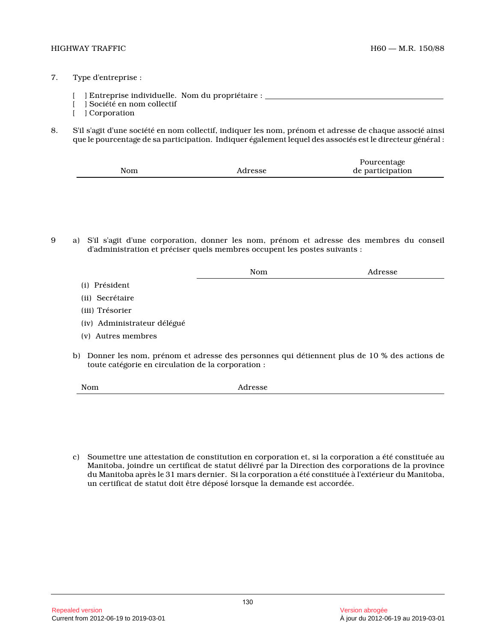7. Type d'entreprise :

| ] Entreprise individuelle. Nom du propriétaire : |
|--------------------------------------------------|
| Société en nom collectif                         |
| [ ] Corporation                                  |

8. S'il s'agit d'une société en nom collectif, indiquer les nom, prénom et adresse de chaque associé ainsi que le pourcentage de sa participation. Indiquer également lequel des associés est le directeur général :

| de participation<br>Nom<br>Adresse |  | Pourcentage |
|------------------------------------|--|-------------|
|                                    |  |             |

9 a) S'il s'agit d'une corporation, donner les nom, prénom et adresse des membres du conseil d'administration et préciser quels membres occupent les postes suivants :

|                             | Nom | Adresse |  |
|-----------------------------|-----|---------|--|
| (i) Président               |     |         |  |
| (ii) Secrétaire             |     |         |  |
| (iii) Trésorier             |     |         |  |
| (iv) Administrateur délégué |     |         |  |
| (v) Autres membres          |     |         |  |
|                             |     |         |  |

b) Donner les nom, prénom et adresse des personnes qui détiennent plus de 10 % des actions de toute catégorie en circulation de la corporation :

Nom Adresse

c) Soumettre une attestation de constitution en corporation et, si la corporation a été constituée au Manitoba, joindre un certificat de statut délivré par la Direction des corporations de la province du Manitoba après le 31 mars dernier. Si la corporation a été constituée à l'extérieur du Manitoba, un certificat de statut doit être déposé lorsque la demande est accordée.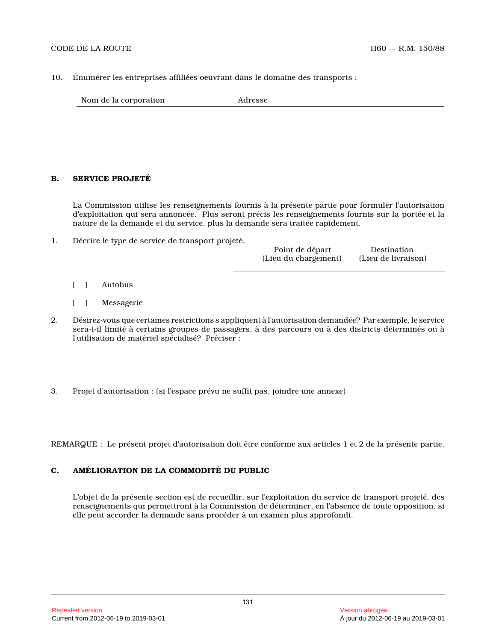10. Énumérer les entreprises affiliées oeuvrant dans le domaine des transports :

Nom de la corporation and adresse

# **B. SERVICE PROJETÉ**

La Commission utilise les renseignements fournis à la présente partie pour formuler l'autorisation d'exploitation qui sera annoncée. Plus seront précis les renseignements fournis sur la portée et la nature de la demande et du service, plus la demande sera traitée rapidement.

1. Décrire le type de service de transport projeté.

 Point de départ Destination (Lieu du chargement) (Lieu de livraison)

- [ ] Autobus
- [ ] Messagerie
- 2. Désirez-vous que certaines restrictions s'appliquent à l'autorisation demandée? Par exemple, le service sera-t-il limité à certains groupes de passagers, à des parcours ou à des districts déterminés ou à l'utilisation de matériel spécialisé? Préciser :
- 3. Projet d'autorisation : (si l'espace prévu ne suffit pas, joindre une annexe)

REMARQUE : Le présent projet d'autorisation doit être conforme aux articles 1 et 2 de la présente partie.

## **C. AMÉLIORATION DE LA COMMODITÉ DU PUBLIC**

L'objet de la présente section est de recueillir, sur l'exploitation du service de transport projeté, des renseignements qui permettront à la Commission de déterminer, en l'absence de toute opposition, si elle peut accorder la demande sans procéder à un examen plus approfondi.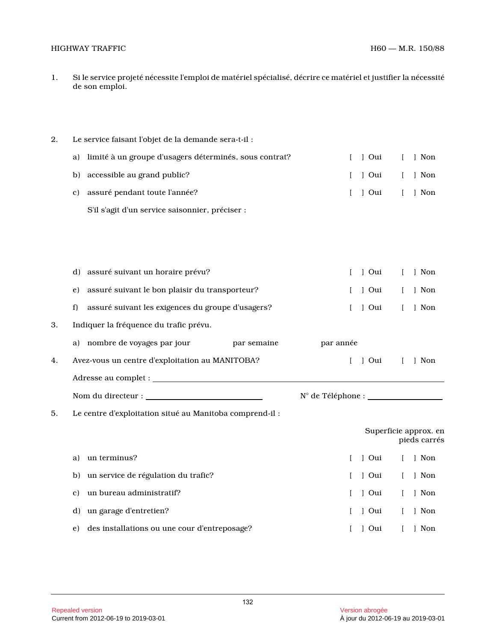## HIGHWAY TRAFFIC H60 — M.R. 150/88

1. Si le service projeté nécessite l'emploi de matériel spécialisé, décrire ce matériel et justifier la nécessité de son emploi.

| 2. | Le service faisant l'objet de la demande sera-t-il :         |                       |                                       |
|----|--------------------------------------------------------------|-----------------------|---------------------------------------|
|    | limité à un groupe d'usagers déterminés, sous contrat?<br>a) | ] Oui<br>L            | J Non<br>$\mathbf{L}$                 |
|    | accessible au grand public?<br>b)                            | ] Oui<br>L            | J Non<br>L                            |
|    | assuré pendant toute l'année?<br>C)                          | $\mid$ Oui<br>L       | 1 Non<br>L                            |
|    | S'il s'agit d'un service saisonnier, préciser :              |                       |                                       |
|    |                                                              |                       |                                       |
|    |                                                              |                       |                                       |
|    | d) assuré suivant un horaire prévu?                          | ] Oui<br>$\mathbf{r}$ | J Non<br>$\mathbf{L}$                 |
|    | assuré suivant le bon plaisir du transporteur?<br>e)         | ] Oui                 | J Non<br>L                            |
|    | assuré suivant les exigences du groupe d'usagers?<br>f)      | ] Oui<br>$\mathbf{r}$ | ] Non<br>L                            |
| 3. | Indiquer la fréquence du trafic prévu.                       |                       |                                       |
|    | a) nombre de voyages par jour<br>par semaine                 | par année             |                                       |
| 4. | Avez-vous un centre d'exploitation au MANITOBA?              | ] Oui<br>$\mathbf{r}$ | J Non<br>L                            |
|    |                                                              |                       |                                       |
|    |                                                              |                       |                                       |
| 5. | Le centre d'exploitation situé au Manitoba comprend-il :     |                       |                                       |
|    |                                                              |                       | Superficie approx. en<br>pieds carrés |
|    | un terminus?<br>a)                                           | ] Oui<br>$\mathbf{r}$ | J Non<br>L                            |
|    | un service de régulation du trafic?<br>b)                    | 1 Oui<br>$\mathbf{r}$ | Non<br>L                              |
|    | un bureau administratif?<br>C)                               | ] Oui<br>$\mathbf{I}$ | $[$ ] Non                             |
|    | un garage d'entretien?<br>d)                                 | ] Oui<br>$\mathbf{r}$ | J Non<br>$\mathbb{L}$                 |
|    |                                                              |                       |                                       |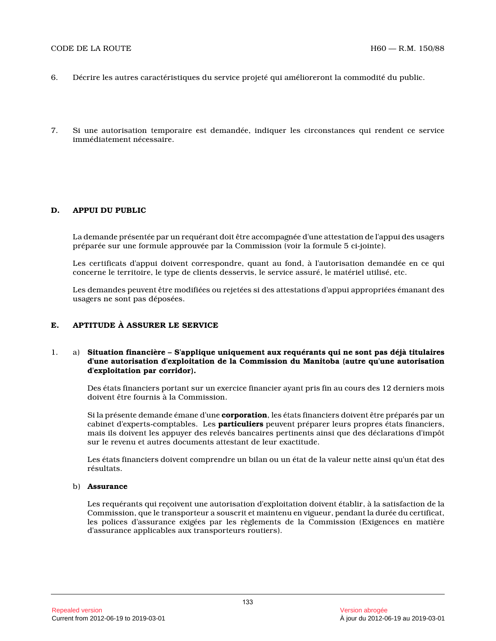#### $\text{CODE DE LA ROUTE}$   $\text{H60} - \text{R.M. } 150/88$

- 6. Décrire les autres caractéristiques du service projeté qui amélioreront la commodité du public.
- 7. Si une autorisation temporaire est demandée, indiquer les circonstances qui rendent ce service immédiatement nécessaire.

## **D. APPUI DU PUBLIC**

La demande présentée par un requérant doit être accompagnée d'une attestation de l'appui des usagers préparée sur une formule approuvée par la Commission (voir la formule 5 ci-jointe).

Les certificats d'appui doivent correspondre, quant au fond, à l'autorisation demandée en ce qui concerne le territoire, le type de clients desservis, le service assuré, le matériel utilisé, etc.

Les demandes peuvent être modifiées ou rejetées si des attestations d'appui appropriées émanant des usagers ne sont pas déposées.

# **E. APTITUDE À ASSURER LE SERVICE**

#### 1. a) **Situation financière – S'applique uniquement aux requérants qui ne sont pas déjà titulaires d'une autorisation d'exploitation de la Commission du Manitoba (autre qu'une autorisation d'exploitation par corridor).**

Des états financiers portant sur un exercice financier ayant pris fin au cours des 12 derniers mois doivent être fournis à la Commission.

Si la présente demande émane d'une **corporation**, les états financiers doivent être préparés par un cabinet d'experts-comptables. Les **particuliers** peuvent préparer leurs propres états financiers, mais ils doivent les appuyer des relevés bancaires pertinents ainsi que des déclarations d'impôt sur le revenu et autres documents attestant de leur exactitude.

Les états financiers doivent comprendre un bilan ou un état de la valeur nette ainsi qu'un état des résultats.

## b) **Assurance**

Les requérants qui reçoivent une autorisation d'exploitation doivent établir, à la satisfaction de la Commission, que le transporteur a souscrit et maintenu en vigueur, pendant la durée du certificat, les polices d'assurance exigées par les règlements de la Commission (Exigences en matière d'assurance applicables aux transporteurs routiers) .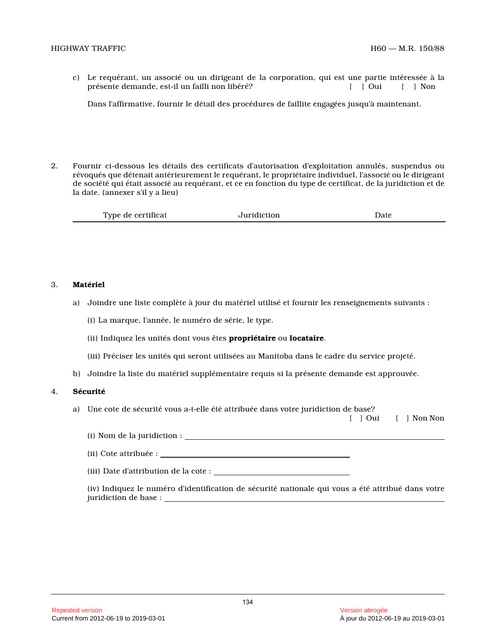c) Le requérant, un associé ou un dirigeant de la corporation, qui est une partie intéressée à la présente demande, est-il un failli non libéré? [ ] Oui [ ] Non

Dans l'affirmative, fournir le détail des procédures de faillite engagées jusqu'à maintenant.

2. Fournir ci-dessous les détails des certificats d'autorisation d'exploitation annulés, suspendus ou révoqués que détenait antérieurement le requérant, le propriétaire individuel, l'associé ou le dirigeant de société qui était associé au requérant, et ce en fonction du type de certificat, de la juridiction et de la date. (annexer s'il y a lieu)

| Type de certificat | Juridiction | Jate |
|--------------------|-------------|------|
|                    |             |      |

#### 3. **Matériel**

- a) Joindre une liste complète à jour du matériel utilisé et fournir les renseignements suivants :
	- (i) La marque, l'année, le numéro de série, le type.
	- (ii) Indiquez les unités dont vous êtes **propriétaire** ou **locataire** .
	- (iii) Préciser les unités qui seront utilisées au Manitoba dans le cadre du service projeté.
- b) Joindre la liste du matériel supplémentaire requis si la présente demande est approuvée.

## 4. **Sécurité**

- a) Une cote de sécurité vous a-t-elle été attribuée dans votre juridiction de base? [ ] Oui [ ] Non Non
	- (i) Nom de la juridiction :
	- (ii) Cote attribuée :

(iii) Date d'attribution de la cote :

(iv) Indiquez le numéro d'identification de sécurité nationale qui vous a été attribué dans votre juridiction de base :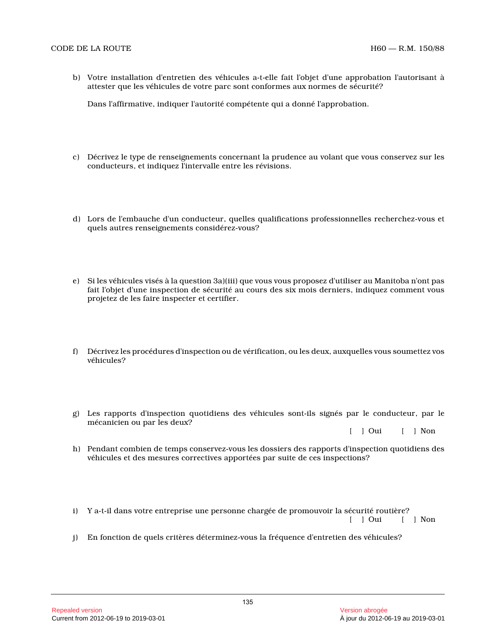b) Votre installation d'entretien des véhicules a-t-elle fait l'objet d'une approbation l'autorisant à attester que les véhicules de votre parc sont conformes aux normes de sécurité?

Dans l'affirmative, indiquer l'autorité compétente qui a donné l'approbation.

- c) Décrivez le type de renseignements concernant la prudence au volant que vous conservez sur les conducteurs, et indiquez l'intervalle entre les révisions.
- d) Lors de l'embauche d'un conducteur, quelles qualifications professionnelles recherchez-vous et quels autres renseignements considérez-vous?
- e) Si les véhicules visés à la question 3a)(iii) que vous vous proposez d'utiliser au Manitoba n'ont pa s fait l'objet d'une inspection de sécurité au cours des six mois derniers, indiquez comment vous projetez de les faire inspecter et certifier.
- f) Décrivez les procédures d'inspection ou de vérification, ou les deux, auxquelles vous soumettez vos véhicules?
- g) Les rapports d'inspection quotidiens des véhicules sont-ils signés par le conducteur, par le mécanicien ou par les deux?

[ ] Oui [ ] Non

- h) Pendant combien de temps conservez-vous les dossiers des rapports d'inspection quotidiens des véhicules et des mesures correctives apportées par suite de ces inspections?
- i) Y a-t-il dans votre entreprise une personne chargée de promouvoir la sécurité routière? [ ] Oui [ ] Non
- j) En fonction de quels critères déterminez-vous la fréquence d'entretien des véhicules?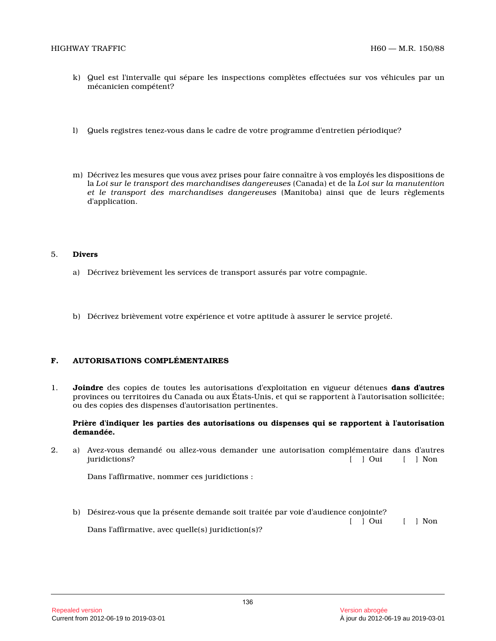- k) Quel est l'intervalle qui sépare les inspections complètes effectuées sur vos véhicules par un mécanicien compétent?
- l) Quels registres tenez-vous dans le cadre de votre programme d'entretien périodique?
- m) Décrivez les mesures que vous avez prises pour faire connaître à vos employés les dispositions de la *Loi sur le transport des marchandises dangereuses* (Canada) et de la *Loi sur la manutention et le transport des marchandises dangereuses* (Manitoba) ainsi que de leurs règlements d'application.

#### 5. **Divers**

- a) Décrivez brièvement les services de transport assurés par votre compagnie.
- b) Décrivez brièvement votre expérience et votre aptitude à assurer le service projeté.

# **F. AUTORISATIONS COMPLÉMENTAIRES**

1. **Joindre** des copies de toutes les autorisations d'exploitation en vigueur détenues **dans d'autres** provinces ou territoires du Canada ou aux États-Unis, et qui se rapportent à l'autorisation sollicitée ; ou des copies des dispenses d'autorisation pertinentes.

## **Prière d'indiquer les parties des autorisations ou dispenses qui se rapportent à l'autorisation demandée.**

2. a) Avez-vous demandé ou allez-vous demander une autorisation complémentaire dans d'autres juridictions? [ ] Oui [ ] Non

Dans l'affirmative, nommer ces juridictions :

b) Désirez-vous que la présente demande soit traitée par voie d'audience conjointe? [ ] Oui [ ] Non

Dans l'affirmative, avec quelle(s) juridiction(s)?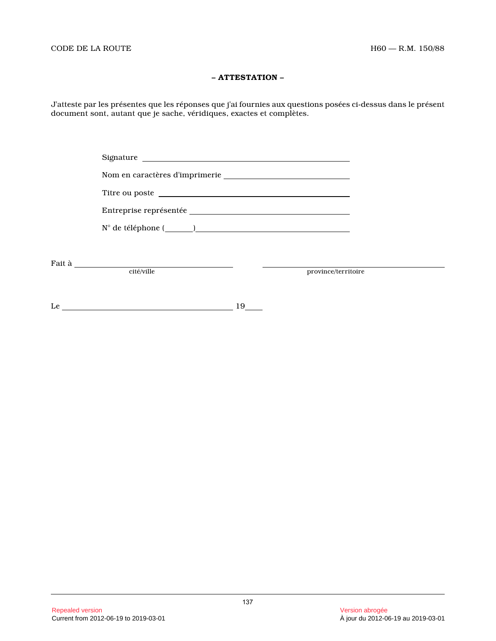# **– ATTESTATION –**

J'atteste par les présentes que les réponses que j'ai fournies aux questions posées ci-dessus dans le présent document sont, autant que je sache, véridiques, exactes et complètes.

|    | Entreprise représentée                                  |    |                     |  |
|----|---------------------------------------------------------|----|---------------------|--|
|    |                                                         |    |                     |  |
|    |                                                         |    |                     |  |
|    |                                                         |    |                     |  |
|    | cité/ville                                              |    | province/territoire |  |
|    |                                                         |    |                     |  |
| Le | <u> 1989 - Johann Barnett, fransk politik (d. 1989)</u> | 19 |                     |  |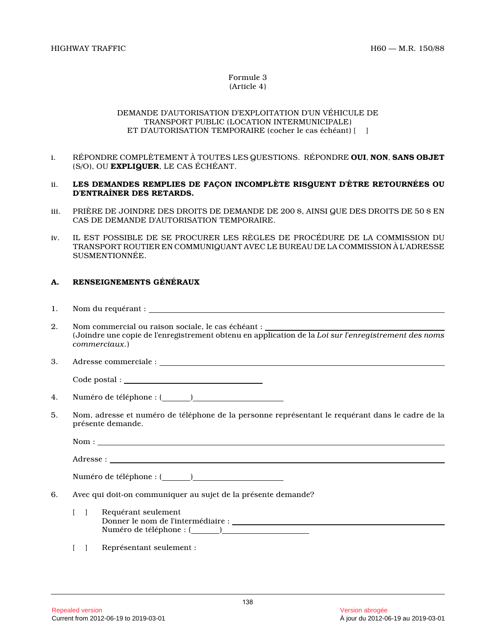#### Formule 3 (Article 4)

#### DEMANDE D'AUTORISATION D'EXPLOITATION D'UN VÉHICULE DE TRANSPORT PUBLIC (LOCATION INTERMUNICIPALE) ET D'AUTORISATION TEMPORAIRE (cocher le cas échéant) [ ]

i. RÉPONDRE COMPLÈTEMENT À TOUTES LES QUESTIONS. RÉPONDRE **OUI**, **NON**, **SANS OBJET** (S/O), OU **EXPLIQUER**, LE CAS ÉCHÉANT.

## ii. **LES DEMANDES REMPLIES DE FAÇON INCOMPLÈTE RISQUENT D'ÊTRE RETOURNÉES OU D'ENTRAÎNER DES RETARDS.**

- iii. PRIÈRE DE JOINDRE DES DROITS DE DEMANDE DE 200 \$, AINSI QUE DES DROITS DE 50 \$ EN CAS DE DEMANDE D'AUTORISATION TEMPORAIRE.
- iv. IL EST POSSIBLE DE SE PROCURER LES RÈGLES DE PROCÉDURE DE LA COMMISSION DU TRANSPORT ROUTIER EN COMMUNIQUANT AVEC LE BUREAU DE LA COMMISSION À L'ADRESSE SUSMENTIONNÉE.

# **A. RENSEIGNEMENTS GÉNÉRAUX**

- 1. Nom du requérant :
- 2. Nom commercial ou raison sociale, le cas échéant : (Joindre une copie de l'enregistrement obtenu en application de la *Loi sur l'enregistrement des noms commerciaux*.)
- 3. Adresse commerciale :

Code postal :

4. Numéro de téléphone : ( )

5. Nom, adresse et numéro de téléphone de la personne représentant le requérant dans le cadre de la présente demande.

Nom :

Adresse :

Numéro de téléphone : ( )

- 6. Avec qui doit-on communiquer au sujet de la présente demande?
	- [ ] Requérant seulement Donner le nom de l'intermédiaire : Numéro de téléphone : ( )
	- [ ] Représentant seulement :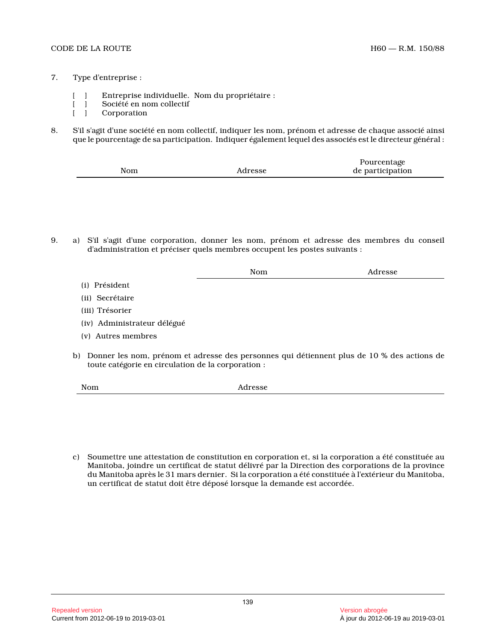- 7. Type d'entreprise :
	- [ ] Entreprise individuelle. Nom du propriétaire :
	- [ ] Société en nom collectif<br>[ ] Corporation
	- Corporation
- 8. S'il s'agit d'une société en nom collectif, indiquer les nom, prénom et adresse de chaque associé ainsi que le pourcentage de sa participation. Indiquer également lequel des associés est le directeur général :

| de participation<br>Nom<br>resse |  |  |
|----------------------------------|--|--|
|                                  |  |  |

9. a) S'il s'agit d'une corporation, donner les nom, prénom et adresse des membres du conseil d'administration et préciser quels membres occupent les postes suivants :

|                             | Nom | Adresse |
|-----------------------------|-----|---------|
| (i) Président               |     |         |
| (ii) Secrétaire             |     |         |
| (iii) Trésorier             |     |         |
| (iv) Administrateur délégué |     |         |
| (v) Autres membres          |     |         |
|                             |     |         |

b) Donner les nom, prénom et adresse des personnes qui détiennent plus de 10 % des actions de toute catégorie en circulation de la corporation :

Nom Adresse

c) Soumettre une attestation de constitution en corporation et, si la corporation a été constituée au Manitoba, joindre un certificat de statut délivré par la Direction des corporations de la province du Manitoba après le 31 mars dernier. Si la corporation a été constituée à l'extérieur du Manitoba, un certificat de statut doit être déposé lorsque la demande est accordée.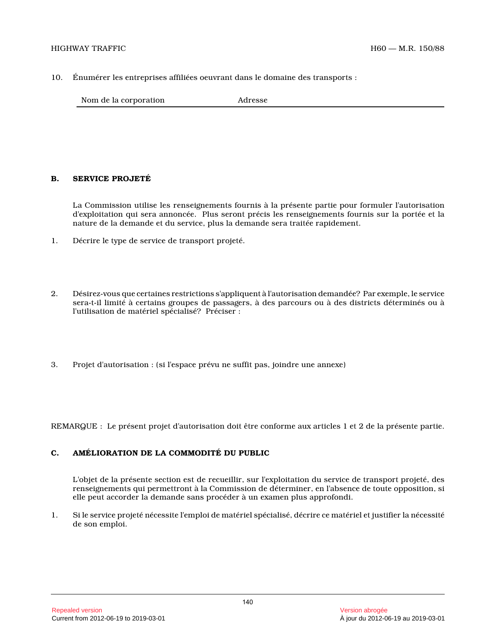10. Énumérer les entreprises affiliées oeuvrant dans le domaine des transports :

Nom de la corporation and adresse

# **B. SERVICE PROJETÉ**

La Commission utilise les renseignements fournis à la présente partie pour formuler l'autorisation d'exploitation qui sera annoncée. Plus seront précis les renseignements fournis sur la portée et la nature de la demande et du service, plus la demande sera traitée rapidement.

- 1. Décrire le type de service de transport projeté.
- 2. Désirez-vous que certaines restrictions s'appliquent à l'autorisation demandée? Par exemple, le service sera-t-il limité à certains groupes de passagers, à des parcours ou à des districts déterminés ou à l'utilisation de matériel spécialisé? Préciser :
- 3. Projet d'autorisation : (si l'espace prévu ne suffit pas, joindre une annexe)

REMARQUE : Le présent projet d'autorisation doit être conforme aux articles 1 et 2 de la présente partie.

## **C. AMÉLIORATION DE LA COMMODITÉ DU PUBLIC**

L'objet de la présente section est de recueillir, sur l'exploitation du service de transport projeté, des renseignements qui permettront à la Commission de déterminer, en l'absence de toute opposition, si elle peut accorder la demande sans procéder à un examen plus approfondi.

1. Si le service projeté nécessite l'emploi de matériel spécialisé, décrire ce matériel et justifier la nécessité de son emploi.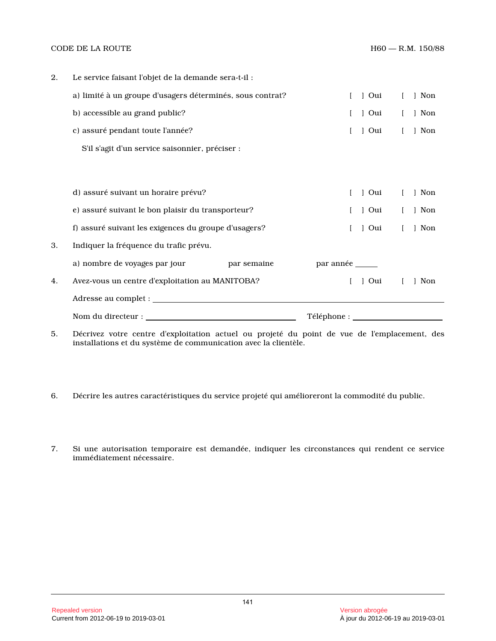#### $\text{CODE DE LA ROUTE}$   $\text{H60} - \text{R.M. } 150/88$

| 2. | Le service faisant l'objet de la demande sera-t-il :      |                  |     |
|----|-----------------------------------------------------------|------------------|-----|
|    | a) limité à un groupe d'usagers déterminés, sous contrat? | 1 Oui            | Non |
|    | b) accessible au grand public?                            | 1 Oui            | Non |
|    | c) assuré pendant toute l'année?                          | 1 Oui            | Non |
|    | S'il s'agit d'un service saisonnier, préciser :           |                  |     |
|    |                                                           |                  |     |
|    |                                                           |                  |     |
|    | d) assuré suivant un horaire prévu?                       | 1 Oui            | Non |
|    | e) assuré suivant le bon plaisir du transporteur?         | 1 Oui            | Non |
|    | f) assuré suivant les exigences du groupe d'usagers?      | 1 Oui            | Non |
| 3. | Indiquer la fréquence du trafic prévu.                    |                  |     |
|    | a) nombre de voyages par jour<br>par semaine              | par année ______ |     |
| 4. | Avez-vous un centre d'exploitation au MANITOBA?           | 1 Oui            | Non |
|    |                                                           |                  |     |
|    |                                                           |                  |     |

- 5. Décrivez votre centre d'exploitation actuel ou projeté du point de vue de l'emplacement, des installations et du système de communication avec la clientèle.
- 6. Décrire les autres caractéristiques du service projeté qui amélioreront la commodité du public.
- 7. Si une autorisation temporaire est demandée, indiquer les circonstances qui rendent ce service immédiatement nécessaire.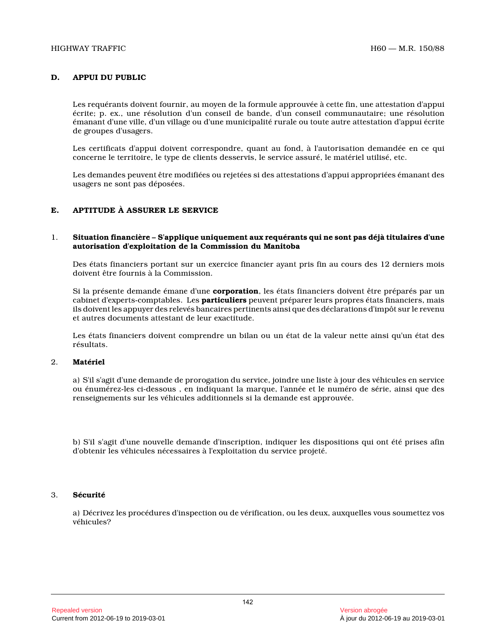## **D. APPUI DU PUBLIC**

Les requérants doivent fournir, au moyen de la formule approuvée à cette fin, une attestation d'appui écrite; p. ex., une résolution d'un conseil de bande, d'un conseil communautaire; une résolution émanant d'une ville, d'un village ou d'une municipalité rurale ou toute autre attestation d'appui écrite de groupes d'usagers.

Les certificats d'appui doivent correspondre, quant au fond, à l'autorisation demandée en ce qui concerne le territoire, le type de clients desservis, le service assuré, le matériel utilisé, etc.

Les demandes peuvent être modifiées ou rejetées si des attestations d'appui appropriées émanant des usagers ne sont pas déposées.

## **E. APTITUDE À ASSURER LE SERVICE**

#### 1. **Situation financière – S'applique uniquement aux requérants qui ne sont pas déjà titulaires d'une autorisation d'exploitation de la Commission du Manitoba**

Des états financiers portant sur un exercice financier ayant pris fin au cours des 12 derniers mois doivent être fournis à la Commission.

Si la présente demande émane d'une **corporation**, les états financiers doivent être préparés par un cabinet d'experts-comptables. Les **particuliers** peuvent préparer leurs propres états financiers, mais ils doivent les appuyer des relevés bancaires pertinents ainsi que des déclarations d'impôt sur le revenu et autres documents attestant de leur exactitude.

Les états financiers doivent comprendre un bilan ou un état de la valeur nette ainsi qu'un état des résultats.

#### 2. **Matériel**

a) S'il s'agit d'une demande de prorogation du service, joindre une liste à jour des véhicules en service ou énumérez-les ci-dessous , en indiquant la marque, l'année et le numéro de série, ainsi que des renseignements sur les véhicules additionnels si la demande est approuvée.

b) S'il s'agit d'une nouvelle demande d'inscription, indiquer les dispositions qui ont été prises afin d'obtenir les véhicules nécessaires à l'exploitation du service projeté.

#### 3. **Sécurité**

a) Décrivez les procédures d'inspection ou de vérification, ou les deux, auxquelles vous soumettez vos véhicules?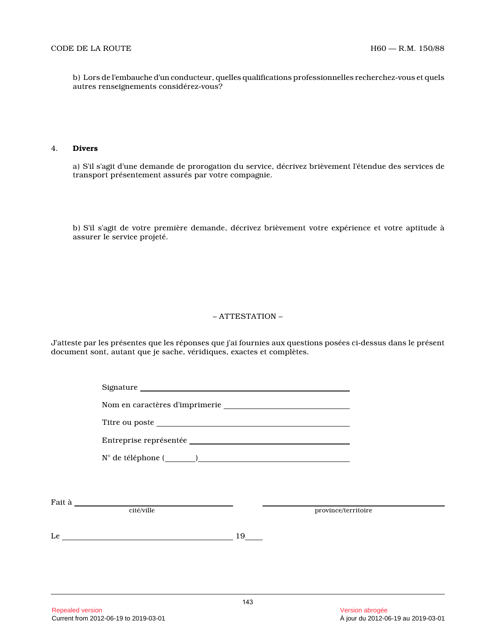b) Lors de l'embauche d'un conducteur, quelles qualifications professionnelles recherchez-vous et quels autres renseignements considérez-vous?

### 4. **Divers**

a) S'il s'agit d'une demande de prorogation du service, décrivez brièvement l'étendue des services de transport présentement assurés par votre compagnie.

b) S'il s'agit de votre première demande, décrivez brièvement votre expérience et votre aptitude à assurer le service projeté.

## – ATTESTATION –

J'atteste par les présentes que les réponses que j'ai fournies aux questions posées ci-dessus dans le présent document sont, autant que je sache, véridiques, exactes et complètes.

| Nom en caractères d'imprimerie |  |                     |  |
|--------------------------------|--|---------------------|--|
|                                |  |                     |  |
| Entreprise représentée         |  |                     |  |
|                                |  |                     |  |
|                                |  |                     |  |
|                                |  |                     |  |
| cité/ville                     |  | province/territoire |  |
| Le $\qquad \qquad 19$          |  |                     |  |
|                                |  |                     |  |
|                                |  |                     |  |
|                                |  |                     |  |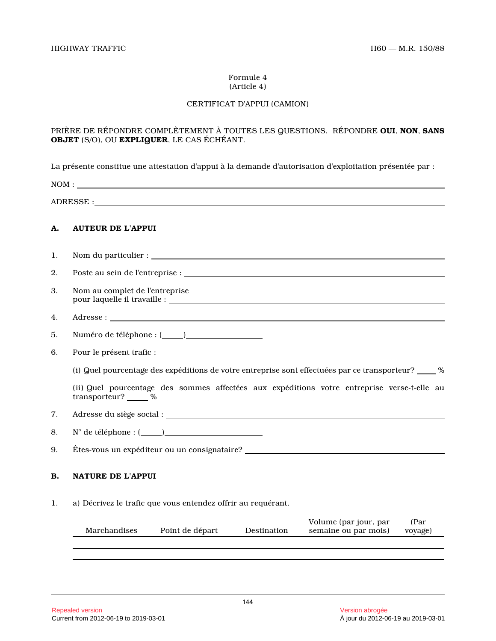#### Formule 4 (Article 4)

## CERTIFICAT D'APPUI (CAMION)

## PRIÈRE DE RÉPONDRE COMPLÈTEMENT À TOUTES LES QUESTIONS. RÉPONDRE **OUI**, **NON**, **SANS OBJET** (S/O), OU **EXPLIQUER**, LE CAS ÉCHÉANT.

La présente constitue une attestation d'appui à la demande d'autorisation d'exploitation présentée par :

NOM :

ADRESSE :

## **A. AUTEUR DE L'APPUI**

1. Nom du particulier :

2. Poste au sein de l'entreprise :

- 3. Nom au complet de l'entreprise pour laquelle il travaille :
- 4. Adresse :
- 5. Numéro de téléphone : ( )
- 6. Pour le présent trafic :
	- (i) Quel pourcentage des expéditions de votre entreprise sont effectuées par ce transporteur? 60%

(ii) Quel pourcentage des sommes affectées aux expéditions votre entreprise verse-t-elle au transporteur? %

- 7. Adresse du siège social :
- 8. N° de téléphone : (\_\_\_\_\_)
- 9. Êtes-vous un expéditeur ou un consignataire?

## **B. NATURE DE L'APPUI**

1. a) Décrivez le trafic que vous entendez offrir au requérant.

| Marchandises | Point de départ | Destination | Volume (par jour, par<br>semaine ou par mois) | (Par<br>voyage) |
|--------------|-----------------|-------------|-----------------------------------------------|-----------------|
|              |                 |             |                                               |                 |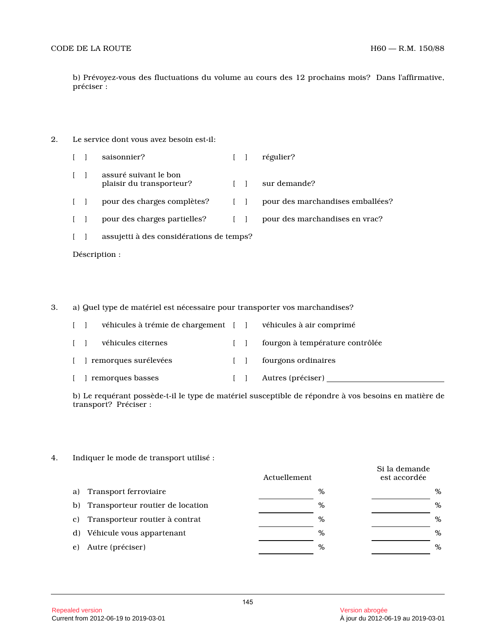b) Prévoyez-vous des fluctuations du volume au cours des 12 prochains mois? Dans l'affirmative, préciser :

## 2. Le service dont vous avez besoin est-il:

|                                  | saisonnier?                                       |  | régulier?                        |
|----------------------------------|---------------------------------------------------|--|----------------------------------|
|                                  | assuré suivant le bon<br>plaisir du transporteur? |  | sur demande?                     |
| $\begin{array}{ccc} \end{array}$ | pour des charges complètes? [ ]                   |  | pour des marchandises emballées? |
| $\begin{array}{ccc} \end{array}$ | pour des charges partielles? [ ]                  |  | pour des marchandises en vrac?   |
| $\Box$                           | assujetti à des considérations de temps?          |  |                                  |

Déscription :

3. a) Quel type de matériel est nécessaire pour transporter vos marchandises?

|  | véhicules à trémie de chargement | $\mathbf{1}$ | véhicules à air comprimé        |
|--|----------------------------------|--------------|---------------------------------|
|  | véhicules citernes               |              | fourgon à température contrôlée |
|  | remorques surélevées             |              | fourgons ordinaires             |
|  | remorques basses                 |              | Autres (préciser)               |

b) Le requérant possède-t-il le type de matériel susceptible de répondre à vos besoins en matière de transport? Préciser :

4. Indiquer le mode de transport utilisé :

|    |                                     | Actuellement | Si la demande<br>est accordée |
|----|-------------------------------------|--------------|-------------------------------|
| a) | Transport ferroviaire               | %            | %                             |
|    | b) Transporteur routier de location | %            | %                             |
| C) | Transporteur routier à contrat      | %            | %                             |
| d) | Véhicule vous appartenant           | %            | %                             |
| e) | Autre (préciser)                    | %            | %                             |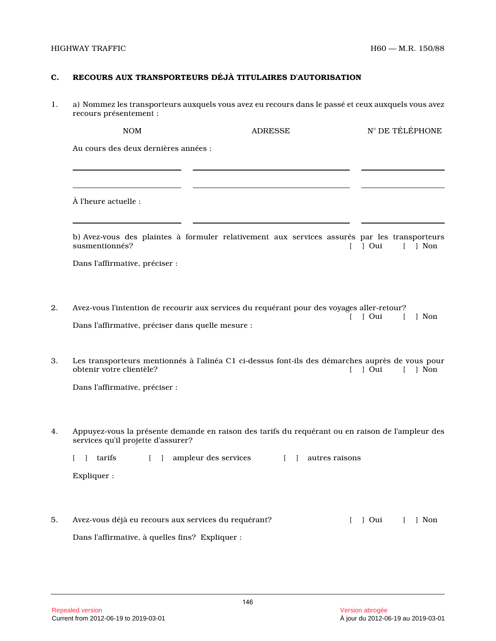### HIGHWAY TRAFFIC H60 — M.R. 150/88

# **C. RECOURS AUX TRANSPORTEURS DÉJÀ TITULAIRES D'AUTORISATION**

1. a) Nommez les transporteurs auxquels vous avez eu recours dans le passé et ceux auxquels vous avez recours présentement :

|    | N° DE TÉLÉPHONE<br><b>NOM</b><br>ADRESSE                                                                                                       |
|----|------------------------------------------------------------------------------------------------------------------------------------------------|
|    | Au cours des deux dernières années :                                                                                                           |
|    |                                                                                                                                                |
|    | À l'heure actuelle :                                                                                                                           |
|    | b) Avez-vous des plaintes à formuler relativement aux services assurés par les transporteurs<br>susmentionnés?<br>1 Oui<br>$\lceil$ 1 Non<br>L |
|    | Dans l'affirmative, préciser :                                                                                                                 |
|    |                                                                                                                                                |
| 2. | Avez-vous l'intention de recourir aux services du requérant pour des voyages aller-retour?<br>$[$ $]$ Oui<br>$\mathbf{r}$<br>1 Non             |
|    | Dans l'affirmative, préciser dans quelle mesure :                                                                                              |
| 3. | Les transporteurs mentionnés à l'alinéa C1 ci-dessus font-ils des démarches auprès de vous pour                                                |
|    | obtenir votre clientèle?<br>1 Oui<br>1 Non<br>$\mathbf{L}$                                                                                     |
|    | Dans l'affirmative, préciser :                                                                                                                 |
|    |                                                                                                                                                |
| 4. | Appuyez-vous la présente demande en raison des tarifs du requérant ou en raison de l'ampleur des<br>services qu'il projette d'assurer?         |
|    | tarifs<br>ampleur des services<br>[ ] autres raisons<br>$\mathbf{L}$<br>L<br>-1<br>1                                                           |
|    | Expliquer :                                                                                                                                    |
|    |                                                                                                                                                |
| 5. | Avez-vous déjà eu recours aux services du requérant?<br>] Oui<br>1 Non<br>$\mathbf{r}$<br>$\blacksquare$                                       |
|    | Dans l'affirmative, à quelles fins? Expliquer :                                                                                                |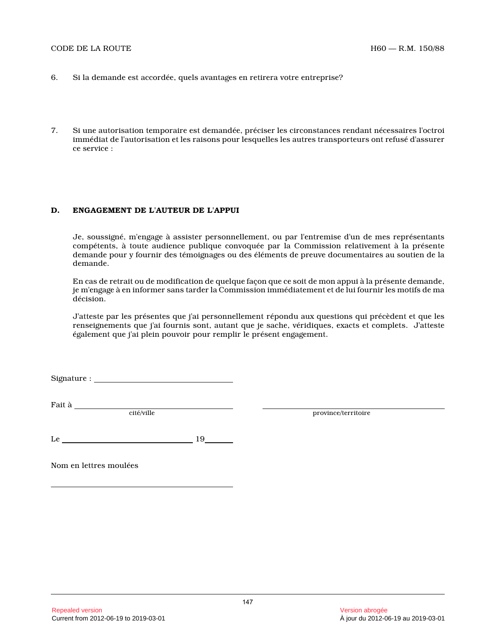#### $\text{CODE DE LA ROUTE}$   $\text{H60} - \text{R.M. } 150/88$

- 6. Si la demande est accordée, quels avantages en retirera votre entreprise?
- 7. Si une autorisation temporaire est demandée, préciser les circonstances rendant nécessaires l'octroi immédiat de l'autorisation et les raisons pour lesquelles les autres transporteurs ont refusé d'assure r ce service :

#### **D. ENGAGEMENT DE L'AUTEUR DE L'APPUI**

Je, soussigné, m'engage à assister personnellement, ou par l'entremise d'un de mes représentants compétents, à toute audience publique convoquée par la Commission relativement à la présente demande pour y fournir des témoignages ou des éléments de preuve documentaires au soutien de la demande.

En cas de retrait ou de modification de quelque façon que ce soit de mon appui à la présente demande, je m'engage à en informer sans tarder la Commission immédiatement et de lui fournir les motifs de ma décision.

J'atteste par les présentes que j'ai personnellement répondu aux questions qui précèdent et que les renseignements que j'ai fournis sont, autant que je sache, véridiques, exacts et complets. J'atteste également que j'ai plein pouvoir pour remplir le présent engagement.

Signature :

Fait à

cité/ville province/territoire

Le 19

Nom en lettres moulées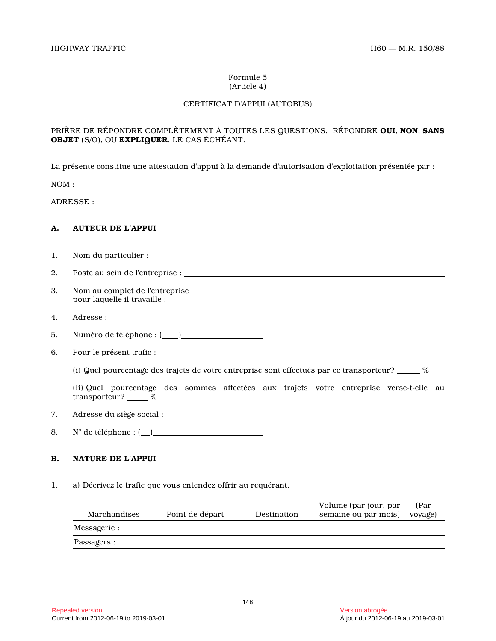#### Formule 5 (Article 4)

## CERTIFICAT D'APPUI (AUTOBUS)

## PRIÈRE DE RÉPONDRE COMPLÈTEMENT À TOUTES LES QUESTIONS. RÉPONDRE **OUI**, **NON**, **SANS OBJET** (S/O), OU **EXPLIQUER**, LE CAS ÉCHÉANT.

La présente constitue une attestation d'appui à la demande d'autorisation d'exploitation présentée par :

NOM :

ADRESSE :

## **A. AUTEUR DE L'APPUI**

1. Nom du particulier :

2. Poste au sein de l'entreprise :

- 3. Nom au complet de l'entreprise pour laquelle il travaille :
- 4. Adresse :
- 5. Numéro de téléphone : ( )
- 6. Pour le présent trafic :
	- (i) Quel pourcentage des trajets de votre entreprise sont effectués par ce transporteur? 6 %

(ii) Quel pourcentage des sommes affectées aux trajets votre entreprise verse-t-elle au transporteur? 6

- 7. Adresse du siège social :
- 8. N° de téléphone : (\_\_)

## **B. NATURE DE L'APPUI**

1. a) Décrivez le trafic que vous entendez offrir au requérant.

| Marchandises | Point de départ | Destination | Volume (par jour, par<br>semaine ou par mois) | (Par<br>voyage) |  |  |  |
|--------------|-----------------|-------------|-----------------------------------------------|-----------------|--|--|--|
| Messagerie : |                 |             |                                               |                 |  |  |  |
| Passagers :  |                 |             |                                               |                 |  |  |  |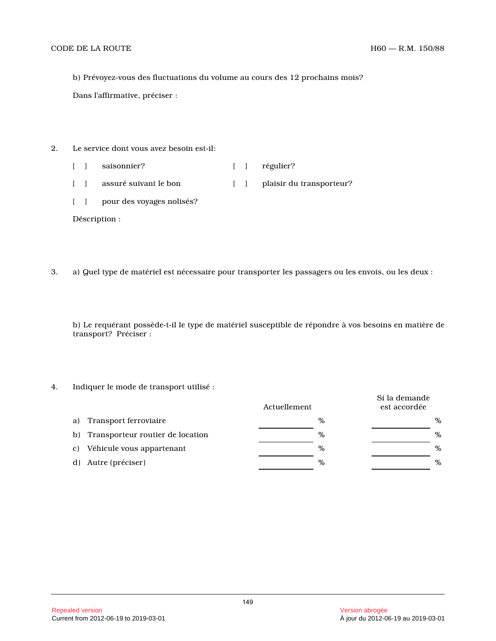b) Prévoyez-vous des fluctuations du volume au cours des 12 prochains mois?

Dans l'affirmative, préciser :

- 2. Le service dont vous avez besoin est-il:
	- [ ] saisonnier? [ ] régulier?
	- [ ] assuré suivant le bon [ ] plaisir du transporteur?
	- [ ] pour des voyages nolisés?

Déscription :

3. a) Quel type de matériel est nécessaire pour transporter les passagers ou les envois, ou les deux :

b) Le requérant possède-t-il le type de matériel susceptible de répondre à vos besoins en matière de transport? Préciser :

4. Indiquer le mode de transport utilisé :

|    |                                     | Actuellement | Si la demande<br>est accordée |
|----|-------------------------------------|--------------|-------------------------------|
|    | a) Transport ferroviaire            | %            | %                             |
|    | b) Transporteur routier de location | %            | %                             |
| C) | Véhicule vous appartenant           | %            | %                             |
|    | d) Autre (préciser)                 | %            | %                             |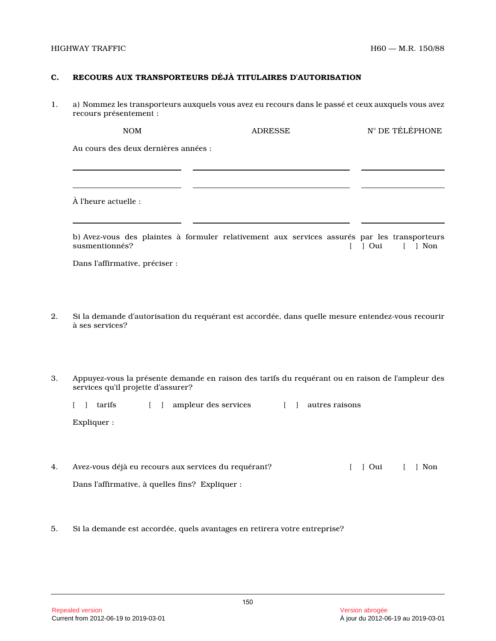### HIGHWAY TRAFFIC **H60** — M.R. 150/88

# **C. RECOURS AUX TRANSPORTEURS DÉJÀ TITULAIRES D'AUTORISATION**

1. a) Nommez les transporteurs auxquels vous avez eu recours dans le passé et ceux auxquels vous avez recours présentement :

| <b>NOM</b>                           | <b>ADRESSE</b>                                                                               | N° DE TÉLÉPHONE |
|--------------------------------------|----------------------------------------------------------------------------------------------|-----------------|
| Au cours des deux dernières années : |                                                                                              |                 |
|                                      |                                                                                              |                 |
| À l'heure actuelle :                 |                                                                                              |                 |
| susmentionnés?                       | b) Avez-vous des plaintes à formuler relativement aux services assurés par les transporteurs | l Oui<br>Non    |
| Dans l'affirmative, préciser :       |                                                                                              |                 |

- 2. Si la demande d'autorisation du requérant est accordée, dans quelle mesure entendez-vous recourir à ses services?
- 3. Appuyez-vous la présente demande en raison des tarifs du requérant ou en raison de l'ampleur des services qu'il projette d'assurer?
	- [ ] tarifs [ ] ampleur des services [ ] autres raisons

| Expliquer : |  |
|-------------|--|
|-------------|--|

- 4. Avez-vous déjà eu recours aux services du requérant? [ ] Oui [ ] Non Dans l'affirmative, à quelles fins? Expliquer :
- 5. Si la demande est accordée, quels avantages en retirera votre entreprise?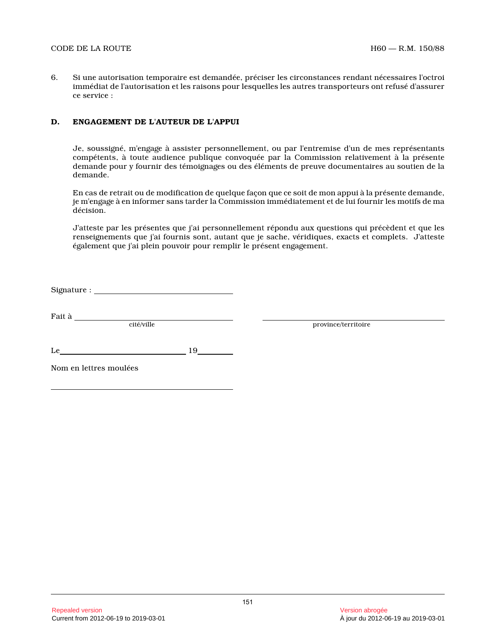6. Si une autorisation temporaire est demandée, préciser les circonstances rendant nécessaires l'octroi immédiat de l'autorisation et les raisons pour lesquelles les autres transporteurs ont refusé d'assure r ce service :

## **D. ENGAGEMENT DE L'AUTEUR DE L'APPUI**

Je, soussigné, m'engage à assister personnellement, ou par l'entremise d'un de mes représentants compétents, à toute audience publique convoquée par la Commission relativement à la présente demande pour y fournir des témoignages ou des éléments de preuve documentaires au soutien de la demande.

En cas de retrait ou de modification de quelque façon que ce soit de mon appui à la présente demande, je m'engage à en informer sans tarder la Commission immédiatement et de lui fournir les motifs de ma décision.

J'atteste par les présentes que j'ai personnellement répondu aux questions qui précèdent et que les renseignements que j'ai fournis sont, autant que je sache, véridiques, exacts et complets. J'atteste également que j'ai plein pouvoir pour remplir le présent engagement.

Signature :

Fait à

cité/ville province/territoire

Le 19

Nom en lettres moulées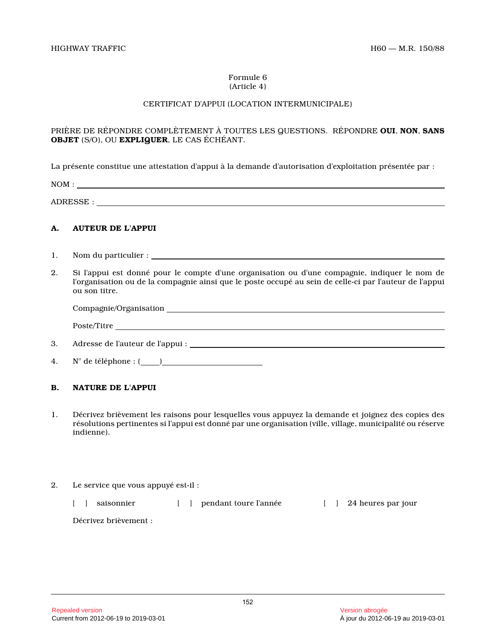#### Formule 6 (Article 4)

# CERTIFICAT D'APPUI (LOCATION INTERMUNICIPALE)

## PRIÈRE DE RÉPONDRE COMPLÈTEMENT À TOUTES LES QUESTIONS. RÉPONDRE **OUI**, **NON**, **SANS OBJET** (S/O), OU **EXPLIQUER**, LE CAS ÉCHÉANT.

La présente constitue une attestation d'appui à la demande d'autorisation d'exploitation présentée par :

NOM :

ADRESSE :

## **A. AUTEUR DE L'APPUI**

- 1. Nom du particulier :
- 2. Si l'appui est donné pour le compte d'une organisation ou d'une compagnie, indiquer le nom de l'organisation ou de la compagnie ainsi que le poste occupé au sein de celle-ci par l'auteur de l'appu i ou son titre.

| Compagnie/Organisation |  |
|------------------------|--|
|                        |  |
| Poste/Titre            |  |

3. Adresse de l'auteur de l'appui :

4. N° de téléphone : (\_\_\_\_)

# **B. NATURE DE L'APPUI**

- 1. Décrivez brièvement les raisons pour lesquelles vous appuyez la demande et joignez des copies des résolutions pertinentes si l'appui est donné par une organisation (ville, village, municipalité ou réserve indienne).
- 2. Le service que vous appuyé est-il :

[ ] saisonnier [ ] pendant toure l'année [ ] 24 heures par jour

Décrivez brièvement :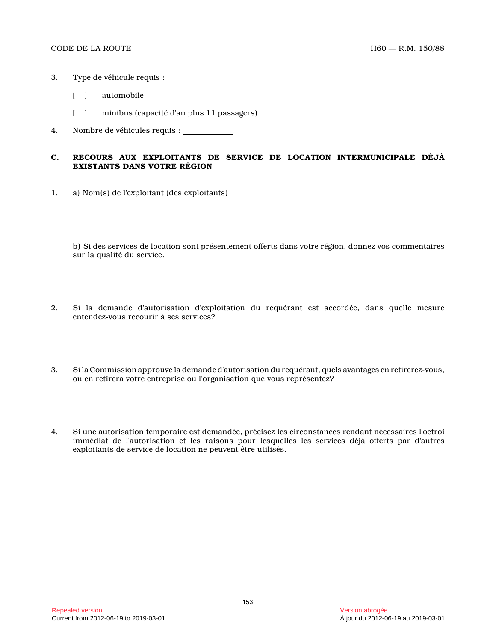- 3. Type de véhicule requis :
	- [ ] automobile
	- [ ] minibus (capacité d'au plus 11 passagers)
- 4. Nombre de véhicules requis :

### **C. RECOURS AUX EXPLOITANTS DE SERVICE DE LOCATION INTERMUNICIPALE DÉJÀ EXISTANTS DANS VOTRE RÉGION**

1. a) Nom(s) de l'exploitant (des exploitants)

b) Si des services de location sont présentement offerts dans votre région, donnez vos commentaires sur la qualité du service.

- 2. Si la demande d'autorisation d'exploitation du requérant est accordée, dans quelle mesure entendez-vous recourir à ses services?
- 3. Si la Commission approuve la demande d'autorisation du requérant, quels avantages en retirerez-vous, ou en retirera votre entreprise ou l'organisation que vous représentez?
- 4. Si une autorisation temporaire est demandée, précisez les circonstances rendant nécessaires l'octroi immédiat de l'autorisation et les raisons pour lesquelles les services déjà offerts par d'autres exploitants de service de location ne peuvent être utilisés.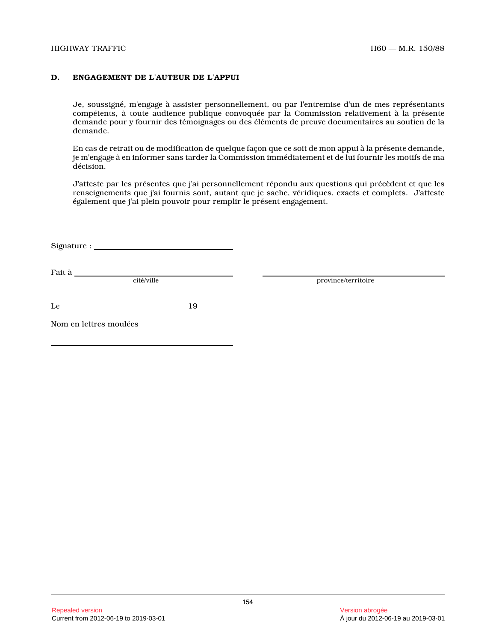## **D. ENGAGEMENT DE L'AUTEUR DE L'APPUI**

Je, soussigné, m'engage à assister personnellement, ou par l'entremise d'un de mes représentants compétents, à toute audience publique convoquée par la Commission relativement à la présente demande pour y fournir des témoignages ou des éléments de preuve documentaires au soutien de la demande.

En cas de retrait ou de modification de quelque façon que ce soit de mon appui à la présente demande, je m'engage à en informer sans tarder la Commission immédiatement et de lui fournir les motifs de ma décision.

J'atteste par les présentes que j'ai personnellement répondu aux questions qui précèdent et que les renseignements que j'ai fournis sont, autant que je sache, véridiques, exacts et complets. J'atteste également que j'ai plein pouvoir pour remplir le présent engagement.

Signature : the state of  $\sim$  state of  $\sim$  state of  $\sim$  state of  $\sim$  state of  $\sim$ 

Fait à

eité/ville province/territoire province/territoire

Le 19 19

Nom en lettres moulées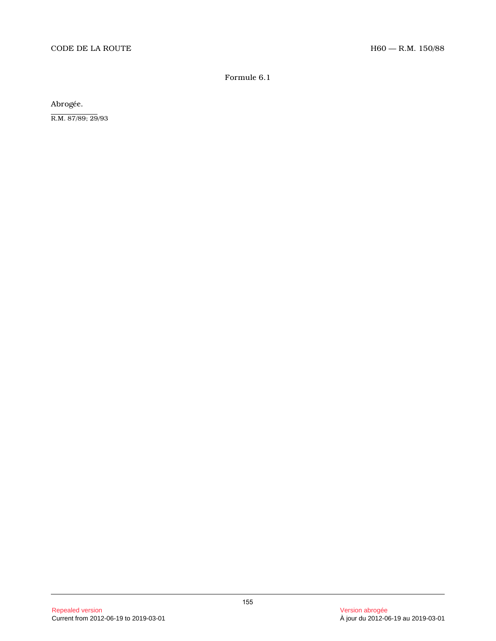# Formule 6.1

Abrogée.

R.M. 87/89; 29/93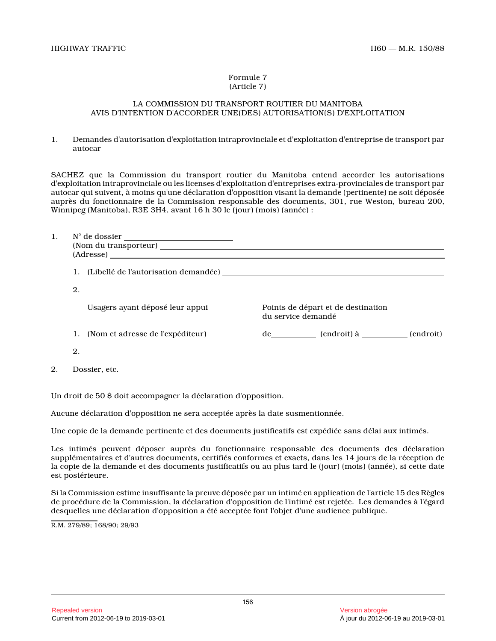#### Formule 7 (Article 7)

### LA COMMISSION DU TRANSPORT ROUTIER DU MANITOBA AVIS D'INTENTION D'ACCORDER UNE(DES) AUTORISATION(S) D'EXPLOITATION

1. Demandes d'autorisation d'exploitation intraprovinciale et d'exploitation d'entreprise de transport par autocar

SACHEZ que la Commission du transport routier du Manitoba entend accorder les autorisations d'exploitation intraprovinciale ou les licenses d'exploitation d'entreprises extra-provinciales de transport par autocar qui suivent, à moins qu'une déclaration d'opposition visant la demande (pertinente) ne soit déposée auprès du fonctionnaire de la Commission responsable des documents, 301, rue Weston, bureau 200, Winnipeg (Manitoba), R3E 3H4, avant 16 h 30 le (jour) (mois) (année) :

| 1. | $N^{\circ}$ de dossier                     |                                                          |  |  |  |  |  |
|----|--------------------------------------------|----------------------------------------------------------|--|--|--|--|--|
|    |                                            |                                                          |  |  |  |  |  |
|    |                                            |                                                          |  |  |  |  |  |
|    | (Libellé de l'autorisation demandée)<br>1. |                                                          |  |  |  |  |  |
|    | 2.                                         |                                                          |  |  |  |  |  |
|    | Usagers ayant déposé leur appui            | Points de départ et de destination<br>du service demandé |  |  |  |  |  |
|    | (Nom et adresse de l'expéditeur)<br>1.     | de endroit) à<br>(endroit)                               |  |  |  |  |  |
|    | 2.                                         |                                                          |  |  |  |  |  |
| 2. | Dossier, etc.                              |                                                          |  |  |  |  |  |

Un droit de 50 \$ doit accompagner la déclaration d'opposition.

Aucune déclaration d'opposition ne sera acceptée après la date susmentionnée.

Une copie de la demande pertinente et des documents justificatifs est expédiée sans délai aux intimés.

Les intimés peuvent déposer auprès du fonctionnaire responsable des documents des déclaration supplémentaires et d'autres documents, certifiés conformes et exacts, dans les 14 jours de la réception de la copie de la demande et des documents justificatifs ou au plus tard le (jour) (mois) (année), si cette date est postérieure.

Si la Commission estime insuffisante la preuve déposée par un intimé en application de l'article 15 des Règles de procédure de la Commission, la déclaration d'opposition de l'intimé est rejetée. Les demandes à l'égard desquelles une déclaration d'opposition a été acceptée font l'objet d'une audience publique.

R.M. 279/89; 168/90; 29/93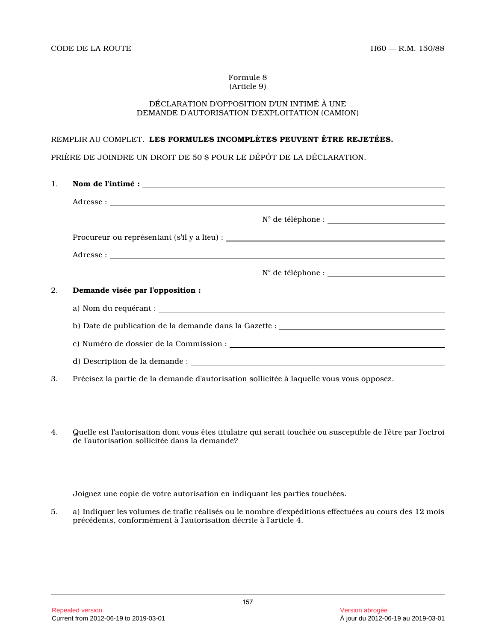### Formule 8 (Article 9)

### DÉCLARATION D'OPPOSITION D'UN INTIMÉ À UNE DEMANDE D'AUTORISATION D'EXPLOITATION (CAMION)

# REMPLIR AU COMPLET. **LES FORMULES INCOMPLÈTES PEUVENT ÊTRE REJETÉES.**

PRIÈRE DE JOINDRE UN DROIT DE 50 \$ POUR LE DÉPÔT DE LA DÉCLARATION.

| 1. |                                                                                                                                                                                                                                                                                                                                                                                                                                                          |
|----|----------------------------------------------------------------------------------------------------------------------------------------------------------------------------------------------------------------------------------------------------------------------------------------------------------------------------------------------------------------------------------------------------------------------------------------------------------|
|    |                                                                                                                                                                                                                                                                                                                                                                                                                                                          |
|    |                                                                                                                                                                                                                                                                                                                                                                                                                                                          |
|    |                                                                                                                                                                                                                                                                                                                                                                                                                                                          |
|    |                                                                                                                                                                                                                                                                                                                                                                                                                                                          |
|    | $N^{\circ} \text{ de téléphone}: \begin{tabular}{ c c c } \hline \multicolumn{3}{ c }{\textbf{a}} & \multicolumn{3}{ c }{\textbf{b}} \\ \hline \multicolumn{3}{ c }{\textbf{b}} & \multicolumn{3}{ c }{\textbf{b}} \\ \hline \multicolumn{3}{ c }{\textbf{b}} & \multicolumn{3}{ c }{\textbf{c}} & \multicolumn{3}{ c }{\textbf{d}} \\ \hline \multicolumn{3}{ c }{\textbf{b}} & \multicolumn{3}{ c }{\textbf{c}} & \multicolumn{3}{ c }{\textbf{d}} \\$ |
| 2. | Demande visée par l'opposition :                                                                                                                                                                                                                                                                                                                                                                                                                         |
|    |                                                                                                                                                                                                                                                                                                                                                                                                                                                          |
|    |                                                                                                                                                                                                                                                                                                                                                                                                                                                          |
|    |                                                                                                                                                                                                                                                                                                                                                                                                                                                          |
|    |                                                                                                                                                                                                                                                                                                                                                                                                                                                          |
| 3. | Précisez la partie de la demande d'autorisation sollicitée à laquelle vous vous opposez.                                                                                                                                                                                                                                                                                                                                                                 |

4. Quelle est l'autorisation dont vous êtes titulaire qui serait touchée ou susceptible de l'être par l'octroi de l'autorisation sollicitée dans la demande?

Joignez une copie de votre autorisation en indiquant les parties touchées.

5. a) Indiquer les volumes de trafic réalisés ou le nombre d'expéditions effectuées au cours des 12 mois précédents, conformément à l'autorisation décrite à l'article 4.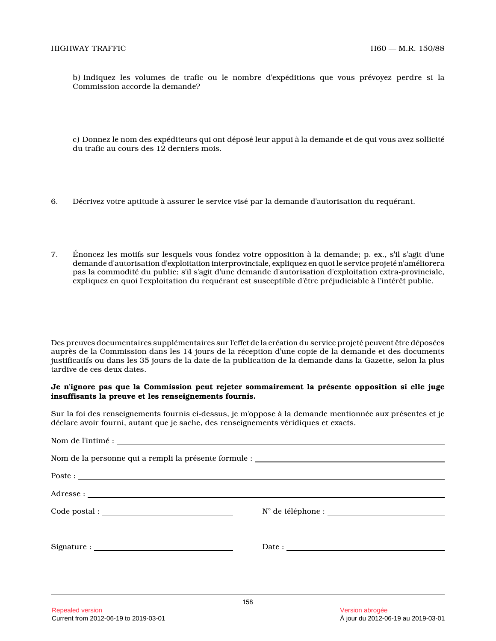b) Indiquez les volumes de trafic ou le nombre d'expéditions que vous prévoyez perdre si la Commission accorde la demande?

c) Donnez le nom des expéditeurs qui ont déposé leur appui à la demande et de qui vous avez sollicité du trafic au cours des 12 derniers mois.

- 6. Décrivez votre aptitude à assurer le service visé par la demande d'autorisation du requérant.
- 7. Énoncez les motifs sur lesquels vous fondez votre opposition à la demande; p. ex., s'il s'agit d'une demande d'autorisation d'exploitation interprovinciale, expliquez en quoi le service projeté n'améliorera pas la commodité du public; s'il s'agit d'une demande d'autorisation d'exploitation extra-provinciale, expliquez en quoi l'exploitation du requérant est susceptible d'être préjudiciable à l'intérêt public.

Des preuves documentaires supplémentaires sur l'effet de la création du service projeté peuvent être déposées auprès de la Commission dans les 14 jours de la réception d'une copie de la demande et des documents justificatifs ou dans les 35 jours de la date de la publication de la demande dans la Gazette, selon la plus tardive de ces deux dates.

### **Je n'ignore pas que la Commission peut rejeter sommairement la présente opposition si elle juge insuffisants la preuve et les renseignements fournis.**

Sur la foi des renseignements fournis ci-dessus, je m'oppose à la demande mentionnée aux présentes et je déclare avoir fourni, autant que je sache, des renseignements véridiques et exacts.

|                                                                                                                                 | Nom de l'intimé : $\frac{1}{2}$                                                   |  |
|---------------------------------------------------------------------------------------------------------------------------------|-----------------------------------------------------------------------------------|--|
|                                                                                                                                 | Nom de la personne qui a rempli la présente formule : ___________________________ |  |
|                                                                                                                                 | Poste:                                                                            |  |
|                                                                                                                                 |                                                                                   |  |
| $\text{Code postal}: \underline{\hspace{2.5cm} \qquad \hspace{2.5cm} \qquad \hspace{2.5cm} } \qquad \qquad \text{Code postal}:$ |                                                                                   |  |
|                                                                                                                                 |                                                                                   |  |
|                                                                                                                                 |                                                                                   |  |
|                                                                                                                                 |                                                                                   |  |
|                                                                                                                                 |                                                                                   |  |
|                                                                                                                                 |                                                                                   |  |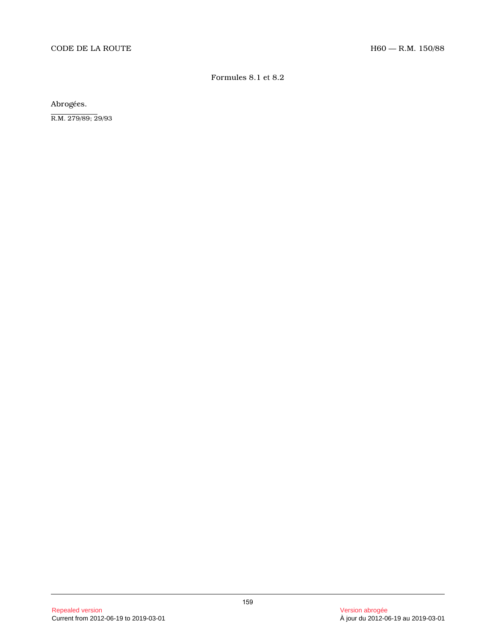# Formules 8.1 et 8.2

Abrogées.

R.M. 279/89; 29/93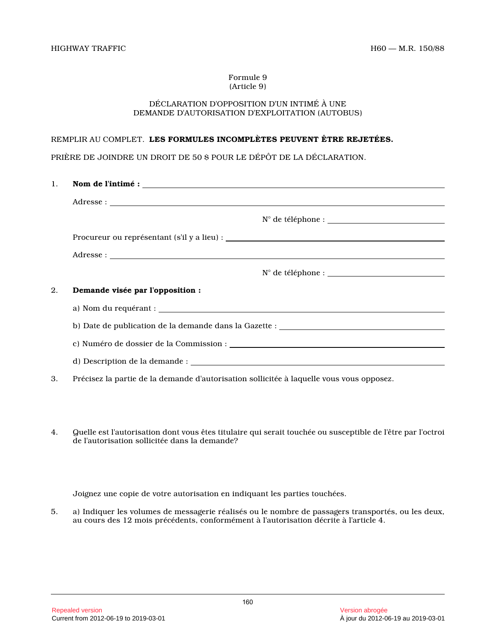#### Formule 9 (Article 9)

### DÉCLARATION D'OPPOSITION D'UN INTIMÉ À UNE DEMANDE D'AUTORISATION D'EXPLOITATION (AUTOBUS)

## REMPLIR AU COMPLET. **LES FORMULES INCOMPLÈTES PEUVENT ÊTRE REJETÉES.**

PRIÈRE DE JOINDRE UN DROIT DE 50 \$ POUR LE DÉPÔT DE LA DÉCLARATION.

| 1. |                                                                                                                                                                                                                                                                                                                                                                                                                                                         |
|----|---------------------------------------------------------------------------------------------------------------------------------------------------------------------------------------------------------------------------------------------------------------------------------------------------------------------------------------------------------------------------------------------------------------------------------------------------------|
|    |                                                                                                                                                                                                                                                                                                                                                                                                                                                         |
|    | $N^{\circ} \text{ de téléphone}: \begin{tabular}{ c c c } \hline \multicolumn{3}{ c }{\textbf{a}} & \multicolumn{3}{ c }{\textbf{b}} \\ \hline \multicolumn{3}{ c }{\textbf{b}} & \multicolumn{3}{ c }{\textbf{c}} & \multicolumn{3}{ c }{\textbf{d}} \\ \hline \multicolumn{3}{ c }{\textbf{b}} & \multicolumn{3}{ c }{\textbf{c}} & \multicolumn{3}{ c }{\textbf{d}} \\ \hline \multicolumn{3}{ c }{\textbf{b}} & \multicolumn{3}{ c }{\textbf{c}} &$ |
|    |                                                                                                                                                                                                                                                                                                                                                                                                                                                         |
|    |                                                                                                                                                                                                                                                                                                                                                                                                                                                         |
|    |                                                                                                                                                                                                                                                                                                                                                                                                                                                         |
| 2. | Demande visée par l'opposition :                                                                                                                                                                                                                                                                                                                                                                                                                        |
|    |                                                                                                                                                                                                                                                                                                                                                                                                                                                         |
|    |                                                                                                                                                                                                                                                                                                                                                                                                                                                         |
|    |                                                                                                                                                                                                                                                                                                                                                                                                                                                         |
|    |                                                                                                                                                                                                                                                                                                                                                                                                                                                         |
|    | 1000 - 1000 - 1000 - 1000 - 1000 - 1000 - 1000 - 1000 - 1000 - 1000 - 1000 - 1000 - 1000 - 1000 - 1000 - 1000                                                                                                                                                                                                                                                                                                                                           |

3. Précisez la partie de la demande d'autorisation sollicitée à laquelle vous vous opposez.

4. Quelle est l'autorisation dont vous êtes titulaire qui serait touchée ou susceptible de l'être par l'octroi de l'autorisation sollicitée dans la demande?

Joignez une copie de votre autorisation en indiquant les parties touchées.

5. a) Indiquer les volumes de messagerie réalisés ou le nombre de passagers transportés, ou les deux, au cours des 12 mois précédents, conformément à l'autorisation décrite à l'article 4.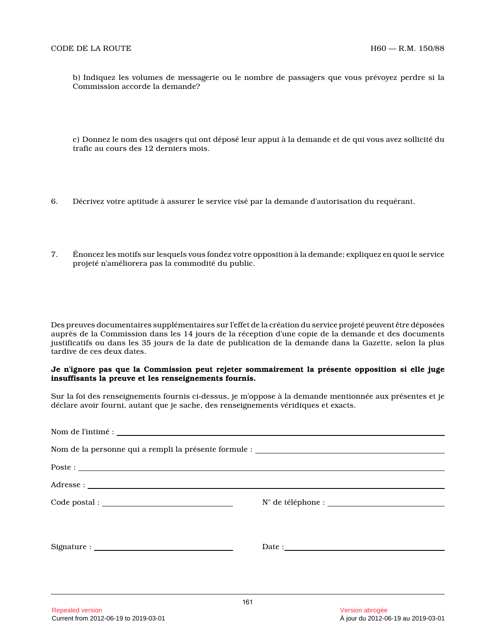b) Indiquez les volumes de messagerie ou le nombre de passagers que vous prévoyez perdre si la Commission accorde la demande?

c) Donnez le nom des usagers qui ont déposé leur appui à la demande et de qui vous avez sollicité du trafic au cours des 12 derniers mois.

- 6. Décrivez votre aptitude à assurer le service visé par la demande d'autorisation du requérant.
- 7. Énoncez les motifs sur lesquels vous fondez votre opposition à la demande; expliquez en quoi le service projeté n'améliorera pas la commodité du public.

Des preuves documentaires supplémentaires sur l'effet de la création du service projeté peuvent être déposées auprès de la Commission dans les 14 jours de la réception d'une copie de la demande et des documents justificatifs ou dans les 35 jours de la date de publication de la demande dans la Gazette, selon la plus tardive de ces deux dates.

### **Je n'ignore pas que la Commission peut rejeter sommairement la présente opposition si elle juge insuffisants la preuve et les renseignements fournis.**

Sur la foi des renseignements fournis ci-dessus, je m'oppose à la demande mentionnée aux présentes et je déclare avoir fourni, autant que je sache, des renseignements véridiques et exacts.

| $\text{Code postal}: \underline{\hspace{2.5cm}} \qquad \qquad \text{---} \qquad \qquad \text{---} \qquad \qquad \text{---} \qquad \qquad \text{---} \qquad \qquad \text{---} \qquad \qquad \text{---} \qquad \qquad \text{---} \qquad \qquad \text{---} \qquad \qquad \text{---} \qquad \qquad \text{---} \qquad \qquad \text{---} \qquad \qquad \text{---} \qquad \qquad \text{---} \qquad \qquad \text{---} \qquad \qquad \text{---} \qquad \qquad \text{---} \qquad \qquad \text{---} \qquad \qquad \text{---} \qquad \q$ |       |
|------------------------------------------------------------------------------------------------------------------------------------------------------------------------------------------------------------------------------------------------------------------------------------------------------------------------------------------------------------------------------------------------------------------------------------------------------------------------------------------------------------------------------|-------|
|                                                                                                                                                                                                                                                                                                                                                                                                                                                                                                                              |       |
|                                                                                                                                                                                                                                                                                                                                                                                                                                                                                                                              | Date: |
|                                                                                                                                                                                                                                                                                                                                                                                                                                                                                                                              |       |
|                                                                                                                                                                                                                                                                                                                                                                                                                                                                                                                              |       |
|                                                                                                                                                                                                                                                                                                                                                                                                                                                                                                                              |       |
| 161                                                                                                                                                                                                                                                                                                                                                                                                                                                                                                                          |       |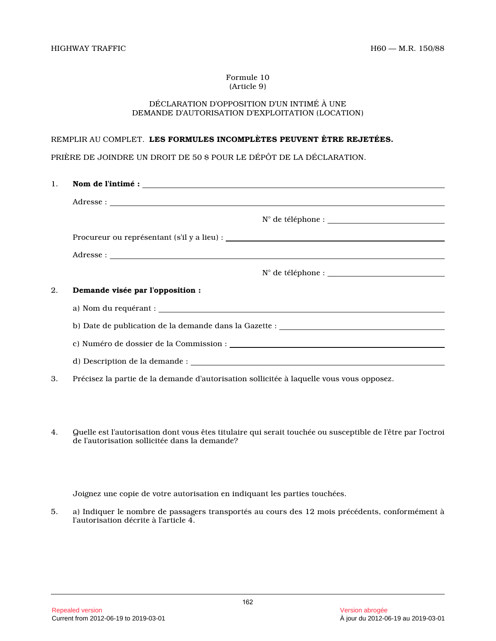#### Formule 10 (Article 9)

## DÉCLARATION D'OPPOSITION D'UN INTIMÉ À UNE DEMANDE D'AUTORISATION D'EXPLOITATION (LOCATION)

# REMPLIR AU COMPLET. **LES FORMULES INCOMPLÈTES PEUVENT ÊTRE REJETÉES.**

PRIÈRE DE JOINDRE UN DROIT DE 50 \$ POUR LE DÉPÔT DE LA DÉCLARATION.

| 1. |                                                                                                                                                                                                                                                                                                                                                                                                                                                         |
|----|---------------------------------------------------------------------------------------------------------------------------------------------------------------------------------------------------------------------------------------------------------------------------------------------------------------------------------------------------------------------------------------------------------------------------------------------------------|
|    |                                                                                                                                                                                                                                                                                                                                                                                                                                                         |
|    |                                                                                                                                                                                                                                                                                                                                                                                                                                                         |
|    |                                                                                                                                                                                                                                                                                                                                                                                                                                                         |
|    |                                                                                                                                                                                                                                                                                                                                                                                                                                                         |
|    | $N^{\circ} \text{ de téléphone}: \begin{tabular}{ c c c } \hline \multicolumn{3}{ c }{\textbf{a}} & \multicolumn{3}{ c }{\textbf{b}} \\ \hline \multicolumn{3}{ c }{\textbf{b}} & \multicolumn{3}{ c }{\textbf{c}} & \multicolumn{3}{ c }{\textbf{d}} \\ \hline \multicolumn{3}{ c }{\textbf{b}} & \multicolumn{3}{ c }{\textbf{c}} & \multicolumn{3}{ c }{\textbf{d}} \\ \hline \multicolumn{3}{ c }{\textbf{b}} & \multicolumn{3}{ c }{\textbf{c}} &$ |
| 2. | Demande visée par l'opposition :                                                                                                                                                                                                                                                                                                                                                                                                                        |
|    |                                                                                                                                                                                                                                                                                                                                                                                                                                                         |
|    |                                                                                                                                                                                                                                                                                                                                                                                                                                                         |
|    |                                                                                                                                                                                                                                                                                                                                                                                                                                                         |
|    |                                                                                                                                                                                                                                                                                                                                                                                                                                                         |
| 3. | Précisez la partie de la demande d'autorisation sollicitée à laquelle vous vous opposez.                                                                                                                                                                                                                                                                                                                                                                |

- 
- 4. Quelle est l'autorisation dont vous êtes titulaire qui serait touchée ou susceptible de l'être par l'octroi de l'autorisation sollicitée dans la demande?

Joignez une copie de votre autorisation en indiquant les parties touchées.

5. a) Indiquer le nombre de passagers transportés au cours des 12 mois précédents, conformément à l'autorisation décrite à l'article 4.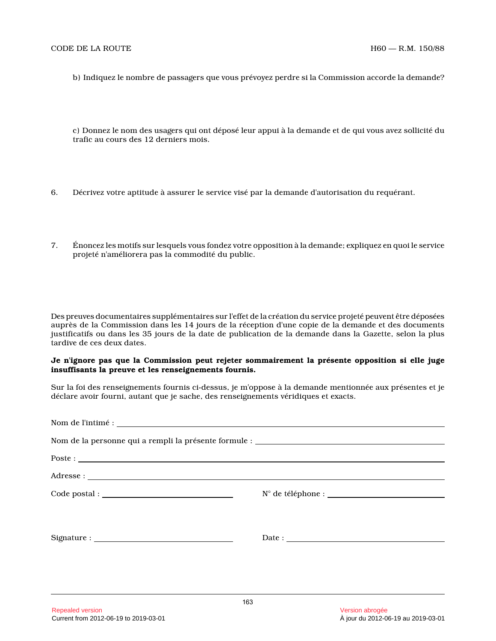b) Indiquez le nombre de passagers que vous prévoyez perdre si la Commission accorde la demande?

c) Donnez le nom des usagers qui ont déposé leur appui à la demande et de qui vous avez sollicité du trafic au cours des 12 derniers mois.

- 6. Décrivez votre aptitude à assurer le service visé par la demande d'autorisation du requérant.
- 7. Énoncez les motifs sur lesquels vous fondez votre opposition à la demande; expliquez en quoi le service projeté n'améliorera pas la commodité du public.

Des preuves documentaires supplémentaires sur l'effet de la création du service projeté peuvent être déposées auprès de la Commission dans les 14 jours de la réception d'une copie de la demande et des documents justificatifs ou dans les 35 jours de la date de publication de la demande dans la Gazette, selon la plus tardive de ces deux dates.

### **Je n'ignore pas que la Commission peut rejeter sommairement la présente opposition si elle juge insuffisants la preuve et les renseignements fournis.**

Sur la foi des renseignements fournis ci-dessus, je m'oppose à la demande mentionnée aux présentes et je déclare avoir fourni, autant que je sache, des renseignements véridiques et exacts.

| Nom de l'intimé :     |
|-----------------------|
|                       |
|                       |
|                       |
|                       |
|                       |
| Date: $\qquad \qquad$ |
|                       |
|                       |
|                       |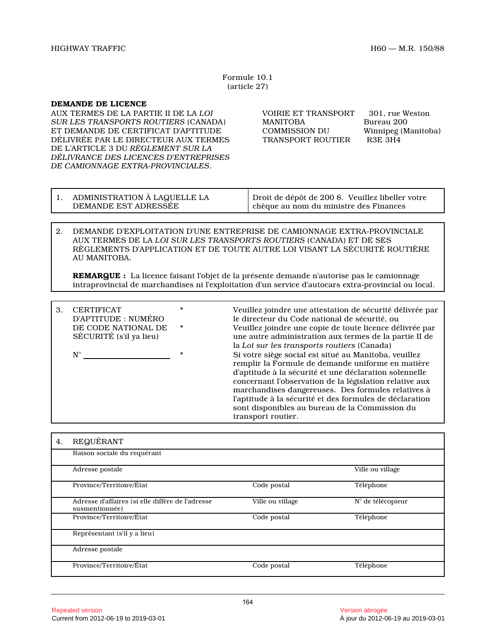Formule 10.1 (article 27)

#### **DEMANDE DE LICENCE**

AUX TERMES DE LA PARTIE II DE LA *LOI* **SUR LES TRANSPORTS ROUTIERS (CANADA)** ET DEMANDE DE CERTIFICAT D'APTITUDE DÉLIVRÉE PAR LE DIRECTEUR AUX TERMES DE L'ARTICLE 3 DU *RÈGLEMENT SUR LA DÉLIVRANCE DES LICENCES D'ENTREPRISES DE CAMIONNAGE EXTRA-PROVINCIALES* .

| VOIRIE ET TRANSPORT  | 301. rue Weston     |
|----------------------|---------------------|
| <b>MANITOBA</b>      | Bureau 200          |
| <b>COMMISSION DU</b> | Winnipeg (Manitoba) |
| TRANSPORT ROUTIER    | <b>R3E 3H4</b>      |
|                      |                     |

| ADMINISTRATION À LAQUELLE LA<br>DEMANDE EST ADRESSEE | Droit de dépôt de 200 \$. Veuillez libeller votre<br>chèque au nom du ministre des Finances |
|------------------------------------------------------|---------------------------------------------------------------------------------------------|
|                                                      |                                                                                             |

2. DEMANDE D'EXPLOITATION D'UNE ENTREPRISE DE CAMIONNAGE EXTRA-PROVINCIALE AUX TERMES DE LA *LOI SUR LES TRANSPORTS ROUTIERS* (CANADA) ET DE SES RÈGLEMENTS D'APPLICATION ET DE TOUTE AUTRE LOI VISANT LA SÉCURITÉ ROUTIÈRE AU MANITOBA.

**REMARQUE :** La licence faisant l'objet de la présente demande n'autorise pas le camionnage intraprovincial de marchandises ni l'exploitation d'un service d'autocars extra-provincial ou local.

| 3. | <b>CERTIFICAT</b><br>D'APTITUDE : NUMÉRO<br>DE CODE NATIONAL DE<br>SÉCURITÉ (s'il ya lieu)<br>$N^{\circ}$ | $\ast$<br>*<br>$\ast$ | Veuillez joindre une attestation de sécurité délivrée par<br>le directeur du Code national de sécurité, ou<br>Veuillez joindre une copie de toute licence délivrée par<br>une autre administration aux termes de la partie II de<br>la Loi sur les transports routiers (Canada)<br>Si votre siège social est situé au Manitoba, veuillez<br>remplir la Formule de demande uniforme en matière<br>d'aptitude à la sécurité et une déclaration solennelle<br>concernant l'observation de la législation relative aux<br>marchandises dangereuses. Des formules relatives à<br>l'aptitude à la sécurité et des formules de déclaration<br>sont disponibles au bureau de la Commission du<br>transport routier. |
|----|-----------------------------------------------------------------------------------------------------------|-----------------------|-------------------------------------------------------------------------------------------------------------------------------------------------------------------------------------------------------------------------------------------------------------------------------------------------------------------------------------------------------------------------------------------------------------------------------------------------------------------------------------------------------------------------------------------------------------------------------------------------------------------------------------------------------------------------------------------------------------|
|    |                                                                                                           |                       |                                                                                                                                                                                                                                                                                                                                                                                                                                                                                                                                                                                                                                                                                                             |

| 4. | REQUÉRANT                                                          |                  |                            |
|----|--------------------------------------------------------------------|------------------|----------------------------|
|    | Raison sociale du requérant                                        |                  |                            |
|    | Adresse postale                                                    |                  | Ville ou village           |
|    | Province/Territoire/État                                           | Code postal      | Téléphone                  |
|    | Adresse d'affaires (si elle diffère de l'adresse<br>susmentionnée) | Ville ou village | $N^{\circ}$ de télécopieur |
|    | Province/Territoire/Etat                                           | Code postal      | Téléphone                  |
|    | Représentant (s'il y a lieu)                                       |                  |                            |
|    | Adresse postale                                                    |                  |                            |
|    | Province/Territoire/État                                           | Code postal      | Téléphone                  |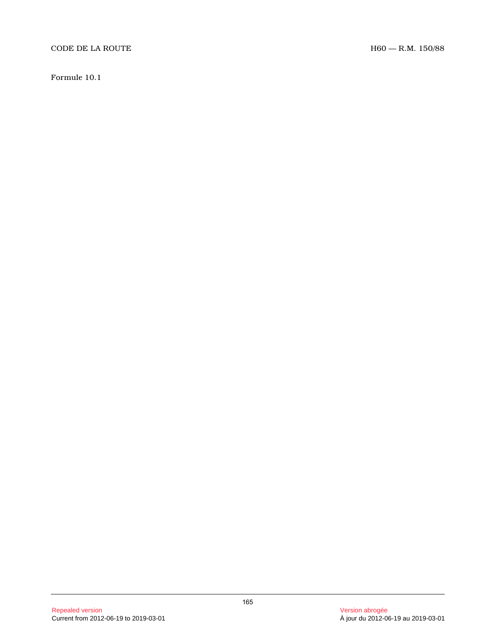## Formule 10.1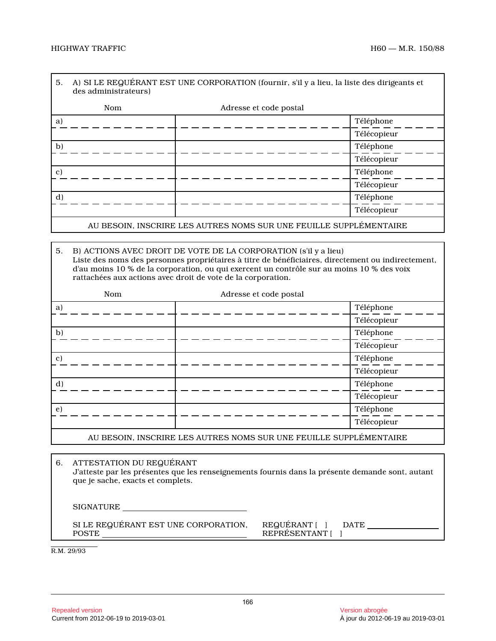| 5.           | des administrateurs) | A) SI LE REQUÉRANT EST UNE CORPORATION (fournir, s'il y a lieu, la liste des dirigeants et |             |
|--------------|----------------------|--------------------------------------------------------------------------------------------|-------------|
|              | Nom                  | Adresse et code postal                                                                     |             |
| a)           |                      |                                                                                            | Téléphone   |
|              |                      |                                                                                            | Télécopieur |
| b)           |                      |                                                                                            | Téléphone   |
|              |                      |                                                                                            | Télécopieur |
| $\mathbf{c}$ |                      |                                                                                            | Téléphone   |
|              |                      |                                                                                            | Télécopieur |
| $\mathbf{d}$ |                      |                                                                                            | Téléphone   |
|              |                      |                                                                                            | Télécopieur |
|              |                      | AU BESOIN, INSCRIRE LES AUTRES NOMS SUR UNE FEUILLE SUPPLÉMENTAIRE                         |             |

|  | $\vert$ 5. B) ACTIONS AVEC DROIT DE VOTE DE LA CORPORATION (s'il y a lieu)                         |
|--|----------------------------------------------------------------------------------------------------|
|  | Liste des noms des personnes propriétaires à titre de bénéficiaires, directement ou indirectement, |
|  | d'au moins 10 % de la corporation, ou qui exercent un contrôle sur au moins 10 % des voix          |
|  | rattachées aux actions avec droit de vote de la corporation.                                       |
|  |                                                                                                    |

| Nom           | Adresse et code postal                                             |             |
|---------------|--------------------------------------------------------------------|-------------|
| a)            |                                                                    | Téléphone   |
|               |                                                                    | Télécopieur |
| b)            |                                                                    | Téléphone   |
|               |                                                                    | Télécopieur |
| $\mathbf{c})$ |                                                                    | Téléphone   |
|               |                                                                    | Télécopieur |
| $\mathbf{d}$  |                                                                    | Téléphone   |
|               |                                                                    | Télécopieur |
| $\epsilon$ )  |                                                                    | Téléphone   |
|               |                                                                    | Télécopieur |
|               | AU BESOIN, INSCRIRE LES AUTRES NOMS SUR UNE FEUILLE SUPPLÉMENTAIRE |             |

6. ATTESTATION DU REQUÉRANT J'atteste par les présentes que les renseignements fournis dans la présente demande sont, autant que je sache, exacts et complets.

SIGNATURE

SI LE REQUÉRANT EST UNE CORPORATION, REQUÉRANT [ ] DATE \_\_\_\_\_\_\_\_\_\_\_\_\_\_\_\_\_\_\_\_\_\_\_\_\_<br>POSTE POSTE

REPRÉSENTANT [ ]

R.M. 29/93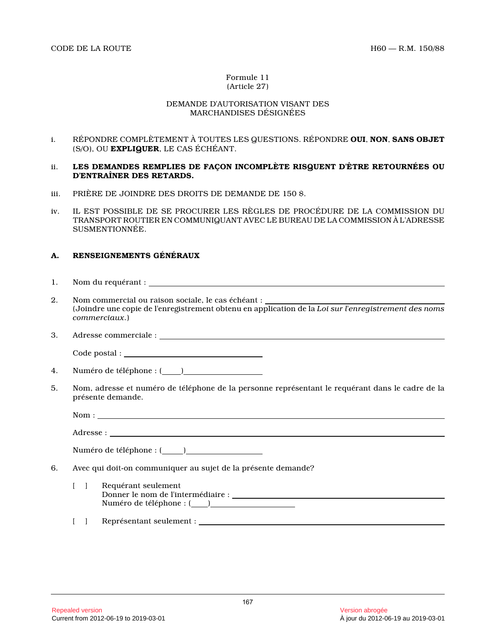#### Formule 11 (Article 27)

### DEMANDE D'AUTORISATION VISANT DES MARCHANDISES DÉSIGNÉES

- i. RÉPONDRE COMPLÈTEMENT À TOUTES LES QUESTIONS. RÉPONDRE **OUI**, **NON**, **SANS OBJET** (S/O), OU **EXPLIQUER**, LE CAS ÉCHÉANT.
- ii. **LES DEMANDES REMPLIES DE FAÇON INCOMPLÈTE RISQUENT D'ÊTRE RETOURNÉES OU D'ENTRAÎNER DES RETARDS.**
- iii. PRIÈRE DE JOINDRE DES DROITS DE DEMANDE DE 150 \$.
- iv. IL EST POSSIBLE DE SE PROCURER LES RÈGLES DE PROCÉDURE DE LA COMMISSION DU TRANSPORT ROUTIER EN COMMUNIQUANT AVEC LE BUREAU DE LA COMMISSION À L'ADRESSE SUSMENTIONNÉE.

## **A. RENSEIGNEMENTS GÉNÉRAUX**

- 1. Nom du requérant :
- 2. Nom commercial ou raison sociale, le cas échéant : (Joindre une copie de l'enregistrement obtenu en application de la *Loi sur l'enregistrement des noms commerciaux*.)
- 3. Adresse commerciale :

Code postal :

- 4. Numéro de téléphone : ( )
- 5. Nom, adresse et numéro de téléphone de la personne représentant le requérant dans le cadre de la présente demande.

Nom :

Adresse :

Numéro de téléphone : ( )

- 6. Avec qui doit-on communiquer au sujet de la présente demande?
	- [ ] Requérant seulement Donner le nom de l'intermédiaire : Numéro de téléphone : ()
	- [ ] Représentant seulement :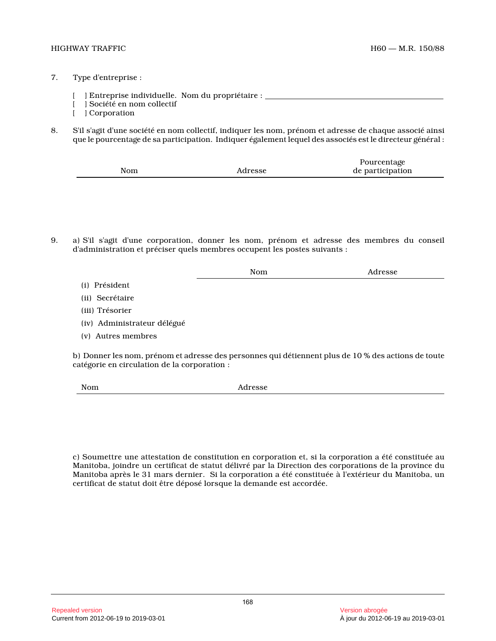7. Type d'entreprise :

| [ ] Entreprise individuelle. Nom du propriétaire : |
|----------------------------------------------------|
| [ ] Société en nom collectif                       |
| [ Corporation                                      |

8. S'il s'agit d'une société en nom collectif, indiquer les nom, prénom et adresse de chaque associé ainsi que le pourcentage de sa participation. Indiquer également lequel des associés est le directeur général :

| de participation<br>Nom<br>Adresse |  | Pourcentage |
|------------------------------------|--|-------------|
|                                    |  |             |

9. a) S'il s'agit d'une corporation, donner les nom, prénom et adresse des membres du conseil d'administration et préciser quels membres occupent les postes suivants :

|                             | Nom | Adresse |  |
|-----------------------------|-----|---------|--|
| (i) Président               |     |         |  |
| (ii) Secrétaire             |     |         |  |
| (iii) Trésorier             |     |         |  |
| (iv) Administrateur délégué |     |         |  |

(v) Autres membres

b) Donner les nom, prénom et adresse des personnes qui détiennent plus de 10 % des actions de toute catégorie en circulation de la corporation :

Nom Adresse

c) Soumettre une attestation de constitution en corporation et, si la corporation a été constituée au Manitoba, joindre un certificat de statut délivré par la Direction des corporations de la province du Manitoba après le 31 mars dernier. Si la corporation a été constituée à l'extérieur du Manitoba, un certificat de statut doit être déposé lorsque la demande est accordée.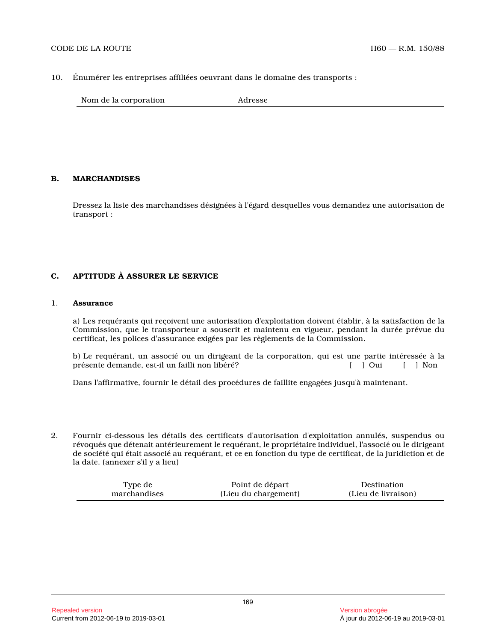10. Énumérer les entreprises affiliées oeuvrant dans le domaine des transports :

Nom de la corporation and adresse

## **B. MARCHANDISES**

Dressez la liste des marchandises désignées à l'égard desquelles vous demandez une autorisation de transport :

## **C. APTITUDE À ASSURER LE SERVICE**

#### 1. **Assurance**

a) Les requérants qui reçoivent une autorisation d'exploitation doivent établir, à la satisfaction de l a Commission, que le transporteur a souscrit et maintenu en vigueur, pendant la durée prévue du certificat, les polices d'assurance exigées par les règlements de la Commission.

b) Le requérant, un associé ou un dirigeant de la corporation, qui est une partie intéressée à la présente demande, est-il un failli non libéré? [ ] Oui [ ] Non

Dans l'affirmative, fournir le détail des procédures de faillite engagées jusqu'à maintenant.

2. Fournir ci-dessous les détails des certificats d'autorisation d'exploitation annulés, suspendus ou révoqués que détenait antérieurement le requérant, le propriétaire individuel, l'associé ou le dirigeant de société qui était associé au requérant, et ce en fonction du type de certificat, de la juridiction et de la date. (annexer s'il y a lieu)

| Type de      | Point de départ      | Destination         |
|--------------|----------------------|---------------------|
| marchandises | (Lieu du chargement) | (Lieu de livraison) |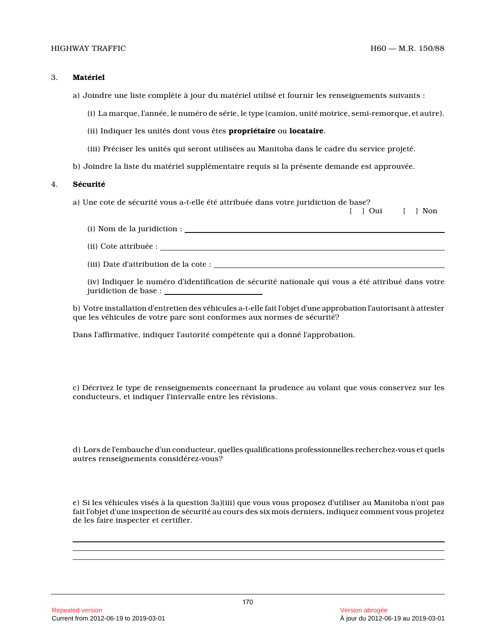### 3. **Matériel**

- a) Joindre une liste complète à jour du matériel utilisé et fournir les renseignements suivants :
	- (i) La marque, l'année, le numéro de série, le type (camion, unité motrice, semi-remorque, et autre).
	- (ii) Indiquer les unités dont vous êtes **propriétaire** ou **locataire** .
	- (iii) Préciser les unités qui seront utilisées au Manitoba dans le cadre du service projeté.
- b) Joindre la liste du matériel supplémentaire requis si la présente demande est approuvée.

#### 4. **Sécurité**

a) Une cote de sécurité vous a-t-elle été attribuée dans votre juridiction de base?

|                                        | $\lceil$ $\lceil$ Oui $\lceil$ $\lceil$ Non |
|----------------------------------------|---------------------------------------------|
| (i) Nom de la juridiction : $\sqrt{ }$ |                                             |
| (ii) Cote attribuée :                  |                                             |
|                                        |                                             |

(iii) Date d'attribution de la cote :

(iv) Indiquer le numéro d'identification de sécurité nationale qui vous a été attribué dans votre juridiction de base :

b) Votre installation d'entretien des véhicules a-t-elle fait l'objet d'une approbation l'autorisant à attester que les véhicules de votre parc sont conformes aux normes de sécurité?

Dans l'affirmative, indiquer l'autorité compétente qui a donné l'approbation.

c) Décrivez le type de renseignements concernant la prudence au volant que vous conservez sur les conducteurs, et indiquer l'intervalle entre les révisions.

d) Lors de l'embauche d'un conducteur, quelles qualifications professionnelles recherchez-vous et quels autres renseignements considérez-vous?

e) Si les véhicules visés à la question 3a)(iii) que vous vous proposez d'utiliser au Manitoba n'ont pa s fait l'objet d'une inspection de sécurité au cours des six mois derniers, indiquez comment vous projetez de les faire inspecter et certifier.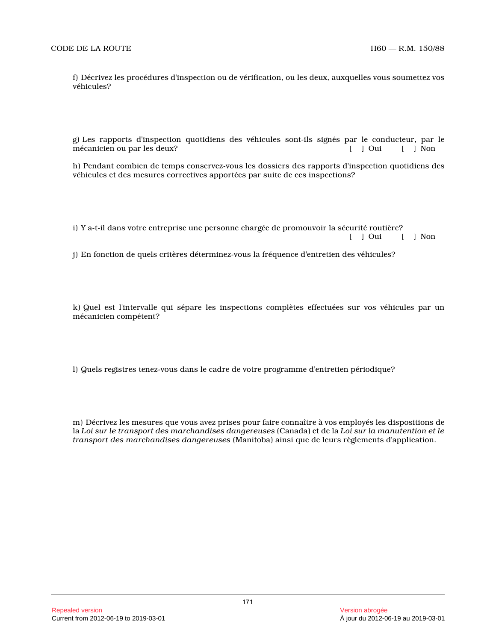f) Décrivez les procédures d'inspection ou de vérification, ou les deux, auxquelles vous soumettez vos véhicules?

g) Les rapports d'inspection quotidiens des véhicules sont-ils signés par le conducteur, par le mécanicien ou par les deux? mécanicien ou par les deux? [ ] Oui [ ] Non

h) Pendant combien de temps conservez-vous les dossiers des rapports d'inspection quotidiens des véhicules et des mesures correctives apportées par suite de ces inspections?

i) Y a-t-il dans votre entreprise une personne chargée de promouvoir la sécurité routière? [ ] Oui [ ] Non

j) En fonction de quels critères déterminez-vous la fréquence d'entretien des véhicules?

k) Quel est l'intervalle qui sépare les inspections complètes effectuées sur vos véhicules par un mécanicien compétent?

l) Quels registres tenez-vous dans le cadre de votre programme d'entretien périodique?

m) Décrivez les mesures que vous avez prises pour faire connaître à vos employés les dispositions de la *Loi sur le transport des marchandises dangereuses* (Canada) et de la *Loi sur la manutention et le transport des marchandises dangereuses* (Manitoba) ainsi que de leurs règlements d'application.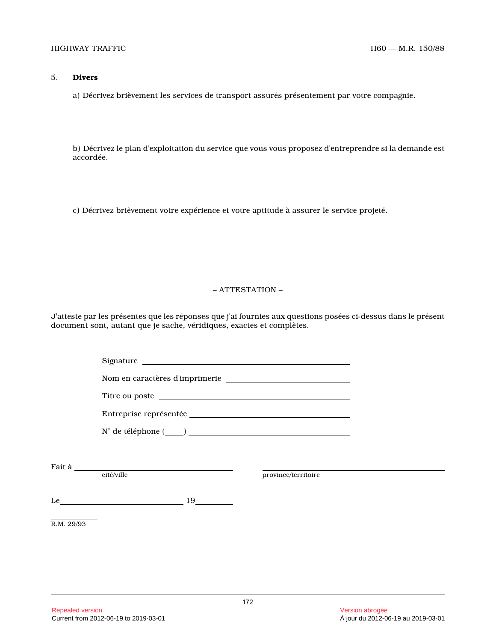## HIGHWAY TRAFFIC H60 — M.R. 150/88

#### 5. **Divers**

a) Décrivez brièvement les services de transport assurés présentement par votre compagnie.

b) Décrivez le plan d'exploitation du service que vous vous proposez d'entreprendre si la demande est accordée.

c) Décrivez brièvement votre expérience et votre aptitude à assurer le service projeté.

# – ATTESTATION –

J'atteste par les présentes que les réponses que j'ai fournies aux questions posées ci-dessus dans le présent document sont, autant que je sache, véridiques, exactes et complètes.

|            | cité/ville            | province/territoire |  |
|------------|-----------------------|---------------------|--|
|            |                       |                     |  |
|            | Le $\qquad \qquad 19$ |                     |  |
| R.M. 29/93 |                       |                     |  |
|            |                       |                     |  |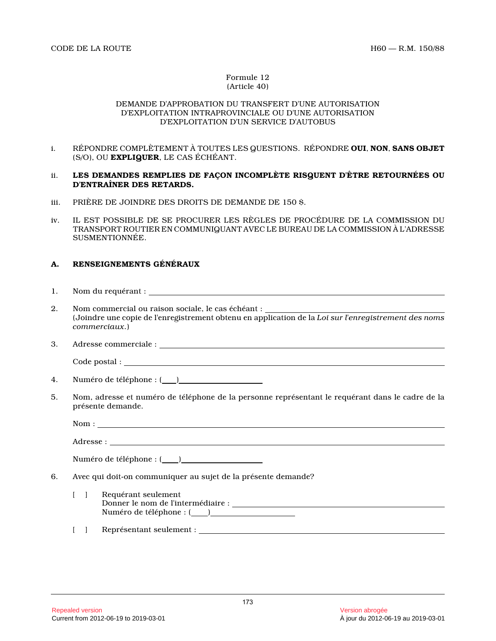#### Formule 12 (Article 40)

### DEMANDE D'APPROBATION DU TRANSFERT D'UNE AUTORISATION D'EXPLOITATION INTRAPROVINCIALE OU D'UNE AUTORISATION D'EXPLOITATION D'UN SERVICE D'AUTOBUS

i. RÉPONDRE COMPLÈTEMENT À TOUTES LES QUESTIONS. RÉPONDRE **OUI**, **NON**, **SANS OBJET** (S/O), OU **EXPLIQUER**, LE CAS ÉCHÉANT.

### ii. **LES DEMANDES REMPLIES DE FAÇON INCOMPLÈTE RISQUENT D'ÊTRE RETOURNÉES OU D'ENTRAÎNER DES RETARDS.**

- iii. PRIÈRE DE JOINDRE DES DROITS DE DEMANDE DE 150 \$.
- iv. IL EST POSSIBLE DE SE PROCURER LES RÈGLES DE PROCÉDURE DE LA COMMISSION DU TRANSPORT ROUTIER EN COMMUNIQUANT AVEC LE BUREAU DE LA COMMISSION À L'ADRESSE SUSMENTIONNÉE.

## **A. RENSEIGNEMENTS GÉNÉRAUX**

- 1. Nom du requérant :
- 2. Nom commercial ou raison sociale, le cas échéant : (Joindre une copie de l'enregistrement obtenu en application de la *Loi sur l'enregistrement des noms commerciaux*.)
- 3. Adresse commerciale :

Code postal :

- 4. Numéro de téléphone : ( )
- 5. Nom, adresse et numéro de téléphone de la personne représentant le requérant dans le cadre de la présente demande.

Nom :

Adresse : \_

Numéro de téléphone : ( )

- 6. Avec qui doit-on communiquer au sujet de la présente demande?
	- [ ] Requérant seulement Donner le nom de l'intermédiaire : Numéro de téléphone : ( )
	- [ ] Représentant seulement :

<u> 1989 - Johann Barbara, martxa amerikan p</u>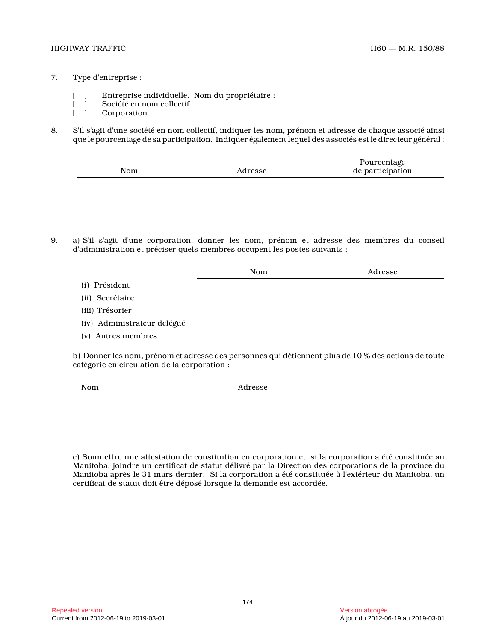7. Type d'entreprise :

|  | [ ] Entreprise individuelle. Nom du propriétaire : |
|--|----------------------------------------------------|
|  | [ ] Société en nom collectif                       |
|  | Corporation                                        |

8. S'il s'agit d'une société en nom collectif, indiquer les nom, prénom et adresse de chaque associé ainsi que le pourcentage de sa participation. Indiquer également lequel des associés est le directeur général :

| de participation<br>Nom<br>esse: |  |
|----------------------------------|--|
|                                  |  |

9. a) S'il s'agit d'une corporation, donner les nom, prénom et adresse des membres du conseil d'administration et préciser quels membres occupent les postes suivants :

|                             | Nom | Adresse |
|-----------------------------|-----|---------|
| (i) Président               |     |         |
| (ii) Secrétaire             |     |         |
| (iii) Trésorier             |     |         |
| (iv) Administrateur délégué |     |         |

(v) Autres membres

b) Donner les nom, prénom et adresse des personnes qui détiennent plus de 10 % des actions de toute catégorie en circulation de la corporation :

Nom Adresse

c) Soumettre une attestation de constitution en corporation et, si la corporation a été constituée au Manitoba, joindre un certificat de statut délivré par la Direction des corporations de la province du Manitoba après le 31 mars dernier. Si la corporation a été constituée à l'extérieur du Manitoba, un certificat de statut doit être déposé lorsque la demande est accordée.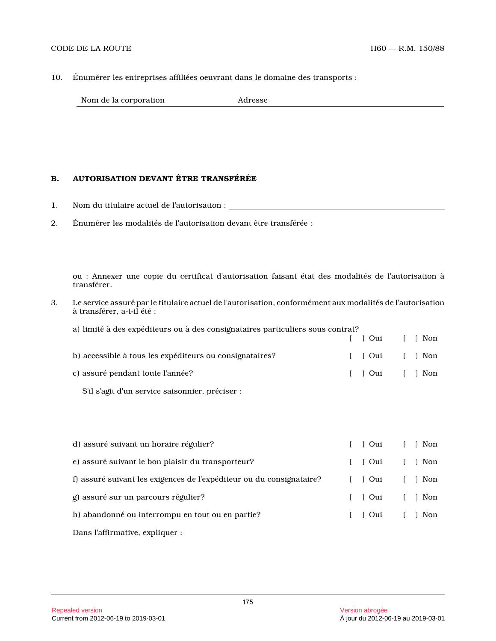10. Énumérer les entreprises affiliées oeuvrant dans le domaine des transports :

Nom de la corporation Adresse

# **B. AUTORISATION DEVANT ÊTRE TRANSFÉRÉE**

- 1. Nom du titulaire actuel de l'autorisation :
- 2. Énumérer les modalités de l'autorisation devant être transférée :

ou : Annexer une copie du certificat d'autorisation faisant état des modalités de l'autorisation à transférer.

3. Le service assuré par le titulaire actuel de l'autorisation, conformément aux modalités de l'autorisation à transférer, a-t-il été :

| a) limité à des expéditeurs ou à des consignataires particuliers sous contrat? |                 |  |
|--------------------------------------------------------------------------------|-----------------|--|
|                                                                                | I l Oui I l Non |  |
| b) accessible à tous les expéditeurs ou consignataires?                        | [   Oui     Non |  |
| c) assuré pendant toute l'année?                                               | [   Oui     Non |  |
|                                                                                |                 |  |

S'il s'agit d'un service saisonnier, préciser :

| d) assuré suivant un horaire régulier?                               | $\begin{bmatrix} \end{bmatrix}$ Oui $\begin{bmatrix} \end{bmatrix}$ Non |
|----------------------------------------------------------------------|-------------------------------------------------------------------------|
| e) assuré suivant le bon plaisir du transporteur?                    | $\begin{bmatrix} \end{bmatrix}$ Oui $\begin{bmatrix} \end{bmatrix}$ Non |
| f) assuré suivant les exigences de l'expéditeur ou du consignataire? | $\begin{bmatrix} \end{bmatrix}$ Oui $\begin{bmatrix} \end{bmatrix}$ Non |
| g) assuré sur un parcours régulier?                                  | $\lceil$   Oui $\lceil$   Non                                           |
| h) abandonné ou interrompu en tout ou en partie?                     | $\begin{bmatrix} \end{bmatrix}$ Oui $\begin{bmatrix} \end{bmatrix}$ Non |
| Dans l'affirmative, expliquer :                                      |                                                                         |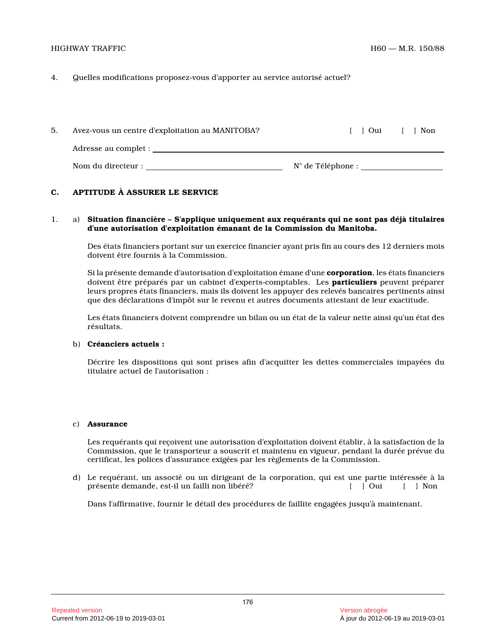#### HIGHWAY TRAFFIC H60 — M.R. 150/88

## 4. Quelles modifications proposez-vous d'apporter au service autorisé actuel?

| Avez-vous un centre d'exploitation au MANITOBA? | [ ] Oui           | I Non |
|-------------------------------------------------|-------------------|-------|
| Adresse au complet :                            |                   |       |
| Nom du directeur :                              | N° de Téléphone : |       |

# **C. APTITUDE À ASSURER LE SERVICE**

#### 1. a) **Situation financière – S'applique uniquement aux requérants qui ne sont pas déjà titulaires d'une autorisation d'exploitation émanant de la Commission du Manitoba.**

Des états financiers portant sur un exercice financier ayant pris fin au cours des 12 derniers mois doivent être fournis à la Commission.

Si la présente demande d'autorisation d'exploitation émane d'une **corporation**, les états financiers doivent être préparés par un cabinet d'experts-comptables. Les **particuliers** peuvent préparer leurs propres états financiers, mais ils doivent les appuyer des relevés bancaires pertinents ainsi que des déclarations d'impôt sur le revenu et autres documents attestant de leur exactitude.

Les états financiers doivent comprendre un bilan ou un état de la valeur nette ainsi qu'un état des résultats.

#### b) **Créanciers actuels :**

Décrire les dispositions qui sont prises afin d'acquitter les dettes commerciales impayées du titulaire actuel de l'autorisation :

#### c) **Assurance**

Les requérants qui reçoivent une autorisation d'exploitation doivent établir, à la satisfaction de la Commission, que le transporteur a souscrit et maintenu en vigueur, pendant la durée prévue du certificat, les polices d'assurance exigées par les règlements de la Commission.

d) Le requérant, un associé ou un dirigeant de la corporation, qui est une partie intéressée à la présente demande, est-il un failli non libéré? [ ] Oui [ ] Non

Dans l'affirmative, fournir le détail des procédures de faillite engagées jusqu'à maintenant.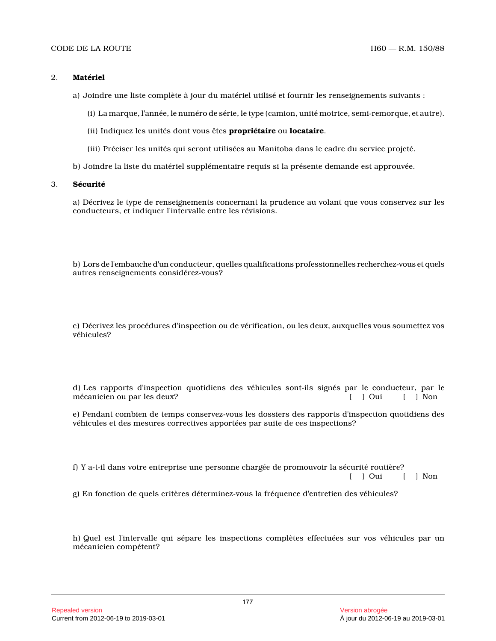### 2. **Matériel**

- a) Joindre une liste complète à jour du matériel utilisé et fournir les renseignements suivants :
	- (i) La marque, l'année, le numéro de série, le type (camion, unité motrice, semi-remorque, et autre).
	- (ii) Indiquez les unités dont vous êtes **propriétaire** ou **locataire** .
	- (iii) Préciser les unités qui seront utilisées au Manitoba dans le cadre du service projeté.
- b) Joindre la liste du matériel supplémentaire requis si la présente demande est approuvée.

#### 3. **Sécurité**

a) Décrivez le type de renseignements concernant la prudence au volant que vous conservez sur les conducteurs, et indiquer l'intervalle entre les révisions.

b) Lors de l'embauche d'un conducteur, quelles qualifications professionnelles recherchez-vous et quels autres renseignements considérez-vous?

c) Décrivez les procédures d'inspection ou de vérification, ou les deux, auxquelles vous soumettez vos véhicules?

d) Les rapports d'inspection quotidiens des véhicules sont-ils signés par le conducteur, par le mécanicien ou par les deux? [ ] Oui [ ] Non

e) Pendant combien de temps conservez-vous les dossiers des rapports d'inspection quotidiens des véhicules et des mesures correctives apportées par suite de ces inspections?

f) Y a-t-il dans votre entreprise une personne chargée de promouvoir la sécurité routière? [ ] Oui [ ] Non

g) En fonction de quels critères déterminez-vous la fréquence d'entretien des véhicules?

h) Quel est l'intervalle qui sépare les inspections complètes effectuées sur vos véhicules par un mécanicien compétent?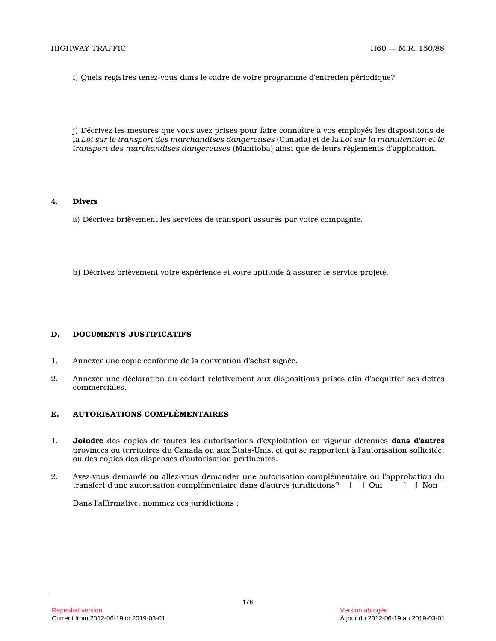i) Quels registres tenez-vous dans le cadre de votre programme d'entretien périodique?

j) Décrivez les mesures que vous avez prises pour faire connaître à vos employés les dispositions de la *Loi sur le transport des marchandises dangereuses* (Canada) et de la *Loi sur la manutention et le transport des marchandises dangereuses* (Manitoba) ainsi que de leurs règlements d'application.

#### 4. **Divers**

- a) Décrivez brièvement les services de transport assurés par votre compagnie.
- b) Décrivez brièvement votre expérience et votre aptitude à assurer le service projeté.

## **D. DOCUMENTS JUSTIFICATIFS**

- 1. Annexer une copie conforme de la convention d'achat signée.
- 2. Annexer une déclaration du cédant relativement aux dispositions prises afin d'acquitter ses dettes commerciales.

## **E. AUTORISATIONS COMPLÉMENTAIRES**

- 1. **Joindre** des copies de toutes les autorisations d'exploitation en vigueur détenues **dans d'autres** provinces ou territoires du Canada ou aux États-Unis, et qui se rapportent à l'autorisation sollicitée ; ou des copies des dispenses d'autorisation pertinentes.
- 2. Avez-vous demandé ou allez-vous demander une autorisation complémentaire ou l'approbation du transfert d'une autorisation complémentaire dans d'autres juridictions? [ ] Oui [ ] Non

Dans l'affirmative, nommez ces juridictions :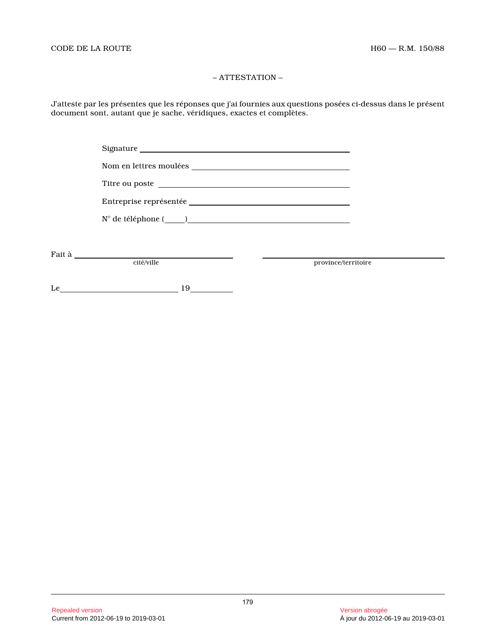## – ATTESTATION –

J'atteste par les présentes que les réponses que j'ai fournies aux questions posées ci-dessus dans le présent document sont, autant que je sache, véridiques, exactes et complètes.

| Nom en lettres moulées   |                     |  |
|--------------------------|---------------------|--|
|                          |                     |  |
| Entreprise représentée   |                     |  |
|                          |                     |  |
|                          |                     |  |
|                          |                     |  |
| cité/ville               | province/territoire |  |
| Le $\qquad \qquad$<br>19 |                     |  |